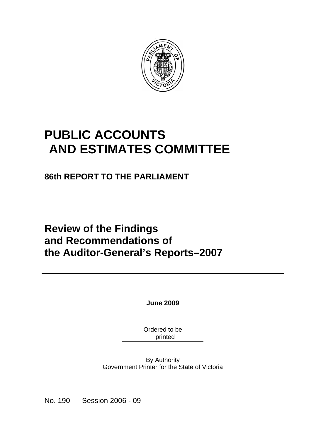

# **PUBLIC ACCOUNTS AND ESTIMATES COMMITTEE**

**86th REPORT TO THE PARLIAMENT** 

# **Review of the Findings and Recommendations of the Auditor-General's Reports–2007**

**June 2009** 

Ordered to be printed

By Authority Government Printer for the State of Victoria

No. 190 Session 2006 - 09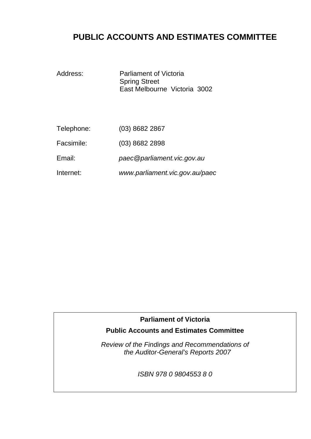## **PUBLIC ACCOUNTS AND ESTIMATES COMMITTEE**

Address: Parliament of Victoria Spring Street East Melbourne Victoria 3002

| Telephone: | $(03)$ 8682 2867 |
|------------|------------------|
|------------|------------------|

Facsimile: (03) 8682 2898

Email: *paec@parliament.vic.gov.au* 

Internet: *www.parliament.vic.gov.au/paec* 

#### **Parliament of Victoria**

#### **Public Accounts and Estimates Committee**

*Review of the Findings and Recommendations of the Auditor-General's Reports 2007* 

*ISBN 978 0 9804553 8 0*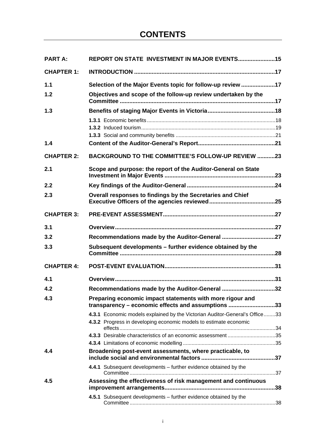| <b>PART A:</b>    | REPORT ON STATE INVESTMENT IN MAJOR EVENTS 15                                                                   |  |
|-------------------|-----------------------------------------------------------------------------------------------------------------|--|
| <b>CHAPTER 1:</b> |                                                                                                                 |  |
| 1.1               | Selection of the Major Events topic for follow-up review 17                                                     |  |
| 1.2               | Objectives and scope of the follow-up review undertaken by the                                                  |  |
| 1.3               |                                                                                                                 |  |
|                   |                                                                                                                 |  |
|                   |                                                                                                                 |  |
| 1.4               |                                                                                                                 |  |
| <b>CHAPTER 2:</b> | <b>BACKGROUND TO THE COMMITTEE'S FOLLOW-UP REVIEW 23</b>                                                        |  |
| 2.1               | Scope and purpose: the report of the Auditor-General on State                                                   |  |
| 2.2               |                                                                                                                 |  |
| 2.3               | Overall responses to findings by the Secretaries and Chief                                                      |  |
| <b>CHAPTER 3:</b> |                                                                                                                 |  |
| 3.1               |                                                                                                                 |  |
| 3.2               | Recommendations made by the Auditor-General 27                                                                  |  |
| 3.3               | Subsequent developments - further evidence obtained by the                                                      |  |
| <b>CHAPTER 4:</b> |                                                                                                                 |  |
| 4.1               |                                                                                                                 |  |
| 4.2               | Recommendations made by the Auditor-General 32                                                                  |  |
| 4.3               | Preparing economic impact statements with more rigour and<br>transparency - economic effects and assumptions 33 |  |
|                   | 4.3.1 Economic models explained by the Victorian Auditor-General's Office33                                     |  |
|                   | 4.3.2 Progress in developing economic models to estimate economic                                               |  |
|                   | 4.3.3 Desirable characteristics of an economic assessment 35                                                    |  |
|                   |                                                                                                                 |  |
| 4.4               | Broadening post-event assessments, where practicable, to                                                        |  |
|                   | 4.4.1 Subsequent developments - further evidence obtained by the                                                |  |
| 4.5               | Assessing the effectiveness of risk management and continuous                                                   |  |
|                   |                                                                                                                 |  |
|                   | 4.5.1 Subsequent developments - further evidence obtained by the                                                |  |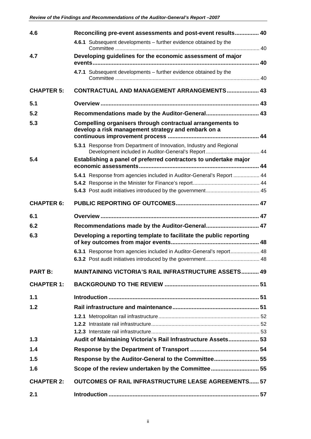| 4.6               | Reconciling pre-event assessments and post-event results 40                                                     |  |
|-------------------|-----------------------------------------------------------------------------------------------------------------|--|
|                   | 4.6.1 Subsequent developments - further evidence obtained by the                                                |  |
| 4.7               | Developing guidelines for the economic assessment of major                                                      |  |
|                   | 4.7.1 Subsequent developments - further evidence obtained by the                                                |  |
| <b>CHAPTER 5:</b> | <b>CONTRACTUAL AND MANAGEMENT ARRANGEMENTS 43</b>                                                               |  |
| 5.1               |                                                                                                                 |  |
| 5.2               |                                                                                                                 |  |
| 5.3               | Compelling organisers through contractual arrangements to<br>develop a risk management strategy and embark on a |  |
|                   | 5.3.1 Response from Department of Innovation, Industry and Regional                                             |  |
| 5.4               | Establishing a panel of preferred contractors to undertake major                                                |  |
|                   | 5.4.1 Response from agencies included in Auditor-General's Report  44                                           |  |
|                   |                                                                                                                 |  |
|                   |                                                                                                                 |  |
| <b>CHAPTER 6:</b> |                                                                                                                 |  |
| 6.1               |                                                                                                                 |  |
|                   |                                                                                                                 |  |
| 6.2               | Recommendations made by the Auditor-General 47                                                                  |  |
| 6.3               | Developing a reporting template to facilitate the public reporting                                              |  |
|                   | 6.3.1 Response from agencies included in Auditor-General's report 48                                            |  |
|                   |                                                                                                                 |  |
| <b>PART B:</b>    | <b>MAINTAINING VICTORIA'S RAIL INFRASTRUCTURE ASSETS 49</b>                                                     |  |
| <b>CHAPTER 1:</b> |                                                                                                                 |  |
| 1.1               |                                                                                                                 |  |
| 1.2               |                                                                                                                 |  |
|                   |                                                                                                                 |  |
|                   |                                                                                                                 |  |
| 1.3               | Audit of Maintaining Victoria's Rail Infrastructure Assets 53                                                   |  |
| 1.4               |                                                                                                                 |  |
| 1.5               | Response by the Auditor-General to the Committee 55                                                             |  |
| 1.6               | Scope of the review undertaken by the Committee 55                                                              |  |
| <b>CHAPTER 2:</b> | <b>OUTCOMES OF RAIL INFRASTRUCTURE LEASE AGREEMENTS 57</b>                                                      |  |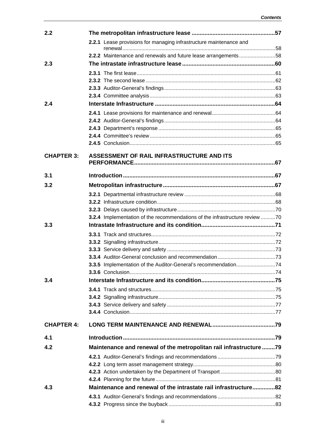| 2.2               |                                                                             |  |
|-------------------|-----------------------------------------------------------------------------|--|
|                   | 2.2.1 Lease provisions for managing infrastructure maintenance and          |  |
|                   | 2.2.2 Maintenance and renewals and future lease arrangements58              |  |
| 2.3               |                                                                             |  |
|                   |                                                                             |  |
|                   |                                                                             |  |
|                   |                                                                             |  |
|                   |                                                                             |  |
| 2.4               |                                                                             |  |
|                   |                                                                             |  |
|                   |                                                                             |  |
|                   |                                                                             |  |
|                   |                                                                             |  |
|                   |                                                                             |  |
| <b>CHAPTER 3:</b> | ASSESSMENT OF RAIL INFRASTRUCTURE AND ITS                                   |  |
| 3.1               |                                                                             |  |
| 3.2               |                                                                             |  |
|                   |                                                                             |  |
|                   |                                                                             |  |
|                   |                                                                             |  |
|                   | 3.2.4 Implementation of the recommendations of the infrastructure review 70 |  |
| 3.3               |                                                                             |  |
|                   |                                                                             |  |
|                   |                                                                             |  |
|                   |                                                                             |  |
|                   |                                                                             |  |
|                   |                                                                             |  |
| 3.4               |                                                                             |  |
|                   |                                                                             |  |
|                   |                                                                             |  |
|                   |                                                                             |  |
|                   |                                                                             |  |
| <b>CHAPTER 4:</b> |                                                                             |  |
| 4.1               |                                                                             |  |
| 4.2               | Maintenance and renewal of the metropolitan rail infrastructure 79          |  |
|                   |                                                                             |  |
|                   |                                                                             |  |
|                   |                                                                             |  |
|                   |                                                                             |  |
| 4.3               |                                                                             |  |
|                   | Maintenance and renewal of the intrastate rail infrastructure82             |  |
|                   |                                                                             |  |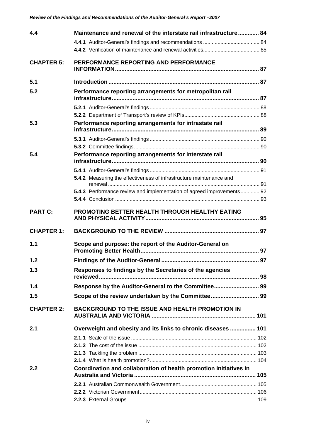| 4.4               | Maintenance and renewal of the interstate rail infrastructure 84      |    |
|-------------------|-----------------------------------------------------------------------|----|
|                   |                                                                       |    |
|                   |                                                                       |    |
| <b>CHAPTER 5:</b> | PERFORMANCE REPORTING AND PERFORMANCE                                 |    |
|                   |                                                                       |    |
| 5.1               |                                                                       |    |
| 5.2               | Performance reporting arrangements for metropolitan rail              |    |
|                   |                                                                       |    |
|                   |                                                                       |    |
|                   |                                                                       |    |
| 5.3               | Performance reporting arrangements for intrastate rail                |    |
|                   |                                                                       |    |
|                   |                                                                       |    |
| 5.4               | Performance reporting arrangements for interstate rail                |    |
|                   |                                                                       |    |
|                   |                                                                       |    |
|                   | 5.4.2 Measuring the effectiveness of infrastructure maintenance and   |    |
|                   |                                                                       |    |
|                   | 5.4.3 Performance review and implementation of agreed improvements 92 |    |
|                   |                                                                       |    |
| <b>PART C:</b>    | PROMOTING BETTER HEALTH THROUGH HEALTHY EATING                        |    |
|                   |                                                                       |    |
| <b>CHAPTER 1:</b> |                                                                       |    |
| 1.1               | Scope and purpose: the report of the Auditor-General on               |    |
|                   |                                                                       |    |
| 1.2               |                                                                       | 97 |
| 1.3               | Responses to findings by the Secretaries of the agencies              |    |
|                   |                                                                       |    |
| 1.4               |                                                                       |    |
| 1.5               |                                                                       |    |
| <b>CHAPTER 2:</b> | <b>BACKGROUND TO THE ISSUE AND HEALTH PROMOTION IN</b>                |    |
|                   |                                                                       |    |
| 2.1               | Overweight and obesity and its links to chronic diseases  101         |    |
|                   |                                                                       |    |
|                   |                                                                       |    |
|                   |                                                                       |    |
|                   |                                                                       |    |
| 2.2               | Coordination and collaboration of health promotion initiatives in     |    |
|                   |                                                                       |    |
|                   |                                                                       |    |
|                   |                                                                       |    |
|                   |                                                                       |    |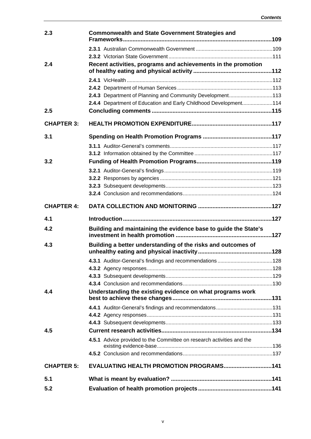| 2.3               | <b>Commonwealth and State Government Strategies and</b>               |  |
|-------------------|-----------------------------------------------------------------------|--|
|                   |                                                                       |  |
|                   |                                                                       |  |
| 2.4               | Recent activities, programs and achievements in the promotion         |  |
|                   |                                                                       |  |
|                   |                                                                       |  |
|                   | 2.4.3 Department of Planning and Community Development113             |  |
|                   | 2.4.4 Department of Education and Early Childhood Development114      |  |
| 2.5               |                                                                       |  |
| <b>CHAPTER 3:</b> |                                                                       |  |
| 3.1               |                                                                       |  |
|                   |                                                                       |  |
|                   |                                                                       |  |
| 3.2               |                                                                       |  |
|                   |                                                                       |  |
|                   |                                                                       |  |
|                   |                                                                       |  |
|                   |                                                                       |  |
| <b>CHAPTER 4:</b> |                                                                       |  |
|                   |                                                                       |  |
| 4.1               |                                                                       |  |
| 4.2               | Building and maintaining the evidence base to guide the State's       |  |
| 4.3               | Building a better understanding of the risks and outcomes of          |  |
|                   |                                                                       |  |
|                   |                                                                       |  |
|                   |                                                                       |  |
|                   |                                                                       |  |
| 4.4               | Understanding the existing evidence on what programs work             |  |
|                   |                                                                       |  |
|                   |                                                                       |  |
|                   |                                                                       |  |
| 4.5               |                                                                       |  |
|                   | 4.5.1 Advice provided to the Committee on research activities and the |  |
|                   |                                                                       |  |
| <b>CHAPTER 5:</b> | EVALUATING HEALTH PROMOTION PROGRAMS 141                              |  |
| 5.1               |                                                                       |  |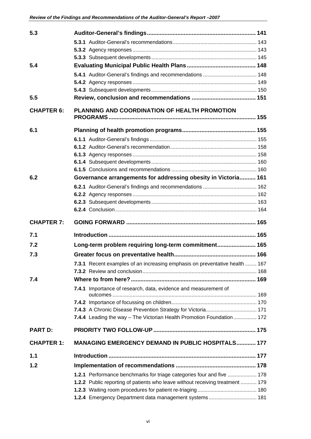| 5.3               |                                                                               |  |
|-------------------|-------------------------------------------------------------------------------|--|
|                   |                                                                               |  |
|                   |                                                                               |  |
|                   |                                                                               |  |
| 5.4               |                                                                               |  |
|                   |                                                                               |  |
|                   |                                                                               |  |
|                   |                                                                               |  |
| 5.5               |                                                                               |  |
| <b>CHAPTER 6:</b> | <b>PLANNING AND COORDINATION OF HEALTH PROMOTION</b>                          |  |
| 6.1               |                                                                               |  |
|                   |                                                                               |  |
|                   |                                                                               |  |
|                   |                                                                               |  |
|                   |                                                                               |  |
|                   |                                                                               |  |
| 6.2               | Governance arrangements for addressing obesity in Victoria 161                |  |
|                   |                                                                               |  |
|                   |                                                                               |  |
|                   |                                                                               |  |
|                   |                                                                               |  |
|                   |                                                                               |  |
| <b>CHAPTER 7:</b> |                                                                               |  |
| 7.1               |                                                                               |  |
| 7.2               | Long-term problem requiring long-term commitment 165                          |  |
| 7.3               |                                                                               |  |
|                   | 7.3.1 Recent examples of an increasing emphasis on preventative health  167   |  |
|                   |                                                                               |  |
| 7.4               |                                                                               |  |
|                   | 7.4.1 Importance of research, data, evidence and measurement of               |  |
|                   |                                                                               |  |
|                   |                                                                               |  |
|                   |                                                                               |  |
| <b>PART D:</b>    | 7.4.4 Leading the way - The Victorian Health Promotion Foundation 172         |  |
| <b>CHAPTER 1:</b> | <b>MANAGING EMERGENCY DEMAND IN PUBLIC HOSPITALS 177</b>                      |  |
|                   |                                                                               |  |
| 1.1               |                                                                               |  |
| 1.2               |                                                                               |  |
|                   | 1.2.1 Performance benchmarks for triage categories four and five  178         |  |
|                   | 1.2.2 Public reporting of patients who leave without receiving treatment  179 |  |
|                   | 1.2.4 Emergency Department data management systems 181                        |  |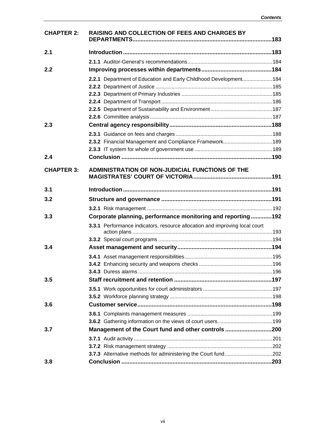| <b>CHAPTER 2:</b> | RAISING AND COLLECTION OF FEES AND CHARGES BY                               |  |
|-------------------|-----------------------------------------------------------------------------|--|
| 2.1               |                                                                             |  |
|                   |                                                                             |  |
| 2.2               |                                                                             |  |
|                   | 2.2.1 Department of Education and Early Childhood Development184            |  |
|                   |                                                                             |  |
|                   |                                                                             |  |
|                   |                                                                             |  |
|                   |                                                                             |  |
| 2.3               |                                                                             |  |
|                   |                                                                             |  |
|                   |                                                                             |  |
|                   |                                                                             |  |
| 2.4               |                                                                             |  |
|                   |                                                                             |  |
| <b>CHAPTER 3:</b> | ADMINISTRATION OF NON-JUDICIAL FUNCTIONS OF THE                             |  |
| 3.1               |                                                                             |  |
| 3.2               |                                                                             |  |
|                   |                                                                             |  |
| 3.3               | Corporate planning, performance monitoring and reporting192                 |  |
|                   | 3.3.1 Performance indicators, resource allocation and improving local court |  |
|                   |                                                                             |  |
| 3.4               |                                                                             |  |
|                   |                                                                             |  |
|                   |                                                                             |  |
|                   |                                                                             |  |
| 3.5               |                                                                             |  |
|                   |                                                                             |  |
|                   |                                                                             |  |
| 3.6               |                                                                             |  |
|                   |                                                                             |  |
|                   |                                                                             |  |
| 3.7               | Management of the Court fund and other controls 200                         |  |
|                   |                                                                             |  |
|                   |                                                                             |  |
| 3.8               |                                                                             |  |
|                   |                                                                             |  |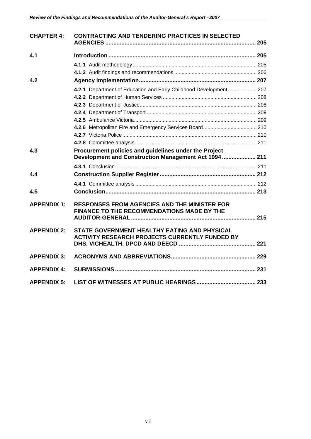| <b>CHAPTER 4:</b>  | <b>CONTRACTING AND TENDERING PRACTICES IN SELECTED</b>                                                         |  |
|--------------------|----------------------------------------------------------------------------------------------------------------|--|
| 4.1                |                                                                                                                |  |
|                    |                                                                                                                |  |
|                    |                                                                                                                |  |
| 4.2                |                                                                                                                |  |
|                    | 4.2.1 Department of Education and Early Childhood Development 207                                              |  |
|                    |                                                                                                                |  |
|                    |                                                                                                                |  |
|                    |                                                                                                                |  |
|                    |                                                                                                                |  |
|                    |                                                                                                                |  |
|                    |                                                                                                                |  |
|                    |                                                                                                                |  |
| 4.3                | Procurement policies and guidelines under the Project<br>Development and Construction Management Act 1994  211 |  |
|                    |                                                                                                                |  |
| 4.4                |                                                                                                                |  |
|                    |                                                                                                                |  |
| 4.5                |                                                                                                                |  |
| <b>APPENDIX 1:</b> | <b>RESPONSES FROM AGENCIES AND THE MINISTER FOR</b><br>FINANCE TO THE RECOMMENDATIONS MADE BY THE              |  |
| <b>APPENDIX 2:</b> | STATE GOVERNMENT HEALTHY EATING AND PHYSICAL<br><b>ACTIVITY RESEARCH PROJECTS CURRENTLY FUNDED BY</b>          |  |
| <b>APPENDIX 3:</b> |                                                                                                                |  |
| <b>APPENDIX 4:</b> |                                                                                                                |  |
| <b>APPENDIX 5:</b> |                                                                                                                |  |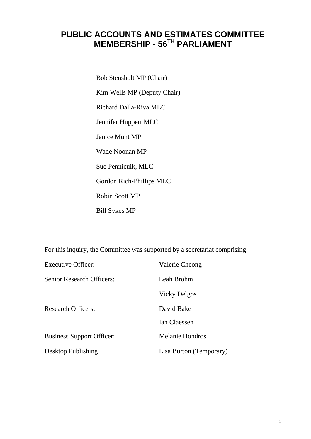## **PUBLIC ACCOUNTS AND ESTIMATES COMMITTEE MEMBERSHIP - 56TH PARLIAMENT**

 Bob Stensholt MP (Chair) Kim Wells MP (Deputy Chair) Richard Dalla-Riva MLC Jennifer Huppert MLC Janice Munt MP Wade Noonan MP Sue Pennicuik, MLC Gordon Rich-Phillips MLC Robin Scott MP Bill Sykes MP

For this inquiry, the Committee was supported by a secretariat comprising:

| <b>Executive Officer:</b>        | Valerie Cheong          |
|----------------------------------|-------------------------|
| <b>Senior Research Officers:</b> | Leah Brohm              |
|                                  | Vicky Delgos            |
| <b>Research Officers:</b>        | David Baker             |
|                                  | <b>Ian Claessen</b>     |
| <b>Business Support Officer:</b> | <b>Melanie Hondros</b>  |
| <b>Desktop Publishing</b>        | Lisa Burton (Temporary) |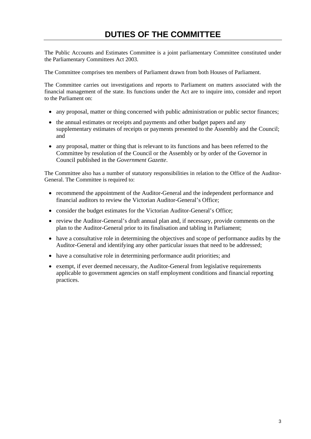The Public Accounts and Estimates Committee is a joint parliamentary Committee constituted under the Parliamentary Committees Act 2003.

The Committee comprises ten members of Parliament drawn from both Houses of Parliament.

The Committee carries out investigations and reports to Parliament on matters associated with the financial management of the state. Its functions under the Act are to inquire into, consider and report to the Parliament on:

- any proposal, matter or thing concerned with public administration or public sector finances;
- the annual estimates or receipts and payments and other budget papers and any supplementary estimates of receipts or payments presented to the Assembly and the Council; and
- any proposal, matter or thing that is relevant to its functions and has been referred to the Committee by resolution of the Council or the Assembly or by order of the Governor in Council published in the *Government Gazette*.

The Committee also has a number of statutory responsibilities in relation to the Office of the Auditor-General. The Committee is required to:

- recommend the appointment of the Auditor-General and the independent performance and financial auditors to review the Victorian Auditor-General's Office;
- consider the budget estimates for the Victorian Auditor-General's Office;
- review the Auditor-General's draft annual plan and, if necessary, provide comments on the plan to the Auditor-General prior to its finalisation and tabling in Parliament;
- have a consultative role in determining the objectives and scope of performance audits by the Auditor-General and identifying any other particular issues that need to be addressed;
- have a consultative role in determining performance audit priorities; and
- exempt, if ever deemed necessary, the Auditor-General from legislative requirements applicable to government agencies on staff employment conditions and financial reporting practices.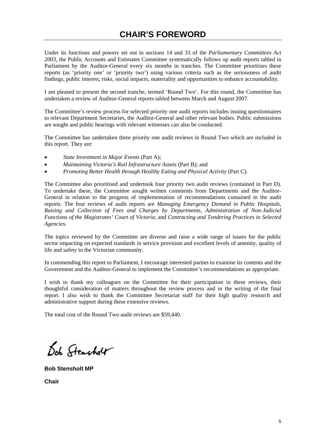Under its functions and powers set out in sections 14 and 33 of the *Parliamentary Committees Act 2003*, the Public Accounts and Estimates Committee systematically follows up audit reports tabled in Parliament by the Auditor-General every six months in tranches. The Committee prioritises these reports (as 'priority one' or 'priority two') using various criteria such as the seriousness of audit findings, public interest, risks, social impacts, materiality and opportunities to enhance accountability.

I am pleased to present the second tranche, termed 'Round Two'. For this round, the Committee has undertaken a review of Auditor-General reports tabled between March and August 2007.

The Committee's review process for selected priority one audit reports includes issuing questionnaires to relevant Department Secretaries, the Auditor-General and other relevant bodies. Public submissions are sought and public hearings with relevant witnesses can also be conducted.

The Committee has undertaken three priority one audit reviews in Round Two which are included in this report. They are:

- *State Investment in Major Events* (Part A);
- *Maintaining Victoria's Rail Infrastructure Assets* (Part B); and
- *Promoting Better Health through Healthy Eating and Physical Activity* (Part C).

The Committee also prioritised and undertook four priority two audit reviews (contained in Part D). To undertake these, the Committee sought written comments from Departments and the Auditor-General in relation to the progress of implementation of recommendations contained in the audit reports. The four reviews of audit reports are *Managing Emergency Demand in Public Hospitals*, *Raising and Collection of Fees and Charges by Departments*, *Administration of Non-Judicial Functions of the Magistrates' Court of Victoria*; and *Contracting and Tendering Practices in Selected Agencies*.

The topics reviewed by the Committee are diverse and raise a wide range of issues for the public sector impacting on expected standards in service provision and excellent levels of amenity, quality of life and safety to the Victorian community.

In commending this report to Parliament, I encourage interested parties to examine its contents and the Government and the Auditor-General to implement the Committee's recommendations as appropriate.

I wish to thank my colleagues on the Committee for their participation in these reviews, their thoughtful consideration of matters throughout the review process and in the writing of the final report. I also wish to thank the Committee Secretariat staff for their high quality research and administrative support during these extensive reviews.

The total cost of the Round Two audit reviews are \$59,440.

Dob Stensholt

**Bob Stensholt MP** 

**Chair**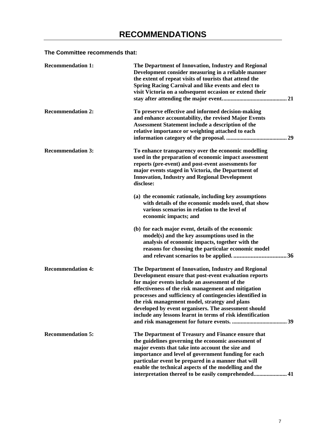### **The Committee recommends that:**

| <b>Recommendation 1:</b> | The Department of Innovation, Industry and Regional<br>Development consider measuring in a reliable manner<br>the extent of repeat visits of tourists that attend the<br><b>Spring Racing Carnival and like events and elect to</b><br>visit Victoria on a subsequent occasion or extend their                                                                                                                                                          |
|--------------------------|---------------------------------------------------------------------------------------------------------------------------------------------------------------------------------------------------------------------------------------------------------------------------------------------------------------------------------------------------------------------------------------------------------------------------------------------------------|
| <b>Recommendation 2:</b> | To preserve effective and informed decision-making<br>and enhance accountability, the revised Major Events<br><b>Assessment Statement include a description of the</b><br>relative importance or weighting attached to each                                                                                                                                                                                                                             |
| <b>Recommendation 3:</b> | To enhance transparency over the economic modelling<br>used in the preparation of economic impact assessment<br>reports (pre-event) and post-event assessments for<br>major events staged in Victoria, the Department of<br><b>Innovation, Industry and Regional Development</b><br>disclose:                                                                                                                                                           |
|                          | (a) the economic rationale, including key assumptions<br>with details of the economic models used, that show<br>various scenarios in relation to the level of<br>economic impacts; and                                                                                                                                                                                                                                                                  |
|                          | (b) for each major event, details of the economic<br>model(s) and the key assumptions used in the<br>analysis of economic impacts, together with the<br>reasons for choosing the particular economic model                                                                                                                                                                                                                                              |
| <b>Recommendation 4:</b> | The Department of Innovation, Industry and Regional<br>Development ensure that post-event evaluation reports<br>for major events include an assessment of the<br>effectiveness of the risk management and mitigation<br>processes and sufficiency of contingencies identified in<br>the risk management model, strategy and plans<br>developed by event organisers. The assessment should<br>include any lessons learnt in terms of risk identification |
| <b>Recommendation 5:</b> | The Department of Treasury and Finance ensure that<br>the guidelines governing the economic assessment of<br>major events that take into account the size and<br>importance and level of government funding for each<br>particular event be prepared in a manner that will<br>enable the technical aspects of the modelling and the<br>interpretation thereof to be easily comprehended 41                                                              |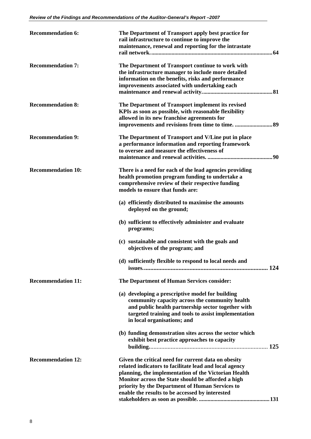| <b>Recommendation 6:</b>  | The Department of Transport apply best practice for<br>rail infrastructure to continue to improve the<br>maintenance, renewal and reporting for the intrastate                                                                                                                                                                    |
|---------------------------|-----------------------------------------------------------------------------------------------------------------------------------------------------------------------------------------------------------------------------------------------------------------------------------------------------------------------------------|
| <b>Recommendation 7:</b>  | The Department of Transport continue to work with<br>the infrastructure manager to include more detailed<br>information on the benefits, risks and performance<br>improvements associated with undertaking each                                                                                                                   |
| <b>Recommendation 8:</b>  | The Department of Transport implement its revised<br>KPIs as soon as possible, with reasonable flexibility<br>allowed in its new franchise agreements for                                                                                                                                                                         |
| <b>Recommendation 9:</b>  | The Department of Transport and V/Line put in place<br>a performance information and reporting framework<br>to oversee and measure the effectiveness of                                                                                                                                                                           |
| <b>Recommendation 10:</b> | There is a need for each of the lead agencies providing<br>health promotion program funding to undertake a<br>comprehensive review of their respective funding<br>models to ensure that funds are:                                                                                                                                |
|                           | (a) efficiently distributed to maximise the amounts<br>deployed on the ground;                                                                                                                                                                                                                                                    |
|                           | (b) sufficient to effectively administer and evaluate<br>programs;                                                                                                                                                                                                                                                                |
|                           | (c) sustainable and consistent with the goals and<br>objectives of the program; and                                                                                                                                                                                                                                               |
|                           | (d) sufficiently flexible to respond to local needs and                                                                                                                                                                                                                                                                           |
| <b>Recommendation 11:</b> | The Department of Human Services consider:                                                                                                                                                                                                                                                                                        |
|                           | (a) developing a prescriptive model for building<br>community capacity across the community health<br>and public health partnership sector together with<br>targeted training and tools to assist implementation<br>in local organisations; and                                                                                   |
|                           | (b) funding demonstration sites across the sector which<br>exhibit best practice approaches to capacity                                                                                                                                                                                                                           |
| <b>Recommendation 12:</b> | Given the critical need for current data on obesity<br>related indicators to facilitate lead and local agency<br>planning, the implementation of the Victorian Health<br>Monitor across the State should be afforded a high<br>priority by the Department of Human Services to<br>enable the results to be accessed by interested |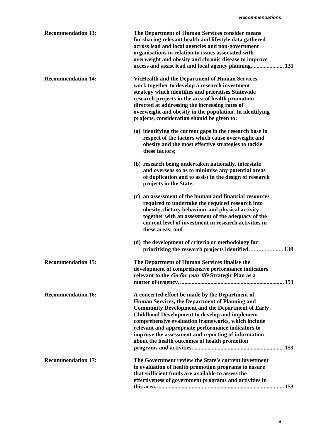| <b>Recommendation 13:</b> | The Department of Human Services consider means<br>for sharing relevant health and lifestyle data gathered<br>across lead and local agencies and non-government<br>organisations in relation to issues associated with<br>overweight and obesity and chronic disease to improve<br>access and assist lead and local agency planning 131                                                                                                    |
|---------------------------|--------------------------------------------------------------------------------------------------------------------------------------------------------------------------------------------------------------------------------------------------------------------------------------------------------------------------------------------------------------------------------------------------------------------------------------------|
| <b>Recommendation 14:</b> | <b>VicHealth and the Department of Human Services</b><br>work together to develop a research investment<br>strategy which identifies and prioritises Statewide<br>research projects in the area of health promotion<br>directed at addressing the increasing rates of<br>overweight and obesity in the population. In identifying<br>projects, consideration should be given to:                                                           |
|                           | (a) identifying the current gaps in the research base in<br>respect of the factors which cause overweight and<br>obesity and the most effective strategies to tackle<br>these factors;                                                                                                                                                                                                                                                     |
|                           | (b) research being undertaken nationally, interstate<br>and overseas so as to minimise any potential areas<br>of duplication and to assist in the design of research<br>projects in the State;                                                                                                                                                                                                                                             |
|                           | (c) an assessment of the human and financial resources<br>required to undertake the required research into<br>obesity, dietary behaviour and physical activity<br>together with an assessment of the adequacy of the<br>current level of investment in research activities in<br>these areas; and                                                                                                                                          |
|                           | (d) the development of criteria or methodology for<br>prioritising the research projects identified139                                                                                                                                                                                                                                                                                                                                     |
| <b>Recommendation 15:</b> | The Department of Human Services finalise the<br>development of comprehensive performance indicators<br>relevant to the Go for your life Strategic Plan as a                                                                                                                                                                                                                                                                               |
| <b>Recommendation 16:</b> | A concerted effort be made by the Department of<br>Human Services, the Department of Planning and<br><b>Community Development and the Department of Early</b><br><b>Childhood Development to develop and implement</b><br>comprehensive evaluation frameworks, which include<br>relevant and appropriate performance indicators to<br>improve the assessment and reporting of information<br>about the health outcomes of health promotion |
| <b>Recommendation 17:</b> | The Government review the State's current investment<br>in evaluation of health promotion programs to ensure<br>that sufficient funds are available to assess the<br>effectiveness of government programs and activities in                                                                                                                                                                                                                |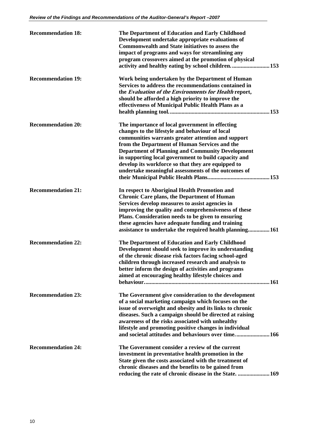| <b>Recommendation 18:</b> | The Department of Education and Early Childhood<br>Development undertake appropriate evaluations of<br><b>Commonwealth and State initiatives to assess the</b><br>impact of programs and ways for streamlining any<br>program crossovers aimed at the promotion of physical<br>activity and healthy eating by school children153                                                                                                          |
|---------------------------|-------------------------------------------------------------------------------------------------------------------------------------------------------------------------------------------------------------------------------------------------------------------------------------------------------------------------------------------------------------------------------------------------------------------------------------------|
| <b>Recommendation 19:</b> | Work being undertaken by the Department of Human<br>Services to address the recommendations contained in<br>the Evaluation of the Environments for Health report,<br>should be afforded a high priority to improve the<br>effectiveness of Municipal Public Health Plans as a                                                                                                                                                             |
| <b>Recommendation 20:</b> | The importance of local government in effecting<br>changes to the lifestyle and behaviour of local<br>communities warrants greater attention and support<br>from the Department of Human Services and the<br><b>Department of Planning and Community Development</b><br>in supporting local government to build capacity and<br>develop its workforce so that they are equipped to<br>undertake meaningful assessments of the outcomes of |
| <b>Recommendation 21:</b> | In respect to Aboriginal Health Promotion and<br><b>Chronic Care plans, the Department of Human</b><br>Services develop measures to assist agencies in<br>improving the quality and comprehensiveness of these<br>Plans. Consideration needs to be given to ensuring<br>these agencies have adequate funding and training<br>assistance to undertake the required health planning161                                                      |
| <b>Recommendation 22:</b> | The Department of Education and Early Childhood<br>Development should seek to improve its understanding<br>of the chronic disease risk factors facing school-aged<br>children through increased research and analysis to<br>better inform the design of activities and programs<br>aimed at encouraging healthy lifestyle choices and                                                                                                     |
| <b>Recommendation 23:</b> | The Government give consideration to the development<br>of a social marketing campaign which focuses on the<br>issue of overweight and obesity and its links to chronic<br>diseases. Such a campaign should be directed at raising<br>awareness of the risks associated with unhealthy<br>lifestyle and promoting positive changes in individual<br>and societal attitudes and behaviours over time 166                                   |
| <b>Recommendation 24:</b> | The Government consider a review of the current<br>investment in preventative health promotion in the<br>State given the costs associated with the treatment of<br>chronic diseases and the benefits to be gained from<br>reducing the rate of chronic disease in the State.  169                                                                                                                                                         |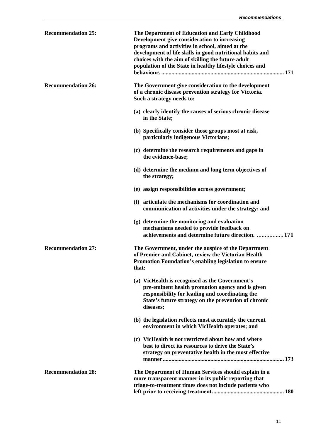| <b>Recommendation 25:</b> | The Department of Education and Early Childhood<br>Development give consideration to increasing<br>programs and activities in school, aimed at the<br>development of life skills in good nutritional habits and<br>choices with the aim of skilling the future adult<br>population of the State in healthy lifestyle choices and |
|---------------------------|----------------------------------------------------------------------------------------------------------------------------------------------------------------------------------------------------------------------------------------------------------------------------------------------------------------------------------|
| <b>Recommendation 26:</b> | The Government give consideration to the development<br>of a chronic disease prevention strategy for Victoria.<br>Such a strategy needs to:                                                                                                                                                                                      |
|                           | (a) clearly identify the causes of serious chronic disease<br>in the State;                                                                                                                                                                                                                                                      |
|                           | (b) Specifically consider those groups most at risk,<br>particularly indigenous Victorians;                                                                                                                                                                                                                                      |
|                           | (c) determine the research requirements and gaps in<br>the evidence-base;                                                                                                                                                                                                                                                        |
|                           | (d) determine the medium and long term objectives of<br>the strategy;                                                                                                                                                                                                                                                            |
|                           | (e) assign responsibilities across government;                                                                                                                                                                                                                                                                                   |
|                           | (f) articulate the mechanisms for coordination and<br>communication of activities under the strategy; and                                                                                                                                                                                                                        |
|                           | (g) determine the monitoring and evaluation<br>mechanisms needed to provide feedback on                                                                                                                                                                                                                                          |
|                           | achievements and determine future direction. 171                                                                                                                                                                                                                                                                                 |
| <b>Recommendation 27:</b> | The Government, under the auspice of the Department<br>of Premier and Cabinet, review the Victorian Health<br>Promotion Foundation's enabling legislation to ensure<br>that:                                                                                                                                                     |
|                           | (a) VicHealth is recognised as the Government's<br>pre-eminent health promotion agency and is given<br>responsibility for leading and coordinating the<br>State's future strategy on the prevention of chronic<br>diseases;                                                                                                      |
|                           | (b) the legislation reflects most accurately the current<br>environment in which VicHealth operates; and                                                                                                                                                                                                                         |
|                           | (c) VicHealth is not restricted about how and where<br>best to direct its resources to drive the State's<br>strategy on preventative health in the most effective                                                                                                                                                                |
| <b>Recommendation 28:</b> | The Department of Human Services should explain in a<br>more transparent manner in its public reporting that<br>triage-to-treatment times does not include patients who                                                                                                                                                          |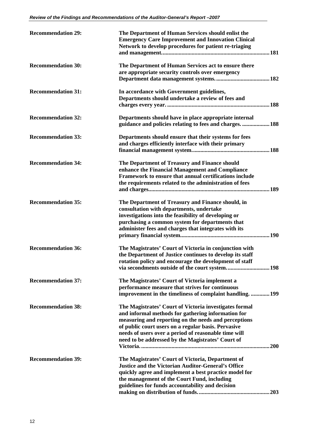| <b>Recommendation 29:</b> | The Department of Human Services should enlist the<br><b>Emergency Care Improvement and Innovation Clinical</b><br>Network to develop procedures for patient re-triaging                                                                                                                                                                 |
|---------------------------|------------------------------------------------------------------------------------------------------------------------------------------------------------------------------------------------------------------------------------------------------------------------------------------------------------------------------------------|
| <b>Recommendation 30:</b> | The Department of Human Services act to ensure there<br>are appropriate security controls over emergency                                                                                                                                                                                                                                 |
| <b>Recommendation 31:</b> | In accordance with Government guidelines,<br>Departments should undertake a review of fees and                                                                                                                                                                                                                                           |
| <b>Recommendation 32:</b> | Departments should have in place appropriate internal<br>guidance and policies relating to fees and charges.  188                                                                                                                                                                                                                        |
| <b>Recommendation 33:</b> | Departments should ensure that their systems for fees<br>and charges efficiently interface with their primary                                                                                                                                                                                                                            |
| <b>Recommendation 34:</b> | The Department of Treasury and Finance should<br>enhance the Financial Management and Compliance<br>Framework to ensure that annual certifications include<br>the requirements related to the administration of fees                                                                                                                     |
| <b>Recommendation 35:</b> | The Department of Treasury and Finance should, in<br>consultation with departments, undertake<br>investigations into the feasibility of developing or<br>purchasing a common system for departments that<br>administer fees and charges that integrates with its                                                                         |
| <b>Recommendation 36:</b> | The Magistrates' Court of Victoria in conjunction with<br>the Department of Justice continues to develop its staff<br>rotation policy and encourage the development of staff                                                                                                                                                             |
| <b>Recommendation 37:</b> | The Magistrates' Court of Victoria implement a<br>performance measure that strives for continuous<br>improvement in the timeliness of complaint handling.  199                                                                                                                                                                           |
| <b>Recommendation 38:</b> | The Magistrates' Court of Victoria investigates formal<br>and informal methods for gathering information for<br>measuring and reporting on the needs and perceptions<br>of public court users on a regular basis. Pervasive<br>needs of users over a period of reasonable time will<br>need to be addressed by the Magistrates' Court of |
| <b>Recommendation 39:</b> | The Magistrates' Court of Victoria, Department of<br><b>Justice and the Victorian Auditor-General's Office</b><br>quickly agree and implement a best practice model for<br>the management of the Court Fund, including<br>guidelines for funds accountability and decision                                                               |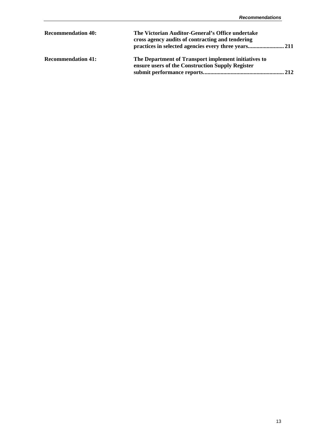| <b>Recommendation 40:</b> | The Victorian Auditor-General's Office undertake<br>cross agency audits of contracting and tendering     |
|---------------------------|----------------------------------------------------------------------------------------------------------|
| <b>Recommendation 41:</b> | The Department of Transport implement initiatives to<br>ensure users of the Construction Supply Register |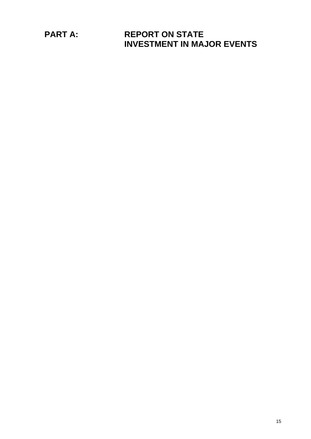**PART A: REPORT ON STATE INVESTMENT IN MAJOR EVENTS**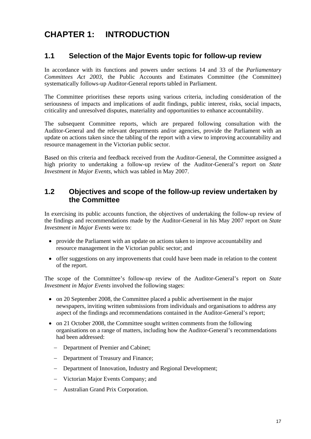# **CHAPTER 1: INTRODUCTION**

#### **1.1 Selection of the Major Events topic for follow-up review**

In accordance with its functions and powers under sections 14 and 33 of the *Parliamentary Committees Act 2003*, the Public Accounts and Estimates Committee (the Committee) systematically follows-up Auditor-General reports tabled in Parliament.

The Committee prioritises these reports using various criteria, including consideration of the seriousness of impacts and implications of audit findings, public interest, risks, social impacts, criticality and unresolved disputes, materiality and opportunities to enhance accountability.

The subsequent Committee reports, which are prepared following consultation with the Auditor-General and the relevant departments and/or agencies, provide the Parliament with an update on actions taken since the tabling of the report with a view to improving accountability and resource management in the Victorian public sector.

Based on this criteria and feedback received from the Auditor-General, the Committee assigned a high priority to undertaking a follow-up review of the Auditor-General's report on *State Investment in Major Events,* which was tabled in May 2007.

#### **1.2 Objectives and scope of the follow-up review undertaken by the Committee**

In exercising its public accounts function, the objectives of undertaking the follow-up review of the findings and recommendations made by the Auditor-General in his May 2007 report on *State Investment in Major Events* were to:

- provide the Parliament with an update on actions taken to improve accountability and resource management in the Victorian public sector; and
- offer suggestions on any improvements that could have been made in relation to the content of the report.

The scope of the Committee's follow-up review of the Auditor-General's report on *State Investment in Major Events* involved the following stages:

- on 20 September 2008, the Committee placed a public advertisement in the major newspapers, inviting written submissions from individuals and organisations to address any aspect of the findings and recommendations contained in the Auditor-General's report;
- on 21 October 2008, the Committee sought written comments from the following organisations on a range of matters, including how the Auditor-General's recommendations had been addressed:
	- − Department of Premier and Cabinet;
	- − Department of Treasury and Finance;
	- − Department of Innovation, Industry and Regional Development;
	- − Victorian Major Events Company; and
	- − Australian Grand Prix Corporation.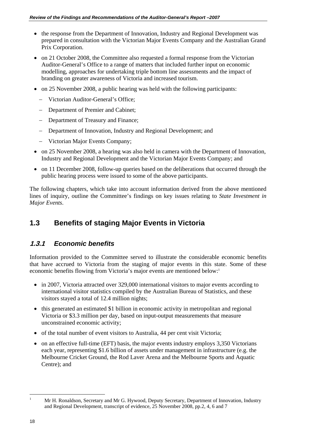- the response from the Department of Innovation, Industry and Regional Development was prepared in consultation with the Victorian Major Events Company and the Australian Grand Prix Corporation.
- on 21 October 2008, the Committee also requested a formal response from the Victorian Auditor-General's Office to a range of matters that included further input on economic modelling, approaches for undertaking triple bottom line assessments and the impact of branding on greater awareness of Victoria and increased tourism.
- on 25 November 2008, a public hearing was held with the following participants:
	- − Victorian Auditor-General's Office;
	- − Department of Premier and Cabinet;
	- − Department of Treasury and Finance;
	- − Department of Innovation, Industry and Regional Development; and
	- − Victorian Major Events Company;
- on 25 November 2008, a hearing was also held in camera with the Department of Innovation, Industry and Regional Development and the Victorian Major Events Company; and
- on 11 December 2008, follow-up queries based on the deliberations that occurred through the public hearing process were issued to some of the above participants.

The following chapters, which take into account information derived from the above mentioned lines of inquiry, outline the Committee's findings on key issues relating to *State Investment in Major Events*.

## **1.3 Benefits of staging Major Events in Victoria**

### **1.3.1** *Economic benefits*

Information provided to the Committee served to illustrate the considerable economic benefits that have accrued to Victoria from the staging of major events in this state. Some of these economic benefits flowing from Victoria's major events are mentioned below:<sup>1</sup>

- in 2007, Victoria attracted over 329,000 international visitors to major events according to international visitor statistics compiled by the Australian Bureau of Statistics, and these visitors stayed a total of 12.4 million nights;
- this generated an estimated \$1 billion in economic activity in metropolitan and regional Victoria or \$3.3 million per day, based on input-output measurements that measure unconstrained economic activity;
- of the total number of event visitors to Australia, 44 per cent visit Victoria;
- on an effective full-time (EFT) basis, the major events industry employs 3,350 Victorians each year, representing \$1.6 billion of assets under management in infrastructure (e.g. the Melbourne Cricket Ground, the Rod Laver Arena and the Melbourne Sports and Aquatic Centre); and

 $\frac{1}{1}$ 

Mr H. Ronaldson, Secretary and Mr G. Hywood, Deputy Secretary, Department of Innovation, Industry and Regional Development, transcript of evidence, 25 November 2008, pp.2, 4, 6 and 7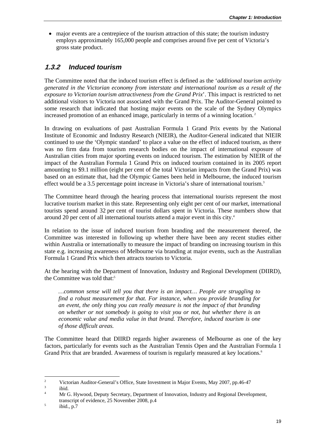major events are a centrepiece of the tourism attraction of this state; the tourism industry employs approximately 165,000 people and comprises around five per cent of Victoria's gross state product.

#### **1.3.2** *Induced tourism*

The Committee noted that the induced tourism effect is defined as the '*additional tourism activity generated in the Victorian economy from interstate and international tourism as a result of the exposure to Victorian tourism attractiveness from the Grand Prix*'. This impact is restricted to net additional visitors to Victoria not associated with the Grand Prix. The Auditor-General pointed to some research that indicated that hosting major events on the scale of the Sydney Olympics increased promotion of an enhanced image, particularly in terms of a winning location. 2

In drawing on evaluations of past Australian Formula 1 Grand Prix events by the National Institute of Economic and Industry Research (NIEIR), the Auditor-General indicated that NIEIR continued to use the 'Olympic standard' to place a value on the effect of induced tourism, as there was no firm data from tourism research bodies on the impact of international exposure of Australian cities from major sporting events on induced tourism. The estimation by NIEIR of the impact of the Australian Formula 1 Grand Prix on induced tourism contained in its 2005 report amounting to \$9.1 million (eight per cent of the total Victorian impacts from the Grand Prix) was based on an estimate that, had the Olympic Games been held in Melbourne, the induced tourism effect would be a 3.5 percentage point increase in Victoria's share of international tourism.<sup>3</sup>

The Committee heard through the hearing process that international tourists represent the most lucrative tourism market in this state. Representing only eight per cent of our market, international tourists spend around 32 per cent of tourist dollars spent in Victoria. These numbers show that around 20 per cent of all international tourists attend a major event in this city.4

In relation to the issue of induced tourism from branding and the measurement thereof, the Committee was interested in following up whether there have been any recent studies either within Australia or internationally to measure the impact of branding on increasing tourism in this state e.g. increasing awareness of Melbourne via branding at major events, such as the Australian Formula 1 Grand Prix which then attracts tourists to Victoria.

At the hearing with the Department of Innovation, Industry and Regional Development (DIIRD), the Committee was told that:<sup>5</sup>

*…common sense will tell you that there is an impact… People are struggling to find a robust measurement for that. For instance, when you provide branding for an event, the only thing you can really measure is not the impact of that branding on whether or not somebody is going to visit you or not, but whether there is an economic value and media value in that brand. Therefore, induced tourism is one of those difficult areas.* 

The Committee heard that DIIRD regards higher awareness of Melbourne as one of the key factors, particularly for events such as the Australian Tennis Open and the Australian Formula 1 Grand Prix that are branded. Awareness of tourism is regularly measured at key locations.<sup>6</sup>

 $\frac{1}{2}$ Victorian Auditor-General's Office, State Investment in Major Events, May 2007, pp.46-47

<sup>3</sup> ibid.

<sup>4</sup> Mr G. Hywood, Deputy Secretary, Department of Innovation, Industry and Regional Development, transcript of evidence, 25 November 2008, p.4

ibid., p.7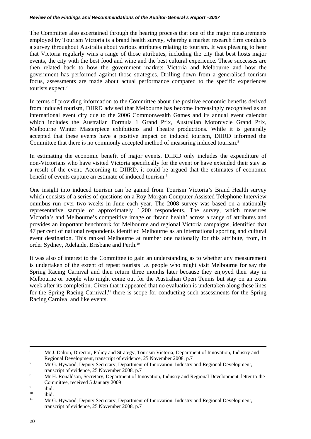The Committee also ascertained through the hearing process that one of the major measurements employed by Tourism Victoria is a brand health survey, whereby a market research firm conducts a survey throughout Australia about various attributes relating to tourism. It was pleasing to hear that Victoria regularly wins a range of those attributes, including the city that best hosts major events, the city with the best food and wine and the best cultural experience. These successes are then related back to how the government markets Victoria and Melbourne and how the government has performed against those strategies. Drilling down from a generalised tourism focus, assessments are made about actual performance compared to the specific experiences tourists expect.<sup>7</sup>

In terms of providing information to the Committee about the positive economic benefits derived from induced tourism, DIIRD advised that Melbourne has become increasingly recognised as an international event city due to the 2006 Commonwealth Games and its annual event calendar which includes the Australian Formula 1 Grand Prix, Australian Motorcycle Grand Prix, Melbourne Winter Masterpiece exhibitions and Theatre productions. While it is generally accepted that these events have a positive impact on induced tourism, DIIRD informed the Committee that there is no commonly accepted method of measuring induced tourism.<sup>8</sup>

In estimating the economic benefit of major events, DIIRD only includes the expenditure of non-Victorians who have visited Victoria specifically for the event or have extended their stay as a result of the event. According to DIIRD, it could be argued that the estimates of economic benefit of events capture an estimate of induced tourism.<sup>9</sup>

One insight into induced tourism can be gained from Tourism Victoria's Brand Health survey which consists of a series of questions on a Roy Morgan Computer Assisted Telephone Interview omnibus run over two weeks in June each year. The 2008 survey was based on a nationally representative sample of approximately 1,200 respondents. The survey, which measures Victoria's and Melbourne's competitive image or 'brand health' across a range of attributes and provides an important benchmark for Melbourne and regional Victoria campaigns, identified that 47 per cent of national respondents identified Melbourne as an international sporting and cultural event destination. This ranked Melbourne at number one nationally for this attribute, from, in order Sydney, Adelaide, Brisbane and Perth.10

It was also of interest to the Committee to gain an understanding as to whether any measurement is undertaken of the extent of repeat tourists i.e. people who might visit Melbourne for say the Spring Racing Carnival and then return three months later because they enjoyed their stay in Melbourne or people who might come out for the Australian Open Tennis but stay on an extra week after its completion. Given that it appeared that no evaluation is undertaken along these lines for the Spring Racing Carnival,<sup>11</sup> there is scope for conducting such assessments for the Spring Racing Carnival and like events.

 <sup>6</sup> <sup>6</sup> Mr J. Dalton, Director, Policy and Strategy, Tourism Victoria, Department of Innovation, Industry and Regional Development, transcript of evidence, 25 November 2008, p.7<br>MgC Universal Deputy Secretary Department of Internation Industries

Mr G. Hywood, Deputy Secretary, Department of Innovation, Industry and Regional Development, transcript of evidence, 25 November 2008, p.7

Mr H. Ronaldson, Secretary, Department of Innovation, Industry and Regional Development, letter to the Committee, received 5 January 2009

 $\frac{9}{10}$  ibid.

 $10$  ibid.

<sup>11</sup> Mr G. Hywood, Deputy Secretary, Department of Innovation, Industry and Regional Development, transcript of evidence, 25 November 2008, p.7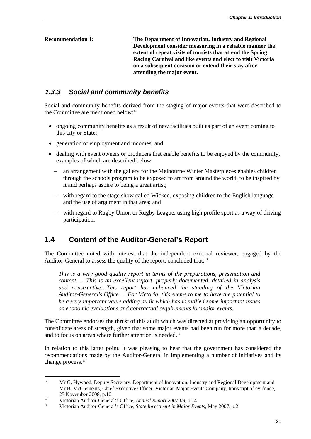**Recommendation 1: The Department of Innovation, Industry and Regional Development consider measuring in a reliable manner the extent of repeat visits of tourists that attend the Spring Racing Carnival and like events and elect to visit Victoria on a subsequent occasion or extend their stay after attending the major event.** 

#### **1.3.3** *Social and community benefits*

Social and community benefits derived from the staging of major events that were described to the Committee are mentioned below: $12$ 

- ongoing community benefits as a result of new facilities built as part of an event coming to this city or State;
- generation of employment and incomes; and
- dealing with event owners or producers that enable benefits to be enjoyed by the community, examples of which are described below:
	- − an arrangement with the gallery for the Melbourne Winter Masterpieces enables children through the schools program to be exposed to art from around the world, to be inspired by it and perhaps aspire to being a great artist;
	- with regard to the stage show called Wicked, exposing children to the English language and the use of argument in that area; and
	- − with regard to Rugby Union or Rugby League, using high profile sport as a way of driving participation.

### **1.4 Content of the Auditor-General's Report**

The Committee noted with interest that the independent external reviewer, engaged by the Auditor-General to assess the quality of the report, concluded that:<sup>13</sup>

*This is a very good quality report in terms of the preparations, presentation and content … This is an excellent report, properly documented, detailed in analysis and constructive…This report has enhanced the standing of the Victorian Auditor-General's Office … For Victoria, this seems to me to have the potential to be a very important value adding audit which has identified some important issues on economic evaluations and contractual requirements for major events.* 

The Committee endorses the thrust of this audit which was directed at providing an opportunity to consolidate areas of strength, given that some major events had been run for more than a decade, and to focus on areas where further attention is needed.<sup>14</sup>

In relation to this latter point, it was pleasing to hear that the government has considered the recommendations made by the Auditor-General in implementing a number of initiatives and its change process.<sup>15</sup>

 $12<sup>12</sup>$ 12 Mr G. Hywood, Deputy Secretary, Department of Innovation, Industry and Regional Development and Mr B. McClements, Chief Executive Officer, Victorian Major Events Company, transcript of evidence, 25 November 2008, p.10<br>13 Victorian Auditor-General's Office, *Annual Report 2007-08*, p.14<br>14 Victorian Auditor-General's Office, *State Investment in Major Events*, May 2007, p.2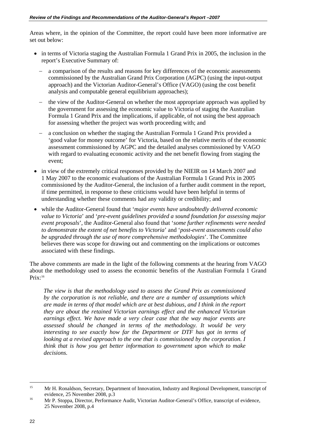Areas where, in the opinion of the Committee, the report could have been more informative are set out below:

- in terms of Victoria staging the Australian Formula 1 Grand Prix in 2005, the inclusion in the report's Executive Summary of:
	- a comparison of the results and reasons for key differences of the economic assessments commissioned by the Australian Grand Prix Corporation (AGPC) (using the input-output approach) and the Victorian Auditor-General's Office (VAGO) (using the cost benefit analysis and computable general equilibrium approaches);
	- − the view of the Auditor-General on whether the most appropriate approach was applied by the government for assessing the economic value to Victoria of staging the Australian Formula 1 Grand Prix and the implications, if applicable, of not using the best approach for assessing whether the project was worth proceeding with; and
	- − a conclusion on whether the staging the Australian Formula 1 Grand Prix provided a 'good value for money outcome' for Victoria, based on the relative merits of the economic assessment commissioned by AGPC and the detailed analyses commissioned by VAGO with regard to evaluating economic activity and the net benefit flowing from staging the event;
- in view of the extremely critical responses provided by the NIEIR on 14 March 2007 and 1 May 2007 to the economic evaluations of the Australian Formula 1 Grand Prix in 2005 commissioned by the Auditor-General, the inclusion of a further audit comment in the report, if time permitted, in response to these criticisms would have been helpful in terms of understanding whether these comments had any validity or credibility; and
- while the Auditor-General found that '*major events have undoubtedly delivered economic value to Victoria*' and '*pre-event guidelines provided a sound foundation for assessing major event proposals*', the Auditor-General also found that '*some further refinements were needed to demonstrate the extent of net benefits to Victoria*' and '*post-event assessments could also be upgraded through the use of more comprehensive methodologies*'. The Committee believes there was scope for drawing out and commenting on the implications or outcomes associated with these findings.

The above comments are made in the light of the following comments at the hearing from VAGO about the methodology used to assess the economic benefits of the Australian Formula 1 Grand Prix:16

*The view is that the methodology used to assess the Grand Prix as commissioned by the corporation is not reliable, and there are a number of assumptions which are made in terms of that model which are at best dubious, and I think in the report they are about the retained Victorian earnings effect and the enhanced Victorian earnings effect. We have made a very clear case that the way major events are assessed should be changed in terms of the methodology. It would be very interesting to see exactly how far the Department or DTF has got in terms of looking at a revised approach to the one that is commissioned by the corporation. I think that is how you get better information to government upon which to make decisions.* 

<sup>&</sup>lt;sup>15</sup> Mr H. Ronaldson, Secretary, Department of Innovation, Industry and Regional Development, transcript of evidence, 25 November 2008, p.3<br>
Mr P. Stoppa, Director, Performance Audit, Victorian Auditor-General's Office, transcript of evidence,

<sup>25</sup> November 2008, p.4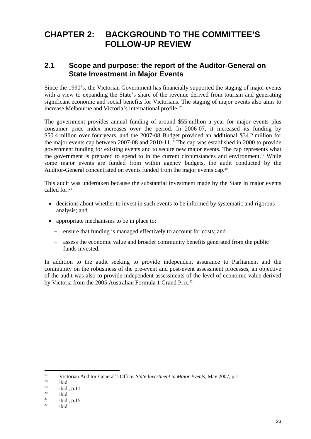## **CHAPTER 2: BACKGROUND TO THE COMMITTEE'S FOLLOW-UP REVIEW**

### **2.1 Scope and purpose: the report of the Auditor-General on State Investment in Major Events**

Since the 1990's, the Victorian Government has financially supported the staging of major events with a view to expanding the State's share of the revenue derived from tourism and generating significant economic and social benefits for Victorians. The staging of major events also aims to increase Melbourne and Victoria's international profile.<sup>17</sup>

The government provides annual funding of around \$55 million a year for major events plus consumer price index increases over the period. In 2006-07, it increased its funding by \$50.4 million over four years, and the 2007-08 Budget provided an additional \$34.2 million for the major events cap between 2007-08 and 2010-11.<sup>18</sup> The cap was established in 2000 to provide government funding for existing events and to secure new major events. The cap represents what the government is prepared to spend to in the current circumstances and environment.<sup>19</sup> While some major events are funded from within agency budgets, the audit conducted by the Auditor-General concentrated on events funded from the major events cap.<sup>20</sup>

This audit was undertaken because the substantial investment made by the State in major events called for:<sup>21</sup>

- decisions about whether to invest in such events to be informed by systematic and rigorous analysis; and
- appropriate mechanisms to be in place to:
	- − ensure that funding is managed effectively to account for costs; and
	- − assess the economic value and broader community benefits generated from the public funds invested.

In addition to the audit seeking to provide independent assurance to Parliament and the community on the robustness of the pre-event and post-event assessment processes, an objective of the audit was also to provide independent assessments of the level of economic value derived by Victoria from the 2005 Australian Formula 1 Grand Prix.<sup>22</sup>

 $17$ <sup>17</sup> Victorian Auditor-General's Office, *State Investment in Major Events*, May 2007, p.1<br>
<sup>18</sup> ibid.

 $^{19}$  ibid., p.11

 $\frac{20}{21}$  ibid.

 $\frac{21}{22}$  ibid., p.15

ibid.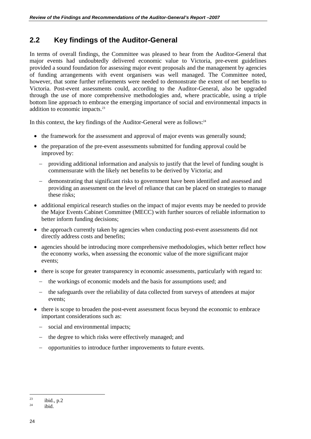## **2.2 Key findings of the Auditor-General**

In terms of overall findings, the Committee was pleased to hear from the Auditor-General that major events had undoubtedly delivered economic value to Victoria, pre-event guidelines provided a sound foundation for assessing major event proposals and the management by agencies of funding arrangements with event organisers was well managed. The Committee noted, however, that some further refinements were needed to demonstrate the extent of net benefits to Victoria. Post-event assessments could, according to the Auditor-General, also be upgraded through the use of more comprehensive methodologies and, where practicable, using a triple bottom line approach to embrace the emerging importance of social and environmental impacts in addition to economic impacts.<sup>23</sup>

In this context, the key findings of the Auditor-General were as follows: $24$ 

- the framework for the assessment and approval of major events was generally sound;
- the preparation of the pre-event assessments submitted for funding approval could be improved by:
	- − providing additional information and analysis to justify that the level of funding sought is commensurate with the likely net benefits to be derived by Victoria; and
	- − demonstrating that significant risks to government have been identified and assessed and providing an assessment on the level of reliance that can be placed on strategies to manage these risks;
- additional empirical research studies on the impact of major events may be needed to provide the Major Events Cabinet Committee (MECC) with further sources of reliable information to better inform funding decisions;
- the approach currently taken by agencies when conducting post-event assessments did not directly address costs and benefits;
- agencies should be introducing more comprehensive methodologies, which better reflect how the economy works, when assessing the economic value of the more significant major events;
- there is scope for greater transparency in economic assessments, particularly with regard to:
	- − the workings of economic models and the basis for assumptions used; and
	- − the safeguards over the reliability of data collected from surveys of attendees at major events;
- there is scope to broaden the post-event assessment focus beyond the economic to embrace important considerations such as:
	- social and environmental impacts;
	- − the degree to which risks were effectively managed; and
	- − opportunities to introduce further improvements to future events.

 $23$  $\frac{23}{24}$  ibid., p.2

ibid.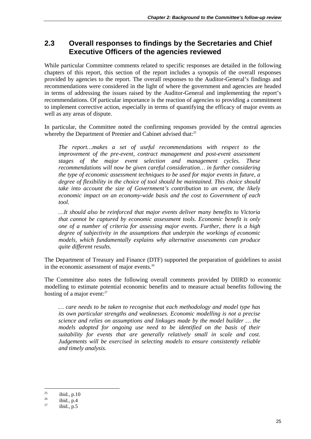#### **2.3 Overall responses to findings by the Secretaries and Chief Executive Officers of the agencies reviewed**

While particular Committee comments related to specific responses are detailed in the following chapters of this report, this section of the report includes a synopsis of the overall responses provided by agencies to the report. The overall responses to the Auditor-General's findings and recommendations were considered in the light of where the government and agencies are headed in terms of addressing the issues raised by the Auditor-General and implementing the report's recommendations. Of particular importance is the reaction of agencies to providing a commitment to implement corrective action, especially in terms of quantifying the efficacy of major events as well as any areas of dispute.

In particular, the Committee noted the confirming responses provided by the central agencies whereby the Department of Premier and Cabinet advised that:<sup>25</sup>

*The report…makes a set of useful recommendations with respect to the improvement of the pre-event, contract management and post-event assessment stages of the major event selection and management cycles. These recommendations will now be given careful consideration… in further considering the type of economic assessment techniques to be used for major events in future, a degree of flexibility in the choice of tool should be maintained. This choice should take into account the size of Government's contribution to an event, the likely economic impact on an economy-wide basis and the cost to Government of each tool.* 

*…It should also be reinforced that major events deliver many benefits to Victoria that cannot be captured by economic assessment tools. Economic benefit is only one of a number of criteria for assessing major events. Further, there is a high degree of subjectivity in the assumptions that underpin the workings of economic models, which fundamentally explains why alternative assessments can produce quite different results.* 

The Department of Treasury and Finance (DTF) supported the preparation of guidelines to assist in the economic assessment of major events.<sup>26</sup>

The Committee also notes the following overall comments provided by DIIRD to economic modelling to estimate potential economic benefits and to measure actual benefits following the hosting of a major event:<sup>27</sup>

*… care needs to be taken to recognise that each methodology and model type has its own particular strengths and weaknesses. Economic modelling is not a precise science and relies on assumptions and linkages made by the model builder … the models adopted for ongoing use need to be identified on the basis of their suitability for events that are generally relatively small in scale and cost. Judgements will be exercised in selecting models to ensure consistently reliable and timely analysis.* 

 $25$  $\frac{25}{26}$  ibid., p.10

 $rac{26}{27}$  ibid., p.4

 $ibid., p.5$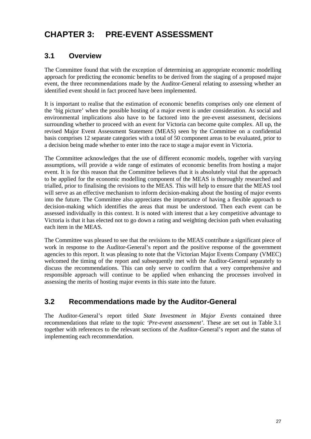# **CHAPTER 3: PRE-EVENT ASSESSMENT**

### **3.1 Overview**

The Committee found that with the exception of determining an appropriate economic modelling approach for predicting the economic benefits to be derived from the staging of a proposed major event, the three recommendations made by the Auditor-General relating to assessing whether an identified event should in fact proceed have been implemented.

It is important to realise that the estimation of economic benefits comprises only one element of the 'big picture' when the possible hosting of a major event is under consideration. As social and environmental implications also have to be factored into the pre-event assessment, decisions surrounding whether to proceed with an event for Victoria can become quite complex. All up, the revised Major Event Assessment Statement (MEAS) seen by the Committee on a confidential basis comprises 12 separate categories with a total of 50 component areas to be evaluated, prior to a decision being made whether to enter into the race to stage a major event in Victoria.

The Committee acknowledges that the use of different economic models, together with varying assumptions, will provide a wide range of estimates of economic benefits from hosting a major event. It is for this reason that the Committee believes that it is absolutely vital that the approach to be applied for the economic modelling component of the MEAS is thoroughly researched and trialled, prior to finalising the revisions to the MEAS. This will help to ensure that the MEAS tool will serve as an effective mechanism to inform decision-making about the hosting of major events into the future. The Committee also appreciates the importance of having a flexible approach to decision-making which identifies the areas that must be understood. Then each event can be assessed individually in this context. It is noted with interest that a key competitive advantage to Victoria is that it has elected not to go down a rating and weighting decision path when evaluating each item in the MEAS.

The Committee was pleased to see that the revisions to the MEAS contribute a significant piece of work in response to the Auditor-General's report and the positive response of the government agencies to this report. It was pleasing to note that the Victorian Major Events Company (VMEC) welcomed the timing of the report and subsequently met with the Auditor-General separately to discuss the recommendations. This can only serve to confirm that a very comprehensive and responsible approach will continue to be applied when enhancing the processes involved in assessing the merits of hosting major events in this state into the future.

## **3.2 Recommendations made by the Auditor-General**

The Auditor-General's report titled *State Investment in Major Events* contained three recommendations that relate to the topic *'Pre-event assessment'*. These are set out in Table 3.1 together with references to the relevant sections of the Auditor-General's report and the status of implementing each recommendation.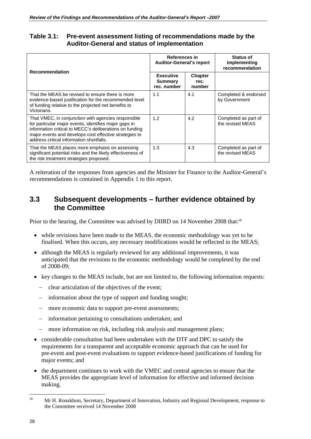#### **Table 3.1: Pre-event assessment listing of recommendations made by the Auditor-General and status of implementation**

| <b>Recommendation</b>                                                                                                                                                                                                                                                         | References in<br><b>Auditor-General's report</b>  |                                  | <b>Status of</b><br>implementing<br>recommendation |
|-------------------------------------------------------------------------------------------------------------------------------------------------------------------------------------------------------------------------------------------------------------------------------|---------------------------------------------------|----------------------------------|----------------------------------------------------|
|                                                                                                                                                                                                                                                                               | <b>Executive</b><br><b>Summary</b><br>rec. number | <b>Chapter</b><br>rec.<br>number |                                                    |
| That the MEAS be revised to ensure there is more<br>evidence-based justification for the recommended level<br>of funding relative to the projected net benefits to<br>Victorians.                                                                                             | 1.1                                               | 4.1                              | Completed & endorsed<br>by Government              |
| That VMEC, in conjunction with agencies responsible<br>for particular major events, identifies major gaps in<br>information critical to MECC's deliberations on funding<br>major events and develops cost effective strategies to<br>address critical information shortfalls. | 1.2                                               | 4.2                              | Completed as part of<br>the revised MEAS           |
| That the MEAS places more emphasis on assessing<br>significant potential risks and the likely effectiveness of<br>the risk treatment strategies proposed.                                                                                                                     | 1.3                                               | 4.3                              | Completed as part of<br>the revised MEAS           |

A reiteration of the responses from agencies and the Minister for Finance to the Auditor-General's recommendations is contained in Appendix 1 to this report.

#### **3.3 Subsequent developments – further evidence obtained by the Committee**

Prior to the hearing, the Committee was advised by DIIRD on 14 November 2008 that:<sup>28</sup>

- while revisions have been made to the MEAS, the economic methodology was yet to be finalised. When this occurs, any necessary modifications would be reflected in the MEAS;
- although the MEAS is regularly reviewed for any additional improvements, it was anticipated that the revisions to the economic methodology would be completed by the end of 2008-09;
- key changes to the MEAS include, but are not limited to, the following information requests:
	- − clear articulation of the objectives of the event;
	- − information about the type of support and funding sought;
	- − more economic data to support pre-event assessments;
	- − information pertaining to consultations undertaken; and
	- − more information on risk, including risk analysis and management plans;
- considerable consultation had been undertaken with the DTF and DPC to satisfy the requirements for a transparent and acceptable economic approach that can be used for pre-event and post-event evaluations to support evidence-based justifications of funding for major events; and
- the department continues to work with the VMEC and central agencies to ensure that the MEAS provides the appropriate level of information for effective and informed decision making.

 $28$ 28 Mr H. Ronaldson, Secretary, Department of Innovation, Industry and Regional Development, response to the Committee received 14 November 2008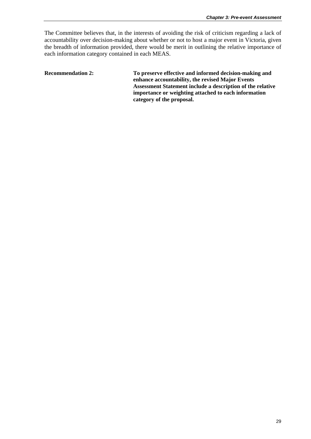The Committee believes that, in the interests of avoiding the risk of criticism regarding a lack of accountability over decision-making about whether or not to host a major event in Victoria, given the breadth of information provided, there would be merit in outlining the relative importance of each information category contained in each MEAS.

**Recommendation 2: To preserve effective and informed decision-making and enhance accountability, the revised Major Events Assessment Statement include a description of the relative importance or weighting attached to each information category of the proposal.**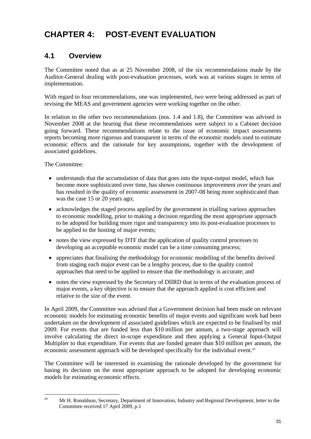# **CHAPTER 4: POST-EVENT EVALUATION**

## **4.1 Overview**

The Committee noted that as at 25 November 2008, of the six recommendations made by the Auditor-General dealing with post-evaluation processes, work was at various stages in terms of implementation.

With regard to four recommendations, one was implemented, two were being addressed as part of revising the MEAS and government agencies were working together on the other.

In relation to the other two recommendations (nos. 1.4 and 1.8), the Committee was advised in November 2008 at the hearing that these recommendations were subject to a Cabinet decision going forward. These recommendations relate to the issue of economic impact assessments reports becoming more rigorous and transparent in terms of the economic models used to estimate economic effects and the rationale for key assumptions, together with the development of associated guidelines.

The Committee:

- understands that the accumulation of data that goes into the input-output model, which has become more sophisticated over time, has shown continuous improvement over the years and has resulted in the quality of economic assessment in 2007-08 being more sophisticated than was the case 15 or 20 years ago;
- acknowledges the staged process applied by the government in trialling various approaches to economic modelling, prior to making a decision regarding the most appropriate approach to be adopted for building more rigor and transparency into its post-evaluation processes to be applied to the hosting of major events;
- notes the view expressed by DTF that the application of quality control processes to developing an acceptable economic model can be a time consuming process;
- appreciates that finalising the methodology for economic modelling of the benefits derived from staging each major event can be a lengthy process, due to the quality control approaches that need to be applied to ensure that the methodology is accurate; and
- notes the view expressed by the Secretary of DIIRD that in terms of the evaluation process of major events, a key objective is to ensure that the approach applied is cost efficient and relative to the size of the event.

In April 2009, the Committee was advised that a Government decision had been made on relevant economic models for estimating economic benefits of major events and significant work had been undertaken on the development of associated guidelines which are expected to be finalised by mid 2009. For events that are funded less than \$10 million per annum, a two-stage approach will involve calculating the direct in-scope expenditure and then applying a General Input-Output Multiplier to that expenditure. For events that are funded greater than \$10 million per annum, the economic assessment approach will be developed specifically for the individual event.<sup>29</sup>

The Committee will be interested in examining the rationale developed by the government for basing its decision on the most appropriate approach to be adopted for developing economic models for estimating economic effects.

 $29$ 29 Mr H. Ronaldson, Secretary, Department of Innovation, Industry and Regional Development, letter to the Committee received 17 April 2009, p.1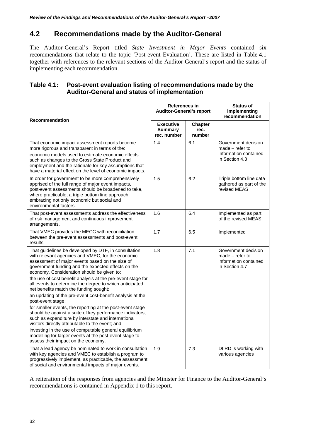## **4.2 Recommendations made by the Auditor-General**

The Auditor-General's Report titled *State Investment in Major Events* contained six recommendations that relate to the topic 'Post-event Evaluation'. These are listed in Table 4.1 together with references to the relevant sections of the Auditor-General's report and the status of implementing each recommendation.

#### **Table 4.1: Post-event evaluation listing of recommendations made by the Auditor-General and status of implementation**

| <b>Recommendation</b>                                                                                                                                                                                                                                                                                                                                                                      | <b>References in</b><br><b>Auditor-General's report</b> |                                  | <b>Status of</b><br>implementing<br>recommendation                                  |
|--------------------------------------------------------------------------------------------------------------------------------------------------------------------------------------------------------------------------------------------------------------------------------------------------------------------------------------------------------------------------------------------|---------------------------------------------------------|----------------------------------|-------------------------------------------------------------------------------------|
|                                                                                                                                                                                                                                                                                                                                                                                            | <b>Executive</b><br><b>Summary</b><br>rec. number       | <b>Chapter</b><br>rec.<br>number |                                                                                     |
| That economic impact assessment reports become<br>more rigorous and transparent in terms of the:<br>economic models used to estimate economic effects<br>such as changes to the Gross State Product and<br>employment and the rationale for key assumptions that<br>have a material effect on the level of economic impacts.                                                               | 1.4                                                     | 6.1                              | Government decision<br>$made - refer to$<br>information contained<br>in Section 4.3 |
| In order for government to be more comprehensively<br>apprised of the full range of major event impacts,<br>post-event assessments should be broadened to take,<br>where practicable, a triple bottom line approach<br>embracing not only economic but social and<br>environmental factors.                                                                                                | 1.5                                                     | 6.2                              | Triple bottom line data<br>gathered as part of the<br>revised MEAS                  |
| That post-event assessments address the effectiveness<br>of risk management and continuous improvement<br>arrangements.                                                                                                                                                                                                                                                                    | 1.6                                                     | 6.4                              | Implemented as part<br>of the revised MEAS                                          |
| That VMEC provides the MECC with reconciliation<br>between the pre-event assessments and post-event<br>results.                                                                                                                                                                                                                                                                            | 1.7                                                     | 6.5                              | Implemented                                                                         |
| That guidelines be developed by DTF, in consultation<br>with relevant agencies and VMEC, for the economic<br>assessment of major events based on the size of<br>government funding and the expected effects on the<br>economy. Consideration should be given to:<br>the use of cost benefit analysis at the pre-event stage for<br>all events to determine the degree to which anticipated | 1.8                                                     | 7.1                              | Government decision<br>$made - refer to$<br>information contained<br>in Section 4.7 |
| net benefits match the funding sought;<br>an updating of the pre-event cost-benefit analysis at the<br>post-event stage;                                                                                                                                                                                                                                                                   |                                                         |                                  |                                                                                     |
| for smaller events, the reporting at the post-event stage<br>should be against a suite of key performance indicators,<br>such as expenditure by interstate and international<br>visitors directly attributable to the event; and                                                                                                                                                           |                                                         |                                  |                                                                                     |
| investing in the use of computable general equilibrium<br>modelling for larger events at the post-event stage to<br>assess their impact on the economy.                                                                                                                                                                                                                                    |                                                         |                                  |                                                                                     |
| That a lead agency be nominated to work in consultation<br>with key agencies and VMEC to establish a program to<br>progressively implement, as practicable, the assessment<br>of social and environmental impacts of major events.                                                                                                                                                         | 1.9                                                     | 7.3                              | DIIRD is working with<br>various agencies                                           |

A reiteration of the responses from agencies and the Minister for Finance to the Auditor-General's recommendations is contained in Appendix 1 to this report.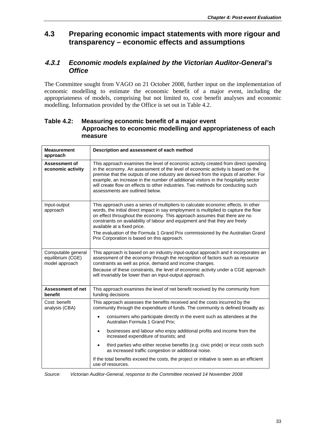## **4.3 Preparing economic impact statements with more rigour and transparency – economic effects and assumptions**

#### **4.3.1** *Economic models explained by the Victorian Auditor-General's Office*

The Committee sought from VAGO on 21 October 2008, further input on the implementation of economic modelling to estimate the economic benefit of a major event, including the appropriateness of models, comprising but not limited to, cost benefit analyses and economic modelling. Information provided by the Office is set out in Table 4.2.

#### **Table 4.2: Measuring economic benefit of a major event Approaches to economic modelling and appropriateness of each measure**

| <b>Measurement</b><br>approach                            | Description and assessment of each method                                                                                                                                                                                                                                                                                                                                                                                                                                                                                                                                                                                                                                                  |
|-----------------------------------------------------------|--------------------------------------------------------------------------------------------------------------------------------------------------------------------------------------------------------------------------------------------------------------------------------------------------------------------------------------------------------------------------------------------------------------------------------------------------------------------------------------------------------------------------------------------------------------------------------------------------------------------------------------------------------------------------------------------|
| <b>Assessment of</b><br>economic activity                 | This approach examines the level of economic activity created from direct spending<br>in the economy. An assessment of the level of economic activity is based on the<br>premise that the outputs of one industry are derived from the inputs of another. For<br>example, an increase in the number of additional visitors in the hospitality sector<br>will create flow on effects to other industries. Two methods for conducting such<br>assessments are outlined below.                                                                                                                                                                                                                |
| Input-output<br>approach                                  | This approach uses a series of multipliers to calculate economic effects. In other<br>words, the initial direct impact in say employment is multiplied to capture the flow<br>on effect throughout the economy. This approach assumes that there are no<br>constraints on availability of labour and equipment and that they are freely<br>available at a fixed price.<br>The evaluation of the Formula 1 Grand Prix commissioned by the Australian Grand<br>Prix Corporation is based on this approach.                                                                                                                                                                                   |
| Computable general<br>equilibrium (CGE)<br>model approach | This approach is based on an industry input-output approach and it incorporates an<br>assessment of the economy through the recognition of factors such as resource<br>constraints as well as price, demand and income changes.<br>Because of these constraints, the level of economic activity under a CGE approach<br>will invariably be lower than an input-output approach.                                                                                                                                                                                                                                                                                                            |
| Assessment of net<br>benefit                              | This approach examines the level of net benefit received by the community from<br>funding decisions                                                                                                                                                                                                                                                                                                                                                                                                                                                                                                                                                                                        |
| Cost: benefit<br>analysis (CBA)                           | This approach assesses the benefits received and the costs incurred by the<br>community through the expenditure of funds. The community is defined broadly as:<br>consumers who participate directly in the event such as attendees at the<br>Australian Formula 1 Grand Prix:<br>businesses and labour who enjoy additional profits and income from the<br>$\bullet$<br>increased expenditure of tourists; and<br>third parties who either receive benefits (e.g. civic pride) or incur costs such<br>$\bullet$<br>as increased traffic congestion or additional noise.<br>If the total benefits exceed the costs, the project or initiative is seen as an efficient<br>use of resources. |

*Source: Victorian Auditor-General, response to the Committee received 14 November 2008*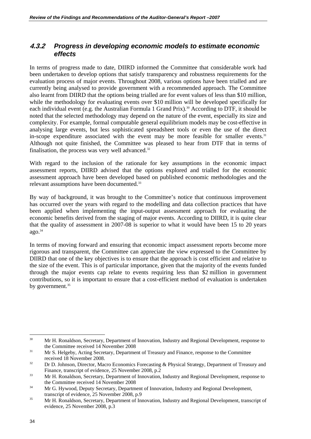#### **4.3.2** *Progress in developing economic models to estimate economic effects*

In terms of progress made to date, DIIRD informed the Committee that considerable work had been undertaken to develop options that satisfy transparency and robustness requirements for the evaluation process of major events. Throughout 2008, various options have been trialled and are currently being analysed to provide government with a recommended approach. The Committee also learnt from DIIRD that the options being trialled are for event values of less than \$10 million, while the methodology for evaluating events over \$10 million will be developed specifically for each individual event (e.g. the Australian Formula 1 Grand Prix).<sup>30</sup> According to DTF, it should be noted that the selected methodology may depend on the nature of the event, especially its size and complexity. For example, formal computable general equilibrium models may be cost-effective in analysing large events, but less sophisticated spreadsheet tools or even the use of the direct in-scope expenditure associated with the event may be more feasible for smaller events.<sup>31</sup> Although not quite finished, the Committee was pleased to hear from DTF that in terms of finalisation, the process was very well advanced. $32$ 

With regard to the inclusion of the rationale for key assumptions in the economic impact assessment reports, DIIRD advised that the options explored and trialled for the economic assessment approach have been developed based on published economic methodologies and the relevant assumptions have been documented.<sup>33</sup>

By way of background, it was brought to the Committee's notice that continuous improvement has occurred over the years with regard to the modelling and data collection practices that have been applied when implementing the input-output assessment approach for evaluating the economic benefits derived from the staging of major events. According to DIIRD, it is quite clear that the quality of assessment in 2007-08 is superior to what it would have been 15 to 20 years  $a\alpha$ .<sup>34</sup>

In terms of moving forward and ensuring that economic impact assessment reports become more rigorous and transparent, the Committee can appreciate the view expressed to the Committee by DIIRD that one of the key objectives is to ensure that the approach is cost efficient and relative to the size of the event. This is of particular importance, given that the majority of the events funded through the major events cap relate to events requiring less than \$2 million in government contributions, so it is important to ensure that a cost-efficient method of evaluation is undertaken by government.<sup>35</sup>

<sup>30</sup> 30 Mr H. Ronaldson, Secretary, Department of Innovation, Industry and Regional Development, response to the Committee received 14 November 2008<br><sup>31</sup> Mr S. Helgeby, Acting Secretary, Department of Treasury and Finance, response to the Committee

received 18 November 2008.<br><sup>32</sup> Dr D. Johnson, Director, Macro Economics Forecasting & Physical Strategy, Department of Treasury and Finance, transcript of evidence, 25 November 2008, p.2<br>33 Mr H. Ronaldson, Secretary, Department of Innovation, Industry and Regional Development, response to

the Committee received 14 November 2008<br>Mr G. Hywood, Deputy Secretary, Department of Innovation, Industry and Regional Development,

transcript of evidence, 25 November 2008, p.9<br>35 Mr H. Ronaldson, Secretary, Department of Innovation, Industry and Regional Development, transcript of evidence, 25 November 2008, p.3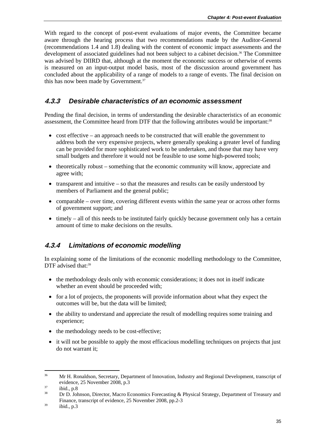With regard to the concept of post-event evaluations of major events, the Committee became aware through the hearing process that two recommendations made by the Auditor-General (recommendations 1.4 and 1.8) dealing with the content of economic impact assessments and the development of associated guidelines had not been subject to a cabinet decision.<sup>36</sup> The Committee was advised by DIIRD that, although at the moment the economic success or otherwise of events is measured on an input-output model basis, most of the discussion around government has concluded about the applicability of a range of models to a range of events. The final decision on this has now been made by Government.<sup>37</sup>

#### **4.3.3** *Desirable characteristics of an economic assessment*

Pending the final decision, in terms of understanding the desirable characteristics of an economic assessment, the Committee heard from DTF that the following attributes would be important:<sup>38</sup>

- cost effective an approach needs to be constructed that will enable the government to address both the very expensive projects, where generally speaking a greater level of funding can be provided for more sophisticated work to be undertaken, and those that may have very small budgets and therefore it would not be feasible to use some high-powered tools;
- theoretically robust something that the economic community will know, appreciate and agree with;
- transparent and intuitive so that the measures and results can be easily understood by members of Parliament and the general public;
- comparable over time, covering different events within the same year or across other forms of government support; and
- timely all of this needs to be instituted fairly quickly because government only has a certain amount of time to make decisions on the results.

#### **4.3.4** *Limitations of economic modelling*

In explaining some of the limitations of the economic modelling methodology to the Committee, DTF advised that:<sup>39</sup>

- the methodology deals only with economic considerations; it does not in itself indicate whether an event should be proceeded with;
- for a lot of projects, the proponents will provide information about what they expect the outcomes will be, but the data will be limited;
- the ability to understand and appreciate the result of modelling requires some training and experience;
- the methodology needs to be cost-effective;
- it will not be possible to apply the most efficacious modelling techniques on projects that just do not warrant it;

<sup>1</sup> <sup>36</sup> Mr H. Ronaldson, Secretary, Department of Innovation, Industry and Regional Development, transcript of evidence, 25 November 2008, p.3<br>
ibid., p.8<br>  $\frac{37}{18}$ 

<sup>38</sup> Dr D. Johnson, Director, Macro Economics Forecasting & Physical Strategy, Department of Treasury and Finance, transcript of evidence, 25 November 2008, pp.2-3 ibid., p.3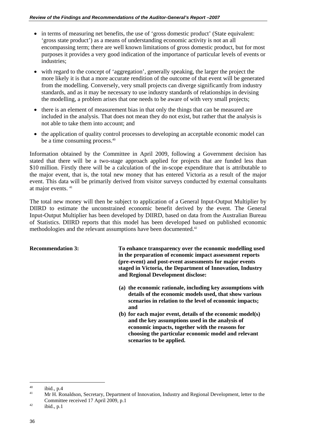- in terms of measuring net benefits, the use of 'gross domestic product' (State equivalent: 'gross state product') as a means of understanding economic activity is not an all encompassing term; there are well known limitations of gross domestic product, but for most purposes it provides a very good indication of the importance of particular levels of events or industries;
- with regard to the concept of 'aggregation', generally speaking, the larger the project the more likely it is that a more accurate rendition of the outcome of that event will be generated from the modelling. Conversely, very small projects can diverge significantly from industry standards, and as it may be necessary to use industry standards of relationships in devising the modelling, a problem arises that one needs to be aware of with very small projects;
- there is an element of measurement bias in that only the things that can be measured are included in the analysis. That does not mean they do not exist, but rather that the analysis is not able to take them into account; and
- the application of quality control processes to developing an acceptable economic model can be a time consuming process.40

Information obtained by the Committee in April 2009, following a Government decision has stated that there will be a two-stage approach applied for projects that are funded less than \$10 million. Firstly there will be a calculation of the in-scope expenditure that is attributable to the major event, that is, the total new money that has entered Victoria as a result of the major event. This data will be primarily derived from visitor surveys conducted by external consultants at major events. 41

The total new money will then be subject to application of a General Input-Output Multiplier by DIIRD to estimate the unconstrained economic benefit derived by the event. The General Input-Output Multiplier has been developed by DIIRD, based on data from the Australian Bureau of Statistics. DIIRD reports that this model has been developed based on published economic methodologies and the relevant assumptions have been documented.<sup>42</sup>

**Recommendation 3: To enhance transparency over the economic modelling used in the preparation of economic impact assessment reports (pre-event) and post-event assessments for major events staged in Victoria, the Department of Innovation, Industry and Regional Development disclose:** 

- **(a) the economic rationale, including key assumptions with details of the economic models used, that show various scenarios in relation to the level of economic impacts; and**
- **(b) for each major event, details of the economic model(s) and the key assumptions used in the analysis of economic impacts, together with the reasons for choosing the particular economic model and relevant scenarios to be applied.**

 $\overline{a}$ 

 $^{40}$  ibid., p.4

<sup>41</sup> Mr H. Ronaldson, Secretary, Department of Innovation, Industry and Regional Development, letter to the Committee received 17 April 2009, p.1<br>
<sup>42</sup> ibid., p.1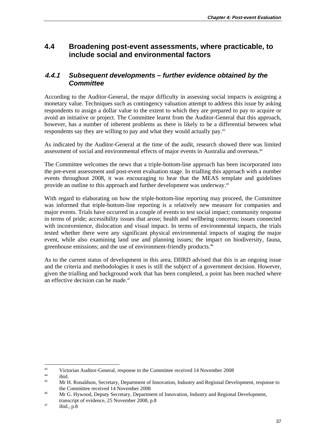## **4.4 Broadening post-event assessments, where practicable, to include social and environmental factors**

#### **4.4.1** *Subsequent developments – further evidence obtained by the Committee*

According to the Auditor-General, the major difficulty in assessing social impacts is assigning a monetary value. Techniques such as contingency valuation attempt to address this issue by asking respondents to assign a dollar value to the extent to which they are prepared to pay to acquire or avoid an initiative or project. The Committee learnt from the Auditor-General that this approach, however, has a number of inherent problems as there is likely to be a differential between what respondents say they are willing to pay and what they would actually pay.43

As indicated by the Auditor-General at the time of the audit, research showed there was limited assessment of social and environmental effects of major events in Australia and overseas.<sup>44</sup>

The Committee welcomes the news that a triple-bottom-line approach has been incorporated into the pre-event assessment and post-event evaluation stage. In trialling this approach with a number events throughout 2008, it was encouraging to hear that the MEAS template and guidelines provide an outline to this approach and further development was underway.<sup>45</sup>

With regard to elaborating on how the triple-bottom-line reporting may proceed, the Committee was informed that triple-bottom-line reporting is a relatively new measure for companies and major events. Trials have occurred in a couple of events to test social impact; community response in terms of pride; accessibility issues that arose; health and wellbeing concerns; issues connected with inconvenience, dislocation and visual impact. In terms of environmental impacts, the trials tested whether there were any significant physical environmental impacts of staging the major event, while also examining land use and planning issues; the impact on biodiversity, fauna, greenhouse emissions; and the use of environment-friendly products.46

As to the current status of development in this area, DIIRD advised that this is an ongoing issue and the criteria and methodologies it uses is still the subject of a government decision. However, given the trialling and background work that has been completed, a point has been reached where an effective decision can be made.47

1

<sup>43</sup> Victorian Auditor-General, response to the Committee received 14 November 2008<br>144 ibid.

<sup>45</sup> Mr H. Ronaldson, Secretary, Department of Innovation, Industry and Regional Development, response to the Committee received 14 November 2008<br>Ar G. Hywood, Deputy Secretary, Department of Innovation, Industry and Regional Development,

transcript of evidence, 25 November 2008, p.8<br>
<sup>47</sup> ibid., p.8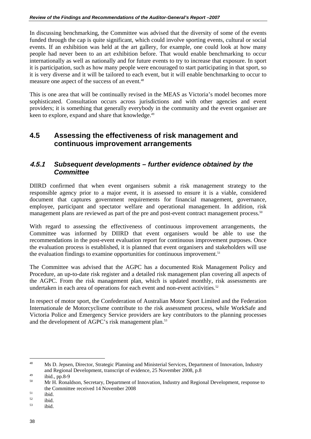In discussing benchmarking, the Committee was advised that the diversity of some of the events funded through the cap is quite significant, which could involve sporting events, cultural or social events. If an exhibition was held at the art gallery, for example, one could look at how many people had never been to an art exhibition before. That would enable benchmarking to occur internationally as well as nationally and for future events to try to increase that exposure. In sport it is participation, such as how many people were encouraged to start participating in that sport, so it is very diverse and it will be tailored to each event, but it will enable benchmarking to occur to measure one aspect of the success of an event.<sup>48</sup>

This is one area that will be continually revised in the MEAS as Victoria's model becomes more sophisticated. Consultation occurs across jurisdictions and with other agencies and event providers; it is something that generally everybody in the community and the event organiser are keen to explore, expand and share that knowledge.<sup>49</sup>

#### **4.5 Assessing the effectiveness of risk management and continuous improvement arrangements**

#### **4.5.1** *Subsequent developments – further evidence obtained by the Committee*

DIIRD confirmed that when event organisers submit a risk management strategy to the responsible agency prior to a major event, it is assessed to ensure it is a viable, considered document that captures government requirements for financial management, governance, employee, participant and spectator welfare and operational management. In addition, risk management plans are reviewed as part of the pre and post-event contract management process.<sup>50</sup>

With regard to assessing the effectiveness of continuous improvement arrangements, the Committee was informed by DIIRD that event organisers would be able to use the recommendations in the post-event evaluation report for continuous improvement purposes. Once the evaluation process is established, it is planned that event organisers and stakeholders will use the evaluation findings to examine opportunities for continuous improvement.<sup>51</sup>

The Committee was advised that the AGPC has a documented Risk Management Policy and Procedure, an up-to-date risk register and a detailed risk management plan covering all aspects of the AGPC. From the risk management plan, which is updated monthly, risk assessments are undertaken in each area of operations for each event and non-event activities.<sup>52</sup>

In respect of motor sport, the Confederation of Australian Motor Sport Limited and the Federation Internationale de Motorcyclisme contribute to the risk assessment process, while WorkSafe and Victoria Police and Emergency Service providers are key contributors to the planning processes and the development of AGPC's risk management plan.<sup>53</sup>

<sup>48</sup> 48 Ms D. Jepsen, Director, Strategic Planning and Ministerial Services, Department of Innovation, Industry and Regional Development, transcript of evidence, 25 November 2008, p.8 49 ibid., pp.8-9

<sup>50</sup> Mr H. Ronaldson, Secretary, Department of Innovation, Industry and Regional Development, response to the Committee received 14 November 2008<br>ibid.

 $\frac{52}{53}$  ibid.

ibid.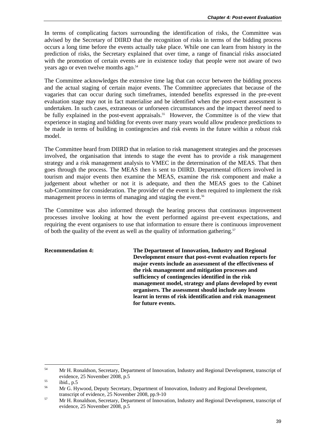In terms of complicating factors surrounding the identification of risks, the Committee was advised by the Secretary of DIIRD that the recognition of risks in terms of the bidding process occurs a long time before the events actually take place. While one can learn from history in the prediction of risks, the Secretary explained that over time, a range of financial risks associated with the promotion of certain events are in existence today that people were not aware of two years ago or even twelve months ago.<sup>54</sup>

The Committee acknowledges the extensive time lag that can occur between the bidding process and the actual staging of certain major events. The Committee appreciates that because of the vagaries that can occur during such timeframes, intended benefits expressed in the pre-event evaluation stage may not in fact materialise and be identified when the post-event assessment is undertaken. In such cases, extraneous or unforseen circumstances and the impact thereof need to be fully explained in the post-event appraisals.<sup>55</sup> However, the Committee is of the view that experience in staging and bidding for events over many years would allow prudence predictions to be made in terms of building in contingencies and risk events in the future within a robust risk model.

The Committee heard from DIIRD that in relation to risk management strategies and the processes involved, the organisation that intends to stage the event has to provide a risk management strategy and a risk management analysis to VMEC in the determination of the MEAS. That then goes through the process. The MEAS then is sent to DIIRD. Departmental officers involved in tourism and major events then examine the MEAS, examine the risk component and make a judgement about whether or not it is adequate, and then the MEAS goes to the Cabinet sub-Committee for consideration. The provider of the event is then required to implement the risk management process in terms of managing and staging the event.<sup>56</sup>

The Committee was also informed through the hearing process that continuous improvement processes involve looking at how the event performed against pre-event expectations, and requiring the event organisers to use that information to ensure there is continuous improvement of both the quality of the event as well as the quality of information gathering.<sup>57</sup>

**Recommendation 4: The Department of Innovation, Industry and Regional Development ensure that post-event evaluation reports for major events include an assessment of the effectiveness of the risk management and mitigation processes and sufficiency of contingencies identified in the risk management model, strategy and plans developed by event organisers. The assessment should include any lessons learnt in terms of risk identification and risk management for future events.** 

1

<sup>&</sup>lt;sup>54</sup> Mr H. Ronaldson, Secretary, Department of Innovation, Industry and Regional Development, transcript of evidence, 25 November 2008, p.5<br>
ibid., p.5<br>  $\frac{55}{25}$ 

<sup>56</sup> Mr G. Hywood, Deputy Secretary, Department of Innovation, Industry and Regional Development,

transcript of evidence, 25 November 2008, pp.9-10<br>
Mr H. Ronaldson, Secretary, Department of Innovation, Industry and Regional Development, transcript of evidence, 25 November 2008, p.5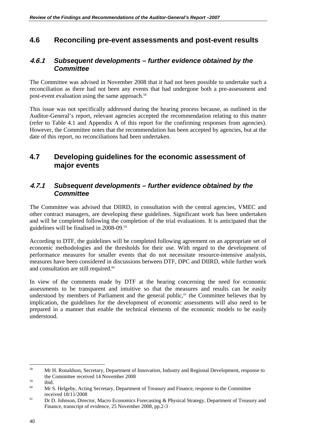## **4.6 Reconciling pre-event assessments and post-event results**

#### **4.6.1** *Subsequent developments – further evidence obtained by the Committee*

The Committee was advised in November 2008 that it had not been possible to undertake such a reconciliation as there had not been any events that had undergone both a pre-assessment and post-event evaluation using the same approach.<sup>58</sup>

This issue was not specifically addressed during the hearing process because, as outlined in the Auditor-General's report, relevant agencies accepted the recommendation relating to this matter (refer to Table 4.1 and Appendix A of this report for the confirming responses from agencies). However, the Committee notes that the recommendation has been accepted by agencies, but at the date of this report, no reconciliations had been undertaken.

## **4.7 Developing guidelines for the economic assessment of major events**

#### **4.7.1** *Subsequent developments – further evidence obtained by the Committee*

The Committee was advised that DIIRD, in consultation with the central agencies, VMEC and other contract managers, are developing these guidelines. Significant work has been undertaken and will be completed following the completion of the trial evaluations. It is anticipated that the guidelines will be finalised in 2008-09.59

According to DTF, the guidelines will be completed following agreement on an appropriate set of economic methodologies and the thresholds for their use. With regard to the development of performance measures for smaller events that do not necessitate resource-intensive analysis, measures have been considered in discussions between DTF, DPC and DIIRD, while further work and consultation are still required.<sup>60</sup>

In view of the comments made by DTF at the hearing concerning the need for economic assessments to be transparent and intuitive so that the measures and results can be easily understood by members of Parliament and the general public, $61$  the Committee believes that by implication, the guidelines for the development of economic assessments will also need to be prepared in a manner that enable the technical elements of the economic models to be easily understood.

 $\overline{a}$ 

<sup>&</sup>lt;sup>58</sup> Mr H. Ronaldson, Secretary, Department of Innovation, Industry and Regional Development, response to the Committee received 14 November 2008<br>ibid.<br> $M_{\odot}$  M<sub>1</sub> is the character of the character of the character of the character of the character of the character of the character of the character of the character of the c

<sup>60</sup> Mr S. Helgeby, Acting Secretary, Department of Treasury and Finance, response to the Committee

received 18/11/2008<br> **Example 18 Dr D. Johnson, Director, Macro Economics Forecasting & Physical Strategy, Department of Treasury and** Finance, transcript of evidence, 25 November 2008, pp.2-3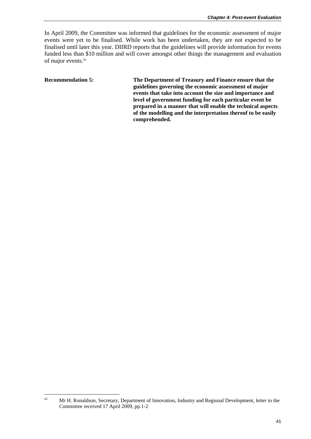In April 2009, the Committee was informed that guidelines for the economic assessment of major events were yet to be finalised. While work has been undertaken, they are not expected to be finalised until later this year. DIIRD reports that the guidelines will provide information for events funded less than \$10 million and will cover amongst other things the management and evaluation of major events.<sup>62</sup>

**Recommendation 5: The Department of Treasury and Finance ensure that the guidelines governing the economic assessment of major events that take into account the size and importance and level of government funding for each particular event be prepared in a manner that will enable the technical aspects of the modelling and the interpretation thereof to be easily comprehended.** 

 $62 \,$ 62 Mr H. Ronaldson, Secretary, Department of Innovation, Industry and Regional Development, letter to the Committee received 17 April 2009, pp.1-2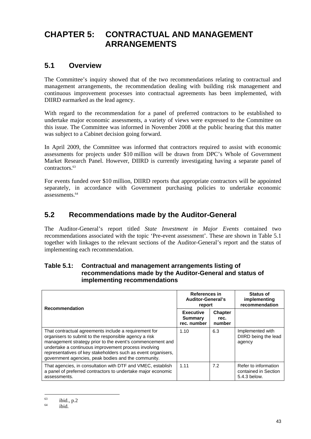# **CHAPTER 5: CONTRACTUAL AND MANAGEMENT ARRANGEMENTS**

## **5.1 Overview**

The Committee's inquiry showed that of the two recommendations relating to contractual and management arrangements, the recommendation dealing with building risk management and continuous improvement processes into contractual agreements has been implemented, with DIIRD earmarked as the lead agency.

With regard to the recommendation for a panel of preferred contractors to be established to undertake major economic assessments, a variety of views were expressed to the Committee on this issue. The Committee was informed in November 2008 at the public hearing that this matter was subject to a Cabinet decision going forward.

In April 2009, the Committee was informed that contractors required to assist with economic assessments for projects under \$10 million will be drawn from DPC's Whole of Government Market Research Panel. However, DIIRD is currently investigating having a separate panel of contractors.63

For events funded over \$10 million, DIIRD reports that appropriate contractors will be appointed separately, in accordance with Government purchasing policies to undertake economic assessments.64

## **5.2 Recommendations made by the Auditor-General**

The Auditor-General's report titled *State Investment in Major Events* contained two recommendations associated with the topic 'Pre-event assessment'. These are shown in Table 5.1 together with linkages to the relevant sections of the Auditor-General's report and the status of implementing each recommendation.

| <b>Recommendation</b>                                                                                                                                                                                                                                                                                                                                       | References in<br><b>Auditor-General's</b><br>report |                                  | <b>Status of</b><br>implementing<br>recommendation           |
|-------------------------------------------------------------------------------------------------------------------------------------------------------------------------------------------------------------------------------------------------------------------------------------------------------------------------------------------------------------|-----------------------------------------------------|----------------------------------|--------------------------------------------------------------|
|                                                                                                                                                                                                                                                                                                                                                             | <b>Executive</b><br>Summary<br>rec. number          | <b>Chapter</b><br>rec.<br>number |                                                              |
| That contractual agreements include a requirement for<br>organisers to submit to the responsible agency a risk<br>management strategy prior to the event's commencement and<br>undertake a continuous improvement process involving<br>representatives of key stakeholders such as event organisers,<br>government agencies, peak bodies and the community. | 1.10                                                | 6.3                              | Implemented with<br>DIIRD being the lead<br>agency           |
| That agencies, in consultation with DTF and VMEC, establish<br>a panel of preferred contractors to undertake major economic<br>assessments.                                                                                                                                                                                                                 | 1.11                                                | 7.2                              | Refer to information<br>contained in Section<br>5.4.3 below. |

#### **Table 5.1: Contractual and management arrangements listing of recommendations made by the Auditor-General and status of implementing recommendations**

<sup>1</sup>  $\begin{array}{c}\n 63 \text{} \\
 \hline\n 64 \text{} \\
 \end{array}$  ibid., p.2

ibid.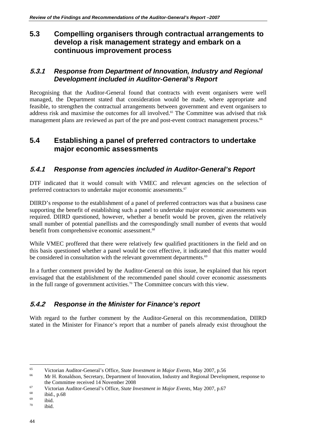## **5.3 Compelling organisers through contractual arrangements to develop a risk management strategy and embark on a continuous improvement process**

#### **5.3.1** *Response from Department of Innovation, Industry and Regional Development included in Auditor-General's Report*

Recognising that the Auditor-General found that contracts with event organisers were well managed, the Department stated that consideration would be made, where appropriate and feasible, to strengthen the contractual arrangements between government and event organisers to address risk and maximise the outcomes for all involved.<sup>65</sup> The Committee was advised that risk management plans are reviewed as part of the pre and post-event contract management process.<sup>66</sup>

#### **5.4 Establishing a panel of preferred contractors to undertake major economic assessments**

#### **5.4.1** *Response from agencies included in Auditor-General's Report*

DTF indicated that it would consult with VMEC and relevant agencies on the selection of preferred contractors to undertake major economic assessments.<sup>67</sup>

DIIRD's response to the establishment of a panel of preferred contractors was that a business case supporting the benefit of establishing such a panel to undertake major economic assessments was required. DIIRD questioned, however, whether a benefit would be proven, given the relatively small number of potential panellists and the correspondingly small number of events that would benefit from comprehensive economic assessment.<sup>68</sup>

While VMEC proffered that there were relatively few qualified practitioners in the field and on this basis questioned whether a panel would be cost effective, it indicated that this matter would be considered in consultation with the relevant government departments.<sup>69</sup>

In a further comment provided by the Auditor-General on this issue, he explained that his report envisaged that the establishment of the recommended panel should cover economic assessments in the full range of government activities.70 The Committee concurs with this view.

## **5.4.2** *Response in the Minister for Finance's report*

With regard to the further comment by the Auditor-General on this recommendation, DIIRD stated in the Minister for Finance's report that a number of panels already exist throughout the

 $\overline{a}$ 

<sup>&</sup>lt;sup>65</sup> Victorian Auditor-General's Office, *State Investment in Major Events*, May 2007, p.56<br><sup>66</sup> Mr H. Ronaldson, Secretary, Department of Innovation, Industry and Regional Development, response to

the Committee received 14 November 2008<br>
Victorian Auditor-General's Office, *State Investment in Major Events*, May 2007, p.67<br>
ibid., p.68<br>
iv.

 $\frac{69}{70}$  ibid.

ibid.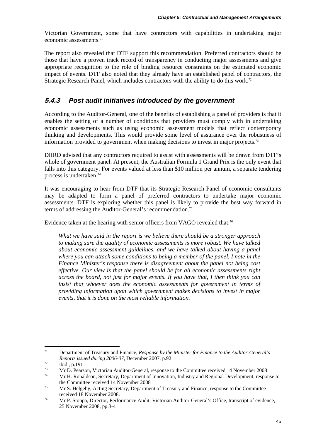Victorian Government, some that have contractors with capabilities in undertaking major economic assessments.71

The report also revealed that DTF support this recommendation. Preferred contractors should be those that have a proven track record of transparency in conducting major assessments and give appropriate recognition to the role of binding resource constraints on the estimated economic impact of events. DTF also noted that they already have an established panel of contractors, the Strategic Research Panel, which includes contractors with the ability to do this work.<sup>72</sup>

#### **5.4.3** *Post audit initiatives introduced by the government*

According to the Auditor-General, one of the benefits of establishing a panel of providers is that it enables the setting of a number of conditions that providers must comply with in undertaking economic assessments such as using economic assessment models that reflect contemporary thinking and developments. This would provide some level of assurance over the robustness of information provided to government when making decisions to invest in major projects.73

DIIRD advised that any contractors required to assist with assessments will be drawn from DTF's whole of government panel. At present, the Australian Formula 1 Grand Prix is the only event that falls into this category. For events valued at less than \$10 million per annum, a separate tendering process is undertaken.74

It was encouraging to hear from DTF that its Strategic Research Panel of economic consultants may be adapted to form a panel of preferred contractors to undertake major economic assessments. DTF is exploring whether this panel is likely to provide the best way forward in terms of addressing the Auditor-General's recommendation.<sup>75</sup>

Evidence taken at the hearing with senior officers from VAGO revealed that:<sup>76</sup>

*What we have said in the report is we believe there should be a stronger approach to making sure the quality of economic assessments is more robust. We have talked about economic assessment guidelines, and we have talked about having a panel where you can attach some conditions to being a member of the panel. I note in the Finance Minister's response there is disagreement about the panel not being cost effective. Our view is that the panel should be for all economic assessments right across the board, not just for major events. If you have that, I then think you can*  insist that whoever does the economic assessments for government in terms of *providing information upon which government makes decisions to invest in major events, that it is done on the most reliable information.* 

<sup>1</sup> 71 Department of Treasury and Finance, *Response by the Minister for Finance to the Auditor-General's Reports issued during 2006-07*, December 2007, p.92<br>
ibid., p.191<br>
Mg D. Bessen, Victorian Auditor General geogrape t

 $73$  Mr D. Pearson, Victorian Auditor-General, response to the Committee received 14 November 2008 Mr H. Ronaldson, Secretary, Department of Innovation, Industry and Regional Development, response to

the Committee received 14 November 2008<br>
<sup>75</sup> Mr S. Helgeby, Acting Secretary, Department of Treasury and Finance, response to the Committee

received 18 November 2008.<br><sup>76</sup> Mr P. Stoppa, Director, Performance Audit, Victorian Auditor-General's Office, transcript of evidence, 25 November 2008, pp.3-4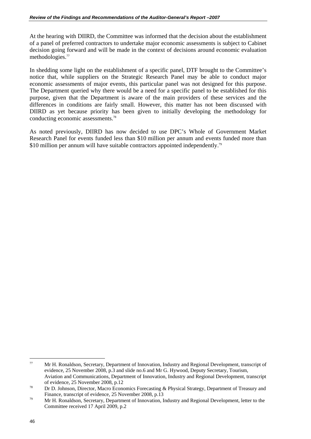At the hearing with DIIRD, the Committee was informed that the decision about the establishment of a panel of preferred contractors to undertake major economic assessments is subject to Cabinet decision going forward and will be made in the context of decisions around economic evaluation methodologies.77

In shedding some light on the establishment of a specific panel, DTF brought to the Committee's notice that, while suppliers on the Strategic Research Panel may be able to conduct major economic assessments of major events, this particular panel was not designed for this purpose. The Department queried why there would be a need for a specific panel to be established for this purpose, given that the Department is aware of the main providers of these services and the differences in conditions are fairly small. However, this matter has not been discussed with DIIRD as yet because priority has been given to initially developing the methodology for conducting economic assessments.78

As noted previously, DIIRD has now decided to use DPC's Whole of Government Market Research Panel for events funded less than \$10 million per annum and events funded more than \$10 million per annum will have suitable contractors appointed independently.<sup>79</sup>

 $77$ 77 Mr H. Ronaldson, Secretary, Department of Innovation, Industry and Regional Development, transcript of evidence, 25 November 2008, p.3 and slide no.6 and Mr G. Hywood, Deputy Secretary, Tourism, Aviation and Communications, Department of Innovation, Industry and Regional Development, transcript of evidence, 25 November 2008, p.12<br>
<sup>78</sup> Dr D. Johnson, Director, Macro Economics Forecasting & Physical Strategy, Department of Treasury and

Finance, transcript of evidence, 25 November 2008, p.13<br>Mr H. Ronaldson, Secretary, Department of Innovation, Industry and Regional Development, letter to the Committee received 17 April 2009, p.2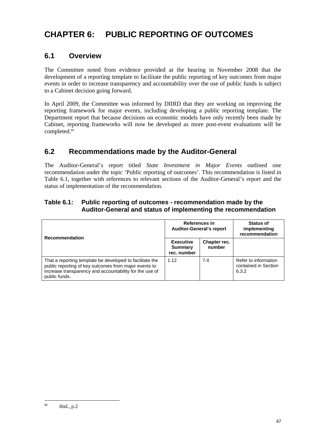# **CHAPTER 6: PUBLIC REPORTING OF OUTCOMES**

## **6.1 Overview**

The Committee noted from evidence provided at the hearing in November 2008 that the development of a reporting template to facilitate the public reporting of key outcomes from major events in order to increase transparency and accountability over the use of public funds is subject to a Cabinet decision going forward.

In April 2009, the Committee was informed by DIIRD that they are working on improving the reporting framework for major events, including developing a public reporting template. The Department report that because decisions on economic models have only recently been made by Cabinet, reporting frameworks will now be developed as more post-event evaluations will be completed.<sup>80</sup>

## **6.2 Recommendations made by the Auditor-General**

The Auditor-General's report titled *State Investment in Major Events* outlined one recommendation under the topic 'Public reporting of outcomes'. This recommendation is listed in Table 6.1, together with references to relevant sections of the Auditor-General's report and the status of implementation of the recommendation.

#### **Table 6.1: Public reporting of outcomes - recommendation made by the Auditor-General and status of implementing the recommendation**

| <b>Recommendation</b>                                                                                                                                                                         | References in<br><b>Auditor-General's report</b>  |                        | <b>Status of</b><br>implementing<br>recommendation    |
|-----------------------------------------------------------------------------------------------------------------------------------------------------------------------------------------------|---------------------------------------------------|------------------------|-------------------------------------------------------|
|                                                                                                                                                                                               | <b>Executive</b><br><b>Summary</b><br>rec. number | Chapter rec.<br>number |                                                       |
| That a reporting template be developed to facilitate the<br>public reporting of key outcomes from major events to<br>increase transparency and accountability for the use of<br>public funds. | 1.12                                              | 7.4                    | Refer to information<br>contained in Section<br>6.3.2 |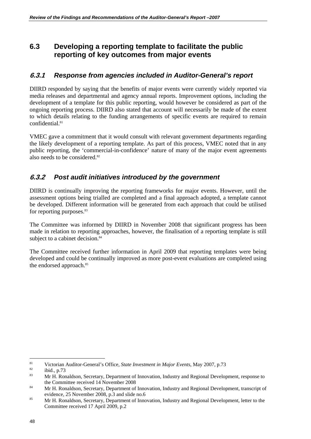## **6.3 Developing a reporting template to facilitate the public reporting of key outcomes from major events**

#### **6.3.1** *Response from agencies included in Auditor-General's report*

DIIRD responded by saying that the benefits of major events were currently widely reported via media releases and departmental and agency annual reports. Improvement options, including the development of a template for this public reporting, would however be considered as part of the ongoing reporting process. DIIRD also stated that account will necessarily be made of the extent to which details relating to the funding arrangements of specific events are required to remain confidential.<sup>81</sup>

VMEC gave a commitment that it would consult with relevant government departments regarding the likely development of a reporting template. As part of this process, VMEC noted that in any public reporting, the 'commercial-in-confidence' nature of many of the major event agreements also needs to be considered.<sup>82</sup>

#### **6.3.2** *Post audit initiatives introduced by the government*

DIIRD is continually improving the reporting frameworks for major events. However, until the assessment options being trialled are completed and a final approach adopted, a template cannot be developed. Different information will be generated from each approach that could be utilised for reporting purposes.<sup>83</sup>

The Committee was informed by DIIRD in November 2008 that significant progress has been made in relation to reporting approaches, however, the finalisation of a reporting template is still subject to a cabinet decision. $84$ 

The Committee received further information in April 2009 that reporting templates were being developed and could be continually improved as more post-event evaluations are completed using the endorsed approach.<sup>85</sup>

<sup>81</sup> 81 Victorian Auditor-General's Office, *State Investment in Major Events*, May 2007, p.73<br>
82 ibid., p.73<br>
82 MeV. Dependence Developed of Learn die Jackson Device Developed

Mr H. Ronaldson, Secretary, Department of Innovation, Industry and Regional Development, response to the Committee received 14 November 2008

<sup>&</sup>lt;sup>84</sup> Mr H. Ronaldson, Secretary, Department of Innovation, Industry and Regional Development, transcript of

evidence, 25 November 2008, p.3 and slide no.6<br>
<sup>85</sup> Mr H. Ronaldson, Secretary, Department of Innovation, Industry and Regional Development, letter to the Committee received 17 April 2009, p.2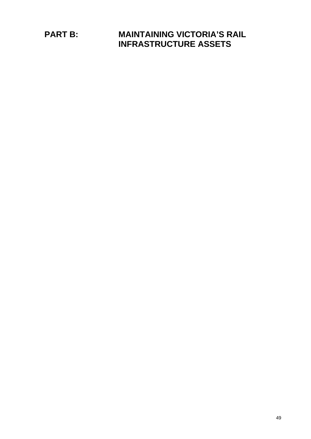**PART B: MAINTAINING VICTORIA'S RAIL INFRASTRUCTURE ASSETS**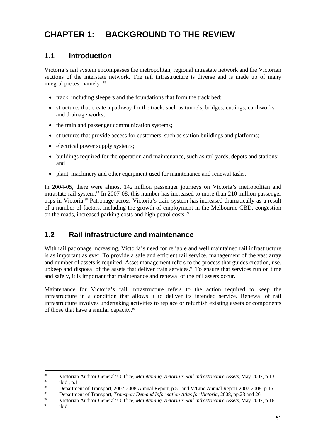# **CHAPTER 1: BACKGROUND TO THE REVIEW**

## **1.1 Introduction**

Victoria's rail system encompasses the metropolitan, regional intrastate network and the Victorian sections of the interstate network. The rail infrastructure is diverse and is made up of many integral pieces, namely: 86

- track, including sleepers and the foundations that form the track bed;
- structures that create a pathway for the track, such as tunnels, bridges, cuttings, earthworks and drainage works;
- the train and passenger communication systems;
- structures that provide access for customers, such as station buildings and platforms;
- electrical power supply systems:
- buildings required for the operation and maintenance, such as rail yards, depots and stations; and
- plant, machinery and other equipment used for maintenance and renewal tasks.

In 2004-05, there were almost 142 million passenger journeys on Victoria's metropolitan and intrastate rail system.<sup>87</sup> In 2007-08, this number has increased to more than 210 million passenger trips in Victoria.88 Patronage across Victoria's train system has increased dramatically as a result of a number of factors, including the growth of employment in the Melbourne CBD, congestion on the roads, increased parking costs and high petrol costs.<sup>89</sup>

## **1.2 Rail infrastructure and maintenance**

With rail patronage increasing, Victoria's need for reliable and well maintained rail infrastructure is as important as ever. To provide a safe and efficient rail service, management of the vast array and number of assets is required. Asset management refers to the process that guides creation, use, upkeep and disposal of the assets that deliver train services.<sup>90</sup> To ensure that services run on time and safely, it is important that maintenance and renewal of the rail assets occur.

Maintenance for Victoria's rail infrastructure refers to the action required to keep the infrastructure in a condition that allows it to deliver its intended service. Renewal of rail infrastructure involves undertaking activities to replace or refurbish existing assets or components of those that have a similar capacity.<sup>91</sup>

1 <sup>86</sup> Victorian Auditor-General's Office, *Maintaining Victoria's Rail Infrastructure Assets*, May 2007, p.13<br><sup>87</sup> ibid., p.11<br><sup>87</sup> 1007, 2007, 2007, 2007, 2007, 2007, 2007, 2007, 2007, 2007, 2007, 2007, 2007, 2007, 2007, 2

<sup>&</sup>lt;sup>88</sup> Department of Transport, 2007-2008 Annual Report, p.51 and V/Line Annual Report 2007-2008, p.15

<sup>&</sup>lt;sup>89</sup> Department of Transport, *Transport Demand Information Atlas for Victoria*, 2008, pp.23 and 26<br><sup>90</sup> Victorian Auditor-General's Office, *Maintaining Victoria's Rail Infrastructure Assets*, May 2007, p 16<br><sup>91</sup> ibid.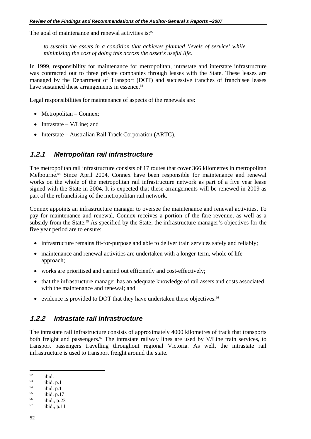The goal of maintenance and renewal activities is:<sup>92</sup>

*to sustain the assets in a condition that achieves planned 'levels of service' while minimising the cost of doing this across the asset's useful life.* 

In 1999, responsibility for maintenance for metropolitan, intrastate and interstate infrastructure was contracted out to three private companies through leases with the State. These leases are managed by the Department of Transport (DOT) and successive tranches of franchisee leases have sustained these arrangements in essence.<sup>93</sup>

Legal responsibilities for maintenance of aspects of the renewals are:

- Metropolitan Connex;
- Intrastate V/Line; and
- Interstate Australian Rail Track Corporation (ARTC).

#### **1.2.1** *Metropolitan rail infrastructure*

The metropolitan rail infrastructure consists of 17 routes that cover 366 kilometres in metropolitan Melbourne.<sup>94</sup> Since April 2004, Connex have been responsible for maintenance and renewal works on the whole of the metropolitan rail infrastructure network as part of a five year lease signed with the State in 2004. It is expected that these arrangements will be renewed in 2009 as part of the refranchising of the metropolitan rail network.

Connex appoints an infrastructure manager to oversee the maintenance and renewal activities. To pay for maintenance and renewal, Connex receives a portion of the fare revenue, as well as a subsidy from the State.<sup>95</sup> As specified by the State, the infrastructure manager's objectives for the five year period are to ensure:

- infrastructure remains fit-for-purpose and able to deliver train services safely and reliably;
- maintenance and renewal activities are undertaken with a longer-term, whole of life approach;
- works are prioritised and carried out efficiently and cost-effectively;
- that the infrastructure manager has an adequate knowledge of rail assets and costs associated with the maintenance and renewal; and
- evidence is provided to DOT that they have undertaken these objectives.<sup>96</sup>

#### **1.2.2** *Intrastate rail infrastructure*

The intrastate rail infrastructure consists of approximately 4000 kilometres of track that transports both freight and passengers.<sup>97</sup> The intrastate railway lines are used by V/Line train services, to transport passengers travelling throughout regional Victoria. As well, the intrastate rail infrastructure is used to transport freight around the state.

 $92$  $\frac{92}{93}$  ibid.

 $^{93}_{94}$  ibid. p.1

 $^{94}$  ibid. p.11

<sup>&</sup>lt;sup>95</sup> ibid. p.17<br>
<sup>96</sup> ibid., p.23<br>
<sup>97</sup> ibid., p.11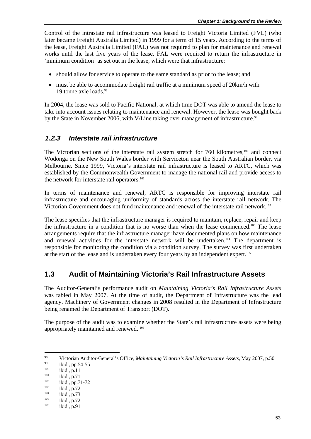Control of the intrastate rail infrastructure was leased to Freight Victoria Limited (FVL) (who later became Freight Australia Limited) in 1999 for a term of 15 years. According to the terms of the lease, Freight Australia Limited (FAL) was not required to plan for maintenance and renewal works until the last five years of the lease. FAL were required to return the infrastructure in 'minimum condition' as set out in the lease, which were that infrastructure:

- should allow for service to operate to the same standard as prior to the lease; and
- must be able to accommodate freight rail traffic at a minimum speed of 20km/h with 19 tonne axle loads.98

In 2004, the lease was sold to Pacific National, at which time DOT was able to amend the lease to take into account issues relating to maintenance and renewal. However, the lease was bought back by the State in November 2006, with V/Line taking over management of infrastructure.<sup>99</sup>

#### **1.2.3** *Interstate rail infrastructure*

The Victorian sections of the interstate rail system stretch for  $760$  kilometres,<sup>100</sup> and connect Wodonga on the New South Wales border with Serviceton near the South Australian border, via Melbourne. Since 1999, Victoria's interstate rail infrastructure is leased to ARTC, which was established by the Commonwealth Government to manage the national rail and provide access to the network for interstate rail operators.<sup>101</sup>

In terms of maintenance and renewal, ARTC is responsible for improving interstate rail infrastructure and encouraging uniformity of standards across the interstate rail network. The Victorian Government does not fund maintenance and renewal of the interstate rail network.<sup>102</sup>

The lease specifies that the infrastructure manager is required to maintain, replace, repair and keep the infrastructure in a condition that is no worse than when the lease commenced.103 The lease arrangements require that the infrastructure manager have documented plans on how maintenance and renewal activities for the interstate network will be undertaken.<sup>104</sup> The department is responsible for monitoring the condition via a condition survey. The survey was first undertaken at the start of the lease and is undertaken every four years by an independent expert.<sup>105</sup>

#### **1.3 Audit of Maintaining Victoria's Rail Infrastructure Assets**

The Auditor-General's performance audit on *Maintaining Victoria's Rail Infrastructure Assets* was tabled in May 2007. At the time of audit, the Department of Infrastructure was the lead agency. Machinery of Government changes in 2008 resulted in the Department of Infrastructure being renamed the Department of Transport (DOT).

The purpose of the audit was to examine whether the State's rail infrastructure assets were being appropriately maintained and renewed. 106

<sup>98</sup> <sup>98</sup><br>
Victorian Auditor-General's Office, *Maintaining Victoria's Rail Infrastructure Assets*, May 2007, p.50<br>
<sup>100</sup><br>
<sup>101</sup><br>
<sup>101</sup><br>
<sup>101</sup><br>
<sup>101</sup><br>
<sup>102</sup><br>
<sup>103</sup><br>
<sup>103</sup><br>
<sup>103</sup><br>
<sup>104</sup><br>
<sup>103</sup><br>
<sup>104</sup><br>
<sup>103</sup><br>
<sup>104</sup><br> **104**<br>
<sub>104</sub><br>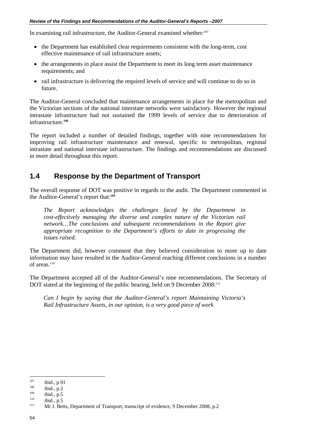In examining rail infrastructure, the Auditor-General examined whether:<sup>107</sup>

- the Department has established clear requirements consistent with the long-term, cost effective maintenance of rail infrastructure assets;
- the arrangements in place assist the Department to meet its long term asset maintenance requirements; and
- rail infrastructure is delivering the required levels of service and will continue to do so in future.

The Auditor-General concluded that maintenance arrangements in place for the metropolitan and the Victorian sections of the national interstate networks were satisfactory. However the regional intrastate infrastructure had not sustained the 1999 levels of service due to deterioration of infrastructure.**<sup>108</sup>**

The report included a number of detailed findings, together with nine recommendations for improving rail infrastructure maintenance and renewal, specific to metropolitan, regional intrastate and national interstate infrastructure. The findings and recommendations are discussed in more detail throughout this report.

## **1.4 Response by the Department of Transport**

The overall response of DOT was positive in regards to the audit. The Department commented in the Auditor-General's report that:**<sup>109</sup>**

*The Report acknowledges the challenges faced by the Department in cost-effectively managing the diverse and complex nature of the Victorian rail network…The conclusions and subsequent recommendations in the Report give appropriate recognition to the Department's efforts to date in progressing the issues raised.* 

The Department did, however comment that they believed consideration to more up to date information may have resulted in the Auditor-General reaching different conclusions in a number of areas.<sup>110</sup>

The Department accepted all of the Auditor-General's nine recommendations. The Secretary of DOT stated at the beginning of the public hearing, held on 9 December 2008:<sup>111</sup>

*Can I begin by saying that the Auditor-General's report Maintaining Victoria's Rail Infrastructure Assets, in our opinion, is a very good piece of work* 

<sup>107</sup> 

<sup>107</sup> ibid., p.91<br>
108 ibid., p.2<br>
109 ibid., p.5<br>
111 Mr J. Betts, Department of Transport, transcript of evidence, 9 December 2008, p.2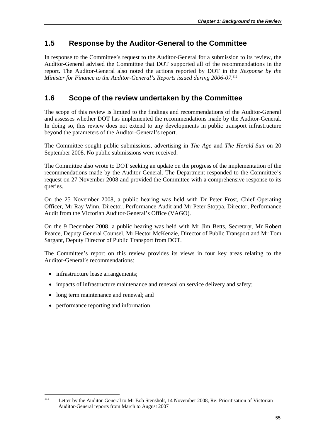## **1.5 Response by the Auditor-General to the Committee**

In response to the Committee's request to the Auditor-General for a submission to its review, the Auditor-General advised the Committee that DOT supported all of the recommendations in the report. The Auditor-General also noted the actions reported by DOT in the *Response by the*  Minister for Finance to the Auditor-General's Reports issued during 2006-07.<sup>112</sup>

## **1.6 Scope of the review undertaken by the Committee**

The scope of this review is limited to the findings and recommendations of the Auditor-General and assesses whether DOT has implemented the recommendations made by the Auditor-General. In doing so, this review does not extend to any developments in public transport infrastructure beyond the parameters of the Auditor-General's report.

The Committee sought public submissions, advertising in *The Age* and *The Herald-Sun* on 20 September 2008. No public submissions were received.

The Committee also wrote to DOT seeking an update on the progress of the implementation of the recommendations made by the Auditor-General. The Department responded to the Committee's request on 27 November 2008 and provided the Committee with a comprehensive response to its queries.

On the 25 November 2008, a public hearing was held with Dr Peter Frost, Chief Operating Officer, Mr Ray Winn, Director, Performance Audit and Mr Peter Stoppa, Director, Performance Audit from the Victorian Auditor-General's Office (VAGO).

On the 9 December 2008, a public hearing was held with Mr Jim Betts, Secretary, Mr Robert Pearce, Deputy General Counsel, Mr Hector McKenzie, Director of Public Transport and Mr Tom Sargant, Deputy Director of Public Transport from DOT.

The Committee's report on this review provides its views in four key areas relating to the Auditor-General's recommendations:

- infrastructure lease arrangements;
- impacts of infrastructure maintenance and renewal on service delivery and safety;
- long term maintenance and renewal; and
- performance reporting and information.

 $112$ Letter by the Auditor-General to Mr Bob Stensholt, 14 November 2008, Re: Prioritisation of Victorian Auditor-General reports from March to August 2007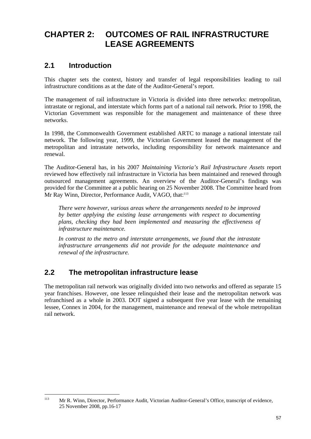# **CHAPTER 2: OUTCOMES OF RAIL INFRASTRUCTURE LEASE AGREEMENTS**

## **2.1 Introduction**

This chapter sets the context, history and transfer of legal responsibilities leading to rail infrastructure conditions as at the date of the Auditor-General's report.

The management of rail infrastructure in Victoria is divided into three networks: metropolitan, intrastate or regional, and interstate which forms part of a national rail network. Prior to 1998, the Victorian Government was responsible for the management and maintenance of these three networks.

In 1998, the Commonwealth Government established ARTC to manage a national interstate rail network. The following year, 1999, the Victorian Government leased the management of the metropolitan and intrastate networks, including responsibility for network maintenance and renewal.

The Auditor-General has, in his 2007 *Maintaining Victoria's Rail Infrastructure Assets* report reviewed how effectively rail infrastructure in Victoria has been maintained and renewed through outsourced management agreements. An overview of the Auditor-General's findings was provided for the Committee at a public hearing on 25 November 2008. The Committee heard from Mr Ray Winn, Director, Performance Audit, VAGO, that:<sup>113</sup>

*There were however, various areas where the arrangements needed to be improved by better applying the existing lease arrangements with respect to documenting plans, checking they had been implemented and measuring the effectiveness of infrastructure maintenance.* 

*In contrast to the metro and interstate arrangements, we found that the intrastate infrastructure arrangements did not provide for the adequate maintenance and renewal of the infrastructure.* 

## **2.2 The metropolitan infrastructure lease**

The metropolitan rail network was originally divided into two networks and offered as separate 15 year franchises. However, one lessee relinquished their lease and the metropolitan network was refranchised as a whole in 2003. DOT signed a subsequent five year lease with the remaining lessee, Connex in 2004, for the management, maintenance and renewal of the whole metropolitan rail network.

 $113$ 113 Mr R. Winn, Director, Performance Audit, Victorian Auditor-General's Office, transcript of evidence, 25 November 2008, pp.16-17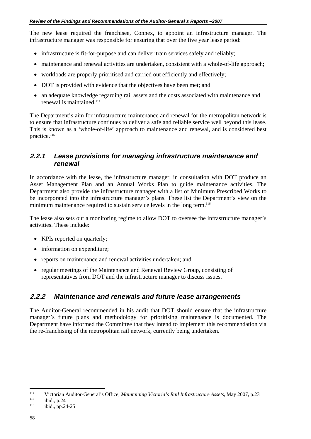The new lease required the franchisee, Connex, to appoint an infrastructure manager. The infrastructure manager was responsible for ensuring that over the five year lease period:

- infrastructure is fit-for-purpose and can deliver train services safely and reliably;
- maintenance and renewal activities are undertaken, consistent with a whole-of-life approach;
- workloads are properly prioritised and carried out efficiently and effectively;
- DOT is provided with evidence that the objectives have been met; and
- an adequate knowledge regarding rail assets and the costs associated with maintenance and renewal is maintained.114

The Department's aim for infrastructure maintenance and renewal for the metropolitan network is to ensure that infrastructure continues to deliver a safe and reliable service well beyond this lease. This is known as a 'whole-of-life' approach to maintenance and renewal, and is considered best practice.<sup>115</sup>

#### **2.2.1** *Lease provisions for managing infrastructure maintenance and renewal*

In accordance with the lease, the infrastructure manager, in consultation with DOT produce an Asset Management Plan and an Annual Works Plan to guide maintenance activities. The Department also provide the infrastructure manager with a list of Minimum Prescribed Works to be incorporated into the infrastructure manager's plans. These list the Department's view on the minimum maintenance required to sustain service levels in the long term.<sup>116</sup>

The lease also sets out a monitoring regime to allow DOT to oversee the infrastructure manager's activities. These include:

- KPIs reported on quarterly:
- information on expenditure;
- reports on maintenance and renewal activities undertaken; and
- regular meetings of the Maintenance and Renewal Review Group, consisting of representatives from DOT and the infrastructure manager to discuss issues.

#### **2.2.2** *Maintenance and renewals and future lease arrangements*

The Auditor-General recommended in his audit that DOT should ensure that the infrastructure manager's future plans and methodology for prioritising maintenance is documented. The Department have informed the Committee that they intend to implement this recommendation via the re-franchising of the metropolitan rail network, currently being undertaken.

 $\overline{a}$ 

<sup>114</sup> Victorian Auditor-General's Office, *Maintaining Victoria's Rail Infrastructure Assets*, May 2007, p.23<br>
<sup>115</sup> ibid., pp.24-25<br>
<sup>116</sup> ibid., pp.24-25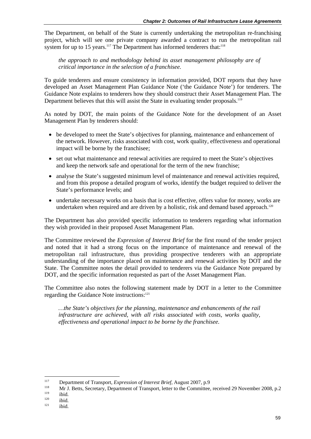The Department, on behalf of the State is currently undertaking the metropolitan re-franchising project, which will see one private company awarded a contract to run the metropolitan rail system for up to 15 years.<sup>117</sup> The Department has informed tenderers that:<sup>118</sup>

*the approach to and methodology behind its asset management philosophy are of critical importance in the selection of a franchisee.* 

To guide tenderers and ensure consistency in information provided, DOT reports that they have developed an Asset Management Plan Guidance Note ('the Guidance Note') for tenderers. The Guidance Note explains to tenderers how they should construct their Asset Management Plan. The Department believes that this will assist the State in evaluating tender proposals.<sup>119</sup>

As noted by DOT, the main points of the Guidance Note for the development of an Asset Management Plan by tenderers should:

- be developed to meet the State's objectives for planning, maintenance and enhancement of the network. However, risks associated with cost, work quality, effectiveness and operational impact will be borne by the franchisee;
- set out what maintenance and renewal activities are required to meet the State's objectives and keep the network safe and operational for the term of the new franchise;
- analyse the State's suggested minimum level of maintenance and renewal activities required, and from this propose a detailed program of works, identify the budget required to deliver the State's performance levels; and
- undertake necessary works on a basis that is cost effective, offers value for money, works are undertaken when required and are driven by a holistic, risk and demand based approach.<sup>120</sup>

The Department has also provided specific information to tenderers regarding what information they wish provided in their proposed Asset Management Plan.

The Committee reviewed the *Expression of Interest Brief* for the first round of the tender project and noted that it had a strong focus on the importance of maintenance and renewal of the metropolitan rail infrastructure, thus providing prospective tenderers with an appropriate understanding of the importance placed on maintenance and renewal activities by DOT and the State. The Committee notes the detail provided to tenderers via the Guidance Note prepared by DOT, and the specific information requested as part of the Asset Management Plan.

The Committee also notes the following statement made by DOT in a letter to the Committee regarding the Guidance Note instructions:<sup>121</sup>

*…the State's objectives for the planning, maintenance and enhancements of the rail infrastructure are achieved, with all risks associated with costs, works quality, effectiveness and operational impact to be borne by the franchisee.* 

<sup>117</sup> 

<sup>117</sup> Department of Transport, *Expression of Interest Brief*, August 2007, p.9<br>
118 Mr J. Betts, Secretary, Department of Transport, letter to the Committee, received 29 November 2008, p.2<br>
120 ibid.<br>
121 ibid.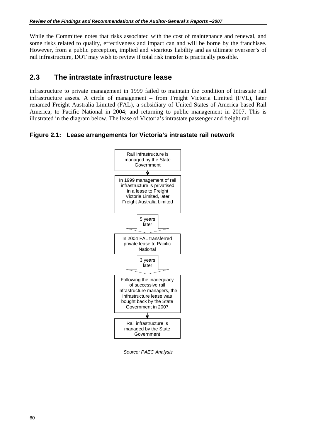While the Committee notes that risks associated with the cost of maintenance and renewal, and some risks related to quality, effectiveness and impact can and will be borne by the franchisee. However, from a public perception, implied and vicarious liability and as ultimate overseer's of rail infrastructure, DOT may wish to review if total risk transfer is practically possible.

## **2.3 The intrastate infrastructure lease**

infrastructure to private management in 1999 failed to maintain the condition of intrastate rail infrastructure assets. A circle of management – from Freight Victoria Limited (FVL), later renamed Freight Australia Limited (FAL), a subsidiary of United States of America based Rail America; to Pacific National in 2004; and returning to public management in 2007. This is illustrated in the diagram below. The lease of Victoria's intrastate passenger and freight rail

**Figure 2.1: Lease arrangements for Victoria's intrastate rail network** 



 *Source: PAEC Analysis*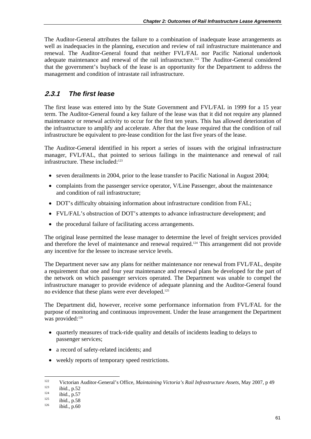The Auditor-General attributes the failure to a combination of inadequate lease arrangements as well as inadequacies in the planning, execution and review of rail infrastructure maintenance and renewal. The Auditor-General found that neither FVL/FAL nor Pacific National undertook adequate maintenance and renewal of the rail infrastructure.<sup>122</sup> The Auditor-General considered that the government's buyback of the lease is an opportunity for the Department to address the management and condition of intrastate rail infrastructure.

## **2.3.1** *The first lease*

The first lease was entered into by the State Government and FVL/FAL in 1999 for a 15 year term. The Auditor-General found a key failure of the lease was that it did not require any planned maintenance or renewal activity to occur for the first ten years. This has allowed deterioration of the infrastructure to amplify and accelerate. After that the lease required that the condition of rail infrastructure be equivalent to pre-lease condition for the last five years of the lease.

The Auditor-General identified in his report a series of issues with the original infrastructure manager, FVL/FAL, that pointed to serious failings in the maintenance and renewal of rail infrastructure. These included:<sup>123</sup>

- seven derailments in 2004, prior to the lease transfer to Pacific National in August 2004;
- complaints from the passenger service operator, V/Line Passenger, about the maintenance and condition of rail infrastructure;
- DOT's difficulty obtaining information about infrastructure condition from FAL;
- FVL/FAL's obstruction of DOT's attempts to advance infrastructure development; and
- the procedural failure of facilitating access arrangements.

The original lease permitted the lease manager to determine the level of freight services provided and therefore the level of maintenance and renewal required.<sup>124</sup> This arrangement did not provide any incentive for the lessee to increase service levels.

The Department never saw any plans for neither maintenance nor renewal from FVL/FAL, despite a requirement that one and four year maintenance and renewal plans be developed for the part of the network on which passenger services operated. The Department was unable to compel the infrastructure manager to provide evidence of adequate planning and the Auditor-General found no evidence that these plans were ever developed.125

The Department did, however, receive some performance information from FVL/FAL for the purpose of monitoring and continuous improvement. Under the lease arrangement the Department was provided: $126$ 

- quarterly measures of track-ride quality and details of incidents leading to delays to passenger services;
- a record of safety-related incidents; and
- weekly reports of temporary speed restrictions.

 $122$ 122 Victorian Auditor-General's Office, *Maintaining Victoria's Rail Infrastructure Assets*, May 2007, p 49<br>
123 ibid., p.52<br>
125 ibid., p.58<br>
126 ibid., p.60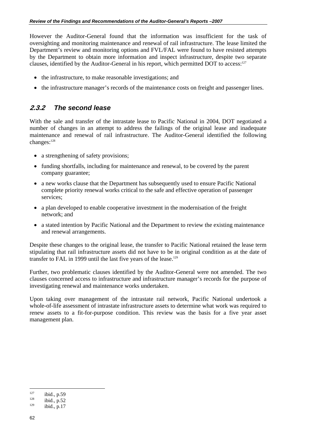However the Auditor-General found that the information was insufficient for the task of oversighting and monitoring maintenance and renewal of rail infrastructure. The lease limited the Department's review and monitoring options and FVL/FAL were found to have resisted attempts by the Department to obtain more information and inspect infrastructure, despite two separate clauses, identified by the Auditor-General in his report, which permitted DOT to access:<sup>127</sup>

- the infrastructure, to make reasonable investigations; and
- the infrastructure manager's records of the maintenance costs on freight and passenger lines.

#### **2.3.2** *The second lease*

With the sale and transfer of the intrastate lease to Pacific National in 2004, DOT negotiated a number of changes in an attempt to address the failings of the original lease and inadequate maintenance and renewal of rail infrastructure. The Auditor-General identified the following changes:<sup>128</sup>

- a strengthening of safety provisions;
- funding shortfalls, including for maintenance and renewal, to be covered by the parent company guarantee;
- a new works clause that the Department has subsequently used to ensure Pacific National complete priority renewal works critical to the safe and effective operation of passenger services;
- a plan developed to enable cooperative investment in the modernisation of the freight network; and
- a stated intention by Pacific National and the Department to review the existing maintenance and renewal arrangements.

Despite these changes to the original lease, the transfer to Pacific National retained the lease term stipulating that rail infrastructure assets did not have to be in original condition as at the date of transfer to FAL in 1999 until the last five years of the lease.<sup>129</sup>

Further, two problematic clauses identified by the Auditor-General were not amended. The two clauses concerned access to infrastructure and infrastructure manager's records for the purpose of investigating renewal and maintenance works undertaken.

Upon taking over management of the intrastate rail network, Pacific National undertook a whole-of-life assessment of intrastate infrastructure assets to determine what work was required to renew assets to a fit-for-purpose condition. This review was the basis for a five year asset management plan.

 $\overline{a}$ <sup>127</sup> ibid., p.59<br><sup>128</sup> ibid., p.52<br><sup>129</sup> ibid., p.17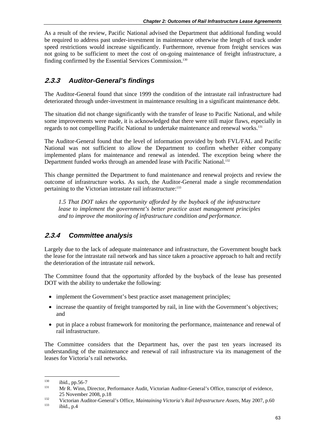As a result of the review, Pacific National advised the Department that additional funding would be required to address past under-investment in maintenance otherwise the length of track under speed restrictions would increase significantly. Furthermore, revenue from freight services was not going to be sufficient to meet the cost of on-going maintenance of freight infrastructure, a finding confirmed by the Essential Services Commission.130

## **2.3.3** *Auditor-General's findings*

The Auditor-General found that since 1999 the condition of the intrastate rail infrastructure had deteriorated through under-investment in maintenance resulting in a significant maintenance debt.

The situation did not change significantly with the transfer of lease to Pacific National, and while some improvements were made, it is acknowledged that there were still major flaws, especially in regards to not compelling Pacific National to undertake maintenance and renewal works.<sup>131</sup>

The Auditor-General found that the level of information provided by both FVL/FAL and Pacific National was not sufficient to allow the Department to confirm whether either company implemented plans for maintenance and renewal as intended. The exception being where the Department funded works through an amended lease with Pacific National.<sup>132</sup>

This change permitted the Department to fund maintenance and renewal projects and review the outcome of infrastructure works. As such, the Auditor-General made a single recommendation pertaining to the Victorian intrastate rail infrastructure:<sup>133</sup>

*1.5 That DOT takes the opportunity afforded by the buyback of the infrastructure lease to implement the government's better practice asset management principles and to improve the monitoring of infrastructure condition and performance.* 

## **2.3.4** *Committee analysis*

Largely due to the lack of adequate maintenance and infrastructure, the Government bought back the lease for the intrastate rail network and has since taken a proactive approach to halt and rectify the deterioration of the intrastate rail network.

The Committee found that the opportunity afforded by the buyback of the lease has presented DOT with the ability to undertake the following:

- implement the Government's best practice asset management principles;
- increase the quantity of freight transported by rail, in line with the Government's objectives; and
- put in place a robust framework for monitoring the performance, maintenance and renewal of rail infrastructure.

The Committee considers that the Department has, over the past ten years increased its understanding of the maintenance and renewal of rail infrastructure via its management of the leases for Victoria's rail networks.

<sup>130</sup> 

<sup>&</sup>lt;sup>130</sup> ibid., pp.56-7<br><sup>131</sup> Mr R. Winn, Director, Performance Audit, Victorian Auditor-General's Office, transcript of evidence,

<sup>25</sup> November 2008, p.18<br>
Victorian Auditor-General's Office, *Maintaining Victoria's Rail Infrastructure Assets*, May 2007, p.60<br>
<sup>133</sup> ibid., p.4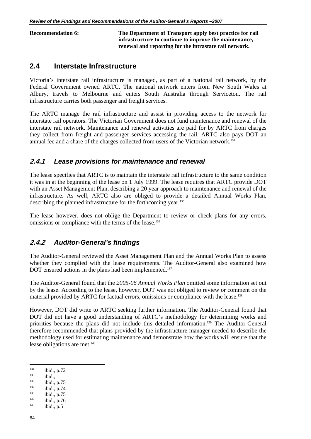**Recommendation 6: The Department of Transport apply best practice for rail infrastructure to continue to improve the maintenance, renewal and reporting for the intrastate rail network.** 

## **2.4 Interstate Infrastructure**

Victoria's interstate rail infrastructure is managed, as part of a national rail network, by the Federal Government owned ARTC. The national network enters from New South Wales at Albury, travels to Melbourne and enters South Australia through Serviceton. The rail infrastructure carries both passenger and freight services.

The ARTC manage the rail infrastructure and assist in providing access to the network for interstate rail operators. The Victorian Government does not fund maintenance and renewal of the interstate rail network. Maintenance and renewal activities are paid for by ARTC from charges they collect from freight and passenger services accessing the rail. ARTC also pays DOT an annual fee and a share of the charges collected from users of the Victorian network.<sup>134</sup>

#### **2.4.1** *Lease provisions for maintenance and renewal*

The lease specifies that ARTC is to maintain the interstate rail infrastructure to the same condition it was in at the beginning of the lease on 1 July 1999. The lease requires that ARTC provide DOT with an Asset Management Plan, describing a 20 year approach to maintenance and renewal of the infrastructure. As well, ARTC also are obliged to provide a detailed Annual Works Plan, describing the planned infrastructure for the forthcoming year.135

The lease however, does not oblige the Department to review or check plans for any errors, omissions or compliance with the terms of the lease.<sup>136</sup>

#### **2.4.2** *Auditor-General's findings*

The Auditor-General reviewed the Asset Management Plan and the Annual Works Plan to assess whether they complied with the lease requirements. The Auditor-General also examined how DOT ensured actions in the plans had been implemented.<sup>137</sup>

The Auditor-General found that the *2005-06 Annual Works Plan* omitted some information set out by the lease. According to the lease, however, DOT was not obliged to review or comment on the material provided by ARTC for factual errors, omissions or compliance with the lease.138

However, DOT did write to ARTC seeking further information. The Auditor-General found that DOT did not have a good understanding of ARTC's methodology for determining works and priorities because the plans did not include this detailed information.139 The Auditor-General therefore recommended that plans provided by the infrastructure manager needed to describe the methodology used for estimating maintenance and demonstrate how the works will ensure that the lease obligations are met.<sup>140</sup>

 $\overline{a}$ 

<sup>134</sup> ibid., p.72<br>
135 ibid., p.75<br>
137 ibid., p.75<br>
138 ibid., p.75<br>
139 ibid., p.76<br>
140 ibid., p.5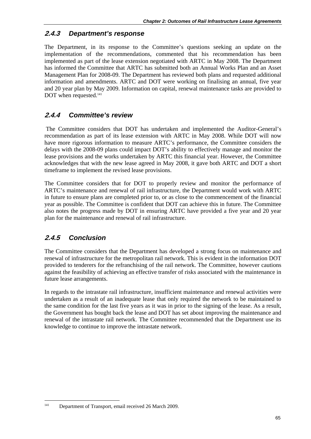#### **2.4.3** *Department's response*

The Department, in its response to the Committee's questions seeking an update on the implementation of the recommendations, commented that his recommendation has been implemented as part of the lease extension negotiated with ARTC in May 2008. The Department has informed the Committee that ARTC has submitted both an Annual Works Plan and an Asset Management Plan for 2008-09. The Department has reviewed both plans and requested additional information and amendments. ARTC and DOT were working on finalising an annual, five year and 20 year plan by May 2009. Information on capital, renewal maintenance tasks are provided to DOT when requested.<sup>141</sup>

#### **2.4.4** *Committee's review*

 The Committee considers that DOT has undertaken and implemented the Auditor-General's recommendation as part of its lease extension with ARTC in May 2008. While DOT will now have more rigorous information to measure ARTC's performance, the Committee considers the delays with the 2008-09 plans could impact DOT's ability to effectively manage and monitor the lease provisions and the works undertaken by ARTC this financial year. However, the Committee acknowledges that with the new lease agreed in May 2008, it gave both ARTC and DOT a short timeframe to implement the revised lease provisions.

The Committee considers that for DOT to properly review and monitor the performance of ARTC's maintenance and renewal of rail infrastructure, the Department would work with ARTC in future to ensure plans are completed prior to, or as close to the commencement of the financial year as possible. The Committee is confident that DOT can achieve this in future. The Committee also notes the progress made by DOT in ensuring ARTC have provided a five year and 20 year plan for the maintenance and renewal of rail infrastructure.

## **2.4.5** *Conclusion*

1

The Committee considers that the Department has developed a strong focus on maintenance and renewal of infrastructure for the metropolitan rail network. This is evident in the information DOT provided to tenderers for the refranchising of the rail network. The Committee, however cautions against the feasibility of achieving an effective transfer of risks associated with the maintenance in future lease arrangements.

In regards to the intrastate rail infrastructure, insufficient maintenance and renewal activities were undertaken as a result of an inadequate lease that only required the network to be maintained to the same condition for the last five years as it was in prior to the signing of the lease. As a result, the Government has bought back the lease and DOT has set about improving the maintenance and renewal of the intrastate rail network. The Committee recommended that the Department use its knowledge to continue to improve the intrastate network.

<sup>141</sup> Department of Transport, email received 26 March 2009.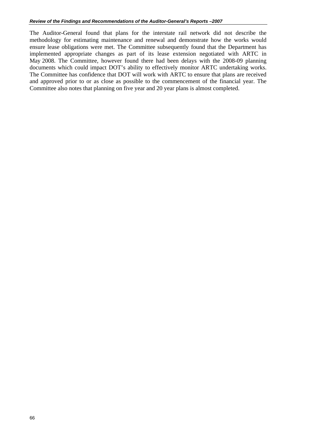The Auditor-General found that plans for the interstate rail network did not describe the methodology for estimating maintenance and renewal and demonstrate how the works would ensure lease obligations were met. The Committee subsequently found that the Department has implemented appropriate changes as part of its lease extension negotiated with ARTC in May 2008. The Committee, however found there had been delays with the 2008-09 planning documents which could impact DOT's ability to effectively monitor ARTC undertaking works. The Committee has confidence that DOT will work with ARTC to ensure that plans are received and approved prior to or as close as possible to the commencement of the financial year. The Committee also notes that planning on five year and 20 year plans is almost completed.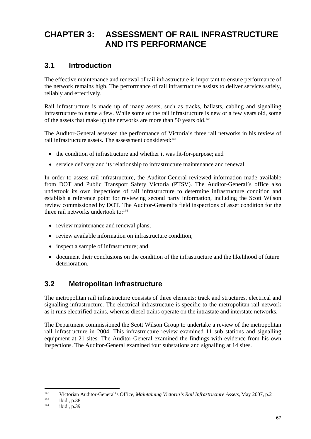# **CHAPTER 3: ASSESSMENT OF RAIL INFRASTRUCTURE AND ITS PERFORMANCE**

## **3.1 Introduction**

The effective maintenance and renewal of rail infrastructure is important to ensure performance of the network remains high. The performance of rail infrastructure assists to deliver services safely, reliably and effectively.

Rail infrastructure is made up of many assets, such as tracks, ballasts, cabling and signalling infrastructure to name a few. While some of the rail infrastructure is new or a few years old, some of the assets that make up the networks are more than 50 years old.<sup>142</sup>

The Auditor-General assessed the performance of Victoria's three rail networks in his review of rail infrastructure assets. The assessment considered:<sup>143</sup>

- the condition of infrastructure and whether it was fit-for-purpose; and
- service delivery and its relationship to infrastructure maintenance and renewal.

In order to assess rail infrastructure, the Auditor-General reviewed information made available from DOT and Public Transport Safety Victoria (PTSV). The Auditor-General's office also undertook its own inspections of rail infrastructure to determine infrastructure condition and establish a reference point for reviewing second party information, including the Scott Wilson review commissioned by DOT. The Auditor-General's field inspections of asset condition for the three rail networks undertook to:<sup>144</sup>

- review maintenance and renewal plans;
- review available information on infrastructure condition;
- inspect a sample of infrastructure; and
- document their conclusions on the condition of the infrastructure and the likelihood of future deterioration.

## **3.2 Metropolitan infrastructure**

The metropolitan rail infrastructure consists of three elements: track and structures, electrical and signalling infrastructure. The electrical infrastructure is specific to the metropolitan rail network as it runs electrified trains, whereas diesel trains operate on the intrastate and interstate networks.

The Department commissioned the Scott Wilson Group to undertake a review of the metropolitan rail infrastructure in 2004. This infrastructure review examined 11 sub stations and signalling equipment at 21 sites. The Auditor-General examined the findings with evidence from his own inspections. The Auditor-General examined four substations and signalling at 14 sites.

1

<sup>142</sup> Victorian Auditor-General's Office, *Maintaining Victoria's Rail Infrastructure Assets*, May 2007, p.2<br>
144 ibid., p.39<br>
144 ibid., p.39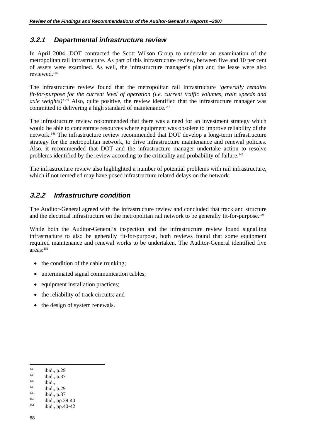#### **3.2.1** *Departmental infrastructure review*

In April 2004, DOT contracted the Scott Wilson Group to undertake an examination of the metropolitan rail infrastructure. As part of this infrastructure review, between five and 10 per cent of assets were examined. As well, the infrastructure manager's plan and the lease were also reviewed.145

The infrastructure review found that the metropolitan rail infrastructure *'generally remains fit-for-purpose for the current level of operation (i.e. current traffic volumes, train speeds and axle weights)'*146 Also, quite positive, the review identified that the infrastructure manager was committed to delivering a high standard of maintenance.<sup>147</sup>

The infrastructure review recommended that there was a need for an investment strategy which would be able to concentrate resources where equipment was obsolete to improve reliability of the network.148 The infrastructure review recommended that DOT develop a long-term infrastructure strategy for the metropolitan network, to drive infrastructure maintenance and renewal policies. Also, it recommended that DOT and the infrastructure manager undertake action to resolve problems identified by the review according to the criticality and probability of failure.<sup>149</sup>

The infrastructure review also highlighted a number of potential problems with rail infrastructure, which if not remedied may have posed infrastructure related delays on the network.

#### **3.2.2** *Infrastructure condition*

The Auditor-General agreed with the infrastructure review and concluded that track and structure and the electrical infrastructure on the metropolitan rail network to be generally fit-for-purpose.<sup>150</sup>

While both the Auditor-General's inspection and the infrastructure review found signalling infrastructure to also be generally fit-for-purpose, both reviews found that some equipment required maintenance and renewal works to be undertaken. The Auditor-General identified five areas:151

- the condition of the cable trunking;
- unterminated signal communication cables;
- equipment installation practices;
- the reliability of track circuits; and
- the design of system renewals.

 $\overline{a}$ 

<sup>145</sup> ibid., p.29<br>
<sup>146</sup> ibid., p.37<br>
<sup>148</sup> ibid., p.29<br>
<sup>149</sup> ibid., p.37<br>
<sup>150</sup> ibid., pp.39-40<br>
<sup>151</sup> ibid., pp.40-42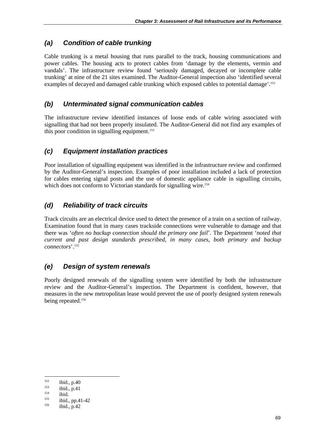## *(a) Condition of cable trunking*

Cable trunking is a metal housing that runs parallel to the track, housing communications and power cables. The housing acts to protect cables from 'damage by the elements, vermin and vandals'. The infrastructure review found 'seriously damaged, decayed or incomplete cable trunking' at nine of the 21 sites examined. The Auditor-General inspection also 'identified several examples of decayed and damaged cable trunking which exposed cables to potential damage'.<sup>152</sup>

## *(b) Unterminated signal communication cables*

The infrastructure review identified instances of loose ends of cable wiring associated with signalling that had not been properly insulated. The Auditor-General did not find any examples of this poor condition in signalling equipment.<sup>153</sup>

## *(c) Equipment installation practices*

Poor installation of signalling equipment was identified in the infrastructure review and confirmed by the Auditor-General's inspection. Examples of poor installation included a lack of protection for cables entering signal posts and the use of domestic appliance cable in signalling circuits, which does not conform to Victorian standards for signalling wire.<sup>154</sup>

## *(d) Reliability of track circuits*

Track circuits are an electrical device used to detect the presence of a train on a section of railway. Examination found that in many cases trackside connections were vulnerable to damage and that there was '*often no backup connection should the primary one fail*'. The Department '*noted that current and past design standards prescribed, in many cases, both primary and backup connectors*'.155

## *(e) Design of system renewals*

Poorly designed renewals of the signalling system were identified by both the infrastructure review and the Auditor-General's inspection. The Department is confident, however, that measures in the new metropolitan lease would prevent the use of poorly designed system renewals being repeated.<sup>156</sup>

1

<sup>&</sup>lt;sup>152</sup> ibid., p.40<br>
<sup>153</sup> ibid., p.41<br>
<sup>154</sup> ibid., pp.41-42<br>
<sup>156</sup> ibid., p.42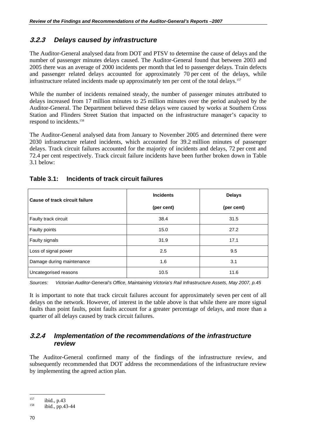### **3.2.3** *Delays caused by infrastructure*

The Auditor-General analysed data from DOT and PTSV to determine the cause of delays and the number of passenger minutes delays caused. The Auditor-General found that between 2003 and 2005 there was an average of 2000 incidents per month that led to passenger delays. Train defects and passenger related delays accounted for approximately 70 per cent of the delays, while infrastructure related incidents made up approximately ten per cent of the total delays.<sup>157</sup>

While the number of incidents remained steady, the number of passenger minutes attributed to delays increased from 17 million minutes to 25 million minutes over the period analysed by the Auditor-General. The Department believed these delays were caused by works at Southern Cross Station and Flinders Street Station that impacted on the infrastructure manager's capacity to respond to incidents.158

The Auditor-General analysed data from January to November 2005 and determined there were 2030 infrastructure related incidents, which accounted for 39.2 million minutes of passenger delays. Track circuit failures accounted for the majority of incidents and delays, 72 per cent and 72.4 per cent respectively. Track circuit failure incidents have been further broken down in Table 3.1 below:

| Cause of track circuit failure | <b>Incidents</b> | <b>Delays</b> |
|--------------------------------|------------------|---------------|
|                                | (per cent)       | (per cent)    |
| Faulty track circuit           | 38.4             | 31.5          |
| Faulty points                  | 15.0             | 27.2          |
| Faulty signals                 | 31.9             | 17.1          |
| Loss of signal power           | 2.5              | 9.5           |
| Damage during maintenance      | 1.6              | 3.1           |
| Uncategorised reasons          | 10.5             | 11.6          |

#### **Table 3.1: Incidents of track circuit failures**

*Sources: Victorian Auditor-General's Office, Maintaining Victoria's Rail Infrastructure Assets, May 2007, p.45* 

It is important to note that track circuit failures account for approximately seven per cent of all delays on the network. However, of interest in the table above is that while there are more signal faults than point faults, point faults account for a greater percentage of delays, and more than a quarter of all delays caused by track circuit failures.

#### **3.2.4** *Implementation of the recommendations of the infrastructure review*

The Auditor-General confirmed many of the findings of the infrastructure review, and subsequently recommended that DOT address the recommendations of the infrastructure review by implementing the agreed action plan.

 $\overline{a}$ 

<sup>&</sup>lt;sup>157</sup> ibid., p.43<br><sup>158</sup> ibid., pp.43-44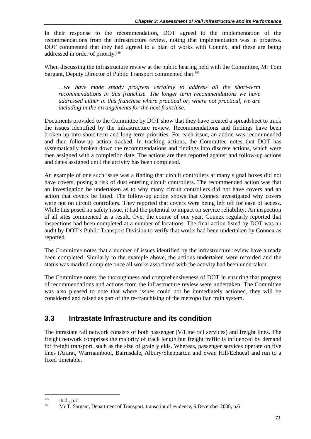In their response to the recommendation, DOT agreed to the implementation of the recommendations from the infrastructure review, noting that implementation was in progress. DOT commented that they had agreed to a plan of works with Connex, and these are being addressed in order of priority.159

When discussing the infrastructure review at the public hearing held with the Committee, Mr Tom Sargant, Deputy Director of Public Transport commented that:<sup>160</sup>

*…we have made steady progress certainly to address all the short-term recommendations in this franchise. The longer term recommendations we have addressed either in this franchise where practical or, where not practical, we are including in the arrangements for the next franchise.* 

Documents provided to the Committee by DOT show that they have created a spreadsheet to track the issues identified by the infrastructure review. Recommendations and findings have been broken up into short-term and long-term priorities. For each issue, an action was recommended and then follow-up action tracked. In tracking actions, the Committee notes that DOT has systematically broken down the recommendations and findings into discrete actions, which were then assigned with a completion date. The actions are then reported against and follow-up actions and dates assigned until the activity has been completed.

An example of one such issue was a finding that circuit controllers at many signal boxes did not have covers, posing a risk of dust entering circuit controllers. The recommended action was that an investigation be undertaken as to why many circuit controllers did not have covers and an action that covers be fitted. The follow-up action shows that Connex investigated why covers were not on circuit controllers. They reported that covers were being left off for ease of access. While this posed no safety issue, it had the potential to impact on service reliability. An inspection of all sites commenced as a result. Over the course of one year, Connex regularly reported that inspections had been completed at a number of locations. The final action listed by DOT was an audit by DOT's Public Transport Division to verify that works had been undertaken by Connex as reported.

The Committee notes that a number of issues identified by the infrastructure review have already been completed. Similarly to the example above, the actions undertaken were recorded and the status was marked complete once all works associated with the activity had been undertaken.

The Committee notes the thoroughness and comprehensiveness of DOT in ensuring that progress of recommendations and actions from the infrastructure review were undertaken. The Committee was also pleased to note that where issues could not be immediately actioned, they will be considered and raised as part of the re-franchising of the metropolitan train system.

## **3.3 Intrastate Infrastructure and its condition**

The intrastate rail network consists of both passenger (V/Line rail services) and freight lines. The freight network comprises the majority of track length but freight traffic is influenced by demand for freight transport, such as the size of grain yields. Whereas, passenger services operate on five lines (Ararat, Warrnambool, Bairnsdale, Albury/Shepparton and Swan Hill/Echuca) and run to a fixed timetable.

1

<sup>&</sup>lt;sup>159</sup> ibid., p.7<br><sup>160</sup> Mr T. Sargant, Department of Transport, transcript of evidence, 9 December 2008, p.6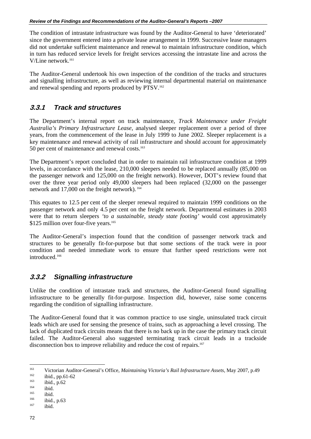The condition of intrastate infrastructure was found by the Auditor-General to have 'deteriorated' since the government entered into a private lease arrangement in 1999. Successive lease managers did not undertake sufficient maintenance and renewal to maintain infrastructure condition, which in turn has reduced service levels for freight services accessing the intrastate line and across the V/Line network.161

The Auditor-General undertook his own inspection of the condition of the tracks and structures and signalling infrastructure, as well as reviewing internal departmental material on maintenance and renewal spending and reports produced by PTSV.<sup>162</sup>

#### **3.3.1** *Track and structures*

The Department's internal report on track maintenance, *Track Maintenance under Freight Australia's Primary Infrastructure Lease*, analysed sleeper replacement over a period of three years, from the commencement of the lease in July 1999 to June 2002. Sleeper replacement is a key maintenance and renewal activity of rail infrastructure and should account for approximately 50 per cent of maintenance and renewal costs.<sup>163</sup>

The Department's report concluded that in order to maintain rail infrastructure condition at 1999 levels, in accordance with the lease, 210,000 sleepers needed to be replaced annually (85,000 on the passenger network and 125,000 on the freight network). However, DOT's review found that over the three year period only 49,000 sleepers had been replaced (32,000 on the passenger network and 17,000 on the freight network). 164

This equates to 12.5 per cent of the sleeper renewal required to maintain 1999 conditions on the passenger network and only 4.5 per cent on the freight network. Departmental estimates in 2003 were that to return sleepers *'to a sustainable, steady state footing'* would cost approximately \$125 million over four-five years.<sup>165</sup>

The Auditor-General's inspection found that the condition of passenger network track and structures to be generally fit-for-purpose but that some sections of the track were in poor condition and needed immediate work to ensure that further speed restrictions were not introduced.166

#### **3.3.2** *Signalling infrastructure*

Unlike the condition of intrastate track and structures, the Auditor-General found signalling infrastructure to be generally fit-for-purpose. Inspection did, however, raise some concerns regarding the condition of signalling infrastructure.

The Auditor-General found that it was common practice to use single, uninsulated track circuit leads which are used for sensing the presence of trains, such as approaching a level crossing. The lack of duplicated track circuits means that there is no back up in the case the primary track circuit failed. The Auditor-General also suggested terminating track circuit leads in a trackside disconnection box to improve reliability and reduce the cost of repairs.<sup>167</sup>

 $\overline{a}$ 

<sup>161</sup> Victorian Auditor-General's Office, *Maintaining Victoria's Rail Infrastructure Assets*, May 2007, p.49<br>
162 ibid., p.62<br>
164 ibid.<br>
165 ibid.<br>
166 ibid., p.63<br>
167 ibid.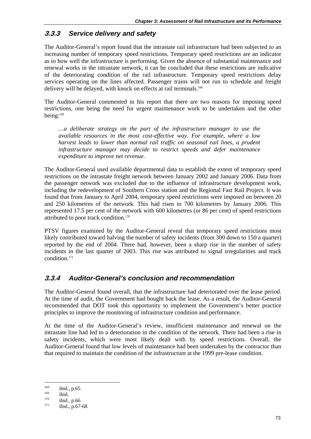## **3.3.3** *Service delivery and safety*

The Auditor-General's report found that the intrastate rail infrastructure had been subjected to an increasing number of temporary speed restrictions. Temporary speed restrictions are an indicator as to how well the infrastructure is performing. Given the absence of substantial maintenance and renewal works in the intrastate network, it can be concluded that these restrictions are indicative of the deteriorating condition of the rail infrastructure. Temporary speed restrictions delay services operating on the lines affected. Passenger trains will not run to schedule and freight delivery will be delayed, with knock on effects at rail terminals.<sup>168</sup>

The Auditor-General commented in his report that there are two reasons for imposing speed restrictions, one being the need for urgent maintenance work to be undertaken and the other being:169

*…a deliberate strategy on the part of the infrastructure manager to use the available resources in the most cost-effective way. For example, where a low harvest leads to lower than normal rail traffic on seasonal rail lines, a prudent infrastructure manager may decide to restrict speeds and defer maintenance expenditure to improve net revenue.* 

The Auditor-General used available departmental data to establish the extent of temporary speed restrictions on the intrastate freight network between January 2002 and January 2006. Data from the passenger network was excluded due to the influence of infrastructure development work, including the redevelopment of Southern Cross station and the Regional Fast Rail Project. It was found that from January to April 2004, temporary speed restrictions were imposed on between 20 and 250 kilometres of the network. This had risen to 700 kilometres by January 2006. This represented 17.5 per cent of the network with 600 kilometres (or 86 per cent) of speed restrictions attributed to poor track condition.170

PTSV figures examined by the Auditor-General reveal that temporary speed restrictions most likely contributed toward halving the number of safety incidents (from 300 down to 150 a quarter) reported by the end of 2004. There had, however, been a sharp rise in the number of safety incidents in the last quarter of 2003. This rise was attributed to signal irregularities and track condition.171

## **3.3.4** *Auditor-General's conclusion and recommendation*

The Auditor-General found overall, that the infrastructure had deteriorated over the lease period. At the time of audit, the Government had bought back the lease. As a result, the Auditor-General recommended that DOT took this opportunity to implement the Government's better practice principles to improve the monitoring of infrastructure condition and performance.

At the time of the Auditor-General's review, insufficient maintenance and renewal on the intrastate line had led to a deterioration in the condition of the network. There had been a rise in safety incidents, which were most likely dealt with by speed restrictions. Overall, the Auditor-General found that low levels of maintenance had been undertaken by the contractor than that required to maintain the condition of the infrastructure at the 1999 pre-lease condition.

<sup>&</sup>lt;sup>168</sup> ibid., p.65<br>
<sup>169</sup> ibid., p.66<br>
<sup>170</sup> ibid., p.67-68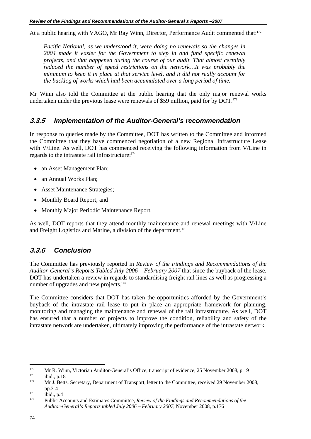At a public hearing with VAGO, Mr Ray Winn, Director, Performance Audit commented that:172

*Pacific National, as we understood it, were doing no renewals so the changes in 2004 made it easier for the Government to step in and fund specific renewal projects, and that happened during the course of our audit. That almost certainly reduced the number of speed restrictions on the network…It was probably the minimum to keep it in place at that service level, and it did not really account for the backlog of works which had been accumulated over a long period of time.* 

Mr Winn also told the Committee at the public hearing that the only major renewal works undertaken under the previous lease were renewals of \$59 million, paid for by DOT.<sup>173</sup>

#### **3.3.5** *Implementation of the Auditor-General's recommendation*

In response to queries made by the Committee, DOT has written to the Committee and informed the Committee that they have commenced negotiation of a new Regional Infrastructure Lease with V/Line. As well, DOT has commenced receiving the following information from V/Line in regards to the intrastate rail infrastructure:<sup>174</sup>

- an Asset Management Plan;
- an Annual Works Plan;
- Asset Maintenance Strategies;
- Monthly Board Report; and
- Monthly Major Periodic Maintenance Report.

As well, DOT reports that they attend monthly maintenance and renewal meetings with V/Line and Freight Logistics and Marine, a division of the department.<sup>175</sup>

## **3.3.6** *Conclusion*

The Committee has previously reported in *Review of the Findings and Recommendations of the Auditor-General's Reports Tabled July 2006 – February 2007* that since the buyback of the lease, DOT has undertaken a review in regards to standardising freight rail lines as well as progressing a number of upgrades and new projects.<sup>176</sup>

The Committee considers that DOT has taken the opportunities afforded by the Government's buyback of the intrastate rail lease to put in place an appropriate framework for planning, monitoring and managing the maintenance and renewal of the rail infrastructure. As well, DOT has ensured that a number of projects to improve the condition, reliability and safety of the intrastate network are undertaken, ultimately improving the performance of the intrastate network.

 $\overline{a}$ 172 Mr R. Winn, Victorian Auditor-General's Office, transcript of evidence, 25 November 2008, p.19<br>
173 ibid., p.18<br>
174 Mr J. Betts, Secretary, Department of Transport, letter to the Committee, received 29 November 2008,

pp.3-4 175 ibid., p.4 176 Public Accounts and Estimates Committee, *Review of the Findings and Recommendations of the Auditor-General's Reports tabled July 2006 – February 2007*, November 2008, p.176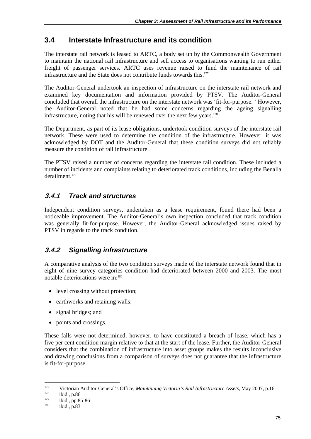## **3.4 Interstate Infrastructure and its condition**

The interstate rail network is leased to ARTC, a body set up by the Commonwealth Government to maintain the national rail infrastructure and sell access to organisations wanting to run either freight of passenger services. ARTC uses revenue raised to fund the maintenance of rail infrastructure and the State does not contribute funds towards this.<sup>177</sup>

The Auditor-General undertook an inspection of infrastructure on the interstate rail network and examined key documentation and information provided by PTSV. The Auditor-General concluded that overall the infrastructure on the interstate network was 'fit-for-purpose. ' However, the Auditor-General noted that he had some concerns regarding the ageing signalling infrastructure, noting that his will be renewed over the next few years. $178$ 

The Department, as part of its lease obligations, undertook condition surveys of the interstate rail network. These were used to determine the condition of the infrastructure. However, it was acknowledged by DOT and the Auditor-General that these condition surveys did not reliably measure the condition of rail infrastructure.

The PTSV raised a number of concerns regarding the interstate rail condition. These included a number of incidents and complaints relating to deteriorated track conditions, including the Benalla derailment.<sup>179</sup>

## **3.4.1** *Track and structures*

Independent condition surveys, undertaken as a lease requirement, found there had been a noticeable improvement. The Auditor-General's own inspection concluded that track condition was generally fit-for-purpose. However, the Auditor-General acknowledged issues raised by PTSV in regards to the track condition.

## **3.4.2** *Signalling infrastructure*

A comparative analysis of the two condition surveys made of the interstate network found that in eight of nine survey categories condition had deteriorated between 2000 and 2003. The most notable deteriorations were in:180

- level crossing without protection;
- earthworks and retaining walls;
- signal bridges; and
- points and crossings.

These falls were not determined, however, to have constituted a breach of lease, which has a five per cent condition margin relative to that at the start of the lease. Further, the Auditor-General considers that the combination of infrastructure into asset groups makes the results inconclusive and drawing conclusions from a comparison of surveys does not guarantee that the infrastructure is fit-for-purpose.

<sup>177</sup> Victorian Auditor-General's Office, *Maintaining Victoria's Rail Infrastructure Assets*, May 2007, p.16<br>
179 ibid., pp.85-86<br>
180 ibid., p.83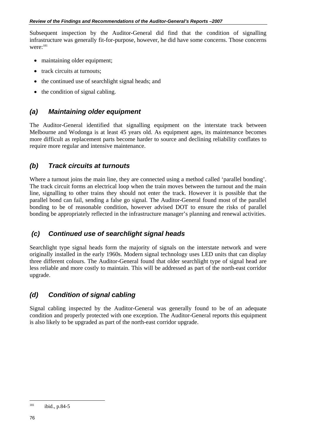Subsequent inspection by the Auditor-General did find that the condition of signalling infrastructure was generally fit-for-purpose, however, he did have some concerns. Those concerns were:<sup>181</sup>

- maintaining older equipment;
- track circuits at turnouts;
- the continued use of searchlight signal heads; and
- the condition of signal cabling.

#### *(a) Maintaining older equipment*

The Auditor-General identified that signalling equipment on the interstate track between Melbourne and Wodonga is at least 45 years old. As equipment ages, its maintenance becomes more difficult as replacement parts become harder to source and declining reliability conflates to require more regular and intensive maintenance.

#### *(b) Track circuits at turnouts*

Where a turnout joins the main line, they are connected using a method called 'parallel bonding'. The track circuit forms an electrical loop when the train moves between the turnout and the main line, signalling to other trains they should not enter the track. However it is possible that the parallel bond can fail, sending a false go signal. The Auditor-General found most of the parallel bonding to be of reasonable condition, however advised DOT to ensure the risks of parallel bonding be appropriately reflected in the infrastructure manager's planning and renewal activities.

#### *(c) Continued use of searchlight signal heads*

Searchlight type signal heads form the majority of signals on the interstate network and were originally installed in the early 1960s. Modern signal technology uses LED units that can display three different colours. The Auditor-General found that older searchlight type of signal head are less reliable and more costly to maintain. This will be addressed as part of the north-east corridor upgrade.

#### *(d) Condition of signal cabling*

Signal cabling inspected by the Auditor-General was generally found to be of an adequate condition and properly protected with one exception. The Auditor-General reports this equipment is also likely to be upgraded as part of the north-east corridor upgrade.

<sup>181</sup> ibid., p.84-5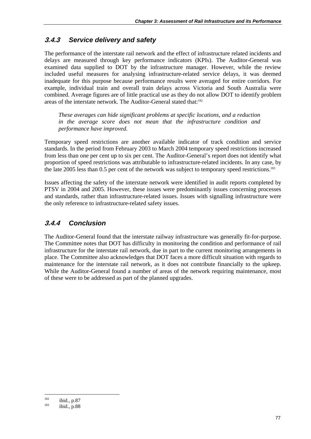#### **3.4.3** *Service delivery and safety*

The performance of the interstate rail network and the effect of infrastructure related incidents and delays are measured through key performance indicators (KPIs). The Auditor-General was examined data supplied to DOT by the infrastructure manager. However, while the review included useful measures for analysing infrastructure-related service delays, it was deemed inadequate for this purpose because performance results were averaged for entire corridors. For example, individual train and overall train delays across Victoria and South Australia were combined. Average figures are of little practical use as they do not allow DOT to identify problem areas of the interstate network. The Auditor-General stated that:<sup>182</sup>

*These averages can hide significant problems at specific locations, and a reduction in the average score does not mean that the infrastructure condition and performance have improved.* 

Temporary speed restrictions are another available indicator of track condition and service standards. In the period from February 2003 to March 2004 temporary speed restrictions increased from less than one per cent up to six per cent. The Auditor-General's report does not identify what proportion of speed restrictions was attributable to infrastructure-related incidents. In any case, by the late 2005 less than 0.5 per cent of the network was subject to temporary speed restrictions.<sup>183</sup>

Issues affecting the safety of the interstate network were identified in audit reports completed by PTSV in 2004 and 2005. However, these issues were predominantly issues concerning processes and standards, rather than infrastructure-related issues. Issues with signalling infrastructure were the only reference to infrastructure-related safety issues.

#### **3.4.4** *Conclusion*

The Auditor-General found that the interstate railway infrastructure was generally fit-for-purpose. The Committee notes that DOT has difficulty in monitoring the condition and performance of rail infrastructure for the interstate rail network, due in part to the current monitoring arrangements in place. The Committee also acknowledges that DOT faces a more difficult situation with regards to maintenance for the interstate rail network, as it does not contribute financially to the upkeep. While the Auditor-General found a number of areas of the network requiring maintenance, most of these were to be addressed as part of the planned upgrades.

 $182$  ibid., p.87<br>
ibid., p.88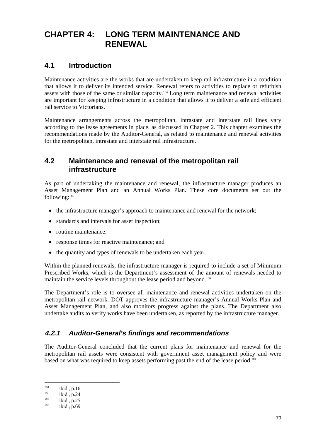# **CHAPTER 4: LONG TERM MAINTENANCE AND RENEWAL**

## **4.1 Introduction**

Maintenance activities are the works that are undertaken to keep rail infrastructure in a condition that allows it to deliver its intended service. Renewal refers to activities to replace or refurbish assets with those of the same or similar capacity.184 Long term maintenance and renewal activities are important for keeping infrastructure in a condition that allows it to deliver a safe and efficient rail service to Victorians.

Maintenance arrangements across the metropolitan, intrastate and interstate rail lines vary according to the lease agreements in place, as discussed in Chapter 2. This chapter examines the recommendations made by the Auditor-General, as related to maintenance and renewal activities for the metropolitan, intrastate and interstate rail infrastructure.

## **4.2 Maintenance and renewal of the metropolitan rail infrastructure**

As part of undertaking the maintenance and renewal, the infrastructure manager produces an Asset Management Plan and an Annual Works Plan. These core documents set out the following:185

- the infrastructure manager's approach to maintenance and renewal for the network;
- standards and intervals for asset inspection;
- routine maintenance:
- response times for reactive maintenance; and
- the quantity and types of renewals to be undertaken each year.

Within the planned renewals, the infrastructure manager is required to include a set of Minimum Prescribed Works, which is the Department's assessment of the amount of renewals needed to maintain the service levels throughout the lease period and beyond.<sup>186</sup>

The Department's role is to oversee all maintenance and renewal activities undertaken on the metropolitan rail network. DOT approves the infrastructure manager's Annual Works Plan and Asset Management Plan, and also monitors progress against the plans. The Department also undertake audits to verify works have been undertaken, as reported by the infrastructure manager.

#### **4.2.1** *Auditor-General's findings and recommendations*

The Auditor-General concluded that the current plans for maintenance and renewal for the metropolitan rail assets were consistent with government asset management policy and were based on what was required to keep assets performing past the end of the lease period.<sup>187</sup>

<sup>1</sup> 

<sup>&</sup>lt;sup>184</sup> ibid., p.16<br>
<sup>185</sup> ibid., p.24<br>
<sup>186</sup> ibid., p.25<br>
<sup>187</sup> ibid., p.69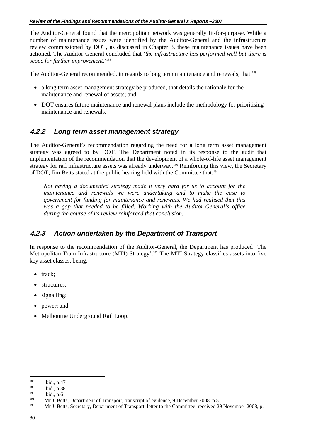The Auditor-General found that the metropolitan network was generally fit-for-purpose. While a number of maintenance issues were identified by the Auditor-General and the infrastructure review commissioned by DOT, as discussed in Chapter 3, these maintenance issues have been actioned. The Auditor-General concluded that '*th*e *infrastructure has performed well but there is scope for further improvement.*' 188

The Auditor-General recommended, in regards to long term maintenance and renewals, that:<sup>189</sup>

- a long term asset management strategy be produced, that details the rationale for the maintenance and renewal of assets; and
- DOT ensures future maintenance and renewal plans include the methodology for prioritising maintenance and renewals.

#### **4.2.2** *Long term asset management strategy*

The Auditor-General's recommendation regarding the need for a long term asset management strategy was agreed to by DOT. The Department noted in its response to the audit that implementation of the recommendation that the development of a whole-of-life asset management strategy for rail infrastructure assets was already underway.<sup>190</sup> Reinforcing this view, the Secretary of DOT, Jim Betts stated at the public hearing held with the Committee that:191

*Not having a documented strategy made it very hard for us to account for the maintenance and renewals we were undertaking and to make the case to government for funding for maintenance and renewals. We had realised that this was a gap that needed to be filled. Working with the Auditor-General's office during the course of its review reinforced that conclusion.* 

#### **4.2.3** *Action undertaken by the Department of Transport*

In response to the recommendation of the Auditor-General, the Department has produced 'The Metropolitan Train Infrastructure (MTI) Strategy'.<sup>192</sup> The MTI Strategy classifies assets into five key asset classes, being:

- track;
- structures;
- signalling;
- power; and
- Melbourne Underground Rail Loop.

<sup>188</sup> 

<sup>&</sup>lt;sup>188</sup> ibid., p.47<br><sup>189</sup> ibid., p.38<br><sup>190</sup> ibid., p.6<br><sup>191</sup> Mr J. Betts, Department of Transport, transcript of evidence, 9 December 2008, p.5<br><sup>192</sup> Mr J. Betts, Secretary, Department of Transport, letter to the Committee,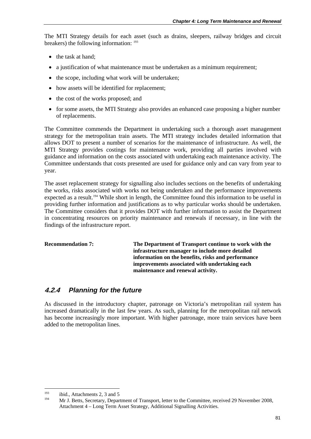The MTI Strategy details for each asset (such as drains, sleepers, railway bridges and circuit breakers) the following information: <sup>193</sup>

- the task at hand;
- a justification of what maintenance must be undertaken as a minimum requirement;
- the scope, including what work will be undertaken;
- how assets will be identified for replacement;
- the cost of the works proposed; and
- for some assets, the MTI Strategy also provides an enhanced case proposing a higher number of replacements.

The Committee commends the Department in undertaking such a thorough asset management strategy for the metropolitan train assets. The MTI strategy includes detailed information that allows DOT to present a number of scenarios for the maintenance of infrastructure. As well, the MTI Strategy provides costings for maintenance work, providing all parties involved with guidance and information on the costs associated with undertaking each maintenance activity. The Committee understands that costs presented are used for guidance only and can vary from year to year.

The asset replacement strategy for signalling also includes sections on the benefits of undertaking the works, risks associated with works not being undertaken and the performance improvements expected as a result.<sup>194</sup> While short in length, the Committee found this information to be useful in providing further information and justifications as to why particular works should be undertaken. The Committee considers that it provides DOT with further information to assist the Department in concentrating resources on priority maintenance and renewals if necessary, in line with the findings of the infrastructure report.

**Recommendation 7: The Department of Transport continue to work with the infrastructure manager to include more detailed information on the benefits, risks and performance improvements associated with undertaking each maintenance and renewal activity.** 

## **4.2.4** *Planning for the future*

As discussed in the introductory chapter, patronage on Victoria's metropolitan rail system has increased dramatically in the last few years. As such, planning for the metropolitan rail network has become increasingly more important. With higher patronage, more train services have been added to the metropolitan lines.

<sup>&</sup>lt;sup>193</sup> ibid., Attachments 2, 3 and 5<br><sup>194</sup> Mr J. Betts, Secretary, Department of Transport, letter to the Committee, received 29 November 2008, Attachment 4 – Long Term Asset Strategy, Additional Signalling Activities.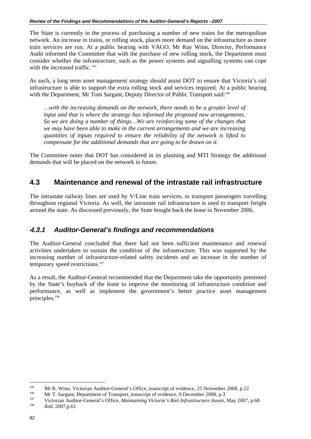The State is currently in the process of purchasing a number of new trains for the metropolitan network. An increase in trains, or rolling stock, places more demand on the infrastructure as more train services are run. At a public hearing with VAGO, Mr Ray Winn, Director, Performance Audit informed the Committee that with the purchase of new rolling stock, the Department must consider whether the infrastructure, such as the power systems and signalling systems can cope with the increased traffic.<sup>195</sup>

As such, a long term asset management strategy should assist DOT to ensure that Victoria's rail infrastructure is able to support the extra rolling stock and services required. At a public hearing with the Department, Mr Tom Sargant, Deputy Director of Public Transport said:<sup>196</sup>

*…with the increasing demands on the network, there needs to be a greater level of input and that is where the strategy has informed the proposed new arrangements. So we are doing a number of things…We are reinforcing some of the changes that we may have been able to make in the current arrangements and we are increasing quantities of inputs required to ensure the reliability of the network is lifted to compensate for the additional demands that are going to be drawn on it.* 

The Committee notes that DOT has considered in its planning and MTI Strategy the additional demands that will be placed on the network in future.

## **4.3 Maintenance and renewal of the intrastate rail infrastructure**

The intrastate railway lines are used by V/Line train services, to transport passengers travelling throughout regional Victoria. As well, the intrastate rail infrastructure is used to transport freight around the state. As discussed previously, the State bought back the lease in November 2006.

#### **4.3.1** *Auditor-General's findings and recommendations*

The Auditor-General concluded that there had not been sufficient maintenance and renewal activities undertaken to sustain the condition of the infrastructure. This was supported by the increasing number of infrastructure-related safety incidents and an increase in the number of temporary speed restrictions.<sup>197</sup>

As a result, the Auditor-General recommended that the Department take the opportunity presented by the State's buyback of the lease to improve the monitoring of infrastructure condition and performance, as well as implement the government's better practice asset management principles.198

<sup>&</sup>lt;sup>195</sup> Mr R. Winn, Victorian Auditor-General's Office, transcript of evidence, 25 November 2008, p.22<br>
197 Mr T. Sargant, Department of Transport, transcript of evidence, 9 December 2008, p.3<br>
197 Victorian Auditor-General'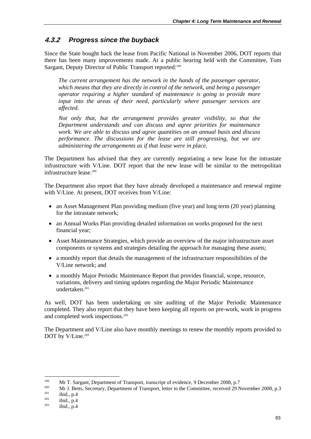## **4.3.2** *Progress since the buyback*

Since the State bought back the lease from Pacific National in November 2006, DOT reports that there has been many improvements made. At a public hearing held with the Committee, Tom Sargant, Deputy Director of Public Transport reported:<sup>199</sup>

*The current arrangement has the network in the hands of the passenger operator, which means that they are directly in control of the network, and being a passenger operator requiring a higher standard of maintenance is going to provide more input into the areas of their need, particularly where passenger services are affected.* 

*Not only that, but the arrangement provides greater visibility, so that the Department understands and can discuss and agree priorities for maintenance work. We are able to discuss and agree quantities on an annual basis and discuss performance. The discussions for the lease are still progressing, but we are administering the arrangements as if that lease were in place.* 

The Department has advised that they are currently negotiating a new lease for the intrastate infrastructure with V/Line. DOT report that the new lease will be similar to the metropolitan infrastructure lease.200

The Department also report that they have already developed a maintenance and renewal regime with V/Line. At present, DOT receives from V/Line:

- an Asset Management Plan providing medium (five year) and long term (20 year) planning for the intrastate network;
- an Annual Works Plan providing detailed information on works proposed for the next financial year;
- Asset Maintenance Strategies, which provide an overview of the major infrastructure asset components or systems and strategies detailing the approach for managing these assets;
- a monthly report that details the management of the infrastructure responsibilities of the V/Line network; and
- a monthly Major Periodic Maintenance Report that provides financial, scope, resource, variations, delivery and timing updates regarding the Major Periodic Maintenance undertaken.<sup>201</sup>

As well, DOT has been undertaking on site auditing of the Major Periodic Maintenance completed. They also report that they have been keeping all reports on pre-work, work in progress and completed work inspections.<sup>202</sup>

The Department and V/Line also have monthly meetings to renew the monthly reports provided to DOT by V/Line.<sup>203</sup>

<sup>199</sup> 

<sup>&</sup>lt;sup>199</sup> Mr T. Sargant, Department of Transport, transcript of evidence, 9 December 2008, p.7<br><sup>200</sup> Mr J. Betts, Secretary, Department of Transport, letter to the Committee, received 29 November 2008, p.3<br><sup>201</sup> ibid., p.4<br><sup>2</sup>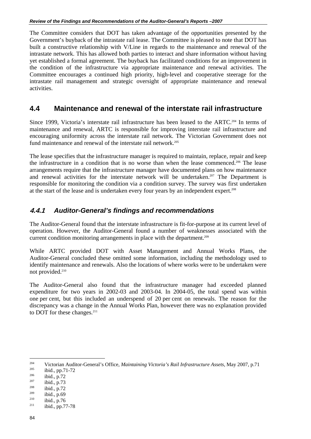The Committee considers that DOT has taken advantage of the opportunities presented by the Government's buyback of the intrastate rail lease. The Committee is pleased to note that DOT has built a constructive relationship with V/Line in regards to the maintenance and renewal of the intrastate network. This has allowed both parties to interact and share information without having yet established a formal agreement. The buyback has facilitated conditions for an improvement in the condition of the infrastructure via appropriate maintenance and renewal activities. The Committee encourages a continued high priority, high-level and cooperative steerage for the intrastate rail management and strategic oversight of appropriate maintenance and renewal activities.

### **4.4 Maintenance and renewal of the interstate rail infrastructure**

Since 1999, Victoria's interstate rail infrastructure has been leased to the ARTC.<sup>204</sup> In terms of maintenance and renewal, ARTC is responsible for improving interstate rail infrastructure and encouraging uniformity across the interstate rail network. The Victorian Government does not fund maintenance and renewal of the interstate rail network.<sup>205</sup>

The lease specifies that the infrastructure manager is required to maintain, replace, repair and keep the infrastructure in a condition that is no worse than when the lease commenced.206 The lease arrangements require that the infrastructure manager have documented plans on how maintenance and renewal activities for the interstate network will be undertaken.<sup>207</sup> The Department is responsible for monitoring the condition via a condition survey. The survey was first undertaken at the start of the lease and is undertaken every four years by an independent expert.208

#### **4.4.1** *Auditor-General's findings and recommendations*

The Auditor-General found that the interstate infrastructure is fit-for-purpose at its current level of operation. However, the Auditor-General found a number of weaknesses associated with the current condition monitoring arrangements in place with the department.209

While ARTC provided DOT with Asset Management and Annual Works Plans, the Auditor-General concluded these omitted some information, including the methodology used to identify maintenance and renewals. Also the locations of where works were to be undertaken were not provided.210

The Auditor-General also found that the infrastructure manager had exceeded planned expenditure for two years in 2002-03 and 2003-04. In 2004-05, the total spend was within one per cent, but this included an underspend of 20 per cent on renewals. The reason for the discrepancy was a change in the Annual Works Plan, however there was no explanation provided to DOT for these changes.<sup>211</sup>

204 <sup>204</sup><br>Victorian Auditor-General's Office, *Maintaining Victoria's Rail Infrastructure Assets*, May 2007, p.71<br><sup>205</sup><br>ibid., p.71-72<br><sup>206</sup><br>ibid., p.73<br><sup>207</sup><br>ibid., p.72<br>ibid., p.72<br>ibid., p.72<br>ibid., p.72<br>ibid., p.72<br>ibid.,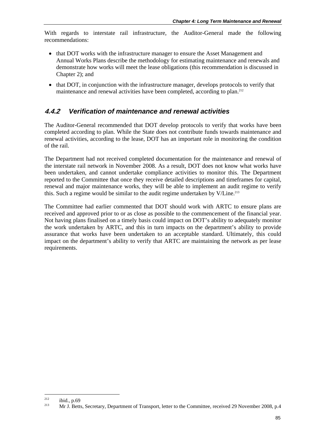With regards to interstate rail infrastructure, the Auditor-General made the following recommendations:

- that DOT works with the infrastructure manager to ensure the Asset Management and Annual Works Plans describe the methodology for estimating maintenance and renewals and demonstrate how works will meet the lease obligations (this recommendation is discussed in Chapter 2); and
- that DOT, in conjunction with the infrastructure manager, develops protocols to verify that maintenance and renewal activities have been completed, according to plan.<sup>212</sup>

#### **4.4.2** *Verification of maintenance and renewal activities*

The Auditor-General recommended that DOT develop protocols to verify that works have been completed according to plan. While the State does not contribute funds towards maintenance and renewal activities, according to the lease, DOT has an important role in monitoring the condition of the rail.

The Department had not received completed documentation for the maintenance and renewal of the interstate rail network in November 2008. As a result, DOT does not know what works have been undertaken, and cannot undertake compliance activities to monitor this. The Department reported to the Committee that once they receive detailed descriptions and timeframes for capital, renewal and major maintenance works, they will be able to implement an audit regime to verify this. Such a regime would be similar to the audit regime undertaken by V/Line.<sup>213</sup>

The Committee had earlier commented that DOT should work with ARTC to ensure plans are received and approved prior to or as close as possible to the commencement of the financial year. Not having plans finalised on a timely basis could impact on DOT's ability to adequately monitor the work undertaken by ARTC, and this in turn impacts on the department's ability to provide assurance that works have been undertaken to an acceptable standard. Ultimately, this could impact on the department's ability to verify that ARTC are maintaining the network as per lease requirements.

<sup>&</sup>lt;sup>212</sup> ibid., p.69<br><sup>213</sup> Mr J. Betts, Secretary, Department of Transport, letter to the Committee, received 29 November 2008, p.4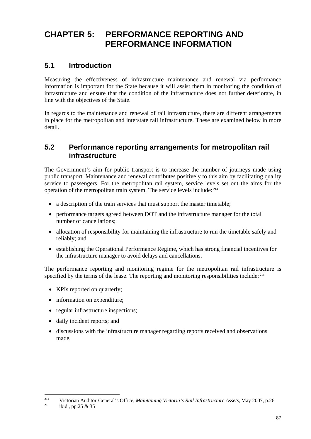# **CHAPTER 5: PERFORMANCE REPORTING AND PERFORMANCE INFORMATION**

## **5.1 Introduction**

Measuring the effectiveness of infrastructure maintenance and renewal via performance information is important for the State because it will assist them in monitoring the condition of infrastructure and ensure that the condition of the infrastructure does not further deteriorate, in line with the objectives of the State.

In regards to the maintenance and renewal of rail infrastructure, there are different arrangements in place for the metropolitan and interstate rail infrastructure. These are examined below in more detail.

## **5.2 Performance reporting arrangements for metropolitan rail infrastructure**

The Government's aim for public transport is to increase the number of journeys made using public transport. Maintenance and renewal contributes positively to this aim by facilitating quality service to passengers. For the metropolitan rail system, service levels set out the aims for the operation of the metropolitan train system. The service levels include: 214

- a description of the train services that must support the master timetable:
- performance targets agreed between DOT and the infrastructure manager for the total number of cancellations;
- allocation of responsibility for maintaining the infrastructure to run the timetable safely and reliably; and
- establishing the Operational Performance Regime, which has strong financial incentives for the infrastructure manager to avoid delays and cancellations.

The performance reporting and monitoring regime for the metropolitan rail infrastructure is specified by the terms of the lease. The reporting and monitoring responsibilities include: <sup>215</sup>

- KPIs reported on quarterly;
- information on expenditure:
- regular infrastructure inspections;
- daily incident reports; and
- discussions with the infrastructure manager regarding reports received and observations made.

 $214$ <sup>214</sup> Victorian Auditor-General's Office, *Maintaining Victoria's Rail Infrastructure Assets*, May 2007, p.26 ibid., pp.25 & 35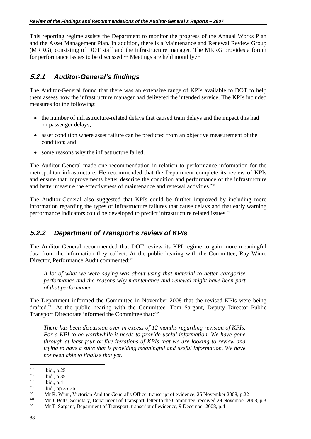This reporting regime assists the Department to monitor the progress of the Annual Works Plan and the Asset Management Plan. In addition, there is a Maintenance and Renewal Review Group (MRRG), consisting of DOT staff and the infrastructure manager. The MRRG provides a forum for performance issues to be discussed.<sup>216</sup> Meetings are held monthly.<sup>217</sup>

## **5.2.1** *Auditor-General's findings*

The Auditor-General found that there was an extensive range of KPIs available to DOT to help them assess how the infrastructure manager had delivered the intended service. The KPIs included measures for the following:

- the number of infrastructure-related delays that caused train delays and the impact this had on passenger delays;
- asset condition where asset failure can be predicted from an objective measurement of the condition; and
- some reasons why the infrastructure failed.

The Auditor-General made one recommendation in relation to performance information for the metropolitan infrastructure. He recommended that the Department complete its review of KPIs and ensure that improvements better describe the condition and performance of the infrastructure and better measure the effectiveness of maintenance and renewal activities.<sup>218</sup>

The Auditor-General also suggested that KPIs could be further improved by including more information regarding the types of infrastructure failures that cause delays and that early warning performance indicators could be developed to predict infrastructure related issues.<sup>219</sup>

#### **5.2.2** *Department of Transport's review of KPIs*

The Auditor-General recommended that DOT review its KPI regime to gain more meaningful data from the information they collect. At the public hearing with the Committee, Ray Winn, Director, Performance Audit commented:<sup>220</sup>

*A lot of what we were saying was about using that material to better categorise performance and the reasons why maintenance and renewal might have been part of that performance.* 

The Department informed the Committee in November 2008 that the revised KPIs were being drafted.<sup>221</sup> At the public hearing with the Committee, Tom Sargant, Deputy Director Public Transport Directorate informed the Committee that:222

*There has been discussion over in excess of 12 months regarding revision of KPIs. For a KPI to be worthwhile it needs to provide useful information. We have gone through at least four or five iterations of KPIs that we are looking to review and trying to have a suite that is providing meaningful and useful information. We have not been able to finalise that yet.* 

 $\overline{a}$ 

<sup>&</sup>lt;sup>216</sup> ibid., p.25<br>
<sup>217</sup> ibid., p.35<br>
<sup>218</sup> ibid., p.4<br>
<sup>218</sup> ibid., p.35-36<br> **Mr R. Winn, Victorian Auditor-General's Office, transcript of evidence, 25 November 2008, p.22<br>
<b>Mr J. Betts, Secretary, Department of Transpo**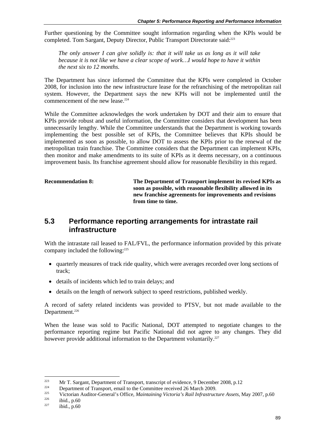Further questioning by the Committee sought information regarding when the KPIs would be completed. Tom Sargant, Deputy Director, Public Transport Directorate said:<sup>223</sup>

*The only answer I can give solidly is: that it will take us as long as it will take because it is not like we have a clear scope of work…I would hope to have it within the next six to 12 months.* 

The Department has since informed the Committee that the KPIs were completed in October 2008, for inclusion into the new infrastructure lease for the refranchising of the metropolitan rail system. However, the Department says the new KPIs will not be implemented until the commencement of the new lease.<sup>224</sup>

While the Committee acknowledges the work undertaken by DOT and their aim to ensure that KPIs provide robust and useful information, the Committee considers that development has been unnecessarily lengthy. While the Committee understands that the Department is working towards implementing the best possible set of KPIs, the Committee believes that KPIs should be implemented as soon as possible, to allow DOT to assess the KPIs prior to the renewal of the metropolitan train franchise. The Committee considers that the Department can implement KPIs, then monitor and make amendments to its suite of KPIs as it deems necessary, on a continuous improvement basis. Its franchise agreement should allow for reasonable flexibility in this regard.

**Recommendation 8: The Department of Transport implement its revised KPIs as soon as possible, with reasonable flexibility allowed in its new franchise agreements for improvements and revisions from time to time.** 

#### **5.3 Performance reporting arrangements for intrastate rail infrastructure**

With the intrastate rail leased to FAL/FVL, the performance information provided by this private company included the following:<sup>225</sup>

- quarterly measures of track ride quality, which were averages recorded over long sections of track;
- details of incidents which led to train delays; and
- details on the length of network subject to speed restrictions, published weekly.

A record of safety related incidents was provided to PTSV, but not made available to the Department.<sup>226</sup>

When the lease was sold to Pacific National, DOT attempted to negotiate changes to the performance reporting regime but Pacific National did not agree to any changes. They did however provide additional information to the Department voluntarily.<sup>227</sup>

 $223$ 

<sup>&</sup>lt;sup>223</sup> Mr T. Sargant, Department of Transport, transcript of evidence, 9 December 2008, p.12<br><sup>224</sup> Department of Transport, email to the Committee received 26 March 2009.<br><sup>225</sup> Victorian Auditor-General's Office, *Maintain*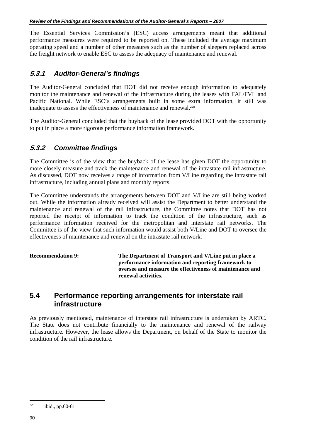The Essential Services Commission's (ESC) access arrangements meant that additional performance measures were required to be reported on. These included the average maximum operating speed and a number of other measures such as the number of sleepers replaced across the freight network to enable ESC to assess the adequacy of maintenance and renewal.

#### **5.3.1** *Auditor-General's findings*

The Auditor-General concluded that DOT did not receive enough information to adequately monitor the maintenance and renewal of the infrastructure during the leases with FAL/FVL and Pacific National. While ESC's arrangements built in some extra information, it still was inadequate to assess the effectiveness of maintenance and renewal.<sup>228</sup>

The Auditor-General concluded that the buyback of the lease provided DOT with the opportunity to put in place a more rigorous performance information framework.

#### **5.3.2** *Committee findings*

The Committee is of the view that the buyback of the lease has given DOT the opportunity to more closely measure and track the maintenance and renewal of the intrastate rail infrastructure. As discussed, DOT now receives a range of information from V/Line regarding the intrastate rail infrastructure, including annual plans and monthly reports.

The Committee understands the arrangements between DOT and V/Line are still being worked out. While the information already received will assist the Department to better understand the maintenance and renewal of the rail infrastructure, the Committee notes that DOT has not reported the receipt of information to track the condition of the infrastructure, such as performance information received for the metropolitan and interstate rail networks. The Committee is of the view that such information would assist both V/Line and DOT to oversee the effectiveness of maintenance and renewal on the intrastate rail network.

**Recommendation 9: The Department of Transport and V/Line put in place a performance information and reporting framework to oversee and measure the effectiveness of maintenance and renewal activities.** 

#### **5.4 Performance reporting arrangements for interstate rail infrastructure**

As previously mentioned, maintenance of interstate rail infrastructure is undertaken by ARTC. The State does not contribute financially to the maintenance and renewal of the railway infrastructure. However, the lease allows the Department, on behalf of the State to monitor the condition of the rail infrastructure.

<sup>&</sup>lt;sup>228</sup> ibid., pp.60-61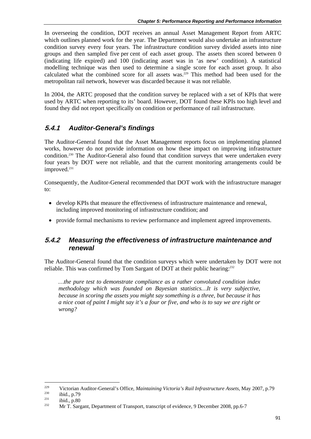In overseeing the condition, DOT receives an annual Asset Management Report from ARTC which outlines planned work for the year. The Department would also undertake an infrastructure condition survey every four years. The infrastructure condition survey divided assets into nine groups and then sampled five per cent of each asset group. The assets then scored between 0 (indicating life expired) and 100 (indicating asset was in 'as new' condition). A statistical modelling technique was then used to determine a single score for each asset group. It also calculated what the combined score for all assets was.<sup>229</sup> This method had been used for the metropolitan rail network, however was discarded because it was not reliable.

In 2004, the ARTC proposed that the condition survey be replaced with a set of KPIs that were used by ARTC when reporting to its' board. However, DOT found these KPIs too high level and found they did not report specifically on condition or performance of rail infrastructure.

## **5.4.1** *Auditor-General's findings*

The Auditor-General found that the Asset Management reports focus on implementing planned works, however do not provide information on how these impact on improving infrastructure condition.230 The Auditor-General also found that condition surveys that were undertaken every four years by DOT were not reliable, and that the current monitoring arrangements could be improved.<sup>231</sup>

Consequently, the Auditor-General recommended that DOT work with the infrastructure manager to:

- develop KPIs that measure the effectiveness of infrastructure maintenance and renewal, including improved monitoring of infrastructure condition; and
- provide formal mechanisms to review performance and implement agreed improvements.

#### **5.4.2** *Measuring the effectiveness of infrastructure maintenance and renewal*

The Auditor-General found that the condition surveys which were undertaken by DOT were not reliable. This was confirmed by Tom Sargant of DOT at their public hearing:<sup>232</sup>

*…the pure test to demonstrate compliance as a rather convoluted condition index methodology which was founded on Bayesian statistics…It is very subjective, because in scoring the assets you might say something is a three, but because it has a nice coat of paint I might say it's a four or five, and who is to say we are right or wrong?* 

<sup>&</sup>lt;sup>229</sup> Victorian Auditor-General's Office, *Maintaining Victoria's Rail Infrastructure Assets*, May 2007, p.79<br><sup>230</sup> ibid., p.79<br><sup>231</sup> ibid., p.80<br><sup>232</sup> Mr T. Sargant, Department of Transport, transcript of evidence, 9 Dec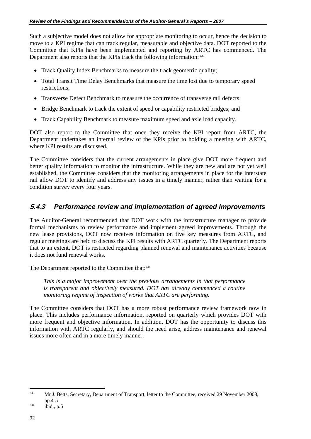Such a subjective model does not allow for appropriate monitoring to occur, hence the decision to move to a KPI regime that can track regular, measurable and objective data. DOT reported to the Committee that KPIs have been implemented and reporting by ARTC has commenced. The Department also reports that the KPIs track the following information: <sup>233</sup>

- Track Quality Index Benchmarks to measure the track geometric quality;
- Total Transit Time Delay Benchmarks that measure the time lost due to temporary speed restrictions;
- Transverse Defect Benchmark to measure the occurrence of transverse rail defects:
- Bridge Benchmark to track the extent of speed or capability restricted bridges; and
- Track Capability Benchmark to measure maximum speed and axle load capacity.

DOT also report to the Committee that once they receive the KPI report from ARTC, the Department undertakes an internal review of the KPIs prior to holding a meeting with ARTC, where KPI results are discussed.

The Committee considers that the current arrangements in place give DOT more frequent and better quality information to monitor the infrastructure. While they are new and are not yet well established, the Committee considers that the monitoring arrangements in place for the interstate rail allow DOT to identify and address any issues in a timely manner, rather than waiting for a condition survey every four years.

#### **5.4.3** *Performance review and implementation of agreed improvements*

The Auditor-General recommended that DOT work with the infrastructure manager to provide formal mechanisms to review performance and implement agreed improvements. Through the new lease provisions, DOT now receives information on five key measures from ARTC, and regular meetings are held to discuss the KPI results with ARTC quarterly. The Department reports that to an extent, DOT is restricted regarding planned renewal and maintenance activities because it does not fund renewal works.

The Department reported to the Committee that:<sup>234</sup>

*This is a major improvement over the previous arrangements in that performance is transparent and objectively measured. DOT has already commenced a routine monitoring regime of inspection of works that ARTC are performing.* 

The Committee considers that DOT has a more robust performance review framework now in place. This includes performance information, reported on quarterly which provides DOT with more frequent and objective information. In addition, DOT has the opportunity to discuss this information with ARTC regularly, and should the need arise, address maintenance and renewal issues more often and in a more timely manner.

<sup>&</sup>lt;sup>233</sup> Mr J. Betts, Secretary, Department of Transport, letter to the Committee, received 29 November 2008, pp.4-5<br>  $234$  ibid., p.5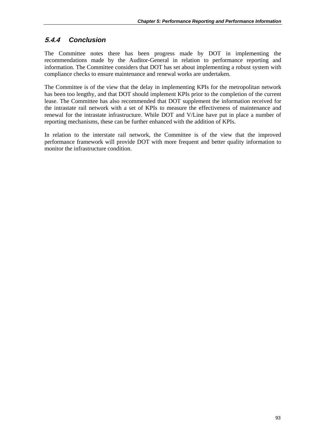## **5.4.4** *Conclusion*

The Committee notes there has been progress made by DOT in implementing the recommendations made by the Auditor-General in relation to performance reporting and information. The Committee considers that DOT has set about implementing a robust system with compliance checks to ensure maintenance and renewal works are undertaken.

The Committee is of the view that the delay in implementing KPIs for the metropolitan network has been too lengthy, and that DOT should implement KPIs prior to the completion of the current lease. The Committee has also recommended that DOT supplement the information received for the intrastate rail network with a set of KPIs to measure the effectiveness of maintenance and renewal for the intrastate infrastructure. While DOT and V/Line have put in place a number of reporting mechanisms, these can be further enhanced with the addition of KPIs.

In relation to the interstate rail network, the Committee is of the view that the improved performance framework will provide DOT with more frequent and better quality information to monitor the infrastructure condition.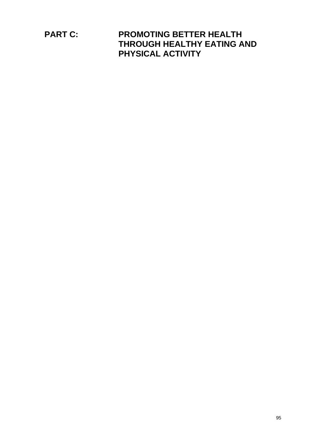**PART C: PROMOTING BETTER HEALTH THROUGH HEALTHY EATING AND PHYSICAL ACTIVITY**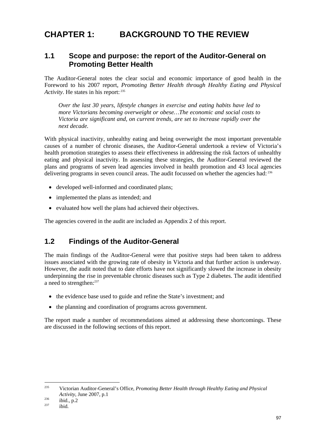# **CHAPTER 1: BACKGROUND TO THE REVIEW**

#### **1.1 Scope and purpose: the report of the Auditor-General on Promoting Better Health**

The Auditor-General notes the clear social and economic importance of good health in the Foreword to his 2007 report, *Promoting Better Health through Healthy Eating and Physical Activity*. He states in his report: 235

*Over the last 30 years, lifestyle changes in exercise and eating habits have led to more Victorians becoming overweight or obese…The economic and social costs to Victoria are significant and, on current trends, are set to increase rapidly over the next decade.* 

With physical inactivity, unhealthy eating and being overweight the most important preventable causes of a number of chronic diseases, the Auditor-General undertook a review of Victoria's health promotion strategies to assess their effectiveness in addressing the risk factors of unhealthy eating and physical inactivity. In assessing these strategies, the Auditor-General reviewed the plans and programs of seven lead agencies involved in health promotion and 43 local agencies delivering programs in seven council areas. The audit focussed on whether the agencies had: 236

- developed well-informed and coordinated plans;
- implemented the plans as intended; and
- evaluated how well the plans had achieved their objectives.

The agencies covered in the audit are included as Appendix 2 of this report.

## **1.2 Findings of the Auditor-General**

The main findings of the Auditor-General were that positive steps had been taken to address issues associated with the growing rate of obesity in Victoria and that further action is underway. However, the audit noted that to date efforts have not significantly slowed the increase in obesity underpinning the rise in preventable chronic diseases such as Type 2 diabetes. The audit identified a need to strengthen:<sup>237</sup>

- the evidence base used to guide and refine the State's investment; and
- the planning and coordination of programs across government.

The report made a number of recommendations aimed at addressing these shortcomings. These are discussed in the following sections of this report.

<sup>235</sup> Victorian Auditor-General's Office, *Promoting Better Health through Healthy Eating and Physical Activity*, June 2007, p.1<br><sup>236</sup> ibid., p.2<br><sup>237</sup> ibid.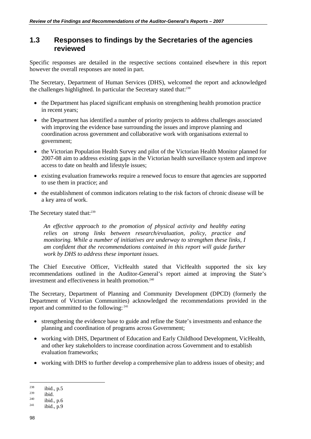## **1.3 Responses to findings by the Secretaries of the agencies reviewed**

Specific responses are detailed in the respective sections contained elsewhere in this report however the overall responses are noted in part.

The Secretary, Department of Human Services (DHS), welcomed the report and acknowledged the challenges highlighted. In particular the Secretary stated that:<sup>238</sup>

- the Department has placed significant emphasis on strengthening health promotion practice in recent years;
- the Department has identified a number of priority projects to address challenges associated with improving the evidence base surrounding the issues and improve planning and coordination across government and collaborative work with organisations external to government;
- the Victorian Population Health Survey and pilot of the Victorian Health Monitor planned for 2007-08 aim to address existing gaps in the Victorian health surveillance system and improve access to date on health and lifestyle issues;
- existing evaluation frameworks require a renewed focus to ensure that agencies are supported to use them in practice; and
- the establishment of common indicators relating to the risk factors of chronic disease will be a key area of work.

The Secretary stated that:<sup>239</sup>

*An effective approach to the promotion of physical activity and healthy eating relies on strong links between research/evaluation, policy, practice and monitoring. While a number of initiatives are underway to strengthen these links, I am confident that the recommendations contained in this report will guide further work by DHS to address these important issues.* 

The Chief Executive Officer, VicHealth stated that VicHealth supported the six key recommendations outlined in the Auditor-General's report aimed at improving the State's investment and effectiveness in health promotion.<sup>240</sup>

The Secretary, Department of Planning and Community Development (DPCD) (formerly the Department of Victorian Communities) acknowledged the recommendations provided in the report and committed to the following: 241

- strengthening the evidence base to guide and refine the State's investments and enhance the planning and coordination of programs across Government;
- working with DHS, Department of Education and Early Childhood Development, VicHealth, and other key stakeholders to increase coordination across Government and to establish evaluation frameworks;
- working with DHS to further develop a comprehensive plan to address issues of obesity; and

<sup>&</sup>lt;sup>238</sup> ibid., p.5<br>
<sup>239</sup> ibid., p.6<br>
<sup>241</sup> ibid., p.9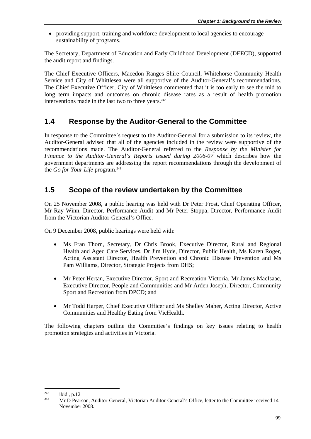• providing support, training and workforce development to local agencies to encourage sustainability of programs.

The Secretary, Department of Education and Early Childhood Development (DEECD), supported the audit report and findings.

The Chief Executive Officers, Macedon Ranges Shire Council, Whitehorse Community Health Service and City of Whittlesea were all supportive of the Auditor-General's recommendations. The Chief Executive Officer, City of Whittlesea commented that it is too early to see the mid to long term impacts and outcomes on chronic disease rates as a result of health promotion interventions made in the last two to three years. $242$ 

## **1.4 Response by the Auditor-General to the Committee**

In response to the Committee's request to the Auditor-General for a submission to its review, the Auditor-General advised that all of the agencies included in the review were supportive of the recommendations made. The Auditor-General referred to the *Response by the Minister for Finance to the Auditor-General's Reports issued during 2006-07* which describes how the government departments are addressing the report recommendations through the development of the *Go for Your Life* program.<sup>243</sup>

## **1.5 Scope of the review undertaken by the Committee**

On 25 November 2008, a public hearing was held with Dr Peter Frost, Chief Operating Officer, Mr Ray Winn, Director, Performance Audit and Mr Peter Stoppa, Director, Performance Audit from the Victorian Auditor-General's Office.

On 9 December 2008, public hearings were held with:

- Ms Fran Thorn, Secretary, Dr Chris Brook, Executive Director, Rural and Regional Health and Aged Care Services, Dr Jim Hyde, Director, Public Health, Ms Karen Roger, Acting Assistant Director, Health Prevention and Chronic Disease Prevention and Ms Pam Williams, Director, Strategic Projects from DHS;
- Mr Peter Hertan, Executive Director, Sport and Recreation Victoria, Mr James MacIsaac, Executive Director, People and Communities and Mr Arden Joseph, Director, Community Sport and Recreation from DPCD; and
- Mr Todd Harper, Chief Executive Officer and Ms Shelley Maher, Acting Director, Active Communities and Healthy Eating from VicHealth.

The following chapters outline the Committee's findings on key issues relating to health promotion strategies and activities in Victoria.

<sup>&</sup>lt;sup>242</sup> ibid., p.12<br><sup>243</sup> Mr D Pearson, Auditor-General, Victorian Auditor-General's Office, letter to the Committee received 14 November 2008.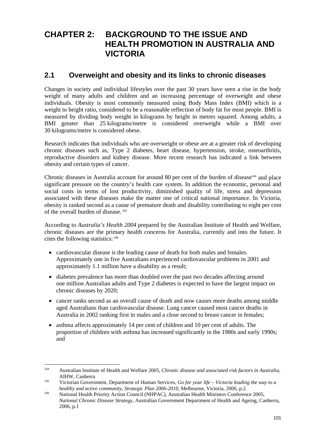# **CHAPTER 2: BACKGROUND TO THE ISSUE AND HEALTH PROMOTION IN AUSTRALIA AND VICTORIA**

## **2.1 Overweight and obesity and its links to chronic diseases**

Changes in society and individual lifestyles over the past 30 years have seen a rise in the body weight of many adults and children and an increasing percentage of overweight and obese individuals. Obesity is most commonly measured using Body Mass Index (BMI) which is a weight to height ratio, considered to be a reasonable reflection of body fat for most people. BMI is measured by dividing body weight in kilograms by height in metres squared. Among adults, a BMI greater than 25 kilograms/metre is considered overweight while a BMI over 30 kilograms/metre is considered obese.

Research indicates that individuals who are overweight or obese are at a greater risk of developing chronic diseases such as, Type 2 diabetes, heart disease, hypertension, stroke, osteoarthritis, reproductive disorders and kidney disease. More recent research has indicated a link between obesity and certain types of cancer.

Chronic diseases in Australia account for around 80 per cent of the burden of disease<sup>244</sup> and place significant pressure on the country's health care system. In addition the economic, personal and social costs in terms of lost productivity, diminished quality of life, stress and depression associated with these diseases make the matter one of critical national importance. In Victoria, obesity is ranked second as a cause of premature death and disability contributing to eight per cent of the overall burden of disease. 245

According to *Australia's Health 2004* prepared by the Australian Institute of Health and Welfare, chronic diseases are the primary health concerns for Australia, currently and into the future. It cites the following statistics: 246

- cardiovascular disease is the leading cause of death for both males and females. Approximately one in five Australians experienced cardiovascular problems in 2001 and approximately 1.1 million have a disability as a result;
- diabetes prevalence has more than doubled over the past two decades affecting around one million Australian adults and Type 2 diabetes is expected to have the largest impact on chronic diseases by 2020;
- cancer ranks second as an overall cause of death and now causes more deaths among middle aged Australians than cardiovascular disease. Lung cancer caused most cancer deaths in Australia in 2002 ranking first in males and a close second to breast cancer in females;
- asthma affects approximately 14 per cent of children and 10 per cent of adults. The proportion of children with asthma has increased significantly in the 1980s and early 1990s; and

<sup>244</sup> Australian Institute of Health and Welfare 2005, *Chronic disease and associated risk factors in Australia,* AIHW, Canberra 245 Victorian Government, Department of Human Services, *Go for your life – Victoria leading the way to a* 

*healthy and active community, Strategic Plan 2006-2010, Melbourne, Victoria, 2006, p.2.* National Health Priority Action Council (NHPAC), Australian Health Ministers Conference 2005,

*National Chronic Disease Strategy*, Australian Government Department of Health and Ageing, Canberra, 2006, p.1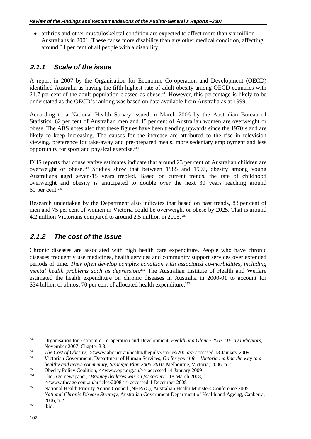• arthritis and other musculoskeletal condition are expected to affect more than six million Australians in 2001. These cause more disability than any other medical condition, affecting around 34 per cent of all people with a disability.

## **2.1.1** *Scale of the issue*

A report in 2007 by the Organisation for Economic Co-operation and Development (OECD) identified Australia as having the fifth highest rate of adult obesity among OECD countries with 21.7 per cent of the adult population classed as obese.<sup>247</sup> However, this percentage is likely to be understated as the OECD's ranking was based on data available from Australia as at 1999.

According to a National Health Survey issued in March 2006 by the Australian Bureau of Statistics, 62 per cent of Australian men and 45 per cent of Australian women are overweight or obese. The ABS notes also that these figures have been trending upwards since the 1970's and are likely to keep increasing. The causes for the increase are attributed to the rise in television viewing, preference for take-away and pre-prepared meals, more sedentary employment and less opportunity for sport and physical exercise.248

DHS reports that conservative estimates indicate that around 23 per cent of Australian children are overweight or obese.249 Studies show that between 1985 and 1997, obesity among young Australians aged seven-15 years trebled. Based on current trends, the rate of childhood overweight and obesity is anticipated to double over the next 30 years reaching around 60 per cent.250

Research undertaken by the Department also indicates that based on past trends, 83 per cent of men and 75 per cent of women in Victoria could be overweight or obese by 2025. That is around 4.2 million Victorians compared to around 2.5 million in 2005. 251

## **2.1.2** *The cost of the issue*

Chronic diseases are associated with high health care expenditure. People who have chronic diseases frequently use medicines, health services and community support services over extended periods of time. *They often develop complex condition with associated co-morbidities, including mental health problems such as depression.*252 The Australian Institute of Health and Welfare estimated the health expenditure on chronic diseases in Australia in 2000-01 to account for \$34 billion or almost 70 per cent of allocated health expenditure.<sup>253</sup>

<sup>247</sup> 247 Organisation for Economic Co-operation and Development, *Health at a Glance 2007-OECD indicators,*  November 2007, Chapter 3.3*.*

<sup>&</sup>lt;sup>248</sup>*The Cost of Obesity*, <<www.abc.net.au/health/thepulse/stories/2006>> accessed 13 January 2009<br><sup>249</sup> Victorian Government, Department of Human Services, *Go for your life – Victoria leading the way to a* 

healthy and active community, Strategic Plan 2006-2010, Melbourne, Victoria, 2006, p.2.<br>
Obesity Policy Coalition, <<www.opc.org.au/>> accessed 14 January 2009<br>
The Age newspaper, 'Brumby declares war on fat society', 18 M

<sup>&</sup>lt;<www.theage.com.au/articles/2008 >> accessed 4 December 2008 252 National Health Priority Action Council (NHPAC), Australian Health Ministers Conference 2005, *National Chronic Disease Strategy*, Australian Government Department of Health and Ageing, Canberra, 2006, p.2<br>
<sup>253</sup> ibid.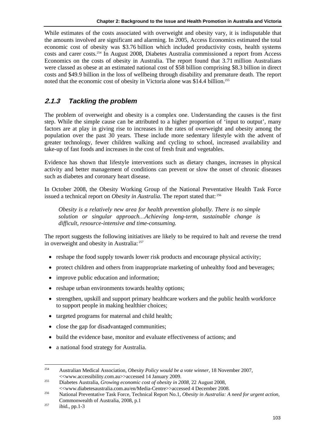While estimates of the costs associated with overweight and obesity vary, it is indisputable that the amounts involved are significant and alarming. In 2005, Access Economics estimated the total economic cost of obesity was \$3.76 billion which included productivity costs, health systems costs and carer costs.254 In August 2008, Diabetes Australia commissioned a report from Access Economics on the costs of obesity in Australia. The report found that 3.71 million Australians were classed as obese at an estimated national cost of \$58 billion comprising \$8.3 billion in direct costs and \$49.9 billion in the loss of wellbeing through disability and premature death. The report noted that the economic cost of obesity in Victoria alone was \$14.4 billion.<sup>255</sup>

## **2.1.3** *Tackling the problem*

The problem of overweight and obesity is a complex one. Understanding the causes is the first step. While the simple cause can be attributed to a higher proportion of 'input to output', many factors are at play in giving rise to increases in the rates of overweight and obesity among the population over the past 30 years. These include more sedentary lifestyle with the advent of greater technology, fewer children walking and cycling to school, increased availability and take-up of fast foods and increases in the cost of fresh fruit and vegetables.

Evidence has shown that lifestyle interventions such as dietary changes, increases in physical activity and better management of conditions can prevent or slow the onset of chronic diseases such as diabetes and coronary heart disease.

In October 2008, the Obesity Working Group of the National Preventative Health Task Force issued a technical report on *Obesity in Australia*. The report stated that: <sup>256</sup>

*Obesity is a relatively new area for health prevention globally. There is no simple solution or singular approach…Achieving long-term, sustainable change is difficult, resource-intensive and time-consuming.*

The report suggests the following initiatives are likely to be required to halt and reverse the trend in overweight and obesity in Australia: <sup>257</sup>

- reshape the food supply towards lower risk products and encourage physical activity;
- protect children and others from inappropriate marketing of unhealthy food and beverages;
- improve public education and information;
- reshape urban environments towards healthy options:
- strengthen, upskill and support primary healthcare workers and the public health workforce to support people in making healthier choices;
- targeted programs for maternal and child health;
- close the gap for disadvantaged communities;
- build the evidence base, monitor and evaluate effectiveness of actions; and
- a national food strategy for Australia.

<sup>1</sup> 254 Australian Medical Association, *Obesity Policy would be a vote winner,* 18 November 2007, <<www.accessibility.com.au>>accessed 14 January 2009. 255 Diabetes Australia, *Growing economic cost of obesity in 2008,* 22 August 2008,

<sup>&</sup>lt;<www.diabetesaustralia.com.au/en/Media-Centre>>accessed 4 December 2008. 256 National Preventative Task Force, Technical Report No.1, *Obesity in Australia: A need for urgent action,* Commonwealth of Australia, 2008, p.1<br>
<sup>257</sup> ibid., pp.1-3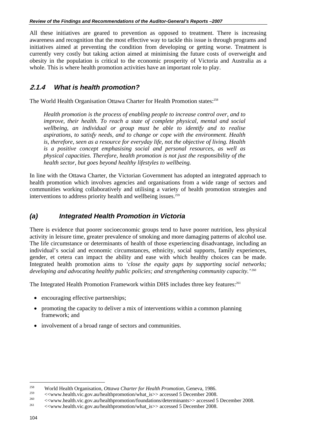All these initiatives are geared to prevention as opposed to treatment. There is increasing awareness and recognition that the most effective way to tackle this issue is through programs and initiatives aimed at preventing the condition from developing or getting worse. Treatment is currently very costly but taking action aimed at minimising the future costs of overweight and obesity in the population is critical to the economic prosperity of Victoria and Australia as a whole. This is where health promotion activities have an important role to play.

#### **2.1.4** *What is health promotion?*

The World Health Organisation Ottawa Charter for Health Promotion states:<sup>258</sup>

*Health promotion is the process of enabling people to increase control over, and to improve, their health. To reach a state of complete physical, mental and social wellbeing, an individual or group must be able to identify and to realise aspirations, to satisfy needs, and to change or cope with the environment. Health is, therefore, seen as a resource for everyday life, not the objective of living. Health is a positive concept emphasising social and personal resources, as well as physical capacities. Therefore, health promotion is not just the responsibility of the health sector, but goes beyond healthy lifestyles to wellbeing.* 

In line with the Ottawa Charter, the Victorian Government has adopted an integrated approach to health promotion which involves agencies and organisations from a wide range of sectors and communities working collaboratively and utilising a variety of health promotion strategies and interventions to address priority health and wellbeing issues.<sup>259</sup>

#### *(a) Integrated Health Promotion in Victoria*

There is evidence that poorer socioeconomic groups tend to have poorer nutrition, less physical activity in leisure time, greater prevalence of smoking and more damaging patterns of alcohol use. The life circumstance or determinants of health of those experiencing disadvantage, including an individual's social and economic circumstances, ethnicity, social supports, family experiences, gender, et cetera can impact the ability and ease with which healthy choices can be made. Integrated health promotion aims to *'close the equity gaps by supporting social networks; developing and advocating healthy public policies; and strengthening community capacity.'*<sup>260</sup>

The Integrated Health Promotion Framework within DHS includes three key features:<sup>261</sup>

- encouraging effective partnerships;
- promoting the capacity to deliver a mix of interventions within a common planning framework; and
- involvement of a broad range of sectors and communities.

<sup>&</sup>lt;sup>258</sup><br>World Health Organisation, *Ottawa Charter for Health Promotion*, Geneva, 1986.<br>  $\leq$  www.health.vic.gov.au/healthpromotion/what\_is>> accessed 5 December 2008.<br>  $\leq$  www.health.vic.gov.au/healthpromotion/foundatio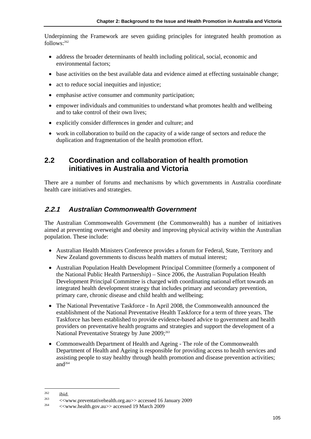Underpinning the Framework are seven guiding principles for integrated health promotion as  $follows<sup>262</sup>$ 

- address the broader determinants of health including political, social, economic and environmental factors;
- base activities on the best available data and evidence aimed at effecting sustainable change;
- act to reduce social inequities and injustice:
- emphasise active consumer and community participation;
- empower individuals and communities to understand what promotes health and wellbeing and to take control of their own lives;
- explicitly consider differences in gender and culture; and
- work in collaboration to build on the capacity of a wide range of sectors and reduce the duplication and fragmentation of the health promotion effort.

## **2.2 Coordination and collaboration of health promotion initiatives in Australia and Victoria**

There are a number of forums and mechanisms by which governments in Australia coordinate health care initiatives and strategies.

## **2.2.1** *Australian Commonwealth Government*

The Australian Commonwealth Government (the Commonwealth) has a number of initiatives aimed at preventing overweight and obesity and improving physical activity within the Australian population. These include:

- Australian Health Ministers Conference provides a forum for Federal, State, Territory and New Zealand governments to discuss health matters of mutual interest;
- Australian Population Health Development Principal Committee (formerly a component of the National Public Health Partnership) – Since 2006, the Australian Population Health Development Principal Committee is charged with coordinating national effort towards an integrated health development strategy that includes primary and secondary prevention, primary care, chronic disease and child health and wellbeing;
- The National Preventative Taskforce In April 2008, the Commonwealth announced the establishment of the National Preventative Health Taskforce for a term of three years. The Taskforce has been established to provide evidence-based advice to government and health providers on preventative health programs and strategies and support the development of a National Preventative Strategy by June 2009;<sup>263</sup>
- Commonwealth Department of Health and Ageing The role of the Commonwealth Department of Health and Ageing is responsible for providing access to health services and assisting people to stay healthy through health promotion and disease prevention activities; and<sup>264</sup>

<sup>&</sup>lt;sup>262</sup> ibid. <br>
263 communicativehealth.org.au>> accessed 16 January 2009<br>
264 communicativehealth.gov.au>> accessed 19 March 2009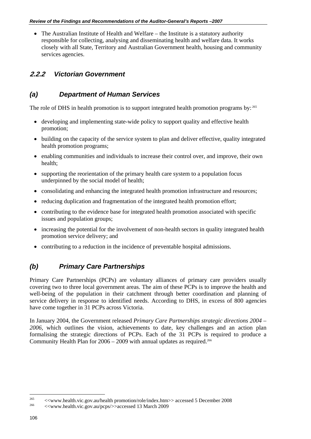• The Australian Institute of Health and Welfare – the Institute is a statutory authority responsible for collecting, analysing and disseminating health and welfare data. It works closely with all State, Territory and Australian Government health, housing and community services agencies.

#### **2.2.2** *Victorian Government*

#### *(a) Department of Human Services*

The role of DHS in health promotion is to support integrated health promotion programs by: 265

- developing and implementing state-wide policy to support quality and effective health promotion;
- building on the capacity of the service system to plan and deliver effective, quality integrated health promotion programs;
- enabling communities and individuals to increase their control over, and improve, their own health;
- supporting the reorientation of the primary health care system to a population focus underpinned by the social model of health;
- consolidating and enhancing the integrated health promotion infrastructure and resources;
- reducing duplication and fragmentation of the integrated health promotion effort;
- contributing to the evidence base for integrated health promotion associated with specific issues and population groups;
- increasing the potential for the involvement of non-health sectors in quality integrated health promotion service delivery; and
- contributing to a reduction in the incidence of preventable hospital admissions.

#### *(b) Primary Care Partnerships*

Primary Care Partnerships (PCPs) are voluntary alliances of primary care providers usually covering two to three local government areas. The aim of these PCPs is to improve the health and well-being of the population in their catchment through better coordination and planning of service delivery in response to identified needs. According to DHS, in excess of 800 agencies have come together in 31 PCPs across Victoria.

In January 2004, the Government released *Primary Care Partnerships strategic directions 2004 – 2006,* which outlines the vision, achievements to date, key challenges and an action plan formalising the strategic directions of PCPs. Each of the 31 PCPs is required to produce a Community Health Plan for  $2006 - 2009$  with annual updates as required.<sup>266</sup>

<sup>&</sup>lt;sup>265</sup> <<www.health.vic.gov.au/health promotion/role/index.htm>> accessed 5 December 2008 <br>  $\leq$ www.health.vic.gov.au/pcps/>>accessed 13 March 2009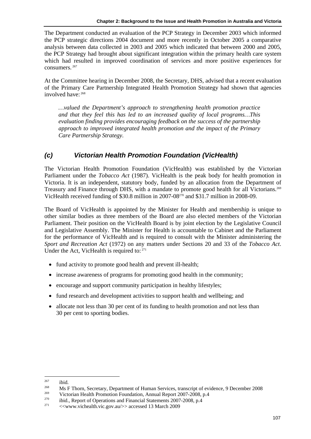The Department conducted an evaluation of the PCP Strategy in December 2003 which informed the PCP strategic directions 2004 document and more recently in October 2005 a comparative analysis between data collected in 2003 and 2005 which indicated that between 2000 and 2005, the PCP Strategy had brought about significant integration within the primary health care system which had resulted in improved coordination of services and more positive experiences for consumers. 267

At the Committee hearing in December 2008, the Secretary, DHS, advised that a recent evaluation of the Primary Care Partnership Integrated Health Promotion Strategy had shown that agencies involved have: 268

*…valued the Department's approach to strengthening health promotion practice and that they feel this has led to an increased quality of local programs…This evaluation finding provides encouraging feedback on the success of the partnership approach to improved integrated health promotion and the impact of the Primary Care Partnership Strategy.* 

## *(c) Victorian Health Promotion Foundation (VicHealth)*

The Victorian Health Promotion Foundation (VicHealth) was established by the Victorian Parliament under the *Tobacco Act* (1987). VicHealth is the peak body for health promotion in Victoria. It is an independent, statutory body, funded by an allocation from the Department of Treasury and Finance through DHS, with a mandate to promote good health for all Victorians.<sup>269</sup> VicHealth received funding of \$30.8 million in 2007-08270 and \$31.7 million in 2008-09.

The Board of VicHealth is appointed by the Minister for Health and membership is unique to other similar bodies as three members of the Board are also elected members of the Victorian Parliament. Their position on the VicHealth Board is by joint election by the Legislative Council and Legislative Assembly. The Minister for Health is accountable to Cabinet and the Parliament for the performance of VicHealth and is required to consult with the Minister administering the *Sport and Recreation Act* (1972) on any matters under Sections 20 and 33 of the *Tobacco Act*. Under the Act, VicHealth is required to:  $271$ 

- fund activity to promote good health and prevent ill-health;
- increase awareness of programs for promoting good health in the community;
- encourage and support community participation in healthy lifestyles;
- fund research and development activities to support health and wellbeing; and
- allocate not less than 30 per cent of its funding to health promotion and not less than 30 per cent to sporting bodies.

<sup>&</sup>lt;sup>267</sup> ibid.<br>
Ms F Thorn, Secretary, Department of Human Services, transcript of evidence, 9 December 2008<br>
Victorian Health Promotion Foundation, Annual Report 2007-2008, p.4<br>
ibid., Report of Operations and Financial Sta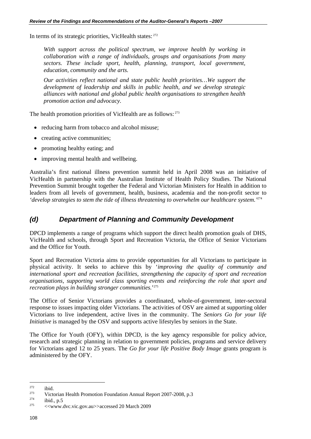In terms of its strategic priorities, VicHealth states: 272

With support across the political spectrum, we improve health by working in *collaboration with a range of individuals, groups and organisations from many sectors. These include sport, health, planning, transport, local government, education, community and the arts.* 

*Our activities reflect national and state public health priorities…We support the development of leadership and skills in public health, and we develop strategic alliances with national and global public health organisations to strengthen health promotion action and advocacy.* 

The health promotion priorities of VicHealth are as follows: <sup>273</sup>

- reducing harm from tobacco and alcohol misuse;
- creating active communities;
- promoting healthy eating; and
- improving mental health and wellbeing.

Australia's first national illness prevention summit held in April 2008 was an initiative of VicHealth in partnership with the Australian Institute of Health Policy Studies. The National Prevention Summit brought together the Federal and Victorian Ministers for Health in addition to leaders from all levels of government, health, business, academia and the non-profit sector to *'develop strategies to stem the tide of illness threatening to overwhelm our healthcare system.'*274

#### *(d) Department of Planning and Community Development*

DPCD implements a range of programs which support the direct health promotion goals of DHS, VicHealth and schools, through Sport and Recreation Victoria, the Office of Senior Victorians and the Office for Youth.

Sport and Recreation Victoria aims to provide opportunities for all Victorians to participate in physical activity. It seeks to achieve this by '*improving the quality of community and international sport and recreation facilities, strengthening the capacity of sport and recreation organisations, supporting world class sporting events and reinforcing the role that sport and recreation plays in building stronger communities.*' 275

The Office of Senior Victorians provides a coordinated, whole-of-government, inter-sectoral response to issues impacting older Victorians. The activities of OSV are aimed at supporting older Victorians to live independent, active lives in the community. The *Seniors Go for your life Initiative* is managed by the OSV and supports active lifestyles by seniors in the State.

The Office for Youth (OFY), within DPCD, is the key agency responsible for policy advice, research and strategic planning in relation to government policies, programs and service delivery for Victorians aged 12 to 25 years. The *Go for your life Positive Body Image* grants program is administered by the OFY.

<sup>&</sup>lt;sup>272</sup> ibid.<br>
273 Victorian Health Promotion Foundation Annual Report 2007-2008, p.3<br>
274 ibid., p.5 <br>  $\langle\langle x \rangle \rangle$  <www.dvc.vic.gov.au>>accessed 20 March 2009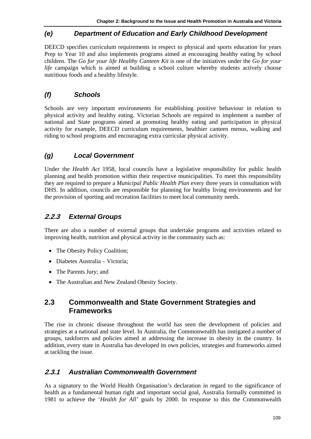## *(e) Department of Education and Early Childhood Development*

DEECD specifies curriculum requirements in respect to physical and sports education for years Prep to Year 10 and also implements programs aimed at encouraging healthy eating by school children. The *Go for your life Healthy Canteen Kit* is one of the initiatives under the *Go for your life* campaign which is aimed at building a school culture whereby students actively choose nutritious foods and a healthy lifestyle.

## *(f) Schools*

Schools are very important environments for establishing positive behaviour in relation to physical activity and healthy eating. Victorian Schools are required to implement a number of national and State programs aimed at promoting healthy eating and participation in physical activity for example, DEECD curriculum requirements, healthier canteen menus, walking and riding to school programs and encouraging extra curricular physical activity.

## *(g) Local Government*

Under the *Health Act* 1958, local councils have a legislative responsibility for public health planning and health promotion within their respective municipalities. To meet this responsibility they are required to prepare a *Municipal Public Health Plan* every three years in consultation with DHS. In addition, councils are responsible for planning for healthy living environments and for the provision of sporting and recreation facilities to meet local community needs.

## **2.2.3** *External Groups*

There are also a number of external groups that undertake programs and activities related to improving health, nutrition and physical activity in the community such as:

- The Obesity Policy Coalition;
- Diabetes Australia Victoria;
- The Parents Jury; and
- The Australian and New Zealand Obesity Society.

## **2.3 Commonwealth and State Government Strategies and Frameworks**

The rise in chronic disease throughout the world has seen the development of policies and strategies at a national and state level. In Australia, the Commonwealth has instigated a number of groups, taskforces and policies aimed at addressing the increase in obesity in the country. In addition, every state in Australia has developed its own policies, strategies and frameworks aimed at tackling the issue.

#### **2.3.1** *Australian Commonwealth Government*

As a signatory to the World Health Organisation's declaration in regard to the significance of health as a fundamental human right and important social goal, Australia formally committed in 1981 to achieve the '*Health for All'* goals by 2000. In response to this the Commonwealth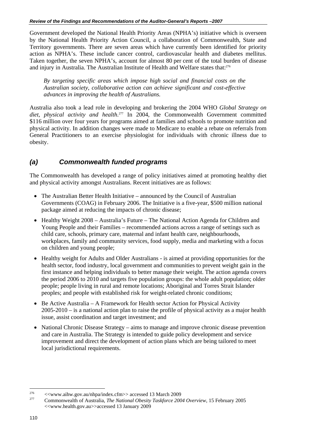Government developed the National Health Priority Areas (NPHA's) initiative which is overseen by the National Health Priority Action Council, a collaboration of Commonwealth, State and Territory governments. There are seven areas which have currently been identified for priority action as NPHA's. These include cancer control, cardiovascular health and diabetes mellitus. Taken together, the seven NPHA's, account for almost 80 per cent of the total burden of disease and injury in Australia. The Australian Institute of Health and Welfare states that:276

*By targeting specific areas which impose high social and financial costs on the Australian society, collaborative action can achieve significant and cost-effective advances in improving the health of Australians.*

Australia also took a lead role in developing and brokering the 2004 WHO *Global Strategy on diet, physical activity and health*. 277 In 2004, the Commonwealth Government committed \$116 million over four years for programs aimed at families and schools to promote nutrition and physical activity. In addition changes were made to Medicare to enable a rebate on referrals from General Practitioners to an exercise physiologist for individuals with chronic illness due to obesity.

## *(a) Commonwealth funded programs*

The Commonwealth has developed a range of policy initiatives aimed at promoting healthy diet and physical activity amongst Australians. Recent initiatives are as follows:

- The Australian Better Health Initiative announced by the Council of Australian Governments (COAG) in February 2006. The Initiative is a five-year, \$500 million national package aimed at reducing the impacts of chronic disease;
- Healthy Weight 2008 Australia's Future The National Action Agenda for Children and Young People and their Families – recommended actions across a range of settings such as child care, schools, primary care, maternal and infant health care, neighbourhoods, workplaces, family and community services, food supply, media and marketing with a focus on children and young people;
- Healthy weight for Adults and Older Australians is aimed at providing opportunities for the health sector, food industry, local government and communities to prevent weight gain in the first instance and helping individuals to better manage their weight. The action agenda covers the period 2006 to 2010 and targets five population groups: the whole adult population; older people; people living in rural and remote locations; Aboriginal and Torres Strait Islander peoples; and people with established risk for weight-related chronic conditions;
- Be Active Australia A Framework for Health sector Action for Physical Activity 2005-2010 – is a national action plan to raise the profile of physical activity as a major health issue, assist coordination and target investment; and
- National Chronic Disease Strategy aims to manage and improve chronic disease prevention and care in Australia. The Strategy is intended to guide policy development and service improvement and direct the development of action plans which are being tailored to meet local jurisdictional requirements.

<sup>&</sup>lt;sup>276</sup> <<www.aihw.gov.au/nhpa/index.cfm>> accessed 13 March 2009<br>
Commonwealth of Australia, *The National Obesity Taskforce 2004 Overview*, 15 February 2005 <<www.health.gov.au>>accessed 13 January 2009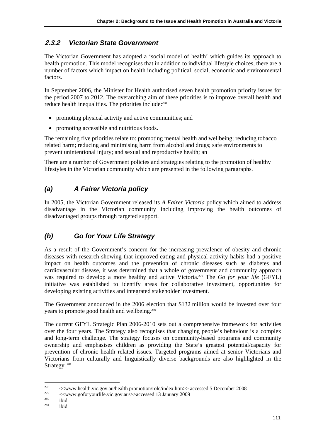## **2.3.2** *Victorian State Government*

The Victorian Government has adopted a 'social model of health' which guides its approach to health promotion. This model recognises that in addition to individual lifestyle choices, there are a number of factors which impact on health including political, social, economic and environmental factors.

In September 2006, the Minister for Health authorised seven health promotion priority issues for the period 2007 to 2012. The overarching aim of these priorities is to improve overall health and reduce health inequalities. The priorities include:<sup>278</sup>

- promoting physical activity and active communities; and
- promoting accessible and nutritious foods.

The remaining five priorities relate to: promoting mental health and wellbeing; reducing tobacco related harm; reducing and minimising harm from alcohol and drugs; safe environments to prevent unintentional injury; and sexual and reproductive health; an

There are a number of Government policies and strategies relating to the promotion of healthy lifestyles in the Victorian community which are presented in the following paragraphs.

## *(a) A Fairer Victoria policy*

In 2005, the Victorian Government released its *A Fairer Victoria* policy which aimed to address disadvantage in the Victorian community including improving the health outcomes of disadvantaged groups through targeted support.

## *(b) Go for Your Life Strategy*

As a result of the Government's concern for the increasing prevalence of obesity and chronic diseases with research showing that improved eating and physical activity habits had a positive impact on health outcomes and the prevention of chronic diseases such as diabetes and cardiovascular disease, it was determined that a whole of government and community approach was required to develop a more healthy and active Victoria.279 The *Go for your life* (GFYL) initiative was established to identify areas for collaborative investment, opportunities for developing existing activities and integrated stakeholder investment.

The Government announced in the 2006 election that \$132 million would be invested over four years to promote good health and wellbeing.280

The current GFYL Strategic Plan 2006-2010 sets out a comprehensive framework for activities over the four years. The Strategy also recognises that changing people's behaviour is a complex and long-term challenge. The strategy focuses on community-based programs and community ownership and emphasises children as providing the State's greatest potential/capacity for prevention of chronic health related issues. Targeted programs aimed at senior Victorians and Victorians from culturally and linguistically diverse backgrounds are also highlighted in the Strategy.<sup>281</sup>

<sup>&</sup>lt;sup>278</sup>  $\leq$ www.health.vic.gov.au/health promotion/role/index.htm>> accessed 5 December 2008<br>  $\leq$ www.goforyourlife.vic.gov.au/>>accessed 13 January 2009<br>
280 ibid.<br>
281 ibid.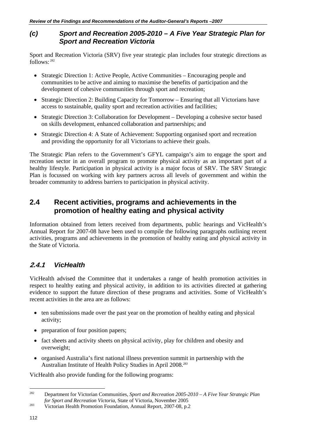### *(c) Sport and Recreation 2005-2010 – A Five Year Strategic Plan for Sport and Recreation Victoria*

Sport and Recreation Victoria (SRV) five year strategic plan includes four strategic directions as follows:  $282$ 

- Strategic Direction 1: Active People, Active Communities Encouraging people and communities to be active and aiming to maximise the benefits of participation and the development of cohesive communities through sport and recreation;
- Strategic Direction 2: Building Capacity for Tomorrow Ensuring that all Victorians have access to sustainable, quality sport and recreation activities and facilities;
- Strategic Direction 3: Collaboration for Development Developing a cohesive sector based on skills development, enhanced collaboration and partnerships; and
- Strategic Direction 4: A State of Achievement: Supporting organised sport and recreation and providing the opportunity for all Victorians to achieve their goals.

The Strategic Plan refers to the Government's GFYL campaign's aim to engage the sport and recreation sector in an overall program to promote physical activity as an important part of a healthy lifestyle. Participation in physical activity is a major focus of SRV. The SRV Strategic Plan is focussed on working with key partners across all levels of government and within the broader community to address barriers to participation in physical activity.

## **2.4 Recent activities, programs and achievements in the promotion of healthy eating and physical activity**

Information obtained from letters received from departments, public hearings and VicHealth's Annual Report for 2007-08 have been used to compile the following paragraphs outlining recent activities, programs and achievements in the promotion of healthy eating and physical activity in the State of Victoria.

## **2.4.1** *VicHealth*

VicHealth advised the Committee that it undertakes a range of health promotion activities in respect to healthy eating and physical activity, in addition to its activities directed at gathering evidence to support the future direction of these programs and activities. Some of VicHealth's recent activities in the area are as follows:

- ten submissions made over the past year on the promotion of healthy eating and physical activity;
- preparation of four position papers;
- fact sheets and activity sheets on physical activity, play for children and obesity and overweight;
- organised Australia's first national illness prevention summit in partnership with the Australian Institute of Health Policy Studies in April 2008.*<sup>283</sup>*

VicHealth also provide funding for the following programs:

<sup>282</sup> 282 Department for Victorian Communities, *Sport and Recreation 2005-2010 – A Five Year Strategic Plan for Sport and Recreation Victoria*, State of Victoria, November 2005<br><sup>283</sup> Victorian Health Promotion Foundation, Annual Report, 2007-08, p.2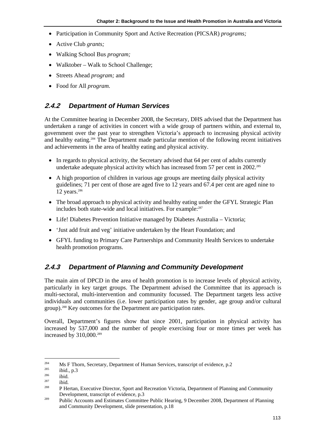- Participation in Community Sport and Active Recreation (PICSAR) *programs;*
- Active Club *grants;*
- Walking School Bus *program;*
- Walktober Walk to School Challenge;
- Streets Ahead *program;* and
- Food for All *program.*

## **2.4.2** *Department of Human Services*

At the Committee hearing in December 2008, the Secretary, DHS advised that the Department has undertaken a range of activities in concert with a wide group of partners within, and external to, government over the past year to strengthen Victoria's approach to increasing physical activity and healthy eating.284 The Department made particular mention of the following recent initiatives and achievements in the area of healthy eating and physical activity.

- In regards to physical activity, the Secretary advised that 64 per cent of adults currently undertake adequate physical activity which has increased from 57 per cent in  $2002$ <sup>285</sup>
- A high proportion of children in various age groups are meeting daily physical activity guidelines; 71 per cent of those are aged five to 12 years and 67.4 per cent are aged nine to 12 years. $286$
- The broad approach to physical activity and healthy eating under the GFYL Strategic Plan includes both state-wide and local initiatives. For example:<sup>287</sup>
- Life! Diabetes Prevention Initiative managed by Diabetes Australia Victoria;
- 'Just add fruit and veg' initiative undertaken by the Heart Foundation; and
- GFYL funding to Primary Care Partnerships and Community Health Services to undertake health promotion programs.

## **2.4.3** *Department of Planning and Community Development*

The main aim of DPCD in the area of health promotion is to increase levels of physical activity, particularly in key target groups. The Department advised the Committee that its approach is multi-sectoral, multi-intervention and community focussed. The Department targets less active individuals and communities (i.e. lower participation rates by gender, age group and/or cultural group).288 Key outcomes for the Department are participation rates.

Overall, Department's figures show that since 2001, participation in physical activity has increased by 537,000 and the number of people exercising four or more times per week has increased by 310,000.<sup>289</sup>

<sup>284</sup> 

<sup>&</sup>lt;sup>284</sup> Ms F Thorn, Secretary, Department of Human Services, transcript of evidence, p.2<br>
<sup>285</sup> ibid.<br><sup>286</sup> ibid. 287 p Hertan, Executive Director, Sport and Recreation Victoria, Department of Planning and Community

Development, transcript of evidence, p.3 289 Public Accounts and Estimates Committee Public Hearing, 9 December 2008, Department of Planning and Community Development, slide presentation, p.18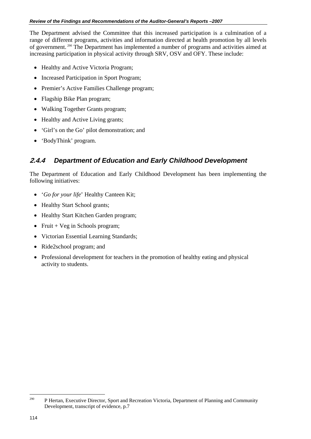The Department advised the Committee that this increased participation is a culmination of a range of different programs, activities and information directed at health promotion by all levels of government. 290 The Department has implemented a number of programs and activities aimed at increasing participation in physical activity through SRV, OSV and OFY. These include:

- Healthy and Active Victoria Program:
- Increased Participation in Sport Program;
- Premier's Active Families Challenge program;
- Flagship Bike Plan program;
- Walking Together Grants program;
- Healthy and Active Living grants;
- 'Girl's on the Go' pilot demonstration; and
- 'BodyThink' program.

# **2.4.4** *Department of Education and Early Childhood Development*

The Department of Education and Early Childhood Development has been implementing the following initiatives:

- '*Go for your life*' Healthy Canteen Kit;
- Healthy Start School grants;
- Healthy Start Kitchen Garden program;
- Fruit  $+$  Veg in Schools program;
- Victorian Essential Learning Standards;
- Ride2school program; and
- Professional development for teachers in the promotion of healthy eating and physical activity to students.

<sup>&</sup>lt;sup>290</sup> P Hertan, Executive Director, Sport and Recreation Victoria, Department of Planning and Community Development, transcript of evidence, p.7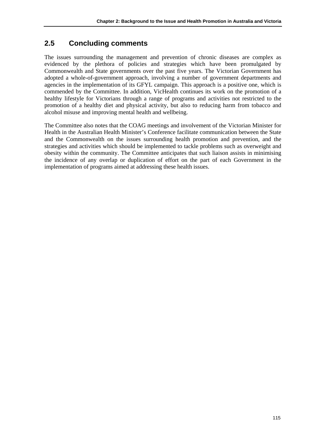# **2.5 Concluding comments**

The issues surrounding the management and prevention of chronic diseases are complex as evidenced by the plethora of policies and strategies which have been promulgated by Commonwealth and State governments over the past five years. The Victorian Government has adopted a whole-of-government approach, involving a number of government departments and agencies in the implementation of its GFYL campaign. This approach is a positive one, which is commended by the Committee. In addition, VicHealth continues its work on the promotion of a healthy lifestyle for Victorians through a range of programs and activities not restricted to the promotion of a healthy diet and physical activity, but also to reducing harm from tobacco and alcohol misuse and improving mental health and wellbeing.

The Committee also notes that the COAG meetings and involvement of the Victorian Minister for Health in the Australian Health Minister's Conference facilitate communication between the State and the Commonwealth on the issues surrounding health promotion and prevention, and the strategies and activities which should be implemented to tackle problems such as overweight and obesity within the community. The Committee anticipates that such liaison assists in minimising the incidence of any overlap or duplication of effort on the part of each Government in the implementation of programs aimed at addressing these health issues.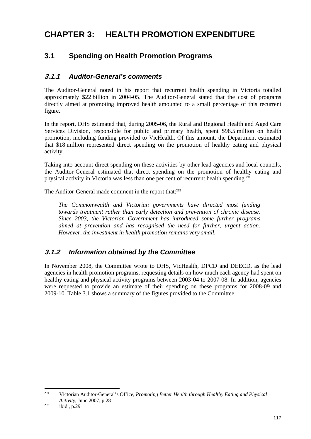# **CHAPTER 3: HEALTH PROMOTION EXPENDITURE**

# **3.1 Spending on Health Promotion Programs**

# **3.1.1** *Auditor-General's comments*

The Auditor-General noted in his report that recurrent health spending in Victoria totalled approximately \$22 billion in 2004-05. The Auditor-General stated that the cost of programs directly aimed at promoting improved health amounted to a small percentage of this recurrent figure.

In the report, DHS estimated that, during 2005-06, the Rural and Regional Health and Aged Care Services Division, responsible for public and primary health, spent \$98.5 million on health promotion, including funding provided to VicHealth. Of this amount, the Department estimated that \$18 million represented direct spending on the promotion of healthy eating and physical activity.

Taking into account direct spending on these activities by other lead agencies and local councils, the Auditor-General estimated that direct spending on the promotion of healthy eating and physical activity in Victoria was less than one per cent of recurrent health spending.<sup>291</sup>

The Auditor-General made comment in the report that:<sup>292</sup>

*The Commonwealth and Victorian governments have directed most funding towards treatment rather than early detection and prevention of chronic disease. Since 2003, the Victorian Government has introduced some further programs aimed at prevention and has recognised the need for further, urgent action. However, the investment in health promotion remains very small.* 

# **3.1.2** *Information obtained by the Committee*

In November 2008, the Committee wrote to DHS, VicHealth, DPCD and DEECD, as the lead agencies in health promotion programs, requesting details on how much each agency had spent on healthy eating and physical activity programs between 2003-04 to 2007-08. In addition, agencies were requested to provide an estimate of their spending on these programs for 2008-09 and 2009-10. Table 3.1 shows a summary of the figures provided to the Committee.

1

<sup>291</sup> Victorian Auditor-General's Office, *Promoting Better Health through Healthy Eating and Physical Activity,* June 2007, p.28<br><sup>292</sup> ibid., p.29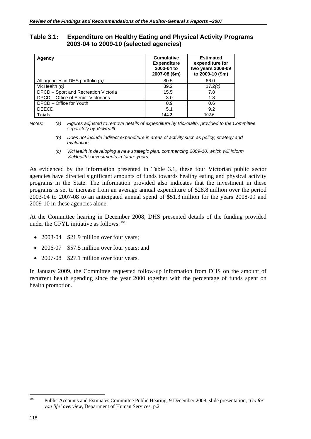**Table 3.1: Expenditure on Healthy Eating and Physical Activity Programs 2003-04 to 2009-10 (selected agencies)** 

| Agency                               | <b>Cumulative</b><br><b>Expenditure</b><br>2003-04 to<br>2007-08 (\$m) | <b>Estimated</b><br>expenditure for<br>two years 2008-09<br>to 2009-10 (\$m) |
|--------------------------------------|------------------------------------------------------------------------|------------------------------------------------------------------------------|
| All agencies in DHS portfolio (a)    | 80.5                                                                   | 66.0                                                                         |
| VicHealth (b)                        | 39.2                                                                   | 17.2(c)                                                                      |
| DPCD - Sport and Recreation Victoria | 15.5                                                                   | 7.8                                                                          |
| DPCD – Office of Senior Victorians   | 3.0                                                                    | 1.8                                                                          |
| DPCD – Office for Youth              | 0.9                                                                    | 0.6                                                                          |
| <b>DEECD</b>                         | 5.1                                                                    | 9.2                                                                          |
| <b>Totals</b>                        | 144.2                                                                  | 102.6                                                                        |

*Notes: (a) Figures adjusted to remove details of expenditure by VicHealth, provided to the Committee separately by VicHealth.* 

> *(b) Does not include indirect expenditure in areas of activity such as policy, strategy and evaluation.*

> *(c) VicHealth is developing a new strategic plan, commencing 2009-10, which will inform VicHealth's investments in future years.*

As evidenced by the information presented in Table 3.1, these four Victorian public sector agencies have directed significant amounts of funds towards healthy eating and physical activity programs in the State. The information provided also indicates that the investment in these programs is set to increase from an average annual expenditure of \$28.8 million over the period 2003-04 to 2007-08 to an anticipated annual spend of \$51.3 million for the years 2008-09 and 2009-10 in these agencies alone.

At the Committee hearing in December 2008, DHS presented details of the funding provided under the GFYL initiative as follows: 293

- 2003-04 \$21.9 million over four years;
- 2006-07 \$57.5 million over four years; and
- 2007-08 \$27.1 million over four years.

In January 2009, the Committee requested follow-up information from DHS on the amount of recurrent health spending since the year 2000 together with the percentage of funds spent on health promotion.

<sup>293</sup> Public Accounts and Estimates Committee Public Hearing, 9 December 2008, slide presentation, '*Go for you life' overview*, Department of Human Services, p.2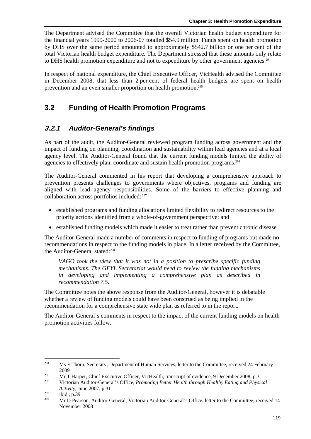The Department advised the Committee that the overall Victorian health budget expenditure for the financial years 1999-2000 to 2006-07 totalled \$54.9 million. Funds spent on health promotion by DHS over the same period amounted to approximately \$542.7 billion or one per cent of the total Victorian health budget expenditure. The Department stressed that these amounts only relate to DHS health promotion expenditure and not to expenditure by other government agencies.<sup>294</sup>

In respect of national expenditure, the Chief Executive Officer, VicHealth advised the Committee in December 2008, that less than 2 per cent of federal health budgets are spent on health prevention and an even smaller proportion on health promotion.295

# **3.2 Funding of Health Promotion Programs**

# **3.2.1** *Auditor-General's findings*

As part of the audit, the Auditor-General reviewed program funding across government and the impact of funding on planning, coordination and sustainability within lead agencies and at a local agency level. The Auditor-General found that the current funding models limited the ability of agencies to effectively plan, coordinate and sustain health promotion programs.<sup>296</sup>

The Auditor-General commented in his report that developing a comprehensive approach to prevention presents challenges to governments where objectives, programs and funding are aligned with lead agency responsibilities. Some of the barriers to effective planning and collaboration across portfolios included: 297

- established programs and funding allocations limited flexibility to redirect resources to the priority actions identified from a whole-of-government perspective; and
- established funding models which made it easier to treat rather than prevent chronic disease.

The Auditor-General made a number of comments in respect to funding of programs but made no recommendations in respect to the funding models in place. In a letter received by the Committee, the Auditor-General stated:*<sup>298</sup>*

*VAGO took the view that it was not in a position to prescribe specific funding mechanisms. The GFYL Secretariat would need to review the funding mechanisms in developing and implementing a comprehensive plan as described in recommendation 7.5.* 

The Committee notes the above response from the Auditor-General, however it is debatable whether a review of funding models could have been construed as being implied in the recommendation for a comprehensive state wide plan as referred to in the report.

The Auditor-General's comments in respect to the impact of the current funding models on health promotion activities follow.

<sup>294</sup> 294 Ms F Thorn, Secretary, Department of Human Services, letter to the Committee, received 24 February

<sup>2009&</sup>lt;br>295 Mr T Harper, Chief Executive Officer, VicHealth, transcript of evidence, 9 December 2008, p.3<br>296 Victorian Auditor-General's Office, *Promoting Better Health through Healthy Eating and Physical* 

*Activity,* June 2007, p.31<br>
297 ibid., p.39<br>
298 Mr D Pearson, Auditor-General, Victorian Auditor-General's Office, letter to the Committee, received 14

November 2008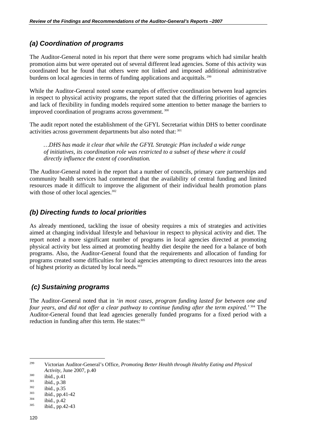# *(a) Coordination of programs*

The Auditor-General noted in his report that there were some programs which had similar health promotion aims but were operated out of several different lead agencies. Some of this activity was coordinated but he found that others were not linked and imposed additional administrative burdens on local agencies in terms of funding applications and acquittals. <sup>299</sup>

While the Auditor-General noted some examples of effective coordination between lead agencies in respect to physical activity programs, the report stated that the differing priorities of agencies and lack of flexibility in funding models required some attention to better manage the barriers to improved coordination of programs across government.<sup>300</sup>

The audit report noted the establishment of the GFYL Secretariat within DHS to better coordinate activities across government departments but also noted that: 301

*…DHS has made it clear that while the GFYL Strategic Plan included a wide range of initiatives, its coordination role was restricted to a subset of these where it could directly influence the extent of coordination.* 

The Auditor-General noted in the report that a number of councils, primary care partnerships and community health services had commented that the availability of central funding and limited resources made it difficult to improve the alignment of their individual health promotion plans with those of other local agencies.<sup>302</sup>

#### *(b) Directing funds to local priorities*

As already mentioned, tackling the issue of obesity requires a mix of strategies and activities aimed at changing individual lifestyle and behaviour in respect to physical activity and diet. The report noted a more significant number of programs in local agencies directed at promoting physical activity but less aimed at promoting healthy diet despite the need for a balance of both programs. Also, the Auditor-General found that the requirements and allocation of funding for programs created some difficulties for local agencies attempting to direct resources into the areas of highest priority as dictated by local needs.<sup>303</sup>

# *(c) Sustaining programs*

The Auditor-General noted that in *'in most cases, program funding lasted for between one and four years, and did not offer a clear pathway to continue funding after the term expired.'* 304 The Auditor-General found that lead agencies generally funded programs for a fixed period with a reduction in funding after this term. He states: 305

<sup>299</sup> 299 Victorian Auditor-General's Office, *Promoting Better Health through Healthy Eating and Physical Activity*, June 2007, p.40<br>
<sup>300</sup> ibid., p.41<br>
<sup>301</sup> ibid., p.38<br>
<sup>303</sup> ibid., p.41-42<br>
<sup>304</sup> ibid., p.42<br>
<sup>305</sup> ibid., pp.42-43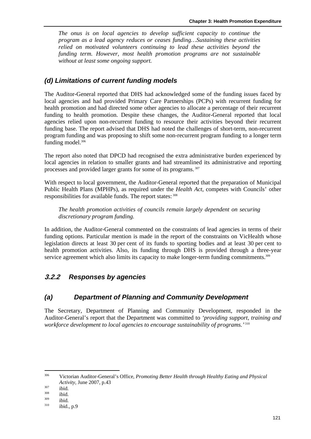*The onus is on local agencies to develop sufficient capacity to continue the program as a lead agency reduces or ceases funding…Sustaining these activities relied on motivated volunteers continuing to lead these activities beyond the funding term. However, most health promotion programs are not sustainable without at least some ongoing support.* 

#### *(d) Limitations of current funding models*

The Auditor-General reported that DHS had acknowledged some of the funding issues faced by local agencies and had provided Primary Care Partnerships (PCPs) with recurrent funding for health promotion and had directed some other agencies to allocate a percentage of their recurrent funding to health promotion. Despite these changes, the Auditor-General reported that local agencies relied upon non-recurrent funding to resource their activities beyond their recurrent funding base. The report advised that DHS had noted the challenges of short-term, non-recurrent program funding and was proposing to shift some non-recurrent program funding to a longer term funding model.<sup>306</sup>

The report also noted that DPCD had recognised the extra administrative burden experienced by local agencies in relation to smaller grants and had streamlined its administrative and reporting processes and provided larger grants for some of its programs. 307

With respect to local government, the Auditor-General reported that the preparation of Municipal Public Health Plans (MPHPs), as required under the *Health Act*, competes with Councils' other responsibilities for available funds. The report states: 308

*The health promotion activities of councils remain largely dependent on securing discretionary program funding.* 

In addition, the Auditor-General commented on the constraints of lead agencies in terms of their funding options. Particular mention is made in the report of the constraints on VicHealth whose legislation directs at least 30 per cent of its funds to sporting bodies and at least 30 per cent to health promotion activities. Also, its funding through DHS is provided through a three-year service agreement which also limits its capacity to make longer-term funding commitments.<sup>309</sup>

# **3.2.2** *Responses by agencies*

#### *(a) Department of Planning and Community Development*

The Secretary, Department of Planning and Community Development, responded in the Auditor-General's report that the Department was committed to *'providing support, training and workforce development to local agencies to encourage sustainability of programs.'*<sup>310</sup>

1

<sup>306</sup> Victorian Auditor-General's Office, *Promoting Better Health through Healthy Eating and Physical Activity,* June 2007, p.43<br>
<sup>307</sup> ibid.<br>
<sup>309</sup> ibid.<br>
<sup>310</sup> ibid., p.9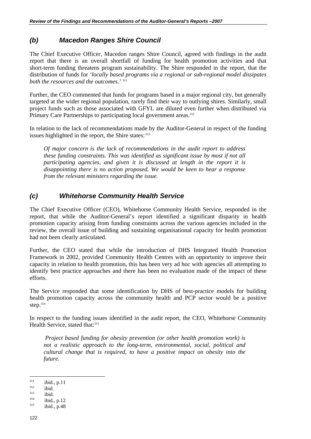# *(b) Macedon Ranges Shire Council*

The Chief Executive Officer, Macedon ranges Shire Council, agreed with findings in the audit report that there is an overall shortfall of funding for health promotion activities and that short-term funding threatens program sustainability. The Shire responded in the report, that the distribution of funds for *'locally based programs via a regional or sub-regional model dissipates both the resources and the outcomes.'* <sup>311</sup>

Further, the CEO commented that funds for programs based in a major regional city, but generally targeted at the wider regional population, rarely find their way to outlying shires. Similarly, small project funds such as those associated with GFYL are diluted even further when distributed via Primary Care Partnerships to participating local government areas.<sup>312</sup>

In relation to the lack of recommendations made by the Auditor-General in respect of the funding issues highlighted in the report, the Shire states: 313

*Of major concern is the lack of recommendations in the audit report to address these funding constraints. This was identified as significant issue by most if not all participating agencies, and given it is discussed at length in the report it is disappointing there is no action proposed. We would be keen to hear a response from the relevant ministers regarding the issue.* 

# *(c) Whitehorse Community Health Service*

The Chief Executive Officer (CEO), Whitehorse Community Health Service, responded in the report, that while the Auditor-General's report identified a significant disparity in health promotion capacity arising from funding constraints across the various agencies included in the review, the overall issue of building and sustaining organisational capacity for health promotion had not been clearly articulated.

Further, the CEO stated that while the introduction of DHS Integrated Health Promotion Framework in 2002, provided Community Health Centres with an opportunity to improve their capacity in relation to health promotion, this has been very ad hoc with agencies all attempting to identify best practice approaches and there has been no evaluation made of the impact of these efforts.

The Service responded that some identification by DHS of best-practice models for building health promotion capacity across the community health and PCP sector would be a positive step.314

In respect to the funding issues identified in the audit report, the CEO, Whitehorse Community Health Service, stated that: 315

 *Project based funding for obesity prevention (or other health promotion work) is not a realistic approach to the long-term, environmental, social, political and cultural change that is required, to have a positive impact on obesity into the future.* 

 $311$ <sup>311</sup> ibid., p.11<br>
<sup>312</sup> ibid.<br>
<sup>313</sup> ibid., p.12<br>
<sup>315</sup> ibid., p.48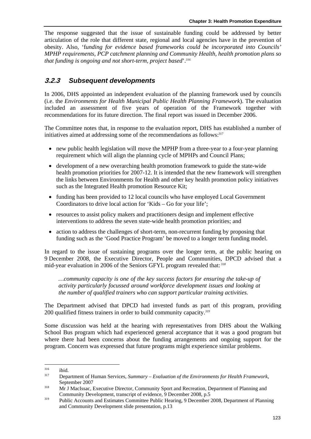The response suggested that the issue of sustainable funding could be addressed by better articulation of the role that different state, regional and local agencies have in the prevention of obesity. Also, 'f*unding for evidence based frameworks could be incorporated into Councils' MPHP requirements, PCP catchment planning and Community Health, health promotion plans so that funding is ongoing and not short-term, project based*'.*<sup>316</sup>*

# **3.2.3** *Subsequent developments*

In 2006, DHS appointed an independent evaluation of the planning framework used by councils (i.e. the *Environments for Health Municipal Public Health Planning Framework*). The evaluation included an assessment of five years of operation of the Framework together with recommendations for its future direction. The final report was issued in December 2006.

The Committee notes that, in response to the evaluation report, DHS has established a number of initiatives aimed at addressing some of the recommendations as follows:<sup>317</sup>

- new public health legislation will move the MPHP from a three-year to a four-year planning requirement which will align the planning cycle of MPHPs and Council Plans;
- development of a new overarching health promotion framework to guide the state-wide health promotion priorities for 2007-12. It is intended that the new framework will strengthen the links between Environments for Health and other key health promotion policy initiatives such as the Integrated Health promotion Resource Kit;
- funding has been provided to 12 local councils who have employed Local Government Coordinators to drive local action for 'Kids – Go for your life';
- resources to assist policy makers and practitioners design and implement effective interventions to address the seven state-wide health promotion priorities; and
- action to address the challenges of short-term, non-recurrent funding by proposing that funding such as the 'Good Practice Program' be moved to a longer term funding model.

In regard to the issue of sustaining programs over the longer term, at the public hearing on 9 December 2008, the Executive Director, People and Communities, DPCD advised that a mid-year evaluation in 2006 of the Seniors GFYL program revealed that:*<sup>318</sup>*

*…community capacity is one of the key success factors for ensuring the take-up of activity particularly focussed around workforce development issues and looking at the number of qualified trainers who can support particular training activities.* 

The Department advised that DPCD had invested funds as part of this program, providing 200 qualified fitness trainers in order to build community capacity.*<sup>319</sup>*

Some discussion was held at the hearing with representatives from DHS about the Walking School Bus program which had experienced general acceptance that it was a good program but where there had been concerns about the funding arrangements and ongoing support for the program. Concern was expressed that future programs might experience similar problems.

<sup>1</sup> 

<sup>316</sup> ibid. 317 Department of Human Services, *Summary – Evaluation of the Environments for Health Framework*,

September 2007<br><sup>318</sup> Mr J MacIssac, Executive Director, Community Sport and Recreation, Department of Planning and

Community Development, transcript of evidence, 9 December 2008, p.5<br>Public Accounts and Estimates Committee Public Hearing, 9 December 2008, Department of Planning and Community Development slide presentation, p.13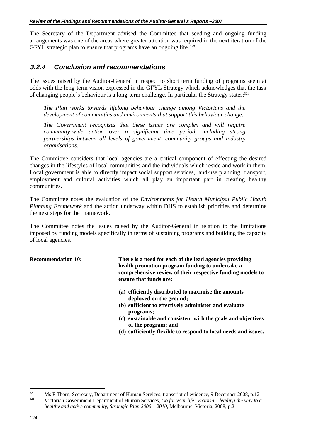The Secretary of the Department advised the Committee that seeding and ongoing funding arrangements was one of the areas where greater attention was required in the next iteration of the GFYL strategic plan to ensure that programs have an ongoing life.*<sup>320</sup>*

# **3.2.4** *Conclusion and recommendations*

The issues raised by the Auditor-General in respect to short term funding of programs seem at odds with the long-term vision expressed in the GFYL Strategy which acknowledges that the task of changing people's behaviour is a long-term challenge. In particular the Strategy states:<sup>321</sup>

*The Plan works towards lifelong behaviour change among Victorians and the development of communities and environments that support this behaviour change.* 

*The Government recognises that these issues are complex and will require community-wide action over a significant time period, including strong partnerships between all levels of government, community groups and industry organisations.* 

The Committee considers that local agencies are a critical component of effecting the desired changes in the lifestyles of local communities and the individuals which reside and work in them. Local government is able to directly impact social support services, land-use planning, transport, employment and cultural activities which all play an important part in creating healthy communities.

The Committee notes the evaluation of the *Environments for Health Municipal Public Health Planning Framework* and the action underway within DHS to establish priorities and determine the next steps for the Framework.

The Committee notes the issues raised by the Auditor-General in relation to the limitations imposed by funding models specifically in terms of sustaining programs and building the capacity of local agencies.

**Recommendation 10: There is a need for each of the lead agencies providing health promotion program funding to undertake a comprehensive review of their respective funding models to ensure that funds are:** 

- **(a) efficiently distributed to maximise the amounts deployed on the ground;**
- **(b) sufficient to effectively administer and evaluate programs;**
- **(c) sustainable and consistent with the goals and objectives of the program; and**
- **(d) sufficiently flexible to respond to local needs and issues.**

<sup>320</sup> Ms F Thorn, Secretary, Department of Human Services, transcript of evidence, 9 December 2008, p.12 321 Victorian Government Department of Human Services, *Go for your life: Victoria – leading the way to a healthy and active community, Strategic Plan 2006 – 2010, Melbourne, Victoria, 2008, p.2*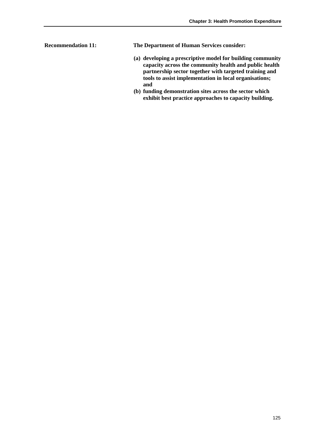**Recommendation 11: The Department of Human Services consider:** 

- **(a) developing a prescriptive model for building community capacity across the community health and public health partnership sector together with targeted training and tools to assist implementation in local organisations; and**
- **(b) funding demonstration sites across the sector which exhibit best practice approaches to capacity building.**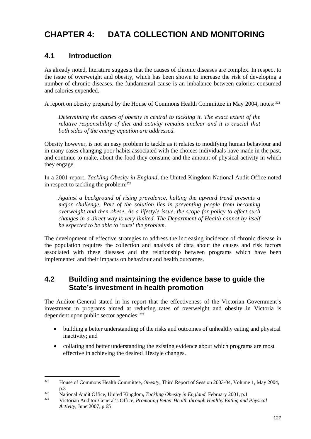# **CHAPTER 4: DATA COLLECTION AND MONITORING**

# **4.1 Introduction**

As already noted, literature suggests that the causes of chronic diseases are complex. In respect to the issue of overweight and obesity, which has been shown to increase the risk of developing a number of chronic diseases, the fundamental cause is an imbalance between calories consumed and calories expended.

A report on obesity prepared by the House of Commons Health Committee in May 2004, notes: 322

*Determining the causes of obesity is central to tackling it. The exact extent of the relative responsibility of diet and activity remains unclear and it is crucial that both sides of the energy equation are addressed.* 

Obesity however, is not an easy problem to tackle as it relates to modifying human behaviour and in many cases changing poor habits associated with the choices individuals have made in the past, and continue to make, about the food they consume and the amount of physical activity in which they engage.

In a 2001 report, *Tackling Obesity in England*, the United Kingdom National Audit Office noted in respect to tackling the problem: $323$ 

*Against a background of rising prevalence, halting the upward trend presents a major challenge. Part of the solution lies in preventing people from becoming overweight and then obese. As a lifestyle issue, the scope for policy to effect such changes in a direct way is very limited. The Department of Health cannot by itself be expected to be able to 'cure' the problem.* 

The development of effective strategies to address the increasing incidence of chronic disease in the population requires the collection and analysis of data about the causes and risk factors associated with these diseases and the relationship between programs which have been implemented and their impacts on behaviour and health outcomes.

# **4.2 Building and maintaining the evidence base to guide the State's investment in health promotion**

The Auditor-General stated in his report that the effectiveness of the Victorian Government's investment in programs aimed at reducing rates of overweight and obesity in Victoria is dependent upon public sector agencies: 324

- building a better understanding of the risks and outcomes of unhealthy eating and physical inactivity; and
- collating and better understanding the existing evidence about which programs are most effective in achieving the desired lifestyle changes.

 $322$ 322 House of Commons Health Committee, *Obesity,* Third Report of Session 2003-04, Volume 1, May 2004,

p.3 323 National Audit Office, United Kingdom, *Tackling Obesity in England,* February 2001, p.1 324 Victorian Auditor-General's Office, *Promoting Better Health through Healthy Eating and Physical* 

*Activity,* June 2007, p.65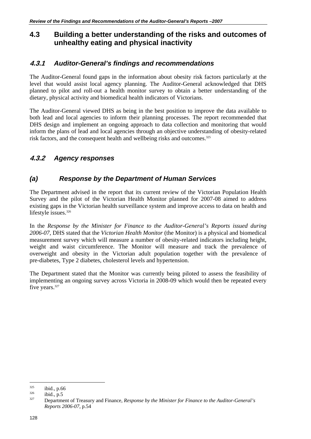# **4.3 Building a better understanding of the risks and outcomes of unhealthy eating and physical inactivity**

#### **4.3.1** *Auditor-General's findings and recommendations*

The Auditor-General found gaps in the information about obesity risk factors particularly at the level that would assist local agency planning. The Auditor-General acknowledged that DHS planned to pilot and roll-out a health monitor survey to obtain a better understanding of the dietary, physical activity and biomedical health indicators of Victorians.

The Auditor-General viewed DHS as being in the best position to improve the data available to both lead and local agencies to inform their planning processes. The report recommended that DHS design and implement an ongoing approach to data collection and monitoring that would inform the plans of lead and local agencies through an objective understanding of obesity-related risk factors, and the consequent health and wellbeing risks and outcomes.<sup>325</sup>

# **4.3.2** *Agency responses*

# *(a) Response by the Department of Human Services*

The Department advised in the report that its current review of the Victorian Population Health Survey and the pilot of the Victorian Health Monitor planned for 2007-08 aimed to address existing gaps in the Victorian health surveillance system and improve access to data on health and lifestyle issues.<sup>326</sup>

In the *Response by the Minister for Finance to the Auditor-General's Reports issued during 2006-07,* DHS stated that the *Victorian Health Monitor* (the Monitor) is a physical and biomedical measurement survey which will measure a number of obesity-related indicators including height, weight and waist circumference. The Monitor will measure and track the prevalence of overweight and obesity in the Victorian adult population together with the prevalence of pre-diabetes, Type 2 diabetes, cholesterol levels and hypertension.

The Department stated that the Monitor was currently being piloted to assess the feasibility of implementing an ongoing survey across Victoria in 2008-09 which would then be repeated every five years.<sup>327</sup>

<sup>&</sup>lt;sup>325</sup> ibid., p.66<br><sup>326</sup> ibid., p.5<br><sup>327</sup> Department of Treasury and Finance, *Response by the Minister for Finance to the Auditor-General's Reports 2006-07*, p.54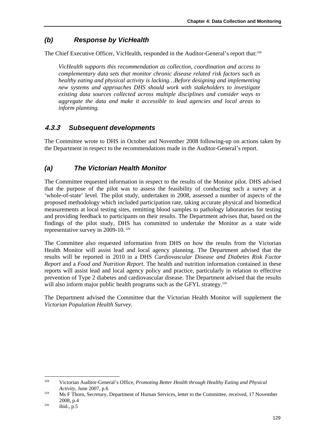# *(b) Response by VicHealth*

The Chief Executive Officer, VicHealth, responded in the Auditor-General's report that:<sup>328</sup>

*VicHealth supports this recommendation as collection, coordination and access to complementary data sets that monitor chronic disease related risk factors such as healthy eating and physical activity is lacking…Before designing and implementing new systems and approaches DHS should work with stakeholders to investigate existing data sources collected across multiple disciplines and consider ways to aggregate the data and make it accessible to lead agencies and local areas to inform planning.* 

# **4.3.3** *Subsequent developments*

The Committee wrote to DHS in October and November 2008 following-up on actions taken by the Department in respect to the recommendations made in the Auditor-General's report.

# *(a) The Victorian Health Monitor*

The Committee requested information in respect to the results of the Monitor pilot. DHS advised that the purpose of the pilot was to assess the feasibility of conducting such a survey at a 'whole-of-state' level. The pilot study, undertaken in 2008, assessed a number of aspects of the proposed methodology which included participation rate, taking accurate physical and biomedical measurements at local testing sites, remitting blood samples to pathology laboratories for testing and providing feedback to participants on their results. The Department advises that, based on the findings of the pilot study, DHS has committed to undertake the Monitor as a state wide representative survey in 2009-10. 329

The Committee also requested information from DHS on how the results from the Victorian Health Monitor will assist lead and local agency planning. The Department advised that the results will be reported in 2010 in a DHS *Cardiovascular Disease and Diabetes Risk Factor Report* and a *Food and Nutrition Report*. The health and nutrition information contained in these reports will assist lead and local agency policy and practice, particularly in relation to effective prevention of Type 2 diabetes and cardiovascular disease. The Department advised that the results will also inform major public health programs such as the GFYL strategy.<sup>330</sup>

The Department advised the Committee that the Victorian Health Monitor will supplement the *Victorian Population Health Survey*.

 $328$ 328 Victorian Auditor-General's Office, *Promoting Better Health through Healthy Eating and Physical* 

*Activity, June 2007, p.6*<br><sup>329</sup> Ms F Thorn, Secretary, Department of Human Services, letter to the Committee, received, 17 November 2008, p.4<br>
<sup>330</sup> ibid., p.5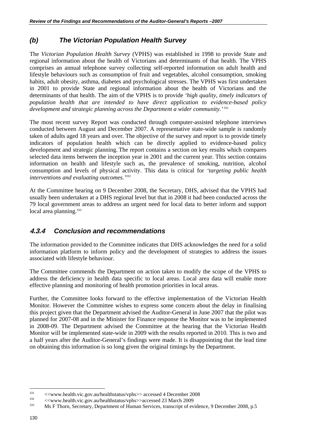# *(b) The Victorian Population Health Survey*

The *Victorian Population Health Survey* (VPHS) was established in 1998 to provide State and regional information about the health of Victorians and determinants of that health. The VPHS comprises an annual telephone survey collecting self-reported information on adult health and lifestyle behaviours such as consumption of fruit and vegetables, alcohol consumption, smoking habits, adult obesity, asthma, diabetes and psychological stresses. The VPHS was first undertaken in 2001 to provide State and regional information about the health of Victorians and the determinants of that health. The aim of the VPHS is to provide *'high quality, timely indicators of population health that are intended to have direct application to evidence-based policy development and strategic planning across the Department a wider community.*<sup>331</sup>

The most recent survey Report was conducted through computer-assisted telephone interviews conducted between August and December 2007. A representative state-wide sample is randomly taken of adults aged 18 years and over. The objective of the survey and report is to provide timely indicators of population health which can be directly applied to evidence-based policy development and strategic planning. The report contains a section on key results which compares selected data items between the inception year in 2001 and the current year. This section contains information on health and lifestyle such as, the prevalence of smoking, nutrition, alcohol consumption and levels of physical activity. This data is critical for *'targeting public health interventions and evaluating outcomes.'*<sup>332</sup>

At the Committee hearing on 9 December 2008, the Secretary, DHS, advised that the VPHS had usually been undertaken at a DHS regional level but that in 2008 it had been conducted across the 79 local government areas to address an urgent need for local data to better inform and support local area planning.<sup>333</sup>

# **4.3.4** *Conclusion and recommendations*

The information provided to the Committee indicates that DHS acknowledges the need for a solid information platform to inform policy and the development of strategies to address the issues associated with lifestyle behaviour.

The Committee commends the Department on action taken to modify the scope of the VPHS to address the deficiency in health data specific to local areas. Local area data will enable more effective planning and monitoring of health promotion priorities in local areas.

Further, the Committee looks forward to the effective implementation of the Victorian Health Monitor. However the Committee wishes to express some concern about the delay in finalising this project given that the Department advised the Auditor-General in June 2007 that the pilot was planned for 2007-08 and in the Minister for Finance response the Monitor was to be implemented in 2008-09. The Department advised the Committee at the hearing that the Victorian Health Monitor will be implemented state-wide in 2009 with the results reported in 2010. This is two and a half years after the Auditor-General's findings were made. It is disappointing that the lead time on obtaining this information is so long given the original timings by the Department.

<sup>&</sup>lt;sup>331</sup>  $\leq$ www.health.vic.gov.au/healthstatus/vphs>> accessed 4 December 2008<br> $\leq$ www.health.vic.gov.au/healthstatus/vphs>>accessed 23 March 2009<br>333 Ms F Thorn, Secretary, Department of Human Services, transcript of evi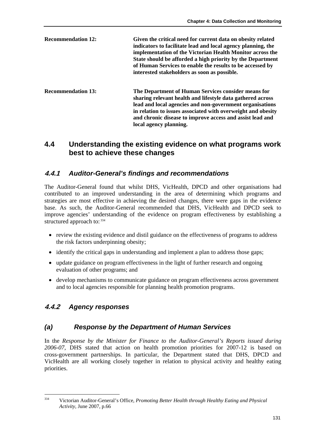| <b>Recommendation 12:</b> | Given the critical need for current data on obesity related<br>indicators to facilitate lead and local agency planning, the<br>implementation of the Victorian Health Monitor across the<br>State should be afforded a high priority by the Department<br>of Human Services to enable the results to be accessed by<br>interested stakeholders as soon as possible. |
|---------------------------|---------------------------------------------------------------------------------------------------------------------------------------------------------------------------------------------------------------------------------------------------------------------------------------------------------------------------------------------------------------------|
| <b>Recommendation 13:</b> | The Department of Human Services consider means for<br>sharing relevant health and lifestyle data gathered across<br>lead and local agencies and non-government organisations<br>in relation to issues associated with overweight and obesity<br>and chronic disease to improve access and assist lead and<br>local agency planning.                                |

#### **4.4 Understanding the existing evidence on what programs work best to achieve these changes**

#### **4.4.1** *Auditor-General's findings and recommendations*

The Auditor-General found that whilst DHS, VicHealth, DPCD and other organisations had contributed to an improved understanding in the area of determining which programs and strategies are most effective in achieving the desired changes, there were gaps in the evidence base. As such, the Auditor-General recommended that DHS, VicHealth and DPCD seek to improve agencies' understanding of the evidence on program effectiveness by establishing a structured approach to:  $334$ 

- review the existing evidence and distil guidance on the effectiveness of programs to address the risk factors underpinning obesity;
- identify the critical gaps in understanding and implement a plan to address those gaps;
- update guidance on program effectiveness in the light of further research and ongoing evaluation of other programs; and
- develop mechanisms to communicate guidance on program effectiveness across government and to local agencies responsible for planning health promotion programs.

# **4.4.2** *Agency responses*

# *(a) Response by the Department of Human Services*

In the *Response by the Minister for Finance to the Auditor-General's Reports issued during 2006-07,* DHS stated that action on health promotion priorities for 2007-12 is based on cross-government partnerships. In particular, the Department stated that DHS, DPCD and VicHealth are all working closely together in relation to physical activity and healthy eating priorities.

 $334$ 334 Victorian Auditor-General's Office, *Promoting Better Health through Healthy Eating and Physical Activity,* June 2007, p.66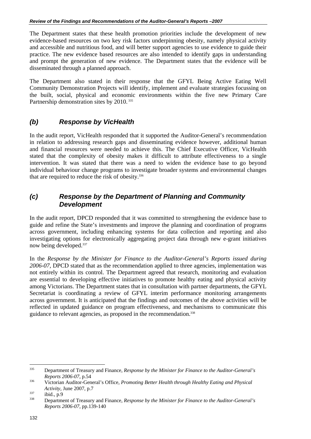The Department states that these health promotion priorities include the development of new evidence-based resources on two key risk factors underpinning obesity, namely physical activity and accessible and nutritious food, and will better support agencies to use evidence to guide their practice. The new evidence based resources are also intended to identify gaps in understanding and prompt the generation of new evidence. The Department states that the evidence will be disseminated through a planned approach.

The Department also stated in their response that the GFYL Being Active Eating Well Community Demonstration Projects will identify, implement and evaluate strategies focussing on the built, social, physical and economic environments within the five new Primary Care Partnership demonstration sites by 2010.<sup>335</sup>

# *(b) Response by VicHealth*

In the audit report, VicHealth responded that it supported the Auditor-General's recommendation in relation to addressing research gaps and disseminating evidence however, additional human and financial resources were needed to achieve this. The Chief Executive Officer, VicHealth stated that the complexity of obesity makes it difficult to attribute effectiveness to a single intervention. It was stated that there was a need to widen the evidence base to go beyond individual behaviour change programs to investigate broader systems and environmental changes that are required to reduce the risk of obesity.336

#### *(c) Response by the Department of Planning and Community Development*

In the audit report, DPCD responded that it was committed to strengthening the evidence base to guide and refine the State's investments and improve the planning and coordination of programs across government, including enhancing systems for data collection and reporting and also investigating options for electronically aggregating project data through new e-grant initiatives now being developed.337

In the *Response by the Minister for Finance to the Auditor-General's Reports issued during 2006-07,* DPCD stated that as the recommendation applied to three agencies, implementation was not entirely within its control. The Department agreed that research, monitoring and evaluation are essential to developing effective initiatives to promote healthy eating and physical activity among Victorians. The Department states that in consultation with partner departments, the GFYL Secretariat is coordinating a review of GFYL interim performance monitoring arrangements across government. It is anticipated that the findings and outcomes of the above activities will be reflected in updated guidance on program effectiveness, and mechanisms to communicate this guidance to relevant agencies, as proposed in the recommendation.<sup>338</sup>

<sup>335</sup> Department of Treasury and Finance, *Response by the Minister for Finance to the Auditor-General's Reports 2006-07*, p.54 336 Victorian Auditor-General's Office, *Promoting Better Health through Healthy Eating and Physical* 

*Activity,* June 2007, p.7<br>
ibid., p.9<br>
Department of Treasury and Finance, *Response by the Minister for Finance to the Auditor-General's* 

*Reports 2006-07*, pp.139-140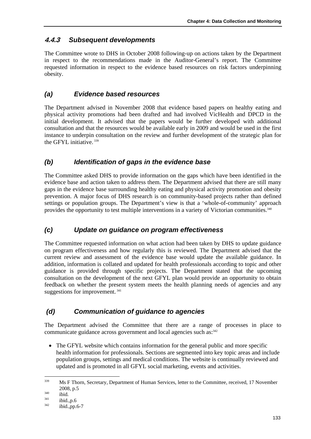# **4.4.3** *Subsequent developments*

The Committee wrote to DHS in October 2008 following-up on actions taken by the Department in respect to the recommendations made in the Auditor-General's report. The Committee requested information in respect to the evidence based resources on risk factors underpinning obesity.

# *(a) Evidence based resources*

The Department advised in November 2008 that evidence based papers on healthy eating and physical activity promotions had been drafted and had involved VicHealth and DPCD in the initial development. It advised that the papers would be further developed with additional consultation and that the resources would be available early in 2009 and would be used in the first instance to underpin consultation on the review and further development of the strategic plan for the GFYL initiative. 339

# *(b) Identification of gaps in the evidence base*

The Committee asked DHS to provide information on the gaps which have been identified in the evidence base and action taken to address them. The Department advised that there are still many gaps in the evidence base surrounding healthy eating and physical activity promotion and obesity prevention. A major focus of DHS research is on community-based projects rather than defined settings or population groups. The Department's view is that a 'whole-of-community' approach provides the opportunity to test multiple interventions in a variety of Victorian communities.<sup>340</sup>

# *(c) Update on guidance on program effectiveness*

The Committee requested information on what action had been taken by DHS to update guidance on program effectiveness and how regularly this is reviewed. The Department advised that the current review and assessment of the evidence base would update the available guidance. In addition, information is collated and updated for health professionals according to topic and other guidance is provided through specific projects. The Department stated that the upcoming consultation on the development of the next GFYL plan would provide an opportunity to obtain feedback on whether the present system meets the health planning needs of agencies and any suggestions for improvement. 341

# *(d) Communication of guidance to agencies*

The Department advised the Committee that there are a range of processes in place to communicate guidance across government and local agencies such as: $342$ 

• The GFYL website which contains information for the general public and more specific health information for professionals. Sections are segmented into key topic areas and include population groups, settings and medical conditions. The website is continually reviewed and updated and is promoted in all GFYL social marketing, events and activities.

<sup>339</sup> 339 Ms F Thorn, Secretary, Department of Human Services, letter to the Committee, received, 17 November

 $^{340}$  2008, p.5<br>  $^{341}$  ibid.,p.6<br>  $^{342}$  ibid.,pp.6-7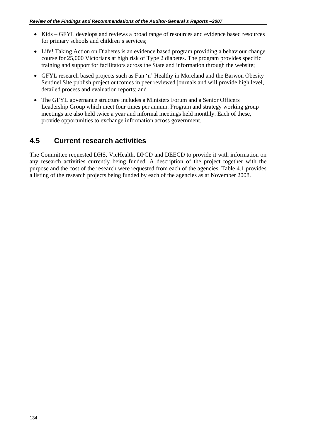- Kids GFYL develops and reviews a broad range of resources and evidence based resources for primary schools and children's services;
- Life! Taking Action on Diabetes is an evidence based program providing a behaviour change course for 25,000 Victorians at high risk of Type 2 diabetes. The program provides specific training and support for facilitators across the State and information through the website;
- GFYL research based projects such as Fun 'n' Healthy in Moreland and the Barwon Obesity Sentinel Site publish project outcomes in peer reviewed journals and will provide high level, detailed process and evaluation reports; and
- The GFYL governance structure includes a Ministers Forum and a Senior Officers Leadership Group which meet four times per annum. Program and strategy working group meetings are also held twice a year and informal meetings held monthly. Each of these, provide opportunities to exchange information across government.

# **4.5 Current research activities**

The Committee requested DHS, VicHealth, DPCD and DEECD to provide it with information on any research activities currently being funded. A description of the project together with the purpose and the cost of the research were requested from each of the agencies. Table 4.1 provides a listing of the research projects being funded by each of the agencies as at November 2008.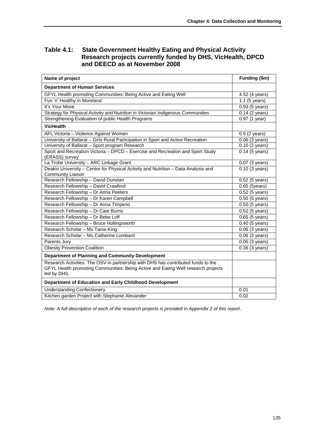#### **Table 4.1: State Government Healthy Eating and Physical Activity Research projects currently funded by DHS, VicHealth, DPCD and DEECD as at November 2008**

| Name of project                                                                                                                                                                       | Funding (\$m)               |
|---------------------------------------------------------------------------------------------------------------------------------------------------------------------------------------|-----------------------------|
| <b>Department of Human Services</b>                                                                                                                                                   |                             |
| GFYL Health promoting Communities: Being Active and Eating Well                                                                                                                       | 4.52 (4 years)              |
| Fun 'n' Healthy in Moreland                                                                                                                                                           | $1.1$ (5 years)             |
| It's Your Move                                                                                                                                                                        | 0.93 (5 years)              |
| Strategy for Physical Activity and Nutrition in Victorian Indigenous Communities                                                                                                      | 0.14 (2 years)              |
| Strengthening Evaluation of public Health Programs                                                                                                                                    | 0.97 (1 year)               |
| <b>VicHealth</b>                                                                                                                                                                      |                             |
| AFL Victoria - Violence Against Women                                                                                                                                                 | $0.5$ (2 years)             |
| University of Ballarat - Girls Rural Participation in Sport and Active Recreation                                                                                                     | 0.06 (3 years)              |
| University of Ballarat - Sport program Research                                                                                                                                       | 0.10 (2 years)              |
| Sport and Recreation Victoria - DPCD - Exercise and Recreation and Sport Study<br>(ERASS) survey                                                                                      | $0.14$ (5 years)            |
| La Trobe University - ARC Linkage Grant                                                                                                                                               | 0.07 (3 years)              |
| Deakin University - Centre for Physical Activity and Nutrition - Data Analysis and<br><b>Community Liaison</b>                                                                        | $0.10$ (3 years)            |
| Research Fellowship - David Dunstan                                                                                                                                                   | 0.52 (5 years)              |
| Research Fellowship - David Crawford                                                                                                                                                  | 0.65 (5years)               |
| Research Fellowship - Dr Anna Peeters                                                                                                                                                 | 0.52 (5 years)              |
| Research Fellowship - Dr Karen Campbell                                                                                                                                               | $\overline{0.50}$ (5 years) |
| Research Fellowship - Dr Anna Timperio                                                                                                                                                | 0.50 (5 years)              |
| Research Fellowship - Dr Cate Burns                                                                                                                                                   | 0.52 (5 years)              |
| Research Fellowship - Dr Bebe Loff                                                                                                                                                    | 0.65 (5 years)              |
| Research Fellowship - Bruce Hollingsworth                                                                                                                                             | $0.40$ (5 years)            |
| Research Scholar - Ms Tania King                                                                                                                                                      | 0.06 (3 years)              |
| Research Scholar - Ms Catherine Lombard                                                                                                                                               | 0.06 (3 years)              |
| Parents Jury                                                                                                                                                                          | $\overline{0.05}$ (3 years) |
| <b>Obesity Prevention Coalition</b>                                                                                                                                                   | $0.36(3 \text{ years})$     |
| <b>Department of Planning and Community Development</b>                                                                                                                               |                             |
| Research Activities: The OSV in partnership with DHS has contributed funds to the<br>GFYL Health promoting Communities: Being Active and Eating Well research projects<br>led by DHS. |                             |
| Department of Education and Early Childhood Development                                                                                                                               |                             |
| <b>Understanding Confectionery</b>                                                                                                                                                    | 0.01                        |
| Kitchen garden Project with Stephanie Alexander                                                                                                                                       | 0.02                        |

*Note: A full description of each of the research projects is provided in Appendix 2 of this report*.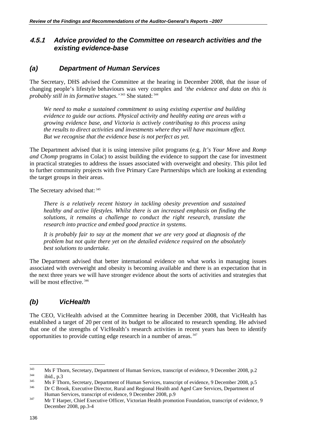#### **4.5.1** *Advice provided to the Committee on research activities and the existing evidence-base*

#### *(a) Department of Human Services*

The Secretary, DHS advised the Committee at the hearing in December 2008, that the issue of changing people's lifestyle behaviours was very complex and *'the evidence and data on this is probably still in its formative stages.'* 343 She stated: 344

*We need to make a sustained commitment to using existing expertise and building evidence to guide our actions. Physical activity and healthy eating are areas with a growing evidence base, and Victoria is actively contributing to this process using the results to direct activities and investments where they will have maximum effect. But we recognise that the evidence base is not perfect as yet.* 

The Department advised that it is using intensive pilot programs (e.g. *It's Your Move* and *Romp and Chomp* programs in Colac) to assist building the evidence to support the case for investment in practical strategies to address the issues associated with overweight and obesity. This pilot led to further community projects with five Primary Care Partnerships which are looking at extending the target groups in their areas.

The Secretary advised that: 345

*There is a relatively recent history in tackling obesity prevention and sustained healthy and active lifestyles. Whilst there is an increased emphasis on finding the solutions, it remains a challenge to conduct the right research, translate the research into practice and embed good practice in systems.* 

*It is probably fair to say at the moment that we are very good at diagnosis of the problem but not quite there yet on the detailed evidence required on the absolutely best solutions to undertake.* 

The Department advised that better international evidence on what works in managing issues associated with overweight and obesity is becoming available and there is an expectation that in the next three years we will have stronger evidence about the sorts of activities and strategies that will be most effective.<sup>346</sup>

# *(b) VicHealth*

The CEO, VicHealth advised at the Committee hearing in December 2008, that VicHealth has established a target of 20 per cent of its budget to be allocated to research spending. He advised that one of the strengths of VicHealth's research activities in recent years has been to identify opportunities to provide cutting edge research in a number of areas. 347

<sup>&</sup>lt;sup>343</sup> Ms F Thorn, Secretary, Department of Human Services, transcript of evidence, 9 December 2008, p.2<br><sup>344</sup> Ms F Thorn, Secretary, Department of Human Services, transcript of evidence, 9 December 2008, p.5<br><sup>346</sup> Dr C Bro

Human Services, transcript of evidence, 9 December 2008, p.9<br>Mr T Harper, Chief Executive Officer, Victorian Health promotion Foundation, transcript of evidence, 9

December 2008, pp.3-4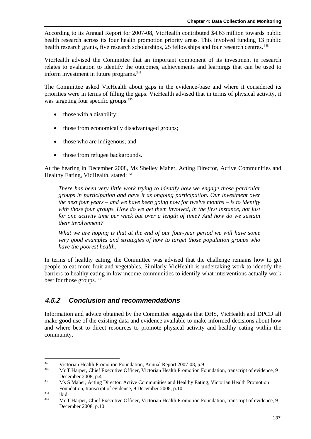According to its Annual Report for 2007-08, VicHealth contributed \$4.63 million towards public health research across its four health promotion priority areas. This involved funding 13 public health research grants, five research scholarships, 25 fellowships and four research centres.<sup>348</sup>

VicHealth advised the Committee that an important component of its investment in research relates to evaluation to identify the outcomes, achievements and learnings that can be used to inform investment in future programs.<sup>349</sup>

The Committee asked VicHealth about gaps in the evidence-base and where it considered its priorities were in terms of filling the gaps. VicHealth advised that in terms of physical activity, it was targeting four specific groups: 350

- those with a disability;
- those from economically disadvantaged groups;
- those who are indigenous; and
- those from refugee backgrounds.

At the hearing in December 2008, Ms Shelley Maher, Acting Director, Active Communities and Healthy Eating, VicHealth, stated: 351

*There has been very little work trying to identify how we engage those particular groups in participation and have it as ongoing participation. Our investment over the next four years – and we have been going now for twelve months – is to identify with those four groups. How do we get them involved, in the first instance, not just for one activity time per week but over a length of time? And how do we sustain their involvement?* 

*What we are hoping is that at the end of our four-year period we will have some very good examples and strategies of how to target those population groups who have the poorest health.* 

In terms of healthy eating, the Committee was advised that the challenge remains how to get people to eat more fruit and vegetables. Similarly VicHealth is undertaking work to identify the barriers to healthy eating in low income communities to identify what interventions actually work best for those groups. 352

# **4.5.2** *Conclusion and recommendations*

Information and advice obtained by the Committee suggests that DHS, VicHealth and DPCD all make good use of the existing data and evidence available to make informed decisions about how and where best to direct resources to promote physical activity and healthy eating within the community.

<sup>348</sup> 

<sup>&</sup>lt;sup>348</sup> Victorian Health Promotion Foundation, Annual Report 2007-08, p.9<br><sup>349</sup> Mr T Harper, Chief Executive Officer, Victorian Health Promotion Foundation, transcript of evidence, 9 December 2008, p.4 350 Ms S Maher, Acting Director, Active Communities and Healthy Eating, Victorian Health Promotion

Foundation, transcript of evidence, 9 December 2008, p.10<br>
351 ibid. Mr T Harper, Chief Executive Officer, Victorian Health Promotion Foundation, transcript of evidence, 9 December 2008, p.10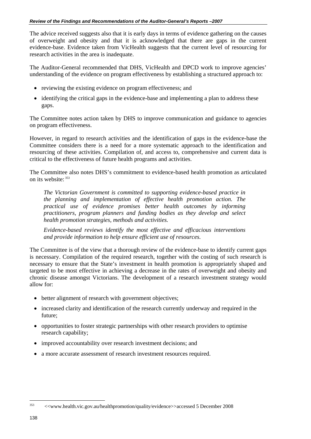The advice received suggests also that it is early days in terms of evidence gathering on the causes of overweight and obesity and that it is acknowledged that there are gaps in the current evidence-base. Evidence taken from VicHealth suggests that the current level of resourcing for research activities in the area is inadequate.

The Auditor-General recommended that DHS, VicHealth and DPCD work to improve agencies' understanding of the evidence on program effectiveness by establishing a structured approach to:

- reviewing the existing evidence on program effectiveness; and
- identifying the critical gaps in the evidence-base and implementing a plan to address these gaps.

The Committee notes action taken by DHS to improve communication and guidance to agencies on program effectiveness.

However, in regard to research activities and the identification of gaps in the evidence-base the Committee considers there is a need for a more systematic approach to the identification and resourcing of these activities. Compilation of, and access to, comprehensive and current data is critical to the effectiveness of future health programs and activities.

The Committee also notes DHS's commitment to evidence-based health promotion as articulated on its website: 353

*The Victorian Government is committed to supporting evidence-based practice in the planning and implementation of effective health promotion action. The practical use of evidence promises better health outcomes by informing practitioners, program planners and funding bodies as they develop and select health promotion strategies, methods and activities.* 

*Evidence-based reviews identify the most effective and efficacious interventions and provide information to help ensure efficient use of resources.* 

The Committee is of the view that a thorough review of the evidence-base to identify current gaps is necessary. Compilation of the required research, together with the costing of such research is necessary to ensure that the State's investment in health promotion is appropriately shaped and targeted to be most effective in achieving a decrease in the rates of overweight and obesity and chronic disease amongst Victorians. The development of a research investment strategy would allow for:

- better alignment of research with government objectives;
- increased clarity and identification of the research currently underway and required in the future;
- opportunities to foster strategic partnerships with other research providers to optimise research capability;
- improved accountability over research investment decisions; and
- a more accurate assessment of research investment resources required.

<sup>353 &</sup>lt;<www.health.vic.gov.au/healthpromotion/quality/evidence>>accessed 5 December 2008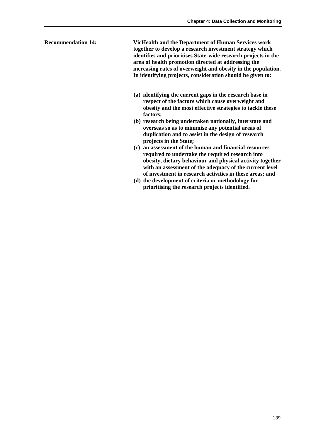**Recommendation 14: VicHealth and the Department of Human Services work together to develop a research investment strategy which identifies and prioritises State-wide research projects in the area of health promotion directed at addressing the increasing rates of overweight and obesity in the population. In identifying projects, consideration should be given to:** 

- **(a) identifying the current gaps in the research base in respect of the factors which cause overweight and obesity and the most effective strategies to tackle these factors;**
- **(b) research being undertaken nationally, interstate and overseas so as to minimise any potential areas of duplication and to assist in the design of research projects in the State;**
- **(c) an assessment of the human and financial resources required to undertake the required research into obesity, dietary behaviour and physical activity together with an assessment of the adequacy of the current level of investment in research activities in these areas; and**
- **(d) the development of criteria or methodology for prioritising the research projects identified.**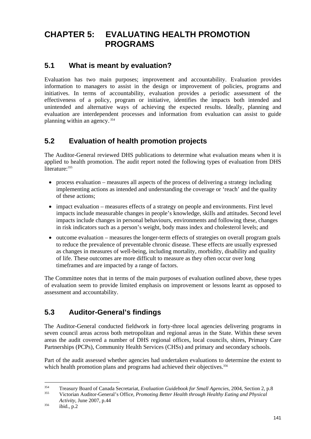# **CHAPTER 5: EVALUATING HEALTH PROMOTION PROGRAMS**

# **5.1 What is meant by evaluation?**

Evaluation has two main purposes; improvement and accountability. Evaluation provides information to managers to assist in the design or improvement of policies, programs and initiatives. In terms of accountability, evaluation provides a periodic assessment of the effectiveness of a policy, program or initiative, identifies the impacts both intended and unintended and alternative ways of achieving the expected results. Ideally, planning and evaluation are interdependent processes and information from evaluation can assist to guide planning within an agency. 354

# **5.2 Evaluation of health promotion projects**

The Auditor-General reviewed DHS publications to determine what evaluation means when it is applied to health promotion. The audit report noted the following types of evaluation from DHS literature: 355

- process evaluation measures all aspects of the process of delivering a strategy including implementing actions as intended and understanding the coverage or 'reach' and the quality of these actions;
- impact evaluation measures effects of a strategy on people and environments. First level impacts include measurable changes in people's knowledge, skills and attitudes. Second level impacts include changes in personal behaviours, environments and following these, changes in risk indicators such as a person's weight, body mass index and cholesterol levels; and
- outcome evaluation measures the longer-term effects of strategies on overall program goals to reduce the prevalence of preventable chronic disease. These effects are usually expressed as changes in measures of well-being, including mortality, morbidity, disability and quality of life. These outcomes are more difficult to measure as they often occur over long timeframes and are impacted by a range of factors.

The Committee notes that in terms of the main purposes of evaluation outlined above, these types of evaluation seem to provide limited emphasis on improvement or lessons learnt as opposed to assessment and accountability.

# **5.3 Auditor-General's findings**

The Auditor-General conducted fieldwork in forty-three local agencies delivering programs in seven council areas across both metropolitan and regional areas in the State. Within these seven areas the audit covered a number of DHS regional offices, local councils, shires, Primary Care Partnerships (PCPs), Community Health Services (CHSs) and primary and secondary schools.

Part of the audit assessed whether agencies had undertaken evaluations to determine the extent to which health promotion plans and programs had achieved their objectives.<sup>356</sup>

1

<sup>354</sup> Treasury Board of Canada Secretariat, *Evaluation Guidebook for Small Agencies*, 2004, Section 2, p.8 355 Victorian Auditor-General's Office, *Promoting Better Health through Healthy Eating and Physical* 

*Activity*, June 2007, p.44<br>
<sup>356</sup> ibid., p.2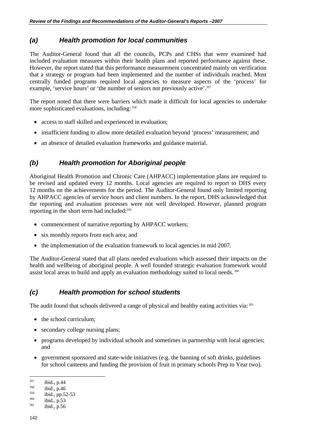# *(a) Health promotion for local communities*

The Auditor-General found that all the councils, PCPs and CHSs that were examined had included evaluation measures within their health plans and reported performance against these. However, the report stated that this performance measurement concentrated mainly on verification that a strategy or program had been implemented and the number of individuals reached. Most centrally funded programs required local agencies to measure aspects of the 'process' for example, 'service hours' or 'the number of seniors not previously active'.<sup>357</sup>

The report noted that there were barriers which made it difficult for local agencies to undertake more sophisticated evaluations, including: 358

- access to staff skilled and experienced in evaluation;
- insufficient funding to allow more detailed evaluation beyond 'process' measurement; and
- an absence of detailed evaluation frameworks and guidance material.

# *(b) Health promotion for Aboriginal people*

Aboriginal Health Promotion and Chronic Care (AHPACC) implementation plans are required to be revised and updated every 12 months. Local agencies are required to report to DHS every 12 months on the achievements for the period. The Auditor-General found only limited reporting by AHPACC agencies of service hours and client numbers. In the report, DHS acknowledged that the reporting and evaluation processes were not well developed. However, planned program reporting in the short term had included:359

- commencement of narrative reporting by AHPACC workers;
- six monthly reports from each area; and
- the implementation of the evaluation framework to local agencies in mid 2007.

The Auditor-General stated that all plans needed evaluations which assessed their impacts on the health and wellbeing of aboriginal people. A well founded strategic evaluation framework would assist local areas to build and apply an evaluation methodology suited to local needs. 360

# *(c) Health promotion for school students*

The audit found that schools delivered a range of physical and healthy eating activities via: 361

- the school curriculum;
- secondary college nursing plans;
- programs developed by individual schools and sometimes in partnership with local agencies; and
- government sponsored and state-wide initiatives (e.g. the banning of soft drinks, guidelines for school canteens and funding the provision of fruit in primary schools Prep to Year two).

<sup>357</sup> 

<sup>&</sup>lt;sup>357</sup> ibid., p.44<br>
<sup>358</sup> ibid., p.46<br>
<sup>359</sup> ibid., pp.52-53<br>
<sup>360</sup> ibid., p.53<br>
<sup>361</sup> ibid., p.56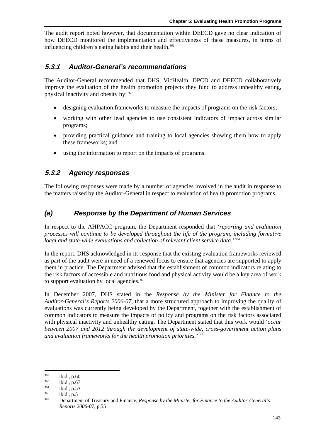The audit report noted however, that documentation within DEECD gave no clear indication of how DEECD monitored the implementation and effectiveness of these measures, in terms of influencing children's eating habits and their health.<sup>362</sup>

#### **5.3.1** *Auditor-General's recommendations*

The Auditor-General recommended that DHS, VicHealth, DPCD and DEECD collaboratively improve the evaluation of the health promotion projects they fund to address unhealthy eating, physical inactivity and obesity by: 363

- designing evaluation frameworks to measure the impacts of programs on the risk factors;
- working with other lead agencies to use consistent indicators of impact across similar programs;
- providing practical guidance and training to local agencies showing them how to apply these frameworks; and
- using the information to report on the impacts of programs.

# **5.3.2** *Agency responses*

The following responses were made by a number of agencies involved in the audit in response to the matters raised by the Auditor-General in respect to evaluation of health promotion programs.

# *(a) Response by the Department of Human Services*

In respect to the AHPACC program, the Department responded that *'reporting and evaluation processes will continue to be developed throughout the life of the program, including formative local and state-wide evaluations and collection of relevant client service data.'*<sup>364</sup>

In the report, DHS acknowledged in its response that the existing evaluation frameworks reviewed as part of the audit were in need of a renewed focus to ensure that agencies are supported to apply them in practice. The Department advised that the establishment of common indicators relating to the risk factors of accessible and nutritious food and physical activity would be a key area of work to support evaluation by local agencies.<sup>365</sup>

In December 2007, DHS stated in the *Response by the Minister for Finance to the Auditor-General's Reports 2006-07*, that a more structured approach to improving the quality of evaluations was currently being developed by the Department, together with the establishment of common indicators to measure the impacts of policy and programs on the risk factors associated with physical inactivity and unhealthy eating. The Department stated that this work would *'occur between 2007 and 2012 through the development of state-wide, cross-government action plans and evaluation frameworks for the health promotion priorities.'*<sup>366</sup>

<sup>1</sup> 

<sup>&</sup>lt;sup>362</sup> ibid., p.60<br><sup>363</sup> ibid., p.57<br><sup>365</sup> ibid., p.5<br><sup>366</sup> Department of Treasury and Finance, *Response by the Minister for Finance to the Auditor-General's Reports 2006-07*, p.55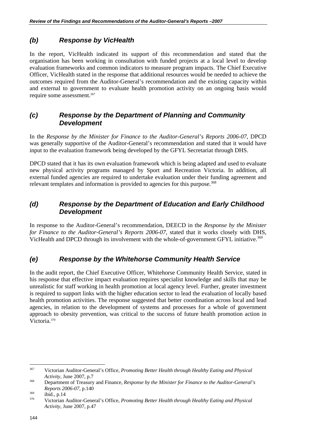# *(b) Response by VicHealth*

In the report, VicHealth indicated its support of this recommendation and stated that the organisation has been working in consultation with funded projects at a local level to develop evaluation frameworks and common indicators to measure program impacts. The Chief Executive Officer, VicHealth stated in the response that additional resources would be needed to achieve the outcomes required from the Auditor-General's recommendation and the existing capacity within and external to government to evaluate health promotion activity on an ongoing basis would require some assessment.<sup>367</sup>

#### *(c) Response by the Department of Planning and Community Development*

In the *Response by the Minister for Finance to the Auditor-General's Reports 2006-07*, DPCD was generally supportive of the Auditor-General's recommendation and stated that it would have input to the evaluation framework being developed by the GFYL Secretariat through DHS.

DPCD stated that it has its own evaluation framework which is being adapted and used to evaluate new physical activity programs managed by Sport and Recreation Victoria. In addition, all external funded agencies are required to undertake evaluation under their funding agreement and relevant templates and information is provided to agencies for this purpose.<sup>368</sup>

#### *(d) Response by the Department of Education and Early Childhood Development*

In response to the Auditor-General's recommendation, DEECD in the *Response by the Minister for Finance to the Auditor-General's Reports 2006-07*, stated that it works closely with DHS, VicHealth and DPCD through its involvement with the whole-of-government GFYL initiative.<sup>369</sup>

# *(e) Response by the Whitehorse Community Health Service*

In the audit report, the Chief Executive Officer, Whitehorse Community Health Service, stated in his response that effective impact evaluation requires specialist knowledge and skills that may be unrealistic for staff working in health promotion at local agency level. Further, greater investment is required to support links with the higher education sector to lead the evaluation of locally based health promotion activities. The response suggested that better coordination across local and lead agencies, in relation to the development of systems and processes for a whole of government approach to obesity prevention, was critical to the success of future health promotion action in Victoria.370

<sup>367</sup> Victorian Auditor-General's Office, *Promoting Better Health through Healthy Eating and Physical Activity,* June 2007, p.7 368 Department of Treasury and Finance, *Response by the Minister for Finance to the Auditor-General's* 

*Reports 2006-07*, p.140<br>
369 ibid., p.14<br>
Victorian Auditor-General's Office, *Promoting Better Health through Healthy Eating and Physical* 

*Activity,* June 2007, p.47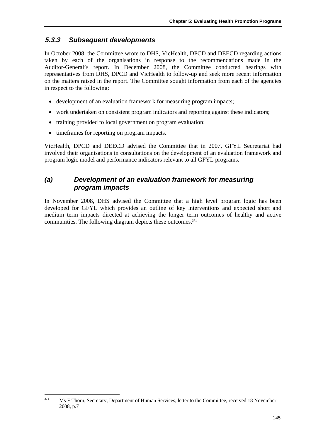# **5.3.3** *Subsequent developments*

In October 2008, the Committee wrote to DHS, VicHealth, DPCD and DEECD regarding actions taken by each of the organisations in response to the recommendations made in the Auditor-General's report. In December 2008, the Committee conducted hearings with representatives from DHS, DPCD and VicHealth to follow-up and seek more recent information on the matters raised in the report. The Committee sought information from each of the agencies in respect to the following:

- development of an evaluation framework for measuring program impacts;
- work undertaken on consistent program indicators and reporting against these indicators;
- training provided to local government on program evaluation;
- timeframes for reporting on program impacts.

VicHealth, DPCD and DEECD advised the Committee that in 2007, GFYL Secretariat had involved their organisations in consultations on the development of an evaluation framework and program logic model and performance indicators relevant to all GFYL programs.

# *(a) Development of an evaluation framework for measuring program impacts*

In November 2008, DHS advised the Committee that a high level program logic has been developed for GFYL which provides an outline of key interventions and expected short and medium term impacts directed at achieving the longer term outcomes of healthy and active communities. The following diagram depicts these outcomes.<sup>371</sup>

 $371$ 371 Ms F Thorn, Secretary, Department of Human Services, letter to the Committee, received 18 November 2008, p.7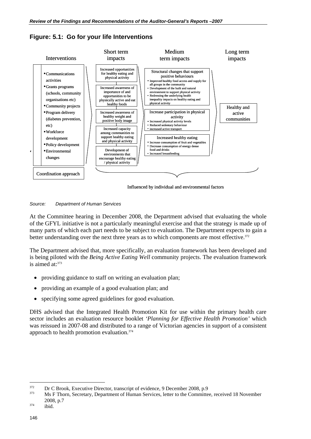

**Figure: 5.1: Go for your life Interventions** 

Influenced by individual and environmental factors

*Source: Department of Human Services* 

At the Committee hearing in December 2008, the Department advised that evaluating the whole of the GFYL initiative is not a particularly meaningful exercise and that the strategy is made up of many parts of which each part needs to be subject to evaluation. The Department expects to gain a better understanding over the next three years as to which components are most effective.<sup>372</sup>

The Department advised that, more specifically, an evaluation framework has been developed and is being piloted with the *Being Active Eating Well* community projects. The evaluation framework is aimed at: 373

- providing guidance to staff on writing an evaluation plan;
- providing an example of a good evaluation plan; and
- specifying some agreed guidelines for good evaluation.

DHS advised that the Integrated Health Promotion Kit for use within the primary health care sector includes an evaluation resource booklet *'Planning for Effective Health Promotion'* which was reissued in 2007-08 and distributed to a range of Victorian agencies in support of a consistent approach to health promotion evaluation.<sup>374</sup>

 $\overline{a}$ 

<sup>&</sup>lt;sup>372</sup> Dr C Brook, Executive Director, transcript of evidence, 9 December 2008, p.9<br><sup>373</sup> Ms F Thorn, Secretary, Department of Human Services, letter to the Committee, received 18 November <sup>374</sup> 2008, p.7<br>ibid.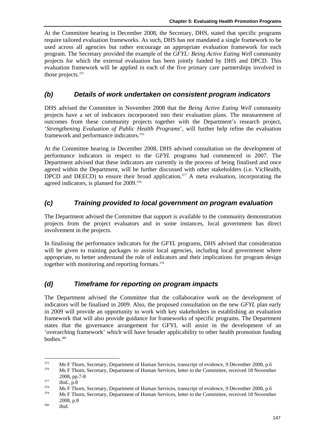At the Committee hearing in December 2008, the Secretary, DHS, stated that specific programs require tailored evaluation frameworks. As such, DHS has not mandated a single framework to be used across all agencies but rather encourage an appropriate evaluation framework for each program. The Secretary provided the example of the *GFYL: Being Active Eating Well* community projects for which the external evaluation has been jointly funded by DHS and DPCD. This evaluation framework will be applied in each of the five primary care partnerships involved in those projects.375

# *(b) Details of work undertaken on consistent program indicators*

DHS advised the Committee in November 2008 that the *Being Active Eating Well* community projects have a set of indicators incorporated into their evaluation plans. The measurement of outcomes from these community projects together with the Department's research project, '*Strengthening Evaluation of Public Health Programs*', will further help refine the evaluation framework and performance indicators.376

At the Committee hearing in December 2008, DHS advised consultation on the development of performance indicators in respect to the *GFYL* programs had commenced in 2007. The Department advised that these indicators are currently in the process of being finalised and once agreed within the Department, will be further discussed with other stakeholders (i.e. VicHealth, DPCD and DEECD) to ensure their broad application.<sup>377</sup> A meta evaluation, incorporating the agreed indicators, is planned for 2009.<sup>378</sup>

# *(c) Training provided to local government on program evaluation*

The Department advised the Committee that support is available to the community demonstration projects from the project evaluators and in some instances, local government has direct involvement in the projects.

In finalising the performance indicators for the *GFYL* programs, DHS advised that consideration will be given to training packages to assist local agencies, including local government where appropriate, to better understand the role of indicators and their implications for program design together with monitoring and reporting formats.<sup>379</sup>

# *(d) Timeframe for reporting on program impacts*

The Department advised the Committee that the collaborative work on the development of indicators will be finalised in 2009. Also, the proposed consultation on the new *GFYL* plan early in 2009 will provide an opportunity to work with key stakeholders in establishing an evaluation framework that will also provide guidance for frameworks of specific programs. The Department states that the governance arrangement for GFYL will assist in the development of an 'overarching framework' which will have broader applicability to other health promotion funding bodies.380

<sup>375</sup> <sup>375</sup> Ms F Thorn, Secretary, Department of Human Services, transcript of evidence, 9 December 2008, p.6 Ms F Thorn, Secretary, Department of Human Services, letter to the Committee, received 18 November

<sup>2008,</sup> pp.7-8<br>ibid., p.8<br>Ms F Thorn, Secretary, Department of Human Services, transcript of evidence, 9 December 2008, p.6<br>Ms F Thorn, Secretary, Department of Human Services, letter to the Committee, received 18 November

<sup>2008,</sup> p.8 380 ibid.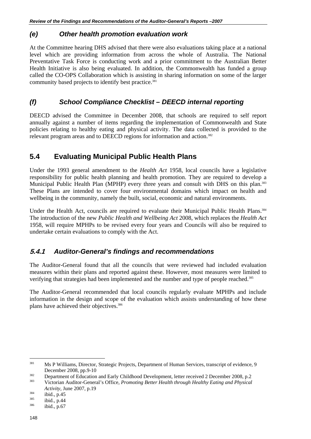#### *(e) Other health promotion evaluation work*

At the Committee hearing DHS advised that there were also evaluations taking place at a national level which are providing information from across the whole of Australia. The National Preventative Task Force is conducting work and a prior commitment to the Australian Better Health Initiative is also being evaluated. In addition, the Commonwealth has funded a group called the CO-OPS Collaboration which is assisting in sharing information on some of the larger community based projects to identify best practice.<sup>381</sup>

# *(f) School Compliance Checklist – DEECD internal reporting*

DEECD advised the Committee in December 2008, that schools are required to self report annually against a number of items regarding the implementation of Commonwealth and State policies relating to healthy eating and physical activity. The data collected is provided to the relevant program areas and to DEECD regions for information and action.<sup>382</sup>

# **5.4 Evaluating Municipal Public Health Plans**

Under the 1993 general amendment to the *Health Act* 1958, local councils have a legislative responsibility for public health planning and health promotion. They are required to develop a Municipal Public Health Plan (MPHP) every three years and consult with DHS on this plan.<sup>383</sup> These Plans are intended to cover four environmental domains which impact on health and wellbeing in the community, namely the built, social, economic and natural environments.

Under the Health Act, councils are required to evaluate their Municipal Public Health Plans.<sup>384</sup> The introduction of the new *Public Health and Wellbeing Act* 2008, which replaces the *Health Act* 1958, will require MPHPs to be revised every four years and Councils will also be required to undertake certain evaluations to comply with the Act.

# **5.4.1** *Auditor-General's findings and recommendations*

The Auditor-General found that all the councils that were reviewed had included evaluation measures within their plans and reported against these. However, most measures were limited to verifying that strategies had been implemented and the number and type of people reached.<sup>385</sup>

The Auditor-General recommended that local councils regularly evaluate MPHPs and include information in the design and scope of the evaluation which assists understanding of how these plans have achieved their objectives.386

<sup>381</sup> 381 Ms P Williams, Director, Strategic Projects, Department of Human Services, transcript of evidence, 9

December 2008, pp.9-10<br>Department of Education and Early Childhood Development, letter received 2 December 2008, p.2<br>Victorian Auditor-General's Office, *Promoting Better Health through Healthy Eating and Physical* 

*Activity,* June 2007, p.19<br>
<sup>384</sup> ibid., p.45<br>
<sup>386</sup> ibid., p.67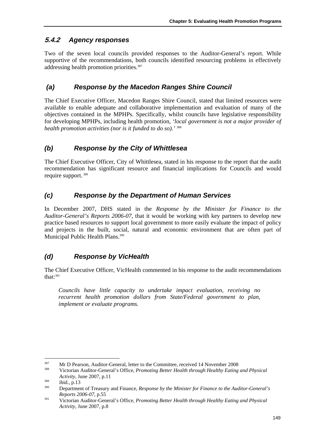# **5.4.2** *Agency responses*

Two of the seven local councils provided responses to the Auditor-General's report. While supportive of the recommendations, both councils identified resourcing problems in effectively addressing health promotion priorities.<sup>387</sup>

# *(a) Response by the Macedon Ranges Shire Council*

The Chief Executive Officer, Macedon Ranges Shire Council, stated that limited resources were available to enable adequate and collaborative implementation and evaluation of many of the objectives contained in the MPHPs. Specifically, whilst councils have legislative responsibility for developing MPHPs, including health promotion, *'local government is not a major provider of health promotion activities (nor is it funded to do so).'* <sup>388</sup>

# *(b) Response by the City of Whittlesea*

The Chief Executive Officer, City of Whittlesea, stated in his response to the report that the audit recommendation has significant resource and financial implications for Councils and would require support. 389

# *(c) Response by the Department of Human Services*

In December 2007, DHS stated in the *Response by the Minister for Finance to the Auditor-General's Reports 2006-07*, that it would be working with key partners to develop new practice based resources to support local government to more easily evaluate the impact of policy and projects in the built, social, natural and economic environment that are often part of Municipal Public Health Plans.<sup>390</sup>

# *(d) Response by VicHealth*

The Chief Executive Officer, VicHealth commented in his response to the audit recommendations that: $391$ 

*Councils have little capacity to undertake impact evaluation, receiving no recurrent health promotion dollars from State/Federal government to plan, implement or evaluate programs.* 

<sup>387</sup> <sup>387</sup> Mr D Pearson, Auditor-General, letter to the Committee, received 14 November 2008<br><sup>388</sup> Victorian Auditor-General's Office, *Promoting Better Health through Healthy Eating and Physical* 

*Activity,* June 2007, p.11<br>
389 ibid., p.13<br>
290 Department of Treasury and Finance, *Response by the Minister for Finance to the Auditor-General's* 

*Reports 2006-07*, p.55<br>Victorian Auditor-General's Office, *Promoting Better Health through Healthy Eating and Physical Activity,* June 2007, p.8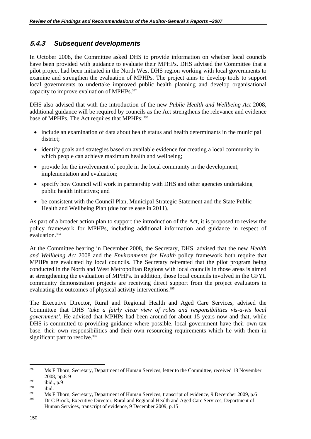# **5.4.3** *Subsequent developments*

In October 2008, the Committee asked DHS to provide information on whether local councils have been provided with guidance to evaluate their MPHPs. DHS advised the Committee that a pilot project had been initiated in the North West DHS region working with local governments to examine and strengthen the evaluation of MPHPs. The project aims to develop tools to support local governments to undertake improved public health planning and develop organisational capacity to improve evaluation of MPHPs.392

DHS also advised that with the introduction of the new *Public Health and Wellbeing Act* 2008, additional guidance will be required by councils as the Act strengthens the relevance and evidence base of MPHPs. The Act requires that MPHPs: 393

- include an examination of data about health status and health determinants in the municipal district;
- identify goals and strategies based on available evidence for creating a local community in which people can achieve maximum health and wellbeing;
- provide for the involvement of people in the local community in the development, implementation and evaluation;
- specify how Council will work in partnership with DHS and other agencies undertaking public health initiatives; and
- be consistent with the Council Plan, Municipal Strategic Statement and the State Public Health and Wellbeing Plan (due for release in 2011).

As part of a broader action plan to support the introduction of the Act, it is proposed to review the policy framework for MPHPs, including additional information and guidance in respect of evaluation.394

At the Committee hearing in December 2008, the Secretary, DHS, advised that the new *Health and Wellbeing Act* 2008 and the *Environments for Health* policy framework both require that MPHPs are evaluated by local councils. The Secretary reiterated that the pilot program being conducted in the North and West Metropolitan Regions with local councils in those areas is aimed at strengthening the evaluation of MPHPs. In addition, those local councils involved in the GFYL community demonstration projects are receiving direct support from the project evaluators in evaluating the outcomes of physical activity interventions.<sup>395</sup>

The Executive Director, Rural and Regional Health and Aged Care Services, advised the Committee that DHS *'take a fairly clear view of roles and responsibilities vis-a-vis local government'.* He advised that MPHPs had been around for about 15 years now and that, while DHS is committed to providing guidance where possible, local government have their own tax base, their own responsibilities and their own resourcing requirements which lie with them in significant part to resolve.<sup>396</sup>

<sup>&</sup>lt;sup>392</sup> Ms F Thorn, Secretary, Department of Human Services, letter to the Committee, received 18 November

<sup>2008,</sup> pp.8-9<br>
ibid., p.9<br>
ibid. Ms F Thorn, Secretary, Department of Human Services, transcript of evidence, 9 December 2009, p.6<br>
<sup>395</sup> Dr C Brook, Executive Director, Rural and Regional Health and Aged Care Services, De Human Services, transcript of evidence, 9 December 2009, p.15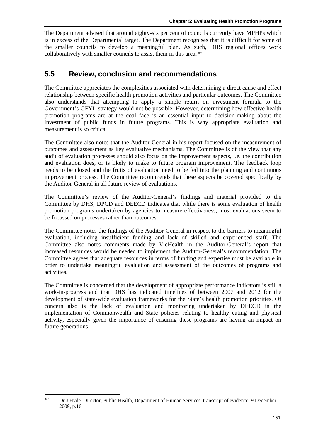The Department advised that around eighty-six per cent of councils currently have MPHPs which is in excess of the Departmental target. The Department recognises that it is difficult for some of the smaller councils to develop a meaningful plan. As such, DHS regional offices work collaboratively with smaller councils to assist them in this area.<sup>397</sup>

# **5.5 Review, conclusion and recommendations**

The Committee appreciates the complexities associated with determining a direct cause and effect relationship between specific health promotion activities and particular outcomes. The Committee also understands that attempting to apply a simple return on investment formula to the Government's GFYL strategy would not be possible. However, determining how effective health promotion programs are at the coal face is an essential input to decision-making about the investment of public funds in future programs. This is why appropriate evaluation and measurement is so critical.

The Committee also notes that the Auditor-General in his report focused on the measurement of outcomes and assessment as key evaluative mechanisms. The Committee is of the view that any audit of evaluation processes should also focus on the improvement aspects, i.e. the contribution and evaluation does, or is likely to make to future program improvement. The feedback loop needs to be closed and the fruits of evaluation need to be fed into the planning and continuous improvement process. The Committee recommends that these aspects be covered specifically by the Auditor-General in all future review of evaluations.

The Committee's review of the Auditor-General's findings and material provided to the Committee by DHS, DPCD and DEECD indicates that while there is some evaluation of health promotion programs undertaken by agencies to measure effectiveness, most evaluations seem to be focussed on processes rather than outcomes.

The Committee notes the findings of the Auditor-General in respect to the barriers to meaningful evaluation, including insufficient funding and lack of skilled and experienced staff. The Committee also notes comments made by VicHealth in the Auditor-General's report that increased resources would be needed to implement the Auditor-General's recommendation. The Committee agrees that adequate resources in terms of funding and expertise must be available in order to undertake meaningful evaluation and assessment of the outcomes of programs and activities.

The Committee is concerned that the development of appropriate performance indicators is still a work-in-progress and that DHS has indicated timelines of between 2007 and 2012 for the development of state-wide evaluation frameworks for the State's health promotion priorities. Of concern also is the lack of evaluation and monitoring undertaken by DEECD in the implementation of Commonwealth and State policies relating to healthy eating and physical activity, especially given the importance of ensuring these programs are having an impact on future generations.

 $397$ 397 Dr J Hyde, Director, Public Health, Department of Human Services, transcript of evidence, 9 December 2009, p.16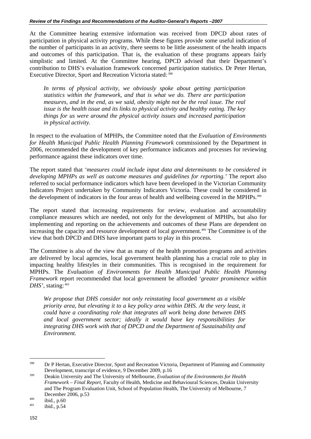At the Committee hearing extensive information was received from DPCD about rates of participation in physical activity programs. While these figures provide some useful indication of the number of participants in an activity, there seems to be little assessment of the health impacts and outcomes of this participation. That is, the evaluation of these programs appears fairly simplistic and limited. At the Committee hearing, DPCD advised that their Department's contribution to DHS's evaluation framework concerned participation statistics. Dr Peter Hertan, Executive Director, Sport and Recreation Victoria stated: 398

*In terms of physical activity, we obviously spoke about getting participation statistics within the framework, and that is what we do. There are participation measures, and in the end, as we said, obesity might not be the real issue. The real issue is the health issue and its links to physical activity and healthy eating. The key things for us were around the physical activity issues and increased participation in physical activity.* 

In respect to the evaluation of MPHPs, the Committee noted that the *Evaluation of Environments for Health Municipal Public Health Planning Framework* commissioned by the Department in 2006, recommended the development of key performance indicators and processes for reviewing performance against these indicators over time.

The report stated that *'measures could include input data and determinants to be considered in developing MPHPs as well as outcome measures and guidelines for reporting.'* The report also referred to social performance indicators which have been developed in the Victorian Community Indicators Project undertaken by Community Indicators Victoria. These could be considered in the development of indicators in the four areas of health and wellbeing covered in the MPHPs.<sup>399</sup>

The report stated that increasing requirements for review, evaluation and accountability compliance measures which are needed, not only for the development of MPHPs, but also for implementing and reporting on the achievements and outcomes of these Plans are dependent on increasing the capacity and resource development of local government.<sup>400</sup> The Committee is of the view that both DPCD and DHS have important parts to play in this process.

The Committee is also of the view that as many of the health promotion programs and activities are delivered by local agencies, local government health planning has a crucial role to play in impacting healthy lifestyles in their communities. This is recognised in the requirement for MPHPs. The *Evaluation of Environments for Health Municipal Public Health Planning Framework* report recommended that local government be afforded *'greater prominence within DHS'*, stating: 401

*We propose that DHS consider not only reinstating local government as a visible priority area, but elevating it to a key policy area within DHS. At the very least, it could have a coordinating role that integrates all work being done between DHS and local government sector; ideally it would have key responsibilities for integrating DHS work with that of DPCD and the Department of Sustainability and Environment.* 

<sup>398</sup> 398 Dr P Hertan, Executive Director, Sport and Recreation Victoria, Department of Planning and Community Development, transcript of evidence, 9 December 2009, p.16 399 Deakin University and The University of Melbourne, *Evaluation of the Environments for Health* 

*Framework – Final Report,* Faculty of Health, Medicine and Behavioural Sciences, Deakin University and The Program Evaluation Unit, School of Population Health, The University of Melbourne, 7 December 2006, p.53<br>
<sup>400</sup> ibid., p.60<br>
<sup>401</sup> ibid., p.54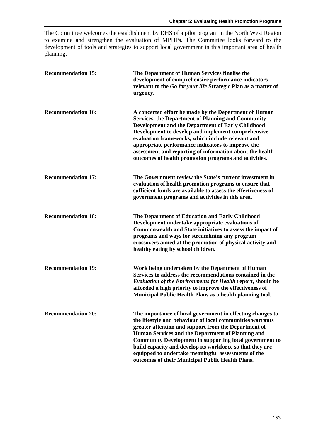The Committee welcomes the establishment by DHS of a pilot program in the North West Region to examine and strengthen the evaluation of MPHPs. The Committee looks forward to the development of tools and strategies to support local government in this important area of health planning.

| <b>Recommendation 15:</b> | The Department of Human Services finalise the<br>development of comprehensive performance indicators<br>relevant to the Go for your life Strategic Plan as a matter of<br>urgency.                                                                                                                                                                                                                                                                                             |
|---------------------------|--------------------------------------------------------------------------------------------------------------------------------------------------------------------------------------------------------------------------------------------------------------------------------------------------------------------------------------------------------------------------------------------------------------------------------------------------------------------------------|
| <b>Recommendation 16:</b> | A concerted effort be made by the Department of Human<br><b>Services, the Department of Planning and Community</b><br><b>Development and the Department of Early Childhood</b><br>Development to develop and implement comprehensive<br>evaluation frameworks, which include relevant and<br>appropriate performance indicators to improve the<br>assessment and reporting of information about the health<br>outcomes of health promotion programs and activities.            |
| <b>Recommendation 17:</b> | The Government review the State's current investment in<br>evaluation of health promotion programs to ensure that<br>sufficient funds are available to assess the effectiveness of<br>government programs and activities in this area.                                                                                                                                                                                                                                         |
| <b>Recommendation 18:</b> | The Department of Education and Early Childhood<br>Development undertake appropriate evaluations of<br>Commonwealth and State initiatives to assess the impact of<br>programs and ways for streamlining any program<br>crossovers aimed at the promotion of physical activity and<br>healthy eating by school children.                                                                                                                                                        |
| <b>Recommendation 19:</b> | Work being undertaken by the Department of Human<br>Services to address the recommendations contained in the<br><b>Evaluation of the Environments for Health report, should be</b><br>afforded a high priority to improve the effectiveness of<br>Municipal Public Health Plans as a health planning tool.                                                                                                                                                                     |
| <b>Recommendation 20:</b> | The importance of local government in effecting changes to<br>the lifestyle and behaviour of local communities warrants<br>greater attention and support from the Department of<br>Human Services and the Department of Planning and<br><b>Community Development in supporting local government to</b><br>build capacity and develop its workforce so that they are<br>equipped to undertake meaningful assessments of the<br>outcomes of their Municipal Public Health Plans. |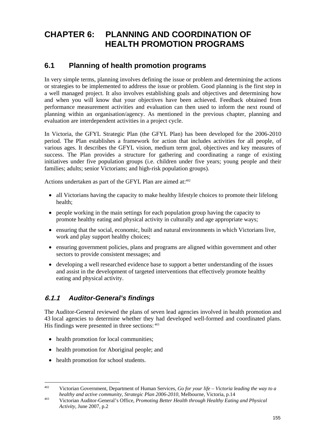# **CHAPTER 6: PLANNING AND COORDINATION OF HEALTH PROMOTION PROGRAMS**

## **6.1 Planning of health promotion programs**

In very simple terms, planning involves defining the issue or problem and determining the actions or strategies to be implemented to address the issue or problem. Good planning is the first step in a well managed project. It also involves establishing goals and objectives and determining how and when you will know that your objectives have been achieved. Feedback obtained from performance measurement activities and evaluation can then used to inform the next round of planning within an organisation/agency. As mentioned in the previous chapter, planning and evaluation are interdependent activities in a project cycle.

In Victoria, the GFYL Strategic Plan (the GFYL Plan) has been developed for the 2006-2010 period. The Plan establishes a framework for action that includes activities for all people, of various ages. It describes the GFYL vision, medium term goal, objectives and key measures of success. The Plan provides a structure for gathering and coordinating a range of existing initiatives under five population groups (i.e. children under five years; young people and their families; adults; senior Victorians; and high-risk population groups).

Actions undertaken as part of the GFYL Plan are aimed at:<sup>402</sup>

- all Victorians having the capacity to make healthy lifestyle choices to promote their lifelong health;
- people working in the main settings for each population group having the capacity to promote healthy eating and physical activity in culturally and age appropriate ways;
- ensuring that the social, economic, built and natural environments in which Victorians live, work and play support healthy choices;
- ensuring government policies, plans and programs are aligned within government and other sectors to provide consistent messages; and
- developing a well researched evidence base to support a better understanding of the issues and assist in the development of targeted interventions that effectively promote healthy eating and physical activity.

### **6.1.1** *Auditor-General's findings*

The Auditor-General reviewed the plans of seven lead agencies involved in health promotion and 43 local agencies to determine whether they had developed well-formed and coordinated plans. His findings were presented in three sections:  $403$ 

- health promotion for local communities;
- health promotion for Aboriginal people; and
- health promotion for school students.

1

<sup>402</sup> Victorian Government, Department of Human Services, *Go for your life – Victoria leading the way to a healthy and active community, Strategic Plan 2006-2010, Melbourne, Victoria, p.14* Victorian Auditor-General's Office, *Promoting Better Health through Healthy Eating and Physical* 

*Activity,* June 2007, p.2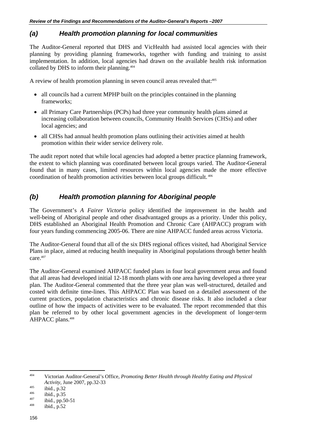### *(a) Health promotion planning for local communities*

The Auditor-General reported that DHS and VicHealth had assisted local agencies with their planning by providing planning frameworks, together with funding and training to assist implementation. In addition, local agencies had drawn on the available health risk information collated by DHS to inform their planning.404

A review of health promotion planning in seven council areas revealed that:<sup>405</sup>

- all councils had a current MPHP built on the principles contained in the planning frameworks;
- all Primary Care Partnerships (PCPs) had three year community health plans aimed at increasing collaboration between councils, Community Health Services (CHSs) and other local agencies; and
- all CHSs had annual health promotion plans outlining their activities aimed at health promotion within their wider service delivery role.

The audit report noted that while local agencies had adopted a better practice planning framework, the extent to which planning was coordinated between local groups varied. The Auditor-General found that in many cases, limited resources within local agencies made the more effective coordination of health promotion activities between local groups difficult. 406

### *(b) Health promotion planning for Aboriginal people*

The Government's *A Fairer Victoria* policy identified the improvement in the health and well-being of Aboriginal people and other disadvantaged groups as a priority. Under this policy, DHS established an Aboriginal Health Promotion and Chronic Care (AHPACC) program with four years funding commencing 2005-06. There are nine AHPACC funded areas across Victoria.

The Auditor-General found that all of the six DHS regional offices visited, had Aboriginal Service Plans in place, aimed at reducing health inequality in Aboriginal populations through better health care.<sup>407</sup>

The Auditor-General examined AHPACC funded plans in four local government areas and found that all areas had developed initial 12-18 month plans with one area having developed a three year plan. The Auditor-General commented that the three year plan was well-structured, detailed and costed with definite time-lines. This AHPACC Plan was based on a detailed assessment of the current practices, population characteristics and chronic disease risks. It also included a clear outline of how the impacts of activities were to be evaluated. The report recommended that this plan be referred to by other local government agencies in the development of longer-term AHPACC plans.<sup>408</sup>

 $404$ 404 Victorian Auditor-General's Office, *Promoting Better Health through Healthy Eating and Physical Activity*, June 2007, pp.32-33<br>
<sup>405</sup> ibid., p.32<br>
<sup>406</sup> ibid., p.35<br>
<sup>407</sup> ibid., pp.50-51<br>
<sup>408</sup> ibid., p.52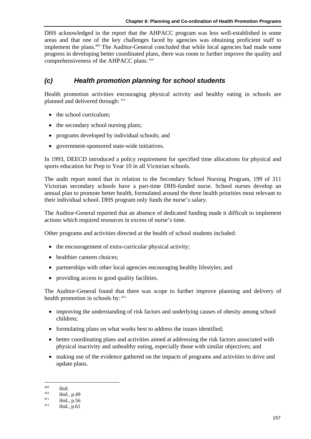DHS acknowledged in the report that the AHPACC program was less well-established in some areas and that one of the key challenges faced by agencies was obtaining proficient staff to implement the plans.<sup>409</sup> The Auditor-General concluded that while local agencies had made some progress in developing better coordinated plans, there was room to further improve the quality and comprehensiveness of the AHPACC plans. 410

### *(c) Health promotion planning for school students*

Health promotion activities encouraging physical activity and healthy eating in schools are planned and delivered through: 411

- the school curriculum:
- the secondary school nursing plans;
- programs developed by individual schools; and
- government-sponsored state-wide initiatives.

In 1993, DEECD introduced a policy requirement for specified time allocations for physical and sports education for Prep to Year 10 in all Victorian schools.

The audit report noted that in relation to the Secondary School Nursing Program, 199 of 311 Victorian secondary schools have a part-time DHS-funded nurse. School nurses develop an annual plan to promote better health, formulated around the three health priorities most relevant to their individual school. DHS program only funds the nurse's salary.

The Auditor-General reported that an absence of dedicated funding made it difficult to implement actions which required resources in excess of nurse's time.

Other programs and activities directed at the health of school students included:

- the encouragement of extra-curricular physical activity;
- healthier canteen choices;
- partnerships with other local agencies encouraging healthy lifestyles; and
- providing access to good quality facilities.

The Auditor-General found that there was scope to further improve planning and delivery of health promotion in schools by: 412

- improving the understanding of risk factors and underlying causes of obesity among school children;
- formulating plans on what works best to address the issues identified;
- better coordinating plans and activities aimed at addressing the risk factors associated with physical inactivity and unhealthy eating, especially those with similar objectives; and
- making use of the evidence gathered on the impacts of programs and activities to drive and update plans.

1

<sup>409</sup> ibid.<br>
410 ibid., p.49<br>
411 ibid., p.56<br>
412 ibid., p.61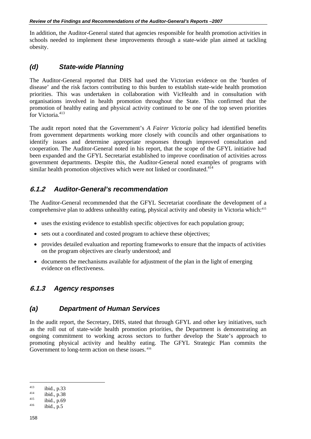In addition, the Auditor-General stated that agencies responsible for health promotion activities in schools needed to implement these improvements through a state-wide plan aimed at tackling obesity.

### *(d) State-wide Planning*

The Auditor-General reported that DHS had used the Victorian evidence on the 'burden of disease' and the risk factors contributing to this burden to establish state-wide health promotion priorities. This was undertaken in collaboration with VicHealth and in consultation with organisations involved in health promotion throughout the State. This confirmed that the promotion of healthy eating and physical activity continued to be one of the top seven priorities for Victoria<sup>413</sup>

The audit report noted that the Government's *A Fairer Victoria* policy had identified benefits from government departments working more closely with councils and other organisations to identify issues and determine appropriate responses through improved consultation and cooperation. The Auditor-General noted in his report, that the scope of the GFYL initiative had been expanded and the GFYL Secretariat established to improve coordination of activities across government departments. Despite this, the Auditor-General noted examples of programs with similar health promotion objectives which were not linked or coordinated. $4\overline{14}$ 

### **6.1.2** *Auditor-General's recommendation*

The Auditor-General recommended that the GFYL Secretariat coordinate the development of a comprehensive plan to address unhealthy eating, physical activity and obesity in Victoria which:415

- uses the existing evidence to establish specific objectives for each population group;
- sets out a coordinated and costed program to achieve these objectives;
- provides detailed evaluation and reporting frameworks to ensure that the impacts of activities on the program objectives are clearly understood; and
- documents the mechanisms available for adjustment of the plan in the light of emerging evidence on effectiveness.

### **6.1.3** *Agency responses*

### *(a) Department of Human Services*

In the audit report, the Secretary, DHS, stated that through GFYL and other key initiatives, such as the roll out of state-wide health promotion priorities, the Department is demonstrating an ongoing commitment to working across sectors to further develop the State's approach to promoting physical activity and healthy eating. The GFYL Strategic Plan commits the Government to long-term action on these issues.  $416$ 

 $\overline{a}$ 

<sup>413</sup> ibid., p.33<br>
<sup>414</sup> ibid., p.38<br>
<sup>415</sup> ibid., p.5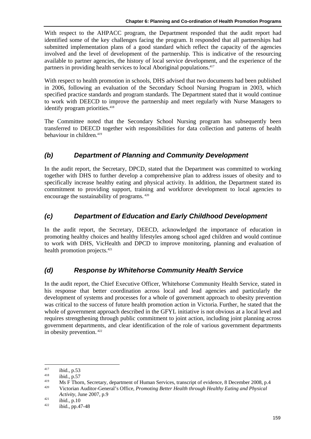With respect to the AHPACC program, the Department responded that the audit report had identified some of the key challenges facing the program. It responded that all partnerships had submitted implementation plans of a good standard which reflect the capacity of the agencies involved and the level of development of the partnership. This is indicative of the resourcing available to partner agencies, the history of local service development, and the experience of the partners in providing health services to local Aboriginal populations.<sup>417</sup>

With respect to health promotion in schools, DHS advised that two documents had been published in 2006, following an evaluation of the Secondary School Nursing Program in 2003, which specified practice standards and program standards. The Department stated that it would continue to work with DEECD to improve the partnership and meet regularly with Nurse Managers to identify program priorities.<sup>418</sup>

The Committee noted that the Secondary School Nursing program has subsequently been transferred to DEECD together with responsibilities for data collection and patterns of health behaviour in children.<sup>419</sup>

### *(b) Department of Planning and Community Development*

In the audit report, the Secretary, DPCD, stated that the Department was committed to working together with DHS to further develop a comprehensive plan to address issues of obesity and to specifically increase healthy eating and physical activity. In addition, the Department stated its commitment to providing support, training and workforce development to local agencies to encourage the sustainability of programs. 420

### *(c) Department of Education and Early Childhood Development*

In the audit report, the Secretary, DEECD, acknowledged the importance of education in promoting healthy choices and healthy lifestyles among school aged children and would continue to work with DHS, VicHealth and DPCD to improve monitoring, planning and evaluation of health promotion projects.421

### *(d) Response by Whitehorse Community Health Service*

In the audit report, the Chief Executive Officer, Whitehorse Community Health Service, stated in his response that better coordination across local and lead agencies and particularly the development of systems and processes for a whole of government approach to obesity prevention was critical to the success of future health promotion action in Victoria. Further, he stated that the whole of government approach described in the GFYL initiative is not obvious at a local level and requires strengthening through public commitment to joint action, including joint planning across government departments, and clear identification of the role of various government departments in obesity prevention. 422

1

<sup>&</sup>lt;sup>417</sup> ibid., p.53<br>
<sup>418</sup> ibid., p.57<br>
Ms F Thorn, Secretary, department of Human Services, transcript of evidence, 8 December 2008, p.4<br>
<sup>420</sup> Victorian Auditor-General's Office, *Promoting Better Health through Healthy E* 

*Activity*, June 2007, p.9<br>
<sup>421</sup> ibid., p.10<br>
<sup>422</sup> ibid., pp.47-48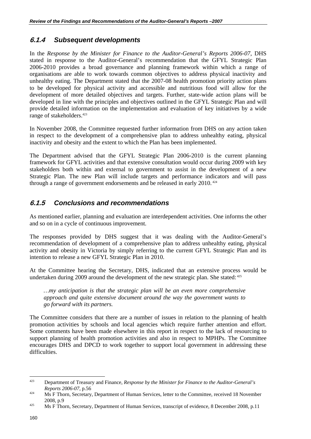### **6.1.4** *Subsequent developments*

In the *Response by the Minister for Finance to the Auditor-General's Reports 2006-07*, DHS stated in response to the Auditor-General's recommendation that the GFYL Strategic Plan 2006-2010 provides a broad governance and planning framework within which a range of organisations are able to work towards common objectives to address physical inactivity and unhealthy eating. The Department stated that the 2007-08 health promotion priority action plans to be developed for physical activity and accessible and nutritious food will allow for the development of more detailed objectives and targets. Further, state-wide action plans will be developed in line with the principles and objectives outlined in the GFYL Strategic Plan and will provide detailed information on the implementation and evaluation of key initiatives by a wide range of stakeholders.<sup>423</sup>

In November 2008, the Committee requested further information from DHS on any action taken in respect to the development of a comprehensive plan to address unhealthy eating, physical inactivity and obesity and the extent to which the Plan has been implemented.

The Department advised that the GFYL Strategic Plan 2006-2010 is the current planning framework for GFYL activities and that extensive consultation would occur during 2009 with key stakeholders both within and external to government to assist in the development of a new Strategic Plan. The new Plan will include targets and performance indicators and will pass through a range of government endorsements and be released in early 2010.<sup>424</sup>

### **6.1.5** *Conclusions and recommendations*

As mentioned earlier, planning and evaluation are interdependent activities. One informs the other and so on in a cycle of continuous improvement.

The responses provided by DHS suggest that it was dealing with the Auditor-General's recommendation of development of a comprehensive plan to address unhealthy eating, physical activity and obesity in Victoria by simply referring to the current GFYL Strategic Plan and its intention to release a new GFYL Strategic Plan in 2010.

At the Committee hearing the Secretary, DHS, indicated that an extensive process would be undertaken during 2009 around the development of the new strategic plan. She stated:  $425$ 

*…my anticipation is that the strategic plan will be an even more comprehensive approach and quite extensive document around the way the government wants to go forward with its partners.* 

The Committee considers that there are a number of issues in relation to the planning of health promotion activities by schools and local agencies which require further attention and effort. Some comments have been made elsewhere in this report in respect to the lack of resourcing to support planning of health promotion activities and also in respect to MPHPs. The Committee encourages DHS and DPCD to work together to support local government in addressing these difficulties.

 $423$ 423 Department of Treasury and Finance, *Response by the Minister for Finance to the Auditor-General's Reports 2006-07*, p.56<br>
Ms F Thorn, Secretary, Department of Human Services, letter to the Committee, received 18 November

<sup>2008,</sup> p.9<br>
425 Ms F Thorn, Secretary, Department of Human Services, transcript of evidence, 8 December 2008, p.11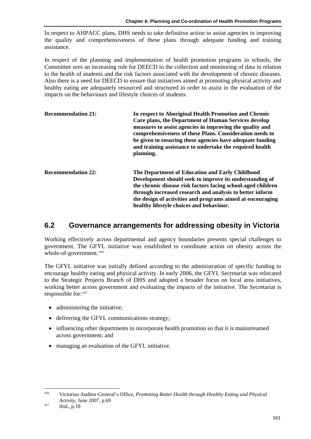In respect to AHPACC plans, DHS needs to take definitive action to assist agencies in improving the quality and comprehensiveness of these plans through adequate funding and training assistance.

In respect of the planning and implementation of health promotion programs in schools, the Committee sees an increasing role for DEECD in the collection and monitoring of data in relation to the health of students and the risk factors associated with the development of chronic diseases. Also there is a need for DEECD to ensure that initiatives aimed at promoting physical activity and healthy eating are adequately resourced and structured in order to assist in the evaluation of the impacts on the behaviours and lifestyle choices of students.

| <b>Recommendation 21:</b> | In respect to Aboriginal Health Promotion and Chronic<br>Care plans, the Department of Human Services develop<br>measures to assist agencies in improving the quality and<br>comprehensiveness of these Plans. Consideration needs to<br>be given to ensuring these agencies have adequate funding<br>and training assistance to undertake the required health<br>planning. |
|---------------------------|-----------------------------------------------------------------------------------------------------------------------------------------------------------------------------------------------------------------------------------------------------------------------------------------------------------------------------------------------------------------------------|
| <b>Recommendation 22:</b> | The Department of Education and Early Childhood<br>Development should seek to improve its understanding of<br>the chronic disease risk factors facing school-aged children<br>through increased research and analysis to better inform<br>the design of activities and programs aimed at encouraging<br>healthy lifestyle choices and behaviour.                            |

### **6.2 Governance arrangements for addressing obesity in Victoria**

Working effectively across departmental and agency boundaries presents special challenges to government. The GFYL initiative was established to coordinate action on obesity across the whole-of-government. 426

The GFYL initiative was initially defined according to the administration of specific funding to encourage healthy eating and physical activity. In early 2006, the GFYL Secretariat was relocated to the Strategic Projects Branch of DHS and adopted a broader focus on local area initiatives, working better across government and evaluating the impacts of the initiative. The Secretariat is responsible for: 427

- administering the initiative;
- delivering the GFYL communications strategy:
- influencing other departments to incorporate health promotion so that it is mainstreamed across government; and
- managing an evaluation of the GFYL initiative.

1

<sup>426</sup> Victorian Auditor-General's Office, *Promoting Better Health through Healthy Eating and Physical Activity*, June 2007, p.69<br><sup>427</sup> ibid., p.18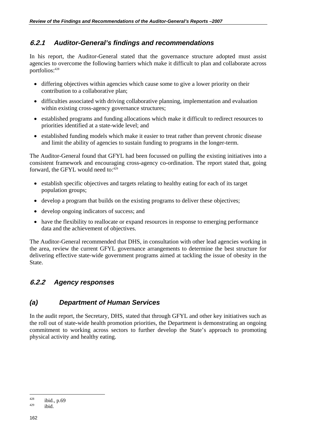### **6.2.1** *Auditor-General's findings and recommendations*

In his report, the Auditor-General stated that the governance structure adopted must assist agencies to overcome the following barriers which make it difficult to plan and collaborate across portfolios:428

- differing objectives within agencies which cause some to give a lower priority on their contribution to a collaborative plan;
- difficulties associated with driving collaborative planning, implementation and evaluation within existing cross-agency governance structures;
- established programs and funding allocations which make it difficult to redirect resources to priorities identified at a state-wide level; and
- established funding models which make it easier to treat rather than prevent chronic disease and limit the ability of agencies to sustain funding to programs in the longer-term.

The Auditor-General found that GFYL had been focussed on pulling the existing initiatives into a consistent framework and encouraging cross-agency co-ordination. The report stated that, going forward, the GFYL would need to: $429$ 

- establish specific objectives and targets relating to healthy eating for each of its target population groups;
- develop a program that builds on the existing programs to deliver these objectives;
- develop ongoing indicators of success; and
- have the flexibility to reallocate or expand resources in response to emerging performance data and the achievement of objectives.

The Auditor-General recommended that DHS, in consultation with other lead agencies working in the area, review the current GFYL governance arrangements to determine the best structure for delivering effective state-wide government programs aimed at tackling the issue of obesity in the State.

### **6.2.2** *Agency responses*

### *(a) Department of Human Services*

In the audit report, the Secretary, DHS, stated that through GFYL and other key initiatives such as the roll out of state-wide health promotion priorities, the Department is demonstrating an ongoing commitment to working across sectors to further develop the State's approach to promoting physical activity and healthy eating.

 $\overline{a}$  $428$  ibid., p.69<br> $429$  ibid.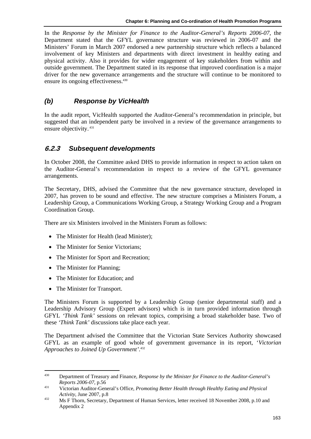In the *Response by the Minister for Finance to the Auditor-General's Reports 2006-07*, the Department stated that the GFYL governance structure was reviewed in 2006-07 and the Ministers' Forum in March 2007 endorsed a new partnership structure which reflects a balanced involvement of key Ministers and departments with direct investment in healthy eating and physical activity. Also it provides for wider engagement of key stakeholders from within and outside government. The Department stated in its response that improved coordination is a major driver for the new governance arrangements and the structure will continue to be monitored to ensure its ongoing effectiveness.<sup>430</sup>

### *(b) Response by VicHealth*

In the audit report, VicHealth supported the Auditor-General's recommendation in principle, but suggested that an independent party be involved in a review of the governance arrangements to ensure objectivity. 431

### **6.2.3** *Subsequent developments*

In October 2008, the Committee asked DHS to provide information in respect to action taken on the Auditor-General's recommendation in respect to a review of the GFYL governance arrangements.

The Secretary, DHS, advised the Committee that the new governance structure, developed in 2007, has proven to be sound and effective. The new structure comprises a Ministers Forum, a Leadership Group, a Communications Working Group, a Strategy Working Group and a Program Coordination Group.

There are six Ministers involved in the Ministers Forum as follows:

- The Minister for Health (lead Minister);
- The Minister for Senior Victorians;
- The Minister for Sport and Recreation;
- The Minister for Planning:
- The Minister for Education; and
- The Minister for Transport.

The Ministers Forum is supported by a Leadership Group (senior departmental staff) and a Leadership Advisory Group (Expert advisors) which is in turn provided information through GFYL *'Think Tank'* sessions on relevant topics, comprising a broad stakeholder base. Two of these *'Think Tank'* discussions take place each year.

The Department advised the Committee that the Victorian State Services Authority showcased GFYL as an example of good whole of government governance in its report, '*Victorian Approaches to Joined Up Government'*. 432

<sup>430</sup> 430 Department of Treasury and Finance, *Response by the Minister for Finance to the Auditor-General's Reports 2006-07*, p.56<br><sup>431</sup> Victorian Auditor-General's Office, *Promoting Better Health through Healthy Eating and Physical* 

*Activity*, June 2007, p.8<br><sup>432</sup> Ms F Thorn, Secretary, Department of Human Services, letter received 18 November 2008, p.10 and Appendix 2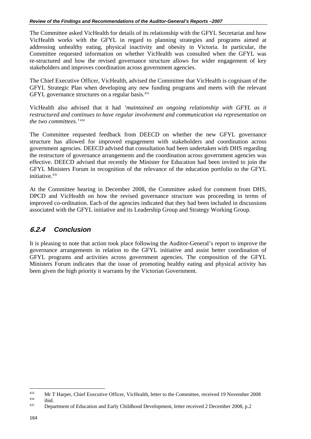The Committee asked VicHealth for details of its relationship with the GFYL Secretariat and how VicHealth works with the GFYL in regard to planning strategies and programs aimed at addressing unhealthy eating, physical inactivity and obesity in Victoria. In particular, the Committee requested information on whether VicHealth was consulted when the GFYL was re-structured and how the revised governance structure allows for wider engagement of key stakeholders and improves coordination across government agencies.

The Chief Executive Officer, VicHealth, advised the Committee that VicHealth is cognisant of the GFYL Strategic Plan when developing any new funding programs and meets with the relevant GFYL governance structures on a regular basis.<sup>433</sup>

VicHealth also advised that it had *'maintained an ongoing relationship with GFYL as it restructured and continues to have regular involvement and communication via representation on the two committees.'*<sup>434</sup>

The Committee requested feedback from DEECD on whether the new GFYL governance structure has allowed for improved engagement with stakeholders and coordination across government agencies. DEECD advised that consultation had been undertaken with DHS regarding the restructure of governance arrangements and the coordination across government agencies was effective. DEECD advised that recently the Minister for Education had been invited to join the GFYL Ministers Forum in recognition of the relevance of the education portfolio to the GFYL initiative.<sup>435</sup>

At the Committee hearing in December 2008, the Committee asked for comment from DHS, DPCD and VicHealth on how the revised governance structure was proceeding in terms of improved co-ordination. Each of the agencies indicated that they had been included in discussions associated with the GFYL initiative and its Leadership Group and Strategy Working Group.

### **6.2.4** *Conclusion*

It is pleasing to note that action took place following the Auditor-General's report to improve the governance arrangements in relation to the GFYL initiative and assist better coordination of GFYL programs and activities across government agencies. The composition of the GFYL Ministers Forum indicates that the issue of promoting healthy eating and physical activity has been given the high priority it warrants by the Victorian Government.

 $\overline{a}$ 

<sup>&</sup>lt;sup>433</sup> Mr T Harper, Chief Executive Officer, VicHealth, letter to the Committee, received 19 November 2008 ibid.<br><sup>434</sup> Department of Education and Early Childhood Development, letter received 2 December 2008, p.2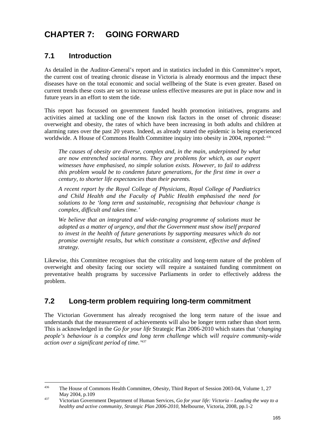# **CHAPTER 7: GOING FORWARD**

## **7.1 Introduction**

1

As detailed in the Auditor-General's report and in statistics included in this Committee's report, the current cost of treating chronic disease in Victoria is already enormous and the impact these diseases have on the total economic and social wellbeing of the State is even greater. Based on current trends these costs are set to increase unless effective measures are put in place now and in future years in an effort to stem the tide.

This report has focussed on government funded health promotion initiatives, programs and activities aimed at tackling one of the known risk factors in the onset of chronic disease: overweight and obesity, the rates of which have been increasing in both adults and children at alarming rates over the past 20 years. Indeed, as already stated the epidemic is being experienced worldwide. A House of Commons Health Committee inquiry into obesity in 2004, reported: 436

*The causes of obesity are diverse, complex and, in the main, underpinned by what are now entrenched societal norms. They are problems for which, as our expert witnesses have emphasised, no simple solution exists. However, to fail to address this problem would be to condemn future generations, for the first time in over a century, to shorter life expectancies than their parents.* 

*A recent report by the Royal College of Physicians, Royal College of Paediatrics and Child Health and the Faculty of Public Health emphasised the need for solutions to be 'long term and sustainable, recognising that behaviour change is complex, difficult and takes time.'* 

*We believe that an integrated and wide-ranging programme of solutions must be adopted as a matter of urgency, and that the Government must show itself prepared to invest in the health of future generations by supporting measures which do not promise overnight results, but which constitute a consistent, effective and defined strategy.* 

Likewise, this Committee recognises that the criticality and long-term nature of the problem of overweight and obesity facing our society will require a sustained funding commitment on preventative health programs by successive Parliaments in order to effectively address the problem.

### **7.2 Long-term problem requiring long-term commitment**

The Victorian Government has already recognised the long term nature of the issue and understands that the measurement of achievements will also be longer term rather than short term. This is acknowledged in the *Go for your life* Strategic Plan 2006-2010 which states that '*changing people's behaviour is a complex and long term challenge* which *will require community-wide action over a significant period of time.'*<sup>437</sup>

<sup>436</sup> The House of Commons Health Committee, *Obesity,* Third Report of Session 2003-04, Volume 1, 27

May 2004, p.109<br><sup>437</sup> Victorian Government Department of Human Services, *Go for your life: Victoria – Leading the way to a healthy and active community, Strategic Plan 2006-2010,* Melbourne, Victoria, 2008, pp.1-2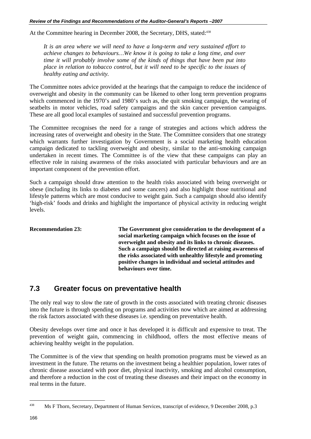At the Committee hearing in December 2008, the Secretary, DHS, stated:<sup>438</sup>

*It is an area where we will need to have a long-term and very sustained effort to achieve changes to behaviours…We know it is going to take a long time, and over time it will probably involve some of the kinds of things that have been put into place in relation to tobacco control, but it will need to be specific to the issues of healthy eating and activity.* 

The Committee notes advice provided at the hearings that the campaign to reduce the incidence of overweight and obesity in the community can be likened to other long term prevention programs which commenced in the 1970's and 1980's such as, the quit smoking campaign, the wearing of seatbelts in motor vehicles, road safety campaigns and the skin cancer prevention campaigns. These are all good local examples of sustained and successful prevention programs.

The Committee recognises the need for a range of strategies and actions which address the increasing rates of overweight and obesity in the State. The Committee considers that one strategy which warrants further investigation by Government is a social marketing health education campaign dedicated to tackling overweight and obesity, similar to the anti-smoking campaign undertaken in recent times. The Committee is of the view that these campaigns can play an effective role in raising awareness of the risks associated with particular behaviours and are an important component of the prevention effort.

Such a campaign should draw attention to the health risks associated with being overweight or obese (including its links to diabetes and some cancers) and also highlight those nutritional and lifestyle patterns which are most conducive to weight gain. Such a campaign should also identify 'high-risk' foods and drinks and highlight the importance of physical activity in reducing weight levels.

**Recommendation 23: The Government give consideration to the development of a social marketing campaign which focuses on the issue of overweight and obesity and its links to chronic diseases. Such a campaign should be directed at raising awareness of the risks associated with unhealthy lifestyle and promoting positive changes in individual and societal attitudes and behaviours over time.** 

### **7.3 Greater focus on preventative health**

The only real way to slow the rate of growth in the costs associated with treating chronic diseases into the future is through spending on programs and activities now which are aimed at addressing the risk factors associated with these diseases i.e. spending on preventative health.

Obesity develops over time and once it has developed it is difficult and expensive to treat. The prevention of weight gain, commencing in childhood, offers the most effective means of achieving healthy weight in the population.

The Committee is of the view that spending on health promotion programs must be viewed as an investment in the future. The returns on the investment being a healthier population, lower rates of chronic disease associated with poor diet, physical inactivity, smoking and alcohol consumption, and therefore a reduction in the cost of treating these diseases and their impact on the economy in real terms in the future.

 $\overline{a}$ 

<sup>438</sup> Ms F Thorn, Secretary, Department of Human Services, transcript of evidence, 9 December 2008, p.3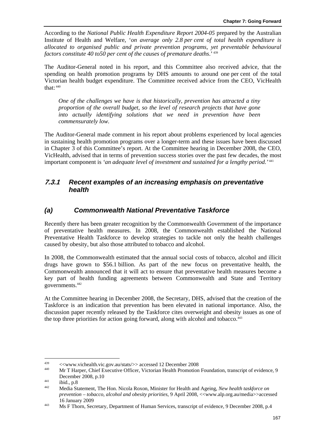According to the *National Public Health Expenditure Report 2004-05* prepared by the Australian Institute of Health and Welfare, '*on average only 2.8 per cent of total health expenditure is allocated to organised public and private prevention programs, yet preventable behavioural factors constitute 40 to50 per cent of the causes of premature deaths*.' 439

The Auditor-General noted in his report, and this Committee also received advice, that the spending on health promotion programs by DHS amounts to around one per cent of the total Victorian health budget expenditure. The Committee received advice from the CEO, VicHealth that:  $440$ 

*One of the challenges we have is that historically, prevention has attracted a tiny proportion of the overall budget, so the level of research projects that have gone into actually identifying solutions that we need in prevention have been commensurately low.* 

The Auditor-General made comment in his report about problems experienced by local agencies in sustaining health promotion programs over a longer-term and these issues have been discussed in Chapter 3 of this Committee's report. At the Committee hearing in December 2008, the CEO, VicHealth, advised that in terms of prevention success stories over the past few decades, the most important component is *'an adequate level of investment and sustained for a lengthy period.'*<sup>441</sup>

### **7.3.1** *Recent examples of an increasing emphasis on preventative health*

### *(a) Commonwealth National Preventative Taskforce*

Recently there has been greater recognition by the Commonwealth Government of the importance of preventative health measures. In 2008, the Commonwealth established the National Preventative Health Taskforce to develop strategies to tackle not only the health challenges caused by obesity, but also those attributed to tobacco and alcohol.

In 2008, the Commonwealth estimated that the annual social costs of tobacco, alcohol and illicit drugs have grown to \$56.1 billion. As part of the new focus on preventative health, the Commonwealth announced that it will act to ensure that preventative health measures become a key part of health funding agreements between Commonwealth and State and Territory governments.442

At the Committee hearing in December 2008, the Secretary, DHS, advised that the creation of the Taskforce is an indication that prevention has been elevated in national importance. Also, the discussion paper recently released by the Taskforce cites overweight and obesity issues as one of the top three priorities for action going forward, along with alcohol and tobacco.<sup>443</sup>

<sup>439</sup> 

<sup>&</sup>lt;sup>439</sup> <<www.vichealth.vic.gov.au/stats/>> accessed 12 December 2008<br>
Mr T Harper, Chief Executive Officer, Victorian Health Promotion Foundation, transcript of evidence, 9

December 2008, p.10<br>
<sup>441</sup> ibid., p.8<br> *Addia Statement, The Hon. Nicola Roxon, Minister for Health and Ageing, <i>New health taskforce on prevention – tobacco, alcohol and obesity priorities,* 9 April 2008, <<www.alp.org.au/media>>accessed

<sup>16</sup> January 2009<br>
Ms F Thorn, Secretary, Department of Human Services, transcript of evidence, 9 December 2008, p.4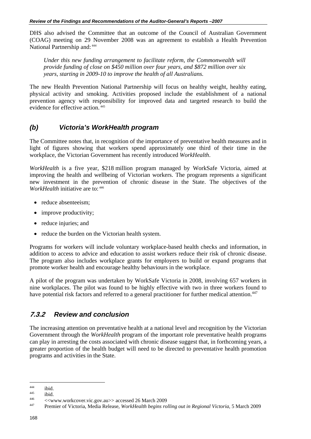DHS also advised the Committee that an outcome of the Council of Australian Government (COAG) meeting on 29 November 2008 was an agreement to establish a Health Prevention National Partnership and: 444

*Under this new funding arrangement to facilitate reform, the Commonwealth will provide funding of close on \$450 million over four years, and \$872 million over six years, starting in 2009-10 to improve the health of all Australians.*

The new Health Prevention National Partnership will focus on healthy weight, healthy eating, physical activity and smoking. Activities proposed include the establishment of a national prevention agency with responsibility for improved data and targeted research to build the evidence for effective action. 445

### *(b) Victoria's WorkHealth program*

The Committee notes that, in recognition of the importance of preventative health measures and in light of figures showing that workers spend approximately one third of their time in the workplace, the Victorian Government has recently introduced *WorkHealth*.

*WorkHealth* is a five year, \$218 million program managed by WorkSafe Victoria, aimed at improving the health and wellbeing of Victorian workers. The program represents a significant new investment in the prevention of chronic disease in the State. The objectives of the *WorkHealth* initiative are to: 446

- reduce absenteeism;
- improve productivity;
- reduce injuries; and
- reduce the burden on the Victorian health system.

Programs for workers will include voluntary workplace-based health checks and information, in addition to access to advice and education to assist workers reduce their risk of chronic disease. The program also includes workplace grants for employers to build or expand programs that promote worker health and encourage healthy behaviours in the workplace.

A pilot of the program was undertaken by WorkSafe Victoria in 2008, involving 657 workers in nine workplaces. The pilot was found to be highly effective with two in three workers found to have potential risk factors and referred to a general practitioner for further medical attention.<sup>447</sup>

### **7.3.2** *Review and conclusion*

The increasing attention on preventative health at a national level and recognition by the Victorian Government through the *WorkHealth* program of the important role preventative health programs can play in arresting the costs associated with chronic disease suggest that, in forthcoming years, a greater proportion of the health budget will need to be directed to preventative health promotion programs and activities in the State.

 $\overline{a}$ 

<sup>444</sup> ibid. 445 ibid. 446 <<www.workcover.vic.gov.au>> accessed 26 March 2009 447 Premier of Victoria, Media Release, *WorkHealth begins rolling out in Regional Victoria,* 5 March 2009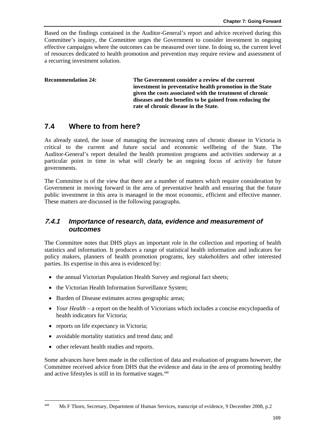Based on the findings contained in the Auditor-General's report and advice received during this Committee's inquiry, the Committee urges the Government to consider investment in ongoing effective campaigns where the outcomes can be measured over time. In doing so, the current level of resources dedicated to health promotion and prevention may require review and assessment of a recurring investment solution.

**Recommendation 24: The Government consider a review of the current investment in preventative health promotion in the State given the costs associated with the treatment of chronic diseases and the benefits to be gained from reducing the rate of chronic disease in the State.** 

### **7.4 Where to from here?**

As already stated, the issue of managing the increasing rates of chronic disease in Victoria is critical to the current and future social and economic wellbeing of the State. The Auditor-General's report detailed the health promotion programs and activities underway at a particular point in time in what will clearly be an ongoing focus of activity for future governments.

The Committee is of the view that there are a number of matters which require consideration by Government in moving forward in the area of preventative health and ensuring that the future public investment in this area is managed in the most economic, efficient and effective manner. These matters are discussed in the following paragraphs.

### **7.4.1** *Importance of research, data, evidence and measurement of outcomes*

The Committee notes that DHS plays an important role in the collection and reporting of health statistics and information. It produces a range of statistical health information and indicators for policy makers, planners of health promotion programs, key stakeholders and other interested parties. Its expertise in this area is evidenced by:

- the annual Victorian Population Health Survey and regional fact sheets;
- the Victorian Health Information Surveillance System;
- Burden of Disease estimates across geographic areas;
- *Your Health* a report on the health of Victorians which includes a concise encyclopaedia of health indicators for Victoria;
- reports on life expectancy in Victoria;
- avoidable mortality statistics and trend data; and
- other relevant health studies and reports.

1

Some advances have been made in the collection of data and evaluation of programs however, the Committee received advice from DHS that the evidence and data in the area of promoting healthy and active lifestyles is still in its formative stages.<sup>448</sup>

<sup>448</sup> Ms F Thorn, Secretary, Department of Human Services, transcript of evidence, 9 December 2008, p.2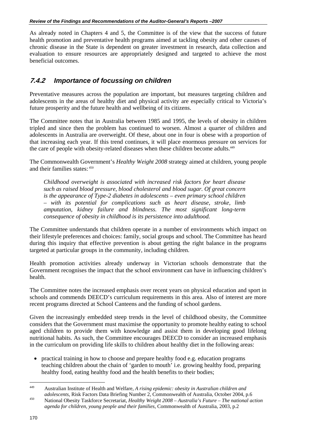As already noted in Chapters 4 and 5, the Committee is of the view that the success of future health promotion and preventative health programs aimed at tackling obesity and other causes of chronic disease in the State is dependent on greater investment in research, data collection and evaluation to ensure resources are appropriately designed and targeted to achieve the most beneficial outcomes.

### **7.4.2** *Importance of focussing on children*

Preventative measures across the population are important, but measures targeting children and adolescents in the areas of healthy diet and physical activity are especially critical to Victoria's future prosperity and the future health and wellbeing of its citizens.

The Committee notes that in Australia between 1985 and 1995, the levels of obesity in children tripled and since then the problem has continued to worsen. Almost a quarter of children and adolescents in Australia are overweight. Of these, about one in four is obese with a proportion of that increasing each year. If this trend continues, it will place enormous pressure on services for the care of people with obesity-related diseases when these children become adults.<sup>449</sup>

The Commonwealth Government's *Healthy Weight 2008* strategy aimed at children, young people and their families states: 450

*Childhood overweight is associated with increased risk factors for heart disease such as raised blood pressure, blood cholesterol and blood sugar. Of great concern is the appearance of Type-2 diabetes in adolescents – even primary school children – with its potential for complications such as heart disease, stroke, limb amputation, kidney failure and blindness. The most significant long-term consequence of obesity in childhood is its persistence into adulthood.* 

The Committee understands that children operate in a number of environments which impact on their lifestyle preferences and choices: family, social groups and school. The Committee has heard during this inquiry that effective prevention is about getting the right balance in the programs targeted at particular groups in the community, including children.

Health promotion activities already underway in Victorian schools demonstrate that the Government recognises the impact that the school environment can have in influencing children's health.

The Committee notes the increased emphasis over recent years on physical education and sport in schools and commends DEECD's curriculum requirements in this area. Also of interest are more recent programs directed at School Canteens and the funding of school gardens.

Given the increasingly embedded steep trends in the level of childhood obesity, the Committee considers that the Government must maximise the opportunity to promote healthy eating to school aged children to provide them with knowledge and assist them in developing good lifelong nutritional habits. As such, the Committee encourages DEECD to consider an increased emphasis in the curriculum on providing life skills to children about healthy diet in the following areas:

• practical training in how to choose and prepare healthy food e.g. education programs teaching children about the chain of 'garden to mouth' i.e. growing healthy food, preparing healthy food, eating healthy food and the health benefits to their bodies;

 $\overline{a}$ 449 Australian Institute of Health and Welfare, *A rising epidemic: obesity in Australian children and* 

*adolescents*, Risk Factors Data Briefing Number 2, Commonwealth of Australia, October 2004, p.6 450 National Obesity Taskforce Secretariat, *Healthy Weight 2008 – Australia's Future – The national action agenda for children, young people and their families,* Commonwealth of Australia, 2003, p.2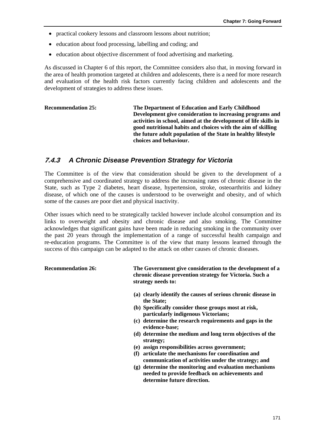- practical cookery lessons and classroom lessons about nutrition;
- education about food processing, labelling and coding; and
- education about objective discernment of food advertising and marketing.

As discussed in Chapter 6 of this report, the Committee considers also that, in moving forward in the area of health promotion targeted at children and adolescents, there is a need for more research and evaluation of the health risk factors currently facing children and adolescents and the development of strategies to address these issues.

| The Department of Education and Early Childhood                  |
|------------------------------------------------------------------|
| Development give consideration to increasing programs and        |
| activities in school, aimed at the development of life skills in |
| good nutritional habits and choices with the aim of skilling     |
| the future adult population of the State in healthy lifestyle    |
| choices and behaviour.                                           |
|                                                                  |

### **7.4.3** *A Chronic Disease Prevention Strategy for Victoria*

The Committee is of the view that consideration should be given to the development of a comprehensive and coordinated strategy to address the increasing rates of chronic disease in the State, such as Type 2 diabetes, heart disease, hypertension, stroke, osteoarthritis and kidney disease, of which one of the causes is understood to be overweight and obesity, and of which some of the causes are poor diet and physical inactivity.

Other issues which need to be strategically tackled however include alcohol consumption and its links to overweight and obesity and chronic disease and also smoking. The Committee acknowledges that significant gains have been made in reducing smoking in the community over the past 20 years through the implementation of a range of successful health campaign and re-education programs. The Committee is of the view that many lessons learned through the success of this campaign can be adapted to the attack on other causes of chronic diseases.

### **Recommendation 26: The Government give consideration to the development of a chronic disease prevention strategy for Victoria. Such a strategy needs to:**

- **(a) clearly identify the causes of serious chronic disease in the State;**
- **(b) Specifically consider those groups most at risk, particularly indigenous Victorians;**
- **(c) determine the research requirements and gaps in the evidence-base;**
- **(d) determine the medium and long term objectives of the strategy;**
- **(e) assign responsibilities across government;**
- **(f) articulate the mechanisms for coordination and communication of activities under the strategy; and**
- **(g) determine the monitoring and evaluation mechanisms needed to provide feedback on achievements and determine future direction.**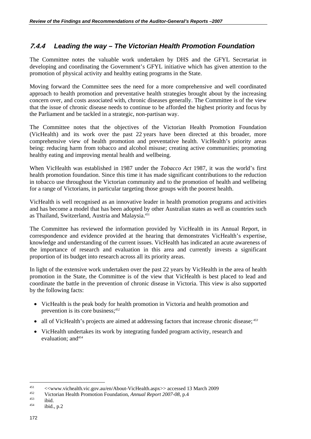### **7.4.4** *Leading the way – The Victorian Health Promotion Foundation*

The Committee notes the valuable work undertaken by DHS and the GFYL Secretariat in developing and coordinating the Government's GFYL initiative which has given attention to the promotion of physical activity and healthy eating programs in the State.

Moving forward the Committee sees the need for a more comprehensive and well coordinated approach to health promotion and preventative health strategies brought about by the increasing concern over, and costs associated with, chronic diseases generally. The Committee is of the view that the issue of chronic disease needs to continue to be afforded the highest priority and focus by the Parliament and be tackled in a strategic, non-partisan way.

The Committee notes that the objectives of the Victorian Health Promotion Foundation (VicHealth) and its work over the past 22 years have been directed at this broader, more comprehensive view of health promotion and preventative health. VicHealth's priority areas being: reducing harm from tobacco and alcohol misuse; creating active communities; promoting healthy eating and improving mental health and wellbeing.

When VicHealth was established in 1987 under the *Tobacco Act* 1987, it was the world's first health promotion foundation. Since this time it has made significant contributions to the reduction in tobacco use throughout the Victorian community and to the promotion of health and wellbeing for a range of Victorians, in particular targeting those groups with the poorest health.

VicHealth is well recognised as an innovative leader in health promotion programs and activities and has become a model that has been adopted by other Australian states as well as countries such as Thailand, Switzerland, Austria and Malaysia.451

The Committee has reviewed the information provided by VicHealth in its Annual Report, in correspondence and evidence provided at the hearing that demonstrates VicHealth's expertise, knowledge and understanding of the current issues. VicHealth has indicated an acute awareness of the importance of research and evaluation in this area and currently invests a significant proportion of its budget into research across all its priority areas.

In light of the extensive work undertaken over the past 22 years by VicHealth in the area of health promotion in the State, the Committee is of the view that VicHealth is best placed to lead and coordinate the battle in the prevention of chronic disease in Victoria. This view is also supported by the following facts:

- VicHealth is the peak body for health promotion in Victoria and health promotion and prevention is its core business;*<sup>452</sup>*
- all of VicHealth's projects are aimed at addressing factors that increase chronic disease;*<sup>453</sup>*
- VicHealth undertakes its work by integrating funded program activity, research and evaluation: and<sup>454</sup>

 $\overline{a}$ 

<sup>451 &</sup>lt;<www.vichealth.vic.gov.au/en/About-VicHealth.aspx>> accessed 13 March 2009<br>Victorian Health Promotion Foundation, *Annual Report 2007-08*, p.4<br>ibid., p.2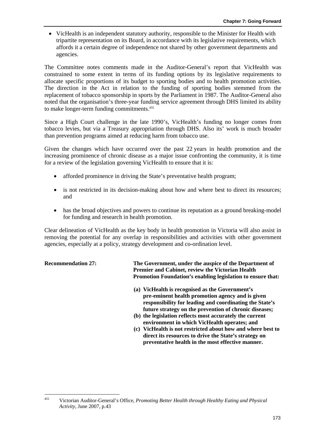• VicHealth is an independent statutory authority, responsible to the Minister for Health with tripartite representation on its Board, in accordance with its legislative requirements, which affords it a certain degree of independence not shared by other government departments and agencies.

The Committee notes comments made in the Auditor-General's report that VicHealth was constrained to some extent in terms of its funding options by its legislative requirements to allocate specific proportions of its budget to sporting bodies and to health promotion activities. The direction in the Act in relation to the funding of sporting bodies stemmed from the replacement of tobacco sponsorship in sports by the Parliament in 1987. The Auditor-General also noted that the organisation's three-year funding service agreement through DHS limited its ability to make longer-term funding commitments.<sup>455</sup>

Since a High Court challenge in the late 1990's, VicHealth's funding no longer comes from tobacco levies, but via a Treasury appropriation through DHS. Also its' work is much broader than prevention programs aimed at reducing harm from tobacco use.

Given the changes which have occurred over the past 22 years in health promotion and the increasing prominence of chronic disease as a major issue confronting the community, it is time for a review of the legislation governing VicHealth to ensure that it is:

- afforded prominence in driving the State's preventative health program;
- is not restricted in its decision-making about how and where best to direct its resources; and
- has the broad objectives and powers to continue its reputation as a ground breaking-model for funding and research in health promotion.

Clear delineation of VicHealth as the key body in health promotion in Victoria will also assist in removing the potential for any overlap in responsibilities and activities with other government agencies, especially at a policy, strategy development and co-ordination level.

**Recommendation 27: The Government, under the auspice of the Department of Premier and Cabinet, review the Victorian Health Promotion Foundation's enabling legislation to ensure that:** 

- **(a) VicHealth is recognised as the Government's pre-eminent health promotion agency and is given responsibility for leading and coordinating the State's future strategy on the prevention of chronic diseases;**
- **(b) the legislation reflects most accurately the current environment in which VicHealth operates; and**
- **(c) VicHealth is not restricted about how and where best to direct its resources to drive the State's strategy on preventative health in the most effective manner.**

 $455$ 455 Victorian Auditor-General's Office, *Promoting Better Health through Healthy Eating and Physical Activity*, June 2007, p.43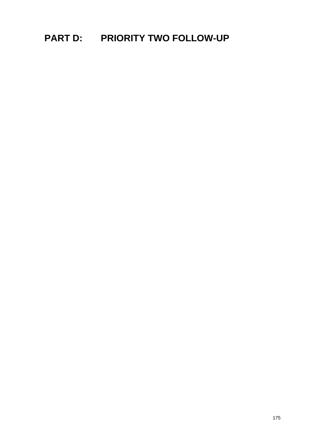# **PART D: PRIORITY TWO FOLLOW-UP**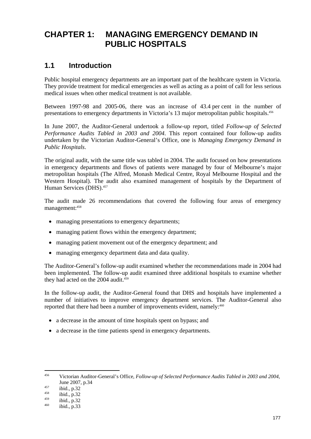# **CHAPTER 1: MANAGING EMERGENCY DEMAND IN PUBLIC HOSPITALS**

### **1.1 Introduction**

Public hospital emergency departments are an important part of the healthcare system in Victoria. They provide treatment for medical emergencies as well as acting as a point of call for less serious medical issues when other medical treatment is not available.

Between 1997-98 and 2005-06, there was an increase of 43.4 per cent in the number of presentations to emergency departments in Victoria's 13 major metropolitan public hospitals.<sup>456</sup>

In June 2007, the Auditor-General undertook a follow-up report, titled *Follow-up of Selected Performance Audits Tabled in 2003 and 2004*. This report contained four follow-up audits undertaken by the Victorian Auditor-General's Office, one is *Managing Emergency Demand in Public Hospitals*.

The original audit, with the same title was tabled in 2004. The audit focused on how presentations in emergency departments and flows of patients were managed by four of Melbourne's major metropolitan hospitals (The Alfred, Monash Medical Centre, Royal Melbourne Hospital and the Western Hospital). The audit also examined management of hospitals by the Department of Human Services (DHS).<sup>457</sup>

The audit made 26 recommendations that covered the following four areas of emergency management: 458

- managing presentations to emergency departments;
- managing patient flows within the emergency department;
- managing patient movement out of the emergency department; and
- managing emergency department data and data quality.

The Auditor-General's follow-up audit examined whether the recommendations made in 2004 had been implemented. The follow-up audit examined three additional hospitals to examine whether they had acted on the 2004 audit.<sup>459</sup>

In the follow-up audit, the Auditor-General found that DHS and hospitals have implemented a number of initiatives to improve emergency department services. The Auditor-General also reported that there had been a number of improvements evident, namely:<sup>460</sup>

- a decrease in the amount of time hospitals spent on bypass; and
- a decrease in the time patients spend in emergency departments.

<sup>456</sup> 456 Victorian Auditor-General's Office, *Follow-up of Selected Performance Audits Tabled in 2003 and 2004*, June 2007, p.34<br>
<sup>457</sup> ibid., p.32<br>
<sup>459</sup> ibid., p.32<br>
<sup>460</sup> ibid., p.33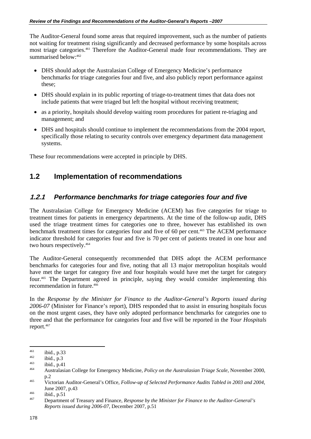The Auditor-General found some areas that required improvement, such as the number of patients not waiting for treatment rising significantly and decreased performance by some hospitals across most triage categories.461 Therefore the Auditor-General made four recommendations. They are summarised below:<sup>462</sup>

- DHS should adopt the Australasian College of Emergency Medicine's performance benchmarks for triage categories four and five, and also publicly report performance against these;
- DHS should explain in its public reporting of triage-to-treatment times that data does not include patients that were triaged but left the hospital without receiving treatment;
- as a priority, hospitals should develop waiting room procedures for patient re-triaging and management; and
- DHS and hospitals should continue to implement the recommendations from the 2004 report, specifically those relating to security controls over emergency department data management systems.

These four recommendations were accepted in principle by DHS.

### **1.2 Implementation of recommendations**

### **1.2.1** *Performance benchmarks for triage categories four and five*

The Australasian College for Emergency Medicine (ACEM) has five categories for triage to treatment times for patients in emergency departments. At the time of the follow-up audit, DHS used the triage treatment times for categories one to three, however has established its own benchmark treatment times for categories four and five of 60 per cent.463 The ACEM performance indicator threshold for categories four and five is 70 per cent of patients treated in one hour and two hours respectively.<sup>464</sup>

The Auditor-General consequently recommended that DHS adopt the ACEM performance benchmarks for categories four and five, noting that all 13 major metropolitan hospitals would have met the target for category five and four hospitals would have met the target for category four.465 The Department agreed in principle, saying they would consider implementing this recommendation in future.466

In the *Response by the Minister for Finance to the Auditor-General's Reports issued during 2006-07* (Minister for Finance's report), DHS responded that to assist in ensuring hospitals focus on the most urgent cases, they have only adopted performance benchmarks for categories one to three and that the performance for categories four and five will be reported in the *Your Hospitals* report.<sup>467</sup>

 $\overline{a}$ 

<sup>461</sup> ibid., p.33 462 ibid., p.3 463 ibid., p.41 464 Australasian College for Emergency Medicine, *Policy on the Australasian Triage Scale*, November 2000, p.2 465 Victorian Auditor-General's Office, *Follow-up of Selected Performance Audits Tabled in 2003 and 2004*,

June 2007, p.43 466 ibid., p.51 467 Department of Treasury and Finance, *Response by the Minister for Finance to the Auditor-General's* 

*Reports issued during 2006-07*, December 2007, p.51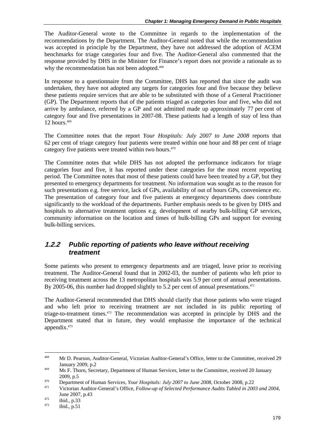The Auditor-General wrote to the Committee in regards to the implementation of the recommendations by the Department. The Auditor-General noted that while the recommendation was accepted in principle by the Department, they have not addressed the adoption of ACEM benchmarks for triage categories four and five. The Auditor-General also commented that the response provided by DHS in the Minister for Finance's report does not provide a rationale as to why the recommendation has not been adopted.<sup>468</sup>

In response to a questionnaire from the Committee, DHS has reported that since the audit was undertaken, they have not adopted any targets for categories four and five because they believe these patients require services that are able to be substituted with those of a General Practitioner (GP). The Department reports that of the patients triaged as categories four and five, who did not arrive by ambulance, referred by a GP and not admitted made up approximately 77 per cent of category four and five presentations in 2007-08. These patients had a length of stay of less than 12 hours. $469$ 

The Committee notes that the report *Your Hospitals: July 2007 to June 2008* reports that 62 per cent of triage category four patients were treated within one hour and 88 per cent of triage category five patients were treated within two hours.<sup>470</sup>

The Committee notes that while DHS has not adopted the performance indicators for triage categories four and five, it has reported under these categories for the most recent reporting period. The Committee notes that most of these patients could have been treated by a GP, but they presented to emergency departments for treatment. No information was sought as to the reason for such presentations e.g. free service, lack of GPs, availability of out of hours GPs, convenience etc. The presentation of category four and five patients at emergency departments does contribute significantly to the workload of the departments. Further emphasis needs to be given by DHS and hospitals to alternative treatment options e.g. development of nearby bulk-billing GP services, community information on the location and times of bulk-billing GPs and support for evening bulk-billing services.

### **1.2.2** *Public reporting of patients who leave without receiving treatment*

Some patients who present to emergency departments and are triaged, leave prior to receiving treatment. The Auditor-General found that in 2002-03, the number of patients who left prior to receiving treatment across the 13 metropolitan hospitals was 5.9 per cent of annual presentations. By 2005-06, this number had dropped slightly to 5.2 per cent of annual presentations.<sup> $471$ </sup>

The Auditor-General recommended that DHS should clarify that those patients who were triaged and who left prior to receiving treatment are not included in its public reporting of triage-to-treatment times.472 The recommendation was accepted in principle by DHS and the Department stated that in future, they would emphasise the importance of the technical appendix.473

<sup>468</sup> 468 Mr D. Pearson, Auditor-General, Victorian Auditor-General's Office, letter to the Committee, received 29 January 2009, p.2<br><sup>469</sup> Ms F. Thorn, Secretary, Department of Human Services, letter to the Committee, received 20 January

<sup>2009,</sup> p.5<br>
Department of Human Services, *Your Hospitals: July 2007 to June 2008*, October 2008, p.22<br>
Victorian Auditor-General's Office, *Follow-up of Selected Performance Audits Tabled in 2003 and 2004*, June 2007, p.43<br>
<sup>472</sup> ibid., p.33<br>
<sup>473</sup> ibid., p.51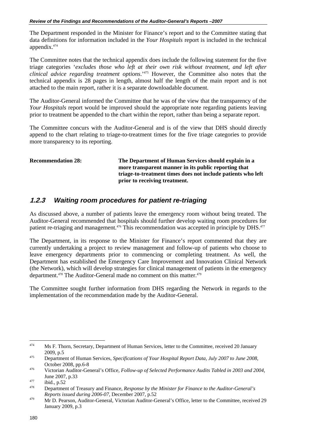The Department responded in the Minister for Finance's report and to the Committee stating that data definitions for information included in the *Your Hospitals* report is included in the technical appendix.474

The Committee notes that the technical appendix does include the following statement for the five triage categories '*excludes those who left at their own risk without treatment, and left after clinical advice regarding treatment options*.'475 However, the Committee also notes that the technical appendix is 28 pages in length, almost half the length of the main report and is not attached to the main report, rather it is a separate downloadable document.

The Auditor-General informed the Committee that he was of the view that the transparency of the *Your Hospitals* report would be improved should the appropriate note regarding patients leaving prior to treatment be appended to the chart within the report, rather than being a separate report.

The Committee concurs with the Auditor-General and is of the view that DHS should directly append to the chart relating to triage-to-treatment times for the five triage categories to provide more transparency to its reporting.

**Recommendation 28: The Department of Human Services should explain in a more transparent manner in its public reporting that triage-to-treatment times does not include patients who left prior to receiving treatment.** 

### **1.2.3** *Waiting room procedures for patient re-triaging*

As discussed above, a number of patients leave the emergency room without being treated. The Auditor-General recommended that hospitals should further develop waiting room procedures for patient re-triaging and management.<sup>476</sup> This recommendation was accepted in principle by DHS.<sup>477</sup>

The Department, in its response to the Minister for Finance's report commented that they are currently undertaking a project to review management and follow-up of patients who choose to leave emergency departments prior to commencing or completing treatment. As well, the Department has established the Emergency Care Improvement and Innovation Clinical Network (the Network), which will develop strategies for clinical management of patients in the emergency department.<sup>478</sup> The Auditor-General made no comment on this matter.<sup>479</sup>

The Committee sought further information from DHS regarding the Network in regards to the implementation of the recommendation made by the Auditor-General.

<sup>474</sup> Ms F. Thorn, Secretary, Department of Human Services, letter to the Committee, received 20 January 2009, p.5 475 Department of Human Services, *Specifications of Your Hospital Report Data, July 2007 to June 2008*,

October 2008, pp.6-8 476 Victorian Auditor-General's Office, *Follow-up of Selected Performance Audits Tabled in 2003 and 2004*,

June 2007, p.33 477 ibid., p.52 478 Department of Treasury and Finance, *Response by the Minister for Finance to the Auditor-General's* 

*Reports issued during 2006-07*, December 2007, p.52<br>Ar D. Pearson, Auditor-General, Victorian Auditor-General's Office, letter to the Committee, received 29 January 2009, p.3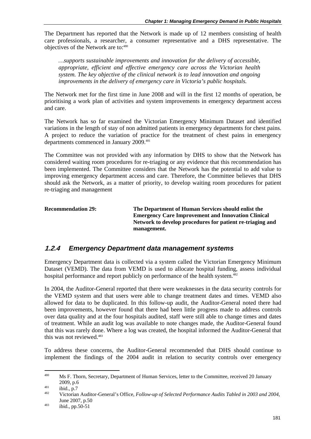The Department has reported that the Network is made up of 12 members consisting of health care professionals, a researcher, a consumer representative and a DHS representative. The objectives of the Network are to:480

*…supports sustainable improvements and innovation for the delivery of accessible, appropriate, efficient and effective emergency care across the Victorian health system. The key objective of the clinical network is to lead innovation and ongoing improvements in the delivery of emergency care in Victoria's public hospitals.* 

The Network met for the first time in June 2008 and will in the first 12 months of operation, be prioritising a work plan of activities and system improvements in emergency department access and care.

The Network has so far examined the Victorian Emergency Minimum Dataset and identified variations in the length of stay of non admitted patients in emergency departments for chest pains. A project to reduce the variation of practice for the treatment of chest pains in emergency departments commenced in January 2009.<sup>481</sup>

The Committee was not provided with any information by DHS to show that the Network has considered waiting room procedures for re-triaging or any evidence that this recommendation has been implemented. The Committee considers that the Network has the potential to add value to improving emergency department access and care. Therefore, the Committee believes that DHS should ask the Network, as a matter of priority, to develop waiting room procedures for patient re-triaging and management

| <b>Recommendation 29:</b> | The Department of Human Services should enlist the<br><b>Emergency Care Improvement and Innovation Clinical</b><br>Network to develop procedures for patient re-triaging and<br>management. |
|---------------------------|---------------------------------------------------------------------------------------------------------------------------------------------------------------------------------------------|
|                           |                                                                                                                                                                                             |

### **1.2.4** *Emergency Department data management systems*

Emergency Department data is collected via a system called the Victorian Emergency Minimum Dataset (VEMD). The data from VEMD is used to allocate hospital funding, assess individual hospital performance and report publicly on performance of the health system.<sup>482</sup>

In 2004, the Auditor-General reported that there were weaknesses in the data security controls for the VEMD system and that users were able to change treatment dates and times. VEMD also allowed for data to be duplicated. In this follow-up audit, the Auditor-General noted there had been improvements, however found that there had been little progress made to address controls over data quality and at the four hospitals audited, staff were still able to change times and dates of treatment. While an audit log was available to note changes made, the Auditor-General found that this was rarely done. Where a log was created, the hospital informed the Auditor-General that this was not reviewed.483

To address these concerns, the Auditor-General recommended that DHS should continue to implement the findings of the 2004 audit in relation to security controls over emergency

<sup>480</sup> Ms F. Thorn, Secretary, Department of Human Services, letter to the Committee, received 20 January 2009, p.6 481 ibid., p.7 482 Victorian Auditor-General's Office, *Follow-up of Selected Performance Audits Tabled in 2003 and 2004*,

June 2007, p.50<br>
<sup>483</sup> ibid., pp.50-51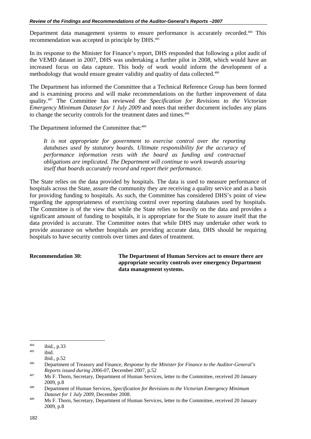Department data management systems to ensure performance is accurately recorded.<sup>484</sup> This recommendation was accepted in principle by DHS.485

In its response to the Minister for Finance's report, DHS responded that following a pilot audit of the VEMD dataset in 2007, DHS was undertaking a further pilot in 2008, which would have an increased focus on data capture. This body of work would inform the development of a methodology that would ensure greater validity and quality of data collected.<sup>486</sup>

The Department has informed the Committee that a Technical Reference Group has been formed and is examining process and will make recommendations on the further improvement of data quality.487 The Committee has reviewed the *Specification for Revisions to the Victorian Emergency Minimum Dataset for 1 July 2009* and notes that neither document includes any plans to change the security controls for the treatment dates and times.<sup>488</sup>

The Department informed the Committee that:<sup>489</sup>

*It is not appropriate for government to exercise control over the reporting databases used by statutory boards. Ultimate responsibility for the accuracy of performance information rests with the board as funding and contractual obligations are implicated. The Department will continue to work towards assuring itself that boards accurately record and report their performance.* 

The State relies on the data provided by hospitals. The data is used to measure performance of hospitals across the State, assure the community they are receiving a quality service and as a basis for providing funding to hospitals. As such, the Committee has considered DHS's point of view regarding the appropriateness of exercising control over reporting databases used by hospitals. The Committee is of the view that while the State relies so heavily on the data and provides a significant amount of funding to hospitals, it is appropriate for the State to assure itself that the data provided is accurate. The Committee notes that while DHS may undertake other work to provide assurance on whether hospitals are providing accurate data, DHS should be requiring hospitals to have security controls over times and dates of treatment.

**Recommendation 30: The Department of Human Services act to ensure there are appropriate security controls over emergency Department data management systems.** 

 $484$  $484 \t\t\t\tibid., p.33 \t\t\t\t\t\tibid.$ 

 $i$ bid., p.52

<sup>486</sup> Department of Treasury and Finance, *Response by the Minister for Finance to the Auditor-General's Reports issued during 2006-07*, December 2007, p.52<br>487 Ms F. Thorn, Secretary, Department of Human Services, letter to the Committee, received 20 January

<sup>2009,</sup> p.8 488 Department of Human Services, *Specification for Revisions to the Victorian Emergency Minimum* 

*Dataset for 1 July 2009*, December 2008.<br>
Ms F. Thorn, Secretary, Department of Human Services, letter to the Committee, received 20 January 2009, p.8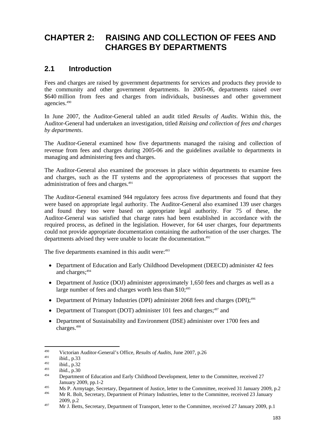# **CHAPTER 2: RAISING AND COLLECTION OF FEES AND CHARGES BY DEPARTMENTS**

### **2.1 Introduction**

Fees and charges are raised by government departments for services and products they provide to the community and other government departments. In 2005-06, departments raised over \$640 million from fees and charges from individuals, businesses and other government agencies.490

In June 2007, the Auditor-General tabled an audit titled *Results of Audits*. Within this, the Auditor-General had undertaken an investigation, titled *Raising and collection of fees and charges by departments*.

The Auditor-General examined how five departments managed the raising and collection of revenue from fees and charges during 2005-06 and the guidelines available to departments in managing and administering fees and charges.

The Auditor-General also examined the processes in place within departments to examine fees and charges, such as the IT systems and the appropriateness of processes that support the administration of fees and charges.491

The Auditor-General examined 944 regulatory fees across five departments and found that they were based on appropriate legal authority. The Auditor-General also examined 139 user charges and found they too were based on appropriate legal authority. For 75 of these, the Auditor-General was satisfied that charge rates had been established in accordance with the required process, as defined in the legislation. However, for 64 user charges, four departments could not provide appropriate documentation containing the authorisation of the user charges. The departments advised they were unable to locate the documentation.<sup>492</sup>

The five departments examined in this audit were:<sup>493</sup>

- Department of Education and Early Childhood Development (DEECD) administer 42 fees and charges:<sup>494</sup>
- Department of Justice (DOJ) administer approximately 1,650 fees and charges as well as a large number of fees and charges worth less than  $$10$ ;<sup>495</sup>
- Department of Primary Industries (DPI) administer 2068 fees and charges (DPI);<sup>496</sup>
- Department of Transport (DOT) administer 101 fees and charges; $497$  and
- Department of Sustainability and Environment (DSE) administer over 1700 fees and charges.498

1

<sup>&</sup>lt;sup>490</sup><br>Victorian Auditor-General's Office, *Results of Audits*, June 2007, p.26<br>ibid., p.33<br>ibid., p.32<br>ibid., p.30<br>Department of Education and Early Childhood Development. letter to the Committee. received 27

January 2009, pp.1-2<br>Ms P. Armytage, Secretary, Department of Justice, letter to the Committee, received 31 January 2009, p.2<br>Mr R. Bolt, Secretary, Department of Primary Industries, letter to the Committee, received 23 Ja

<sup>2009,</sup> p.2<br>Arr J. Betts, Secretary, Department of Transport, letter to the Committee, received 27 January 2009, p.1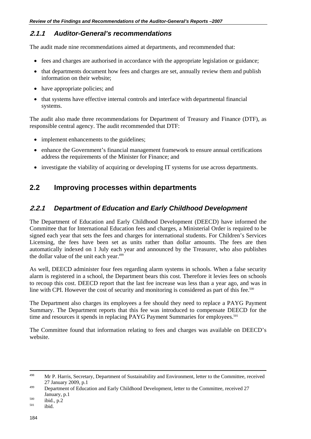### **2.1.1** *Auditor-General's recommendations*

The audit made nine recommendations aimed at departments, and recommended that:

- fees and charges are authorised in accordance with the appropriate legislation or guidance;
- that departments document how fees and charges are set, annually review them and publish information on their website;
- have appropriate policies; and
- that systems have effective internal controls and interface with departmental financial systems.

The audit also made three recommendations for Department of Treasury and Finance (DTF), as responsible central agency. The audit recommended that DTF:

- implement enhancements to the guidelines;
- enhance the Government's financial management framework to ensure annual certifications address the requirements of the Minister for Finance; and
- investigate the viability of acquiring or developing IT systems for use across departments.

### **2.2 Improving processes within departments**

### **2.2.1** *Department of Education and Early Childhood Development*

The Department of Education and Early Childhood Development (DEECD) have informed the Committee that for International Education fees and charges, a Ministerial Order is required to be signed each year that sets the fees and charges for international students. For Children's Services Licensing, the fees have been set as units rather than dollar amounts. The fees are then automatically indexed on 1 July each year and announced by the Treasurer, who also publishes the dollar value of the unit each year.<sup>499</sup>

As well, DEECD administer four fees regarding alarm systems in schools. When a false security alarm is registered in a school, the Department bears this cost. Therefore it levies fees on schools to recoup this cost. DEECD report that the last fee increase was less than a year ago, and was in line with CPI. However the cost of security and monitoring is considered as part of this fee. $500$ 

The Department also charges its employees a fee should they need to replace a PAYG Payment Summary. The Department reports that this fee was introduced to compensate DEECD for the time and resources it spends in replacing PAYG Payment Summaries for employees.<sup>501</sup>

The Committee found that information relating to fees and charges was available on DEECD's website.

<sup>&</sup>lt;sup>498</sup> Mr P. Harris, Secretary, Department of Sustainability and Environment, letter to the Committee, received

<sup>27</sup> January 2009, p.1<br>
299 Department of Education and Early Childhood Development, letter to the Committee, received 27

January, p.1<br>
<sup>500</sup> ibid., p.2<br>
<sup>501</sup> ibid.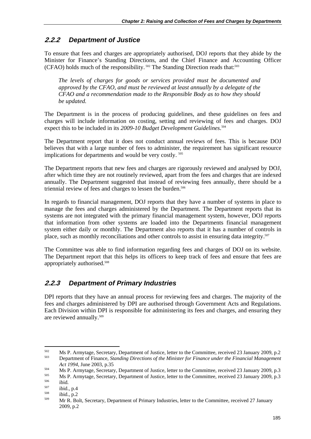## **2.2.2** *Department of Justice*

To ensure that fees and charges are appropriately authorised, DOJ reports that they abide by the Minister for Finance's Standing Directions, and the Chief Finance and Accounting Officer (CFAO) holds much of the responsibility.<sup>502</sup> The Standing Direction reads that:<sup>503</sup>

*The levels of charges for goods or services provided must be documented and approved by the CFAO, and must be reviewed at least annually by a delegate of the CFAO and a recommendation made to the Responsible Body as to how they should be updated.* 

The Department is in the process of producing guidelines, and these guidelines on fees and charges will include information on costing, setting and reviewing of fees and charges. DOJ expect this to be included in its *2009-10 Budget Development Guidelines*. 504

The Department report that it does not conduct annual reviews of fees. This is because DOJ believes that with a large number of fees to administer, the requirement has significant resource implications for departments and would be very costly.<sup>505</sup>

The Department reports that new fees and charges are rigorously reviewed and analysed by DOJ, after which time they are not routinely reviewed, apart from the fees and charges that are indexed annually. The Department suggested that instead of reviewing fees annually, there should be a triennial review of fees and charges to lessen the burden.<sup>506</sup>

In regards to financial management, DOJ reports that they have a number of systems in place to manage the fees and charges administered by the Department. The Department reports that its systems are not integrated with the primary financial management system, however, DOJ reports that information from other systems are loaded into the Departments financial management system either daily or monthly. The Department also reports that it has a number of controls in place, such as monthly reconciliations and other controls to assist in ensuring data integrity.<sup>507</sup>

The Committee was able to find information regarding fees and charges of DOJ on its website. The Department report that this helps its officers to keep track of fees and ensure that fees are appropriately authorised.508

### **2.2.3** *Department of Primary Industries*

DPI reports that they have an annual process for reviewing fees and charges. The majority of the fees and charges administered by DPI are authorised through Government Acts and Regulations. Each Division within DPI is responsible for administering its fees and charges, and ensuring they are reviewed annually.509

1

<sup>502</sup> Ms P. Armytage, Secretary, Department of Justice, letter to the Committee, received 23 January 2009, p.2 503 Department of Finance, *Standing Directions of the Minister for Finance under the Financial Management* 

Act 1994, June 2003, p.35<br>
Ms P. Armytage, Secretary, Department of Justice, letter to the Committee, received 23 January 2009, p.3<br>
Ms P. Armytage, Secretary, Department of Justice, letter to the Committee, received 23 Ja

<sup>2009,</sup> p.2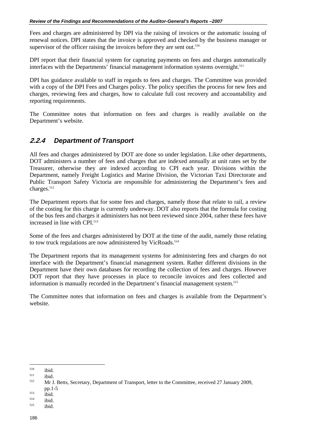Fees and charges are administered by DPI via the raising of invoices or the automatic issuing of renewal notices. DPI states that the invoice is approved and checked by the business manager or supervisor of the officer raising the invoices before they are sent out. $510$ 

DPI report that their financial system for capturing payments on fees and charges automatically interfaces with the Departments' financial management information systems overnight.<sup>511</sup>

DPI has guidance available to staff in regards to fees and charges. The Committee was provided with a copy of the DPI Fees and Charges policy. The policy specifies the process for new fees and charges, reviewing fees and charges, how to calculate full cost recovery and accountability and reporting requirements.

The Committee notes that information on fees and charges is readily available on the Department's website.

### **2.2.4** *Department of Transport*

All fees and charges administered by DOT are done so under legislation. Like other departments, DOT administers a number of fees and charges that are indexed annually at unit rates set by the Treasurer, otherwise they are indexed according to CPI each year. Divisions within the Department, namely Freight Logistics and Marine Division, the Victorian Taxi Directorate and Public Transport Safety Victoria are responsible for administering the Department's fees and charges.<sup>512</sup>

The Department reports that for some fees and charges, namely those that relate to rail, a review of the costing for this charge is currently underway. DOT also reports that the formula for costing of the bus fees and charges it administers has not been reviewed since 2004, rather these fees have increased in line with CPI.<sup>513</sup>

Some of the fees and charges administered by DOT at the time of the audit, namely those relating to tow truck regulations are now administered by VicRoads.<sup>514</sup>

The Department reports that its management systems for administering fees and charges do not interface with the Department's financial management system. Rather different divisions in the Department have their own databases for recording the collection of fees and charges. However DOT report that they have processes in place to reconcile invoices and fees collected and information is manually recorded in the Department's financial management system.<sup>515</sup>

The Committee notes that information on fees and charges is available from the Department's website.

 $\overline{a}$ 

<sup>&</sup>lt;sup>510</sup> ibid.<br><sup>511</sup> ibid. Mr J. Betts, Secretary, Department of Transport, letter to the Committee, received 27 January 2009,

pp.1-5<br>
<sup>513</sup> ibid.<br>
<sup>515</sup> ibid.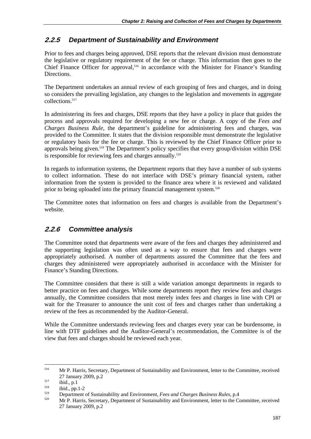### **2.2.5** *Department of Sustainability and Environment*

Prior to fees and charges being approved, DSE reports that the relevant division must demonstrate the legislative or regulatory requirement of the fee or charge. This information then goes to the Chief Finance Officer for approval,<sup>516</sup> in accordance with the Minister for Finance's Standing Directions.

The Department undertakes an annual review of each grouping of fees and charges, and in doing so considers the prevailing legislation, any changes to the legislation and movements in aggregate collections.517

In administering its fees and charges, DSE reports that they have a policy in place that guides the process and approvals required for developing a new fee or charge. A copy of the *Fees and Charges Business Rule*, the department's guideline for administering fees and charges, was provided to the Committee. It states that the division responsible must demonstrate the legislative or regulatory basis for the fee or charge. This is reviewed by the Chief Finance Officer prior to approvals being given.<sup>518</sup> The Department's policy specifies that every group/division within DSE is responsible for reviewing fees and charges annually.<sup>519</sup>

In regards to information systems, the Department reports that they have a number of sub systems to collect information. These do not interface with DSE's primary financial system, rather information from the system is provided to the finance area where it is reviewed and validated prior to being uploaded into the primary financial management system.<sup>520</sup>

The Committee notes that information on fees and charges is available from the Department's website.

### **2.2.6** *Committee analysis*

The Committee noted that departments were aware of the fees and charges they administered and the supporting legislation was often used as a way to ensure that fees and charges were appropriately authorised. A number of departments assured the Committee that the fees and charges they administered were appropriately authorised in accordance with the Minister for Finance's Standing Directions.

The Committee considers that there is still a wide variation amongst departments in regards to better practice on fees and charges. While some departments report they review fees and charges annually, the Committee considers that most merely index fees and charges in line with CPI or wait for the Treasurer to announce the unit cost of fees and charges rather than undertaking a review of the fees as recommended by the Auditor-General.

While the Committee understands reviewing fees and charges every year can be burdensome, in line with DTF guidelines and the Auditor-General's recommendation, the Committee is of the view that fees and charges should be reviewed each year.

1

<sup>516</sup> Mr P. Harris, Secretary, Department of Sustainability and Environment, letter to the Committee, received 27 January 2009, p.2<br>
ibid., p.1<br>
<sup>518</sup> ibid., pp.1-2<br>
Department of Sustainability and Environment, *Fees and Charges Business Rules*, p.4

<sup>520</sup> Mr P. Harris, Secretary, Department of Sustainability and Environment, letter to the Committee, received 27 January 2009, p.2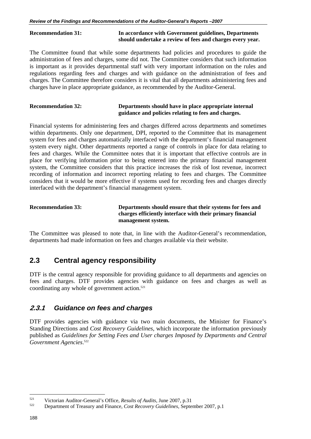### **Recommendation 31: In accordance with Government guidelines, Departments should undertake a review of fees and charges every year.**

The Committee found that while some departments had policies and procedures to guide the administration of fees and charges, some did not. The Committee considers that such information is important as it provides departmental staff with very important information on the rules and regulations regarding fees and charges and with guidance on the administration of fees and charges. The Committee therefore considers it is vital that all departments administering fees and charges have in place appropriate guidance, as recommended by the Auditor-General.

### **Recommendation 32: Departments should have in place appropriate internal guidance and policies relating to fees and charges.**

Financial systems for administering fees and charges differed across departments and sometimes within departments. Only one department, DPI, reported to the Committee that its management system for fees and charges automatically interfaced with the department's financial management system every night. Other departments reported a range of controls in place for data relating to fees and charges. While the Committee notes that it is important that effective controls are in place for verifying information prior to being entered into the primary financial management system, the Committee considers that this practice increases the risk of lost revenue, incorrect recording of information and incorrect reporting relating to fees and charges. The Committee considers that it would be more effective if systems used for recording fees and charges directly interfaced with the department's financial management system.

| <b>Recommendation 33:</b> | Departments should ensure that their systems for fees and  |
|---------------------------|------------------------------------------------------------|
|                           | charges efficiently interface with their primary financial |
|                           | management system.                                         |

The Committee was pleased to note that, in line with the Auditor-General's recommendation, departments had made information on fees and charges available via their website.

### **2.3 Central agency responsibility**

DTF is the central agency responsible for providing guidance to all departments and agencies on fees and charges. DTF provides agencies with guidance on fees and charges as well as coordinating any whole of government action. $521$ 

### **2.3.1** *Guidance on fees and charges*

DTF provides agencies with guidance via two main documents, the Minister for Finance's Standing Directions and *Cost Recovery Guidelines*, which incorporate the information previously published as *Guidelines for Setting Fees and User charges Imposed by Departments and Central Government Agencies*. 522

 $\overline{a}$ 

<sup>521</sup> Victorian Auditor-General's Office, *Results of Audits,* June 2007, p.31 522 Department of Treasury and Finance, *Cost Recovery Guidelines*, September 2007, p.1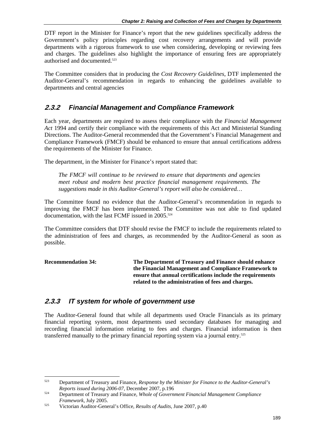DTF report in the Minister for Finance's report that the new guidelines specifically address the Government's policy principles regarding cost recovery arrangements and will provide departments with a rigorous framework to use when considering, developing or reviewing fees and charges. The guidelines also highlight the importance of ensuring fees are appropriately authorised and documented.523

The Committee considers that in producing the *Cost Recovery Guidelines*, DTF implemented the Auditor-General's recommendation in regards to enhancing the guidelines available to departments and central agencies

### **2.3.2** *Financial Management and Compliance Framework*

Each year, departments are required to assess their compliance with the *Financial Management Act* 1994 and certify their compliance with the requirements of this Act and Ministerial Standing Directions. The Auditor-General recommended that the Government's Financial Management and Compliance Framework (FMCF) should be enhanced to ensure that annual certifications address the requirements of the Minister for Finance.

The department, in the Minister for Finance's report stated that:

*The FMCF will continue to be reviewed to ensure that departments and agencies meet robust and modern best practice financial management requirements. The suggestions made in this Auditor-General's report will also be considered…* 

The Committee found no evidence that the Auditor-General's recommendation in regards to improving the FMCF has been implemented. The Committee was not able to find updated documentation, with the last FCMF issued in  $2005$ .<sup>524</sup>

The Committee considers that DTF should revise the FMCF to include the requirements related to the administration of fees and charges, as recommended by the Auditor-General as soon as possible.

| <b>Recommendation 34:</b> | The Department of Treasury and Finance should enhance      |
|---------------------------|------------------------------------------------------------|
|                           | the Financial Management and Compliance Framework to       |
|                           | ensure that annual certifications include the requirements |
|                           | related to the administration of fees and charges.         |

### **2.3.3** *IT system for whole of government use*

The Auditor-General found that while all departments used Oracle Financials as its primary financial reporting system, most departments used secondary databases for managing and recording financial information relating to fees and charges. Financial information is then transferred manually to the primary financial reporting system via a journal entry.<sup>525</sup>

 $523$ 523 Department of Treasury and Finance, *Response by the Minister for Finance to the Auditor-General's Reports issued during 2006-07*, December 2007, p.196<br>Department of Treasury and Finance, *Whole of Government Financial Management Compliance* 

*Framework*, July 2005.<br><sup>525</sup> Victorian Auditor-General's Office, *Results of Audits*, June 2007, p.40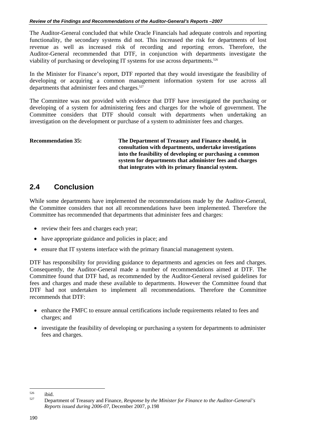The Auditor-General concluded that while Oracle Financials had adequate controls and reporting functionality, the secondary systems did not. This increased the risk for departments of lost revenue as well as increased risk of recording and reporting errors. Therefore, the Auditor-General recommended that DTF, in conjunction with departments investigate the viability of purchasing or developing IT systems for use across departments.<sup>526</sup>

In the Minister for Finance's report, DTF reported that they would investigate the feasibility of developing or acquiring a common management information system for use across all departments that administer fees and charges.<sup>527</sup>

The Committee was not provided with evidence that DTF have investigated the purchasing or developing of a system for administering fees and charges for the whole of government. The Committee considers that DTF should consult with departments when undertaking an investigation on the development or purchase of a system to administer fees and charges.

**Recommendation 35: The Department of Treasury and Finance should, in consultation with departments, undertake investigations into the feasibility of developing or purchasing a common system for departments that administer fees and charges that integrates with its primary financial system.** 

## **2.4 Conclusion**

While some departments have implemented the recommendations made by the Auditor-General, the Committee considers that not all recommendations have been implemented. Therefore the Committee has recommended that departments that administer fees and charges:

- review their fees and charges each year:
- have appropriate guidance and policies in place; and
- ensure that IT systems interface with the primary financial management system.

DTF has responsibility for providing guidance to departments and agencies on fees and charges. Consequently, the Auditor-General made a number of recommendations aimed at DTF. The Committee found that DTF had, as recommended by the Auditor-General revised guidelines for fees and charges and made these available to departments. However the Committee found that DTF had not undertaken to implement all recommendations. Therefore the Committee recommends that DTF:

- enhance the FMFC to ensure annual certifications include requirements related to fees and charges; and
- investigate the feasibility of developing or purchasing a system for departments to administer fees and charges.

 $\overline{a}$ 

<sup>526</sup> ibid. 527 Department of Treasury and Finance, *Response by the Minister for Finance to the Auditor-General's Reports issued during 2006-07*, December 2007, p.198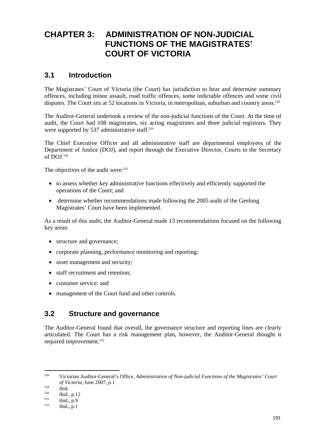## **CHAPTER 3: ADMINISTRATION OF NON-JUDICIAL FUNCTIONS OF THE MAGISTRATES' COURT OF VICTORIA**

### **3.1 Introduction**

The Magistrates' Court of Victoria (the Court) has jurisdiction to hear and determine summary offences, including minor assault, road traffic offences, some indictable offences and some civil disputes. The Court sits at 52 locations in Victoria, in metropolitan, suburban and country areas.<sup>528</sup>

The Auditor-General undertook a review of the non-judicial functions of the Court. At the time of audit, the Court had 108 magistrates, six acting magistrates and three judicial registrars. They were supported by 537 administrative staff.<sup>529</sup>

The Chief Executive Officer and all administrative staff are departmental employees of the Department of Justice (DOJ), and report through the Executive Director, Courts to the Secretary of DOJ.530

The objectives of the audit were:<sup>531</sup>

- to assess whether key administrative functions effectively and efficiently supported the operations of the Court; and
- determine whether recommendations made following the 2005 audit of the Geelong Magistrates' Court have been implemented.

As a result of this audit, the Auditor-General made 13 recommendations focused on the following key areas:

- structure and governance;
- corporate planning, performance monitoring and reporting;
- asset management and security;
- staff recruitment and retention;
- customer service: and
- management of the Court fund and other controls.

### **3.2 Structure and governance**

The Auditor-General found that overall, the governance structure and reporting lines are clearly articulated. The Court has a risk management plan, however, the Auditor-General thought it required improvement.<sup>532</sup>

<sup>528</sup> 528 Victorian Auditor-General's Office, *Administration of Non-judicial Functions of the Magistrates' Court of Victoria*, June 2007, p.1<br>
<sup>529</sup> ibid.<br>
<sup>530</sup> ibid., p.12<br>
<sup>531</sup> ibid., p.9<br>
<sup>532</sup> ibid., p.1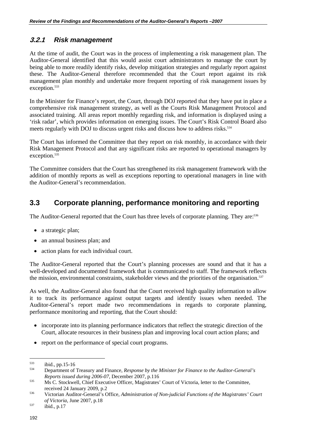#### **3.2.1** *Risk management*

At the time of audit, the Court was in the process of implementing a risk management plan. The Auditor-General identified that this would assist court administrators to manage the court by being able to more readily identify risks, develop mitigation strategies and regularly report against these. The Auditor-General therefore recommended that the Court report against its risk management plan monthly and undertake more frequent reporting of risk management issues by exception.<sup>533</sup>

In the Minister for Finance's report, the Court, through DOJ reported that they have put in place a comprehensive risk management strategy, as well as the Courts Risk Management Protocol and associated training. All areas report monthly regarding risk, and information is displayed using a 'risk radar', which provides information on emerging issues. The Court's Risk Control Board also meets regularly with DOJ to discuss urgent risks and discuss how to address risks.<sup>534</sup>

The Court has informed the Committee that they report on risk monthly, in accordance with their Risk Management Protocol and that any significant risks are reported to operational managers by exception.<sup>535</sup>

The Committee considers that the Court has strengthened its risk management framework with the addition of monthly reports as well as exceptions reporting to operational managers in line with the Auditor-General's recommendation.

## **3.3 Corporate planning, performance monitoring and reporting**

The Auditor-General reported that the Court has three levels of corporate planning. They are:<sup>536</sup>

- a strategic plan;
- an annual business plan; and
- action plans for each individual court.

The Auditor-General reported that the Court's planning processes are sound and that it has a well-developed and documented framework that is communicated to staff. The framework reflects the mission, environmental constraints, stakeholder views and the priorities of the organisation.<sup>537</sup>

As well, the Auditor-General also found that the Court received high quality information to allow it to track its performance against output targets and identify issues when needed. The Auditor-General's report made two recommendations in regards to corporate planning, performance monitoring and reporting, that the Court should:

- incorporate into its planning performance indicators that reflect the strategic direction of the Court, allocate resources in their business plan and improving local court action plans; and
- report on the performance of special court programs.

<sup>533</sup> 

<sup>533</sup> ibid., pp.15-16 534 Department of Treasury and Finance, *Response by the Minister for Finance to the Auditor-General's Reports issued during 2006-07*, December 2007, p.116<br>Ms C. Stockwell, Chief Executive Officer, Magistrates' Court of Victoria, letter to the Committee,

received 24 January 2009, p.2 536 Victorian Auditor-General's Office, *Administration of Non-judicial Functions of the Magistrates' Court of Victoria*, June 2007, p.18<br> *bid.*, p.17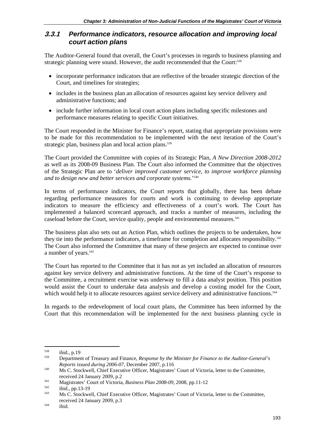#### **3.3.1** *Performance indicators, resource allocation and improving local court action plans*

The Auditor-General found that overall, the Court's processes in regards to business planning and strategic planning were sound. However, the audit recommended that the Court:<sup>538</sup>

- incorporate performance indicators that are reflective of the broader strategic direction of the Court, and timelines for strategies;
- includes in the business plan an allocation of resources against key service delivery and administrative functions; and
- include further information in local court action plans including specific milestones and performance measures relating to specific Court initiatives.

The Court responded in the Minister for Finance's report, stating that appropriate provisions were to be made for this recommendation to be implemented with the next iteration of the Court's strategic plan, business plan and local action plans.<sup>539</sup>

The Court provided the Committee with copies of its Strategic Plan, *A New Direction 2008-2012*  as well as its 2008-09 Business Plan. The Court also informed the Committee that the objectives of the Strategic Plan are to '*deliver improved customer service, to improve workforce planning and to design new and better services and corporate systems.*' 540

In terms of performance indicators, the Court reports that globally, there has been debate regarding performance measures for courts and work is continuing to develop appropriate indicators to measure the efficiency and effectiveness of a court's work. The Court has implemented a balanced scorecard approach, and tracks a number of measures, including the caseload before the Court, service quality, people and environmental measures. $541$ 

The business plan also sets out an Action Plan, which outlines the projects to be undertaken, how they tie into the performance indicators, a timeframe for completion and allocates responsibility.<sup>542</sup> The Court also informed the Committee that many of these projects are expected to continue over a number of years.<sup>543</sup>

The Court has reported to the Committee that it has not as yet included an allocation of resources against key service delivery and administrative functions. At the time of the Court's response to the Committee, a recruitment exercise was underway to fill a data analyst position. This position would assist the Court to undertake data analysis and develop a costing model for the Court, which would help it to allocate resources against service delivery and administrative functions.<sup>544</sup>

In regards to the redevelopment of local court plans, the Committee has been informed by the Court that this recommendation will be implemented for the next business planning cycle in

1

<sup>538</sup> ibid., p.19 539 Department of Treasury and Finance, *Response by the Minister for Finance to the Auditor-General's Reports issued during 2006-07*, December 2007, p.116<br>Ms C. Stockwell, Chief Executive Officer, Magistrates' Court of Victoria, letter to the Committee,

received 24 January 2009, p.2<br>
Magistrates' Court of Victoria, *Business Plan 2008-09*, 2008, pp.11-12<br>
ibid., pp.13-19<br>
Ms C. Stockwell, Chief Executive Officer, Magistrates' Court of Victoria, letter to the Committee, received 24 January 2009, p.3<br>
ibid.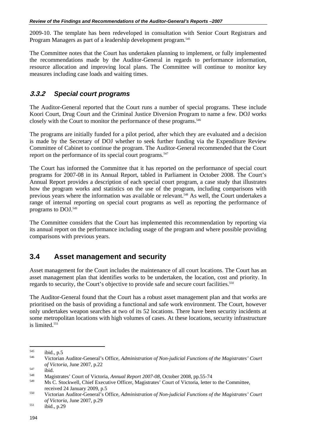2009-10. The template has been redeveloped in consultation with Senior Court Registrars and Program Managers as part of a leadership development program.<sup>545</sup>

The Committee notes that the Court has undertaken planning to implement, or fully implemented the recommendations made by the Auditor-General in regards to performance information, resource allocation and improving local plans. The Committee will continue to monitor key measures including case loads and waiting times.

#### **3.3.2** *Special court programs*

The Auditor-General reported that the Court runs a number of special programs. These include Koori Court, Drug Court and the Criminal Justice Diversion Program to name a few. DOJ works closely with the Court to monitor the performance of these programs.<sup>546</sup>

The programs are initially funded for a pilot period, after which they are evaluated and a decision is made by the Secretary of DOJ whether to seek further funding via the Expenditure Review Committee of Cabinet to continue the program. The Auditor-General recommended that the Court report on the performance of its special court programs.<sup>547</sup>

The Court has informed the Committee that it has reported on the performance of special court programs for 2007-08 in its Annual Report, tabled in Parliament in October 2008. The Court's Annual Report provides a description of each special court program, a case study that illustrates how the program works and statistics on the use of the program, including comparisons with previous years where the information was available or relevant.<sup>548</sup> As well, the Court undertakes a range of internal reporting on special court programs as well as reporting the performance of programs to DOJ.549

The Committee considers that the Court has implemented this recommendation by reporting via its annual report on the performance including usage of the program and where possible providing comparisons with previous years.

## **3.4 Asset management and security**

Asset management for the Court includes the maintenance of all court locations. The Court has an asset management plan that identifies works to be undertaken, the location, cost and priority. In regards to security, the Court's objective to provide safe and secure court facilities.<sup>550</sup>

The Auditor-General found that the Court has a robust asset management plan and that works are prioritised on the basis of providing a functional and safe work environment. The Court, however only undertakes weapon searches at two of its 52 locations. There have been security incidents at some metropolitan locations with high volumes of cases. At these locations, security infrastructure is limited.<sup>551</sup>

 $\overline{a}$ 

<sup>&</sup>lt;sup>545</sup> ibid., p.5<br><sup>546</sup> Victorian Auditor-General's Office, *Administration of Non-judicial Functions of the Magistrates' Court* 

of Victoria, June 2007, p.22<br>
ibid. Magistrates' Court of Victoria, Annual Report 2007-08, October 2008, pp.55-74<br>
Ms C. Stockwell, Chief Executive Officer, Magistrates' Court of Victoria, letter to the Committee,

received 24 January 2009, p.5 550 Victorian Auditor-General's Office, *Administration of Non-judicial Functions of the Magistrates' Court of Victoria*, June 2007, p.29<br> *bid.*, p.29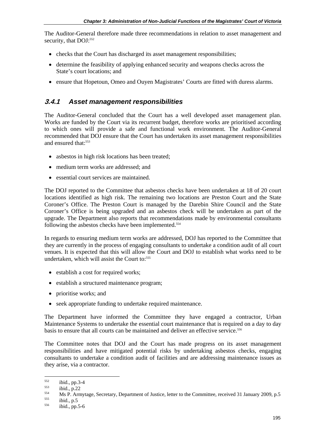The Auditor-General therefore made three recommendations in relation to asset management and security, that DOJ:<sup>552</sup>

- checks that the Court has discharged its asset management responsibilities;
- determine the feasibility of applying enhanced security and weapons checks across the State's court locations; and
- ensure that Hopetoun, Omeo and Ouyen Magistrates' Courts are fitted with duress alarms.

#### **3.4.1** *Asset management responsibilities*

The Auditor-General concluded that the Court has a well developed asset management plan. Works are funded by the Court via its recurrent budget, therefore works are prioritised according to which ones will provide a safe and functional work environment. The Auditor-General recommended that DOJ ensure that the Court has undertaken its asset management responsibilities and ensured that:<sup>553</sup>

- asbestos in high risk locations has been treated;
- medium term works are addressed; and
- essential court services are maintained.

The DOJ reported to the Committee that asbestos checks have been undertaken at 18 of 20 court locations identified as high risk. The remaining two locations are Preston Court and the State Coroner's Office. The Preston Court is managed by the Darebin Shire Council and the State Coroner's Office is being upgraded and an asbestos check will be undertaken as part of the upgrade. The Department also reports that recommendations made by environmental consultants following the asbestos checks have been implemented.<sup>554</sup>

In regards to ensuring medium term works are addressed, DOJ has reported to the Committee that they are currently in the process of engaging consultants to undertake a condition audit of all court venues. It is expected that this will allow the Court and DOJ to establish what works need to be undertaken, which will assist the Court to:<sup>555</sup>

- establish a cost for required works;
- establish a structured maintenance program;
- prioritise works; and
- seek appropriate funding to undertake required maintenance.

The Department have informed the Committee they have engaged a contractor, Urban Maintenance Systems to undertake the essential court maintenance that is required on a day to day basis to ensure that all courts can be maintained and deliver an effective service.556

The Committee notes that DOJ and the Court has made progress on its asset management responsibilities and have mitigated potential risks by undertaking asbestos checks, engaging consultants to undertake a condition audit of facilities and are addressing maintenance issues as they arise, via a contractor.

<sup>552</sup> 

<sup>&</sup>lt;sup>552</sup> ibid., pp.3-4<br>
<sup>553</sup> ibid., p.22<br> **Ms P. Armytage, Secretary, Department of Justice, letter to the Committee, received 31 January 2009, p.5<br>
<sup>555</sup> ibid., pp.5-6<br>
<sup>556</sup> ibid., pp.5-6**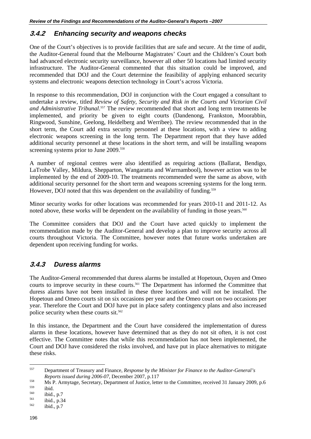#### **3.4.2** *Enhancing security and weapons checks*

One of the Court's objectives is to provide facilities that are safe and secure. At the time of audit, the Auditor-General found that the Melbourne Magistrates' Court and the Children's Court both had advanced electronic security surveillance, however all other 50 locations had limited security infrastructure. The Auditor-General commented that this situation could be improved, and recommended that DOJ and the Court determine the feasibility of applying enhanced security systems and electronic weapons detection technology in Court's across Victoria.

In response to this recommendation, DOJ in conjunction with the Court engaged a consultant to undertake a review, titled *Review of Safety, Security and Risk in the Courts and Victorian Civil and Administrative Tribunal*. 557 The review recommended that short and long term treatments be implemented, and priority be given to eight courts (Dandenong, Frankston, Moorabbin, Ringwood, Sunshine, Geelong, Heidelberg and Werribee). The review recommended that in the short term, the Court add extra security personnel at these locations, with a view to adding electronic weapons screening in the long term. The Department report that they have added additional security personnel at these locations in the short term, and will be installing weapons screening systems prior to June 2009.<sup>558</sup>

A number of regional centres were also identified as requiring actions (Ballarat, Bendigo, LaTrobe Valley, Mildura, Shepparton, Wangaratta and Warrnambool), however action was to be implemented by the end of 2009-10. The treatments recommended were the same as above, with additional security personnel for the short term and weapons screening systems for the long term. However, DOJ noted that this was dependent on the availability of funding.<sup>559</sup>

Minor security works for other locations was recommended for years 2010-11 and 2011-12. As noted above, these works will be dependent on the availability of funding in those years.<sup>560</sup>

The Committee considers that DOJ and the Court have acted quickly to implement the recommendation made by the Auditor-General and develop a plan to improve security across all courts throughout Victoria. The Committee, however notes that future works undertaken are dependent upon receiving funding for works.

#### **3.4.3** *Duress alarms*

The Auditor-General recommended that duress alarms be installed at Hopetoun, Ouyen and Omeo courts to improve security in these courts.<sup>561</sup> The Department has informed the Committee that duress alarms have not been installed in these three locations and will not be installed. The Hopetoun and Omeo courts sit on six occasions per year and the Omeo court on two occasions per year. Therefore the Court and DOJ have put in place safety contingency plans and also increased police security when these courts sit.<sup>562</sup>

In this instance, the Department and the Court have considered the implementation of duress alarms in these locations, however have determined that as they do not sit often, it is not cost effective. The Committee notes that while this recommendation has not been implemented, the Court and DOJ have considered the risks involved, and have put in place alternatives to mitigate these risks.

<sup>557</sup> 557 Department of Treasury and Finance, *Response by the Minister for Finance to the Auditor-General's* 

*Reports issued during 2006-07*, December 2007, p.117<br> *Ms P. Armytage, Secretary, Department of Justice, letter to the Committee, received 31 January 2009, p.6*<br> *ibid.*, p.7<br> *ibid.*, p.34<br> *ibid.*, p.7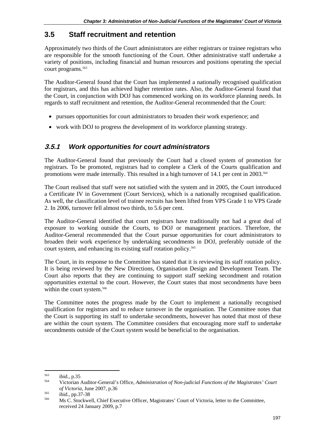## **3.5 Staff recruitment and retention**

Approximately two thirds of the Court administrators are either registrars or trainee registrars who are responsible for the smooth functioning of the Court. Other administrative staff undertake a variety of positions, including financial and human resources and positions operating the special court programs.<sup>563</sup>

The Auditor-General found that the Court has implemented a nationally recognised qualification for registrars, and this has achieved higher retention rates. Also, the Auditor-General found that the Court, in conjunction with DOJ has commenced working on its workforce planning needs. In regards to staff recruitment and retention, the Auditor-General recommended that the Court:

- pursues opportunities for court administrators to broaden their work experience; and
- work with DOJ to progress the development of its workforce planning strategy.

#### **3.5.1** *Work opportunities for court administrators*

The Auditor-General found that previously the Court had a closed system of promotion for registrars. To be promoted, registrars had to complete a Clerk of the Courts qualification and promotions were made internally. This resulted in a high turnover of 14.1 per cent in 2003.<sup>564</sup>

The Court realised that staff were not satisfied with the system and in 2005, the Court introduced a Certificate IV in Government (Court Services), which is a nationally recognised qualification. As well, the classification level of trainee recruits has been lifted from VPS Grade 1 to VPS Grade 2. In 2006, turnover fell almost two thirds, to 5.6 per cent.

The Auditor-General identified that court registrars have traditionally not had a great deal of exposure to working outside the Courts, to DOJ or management practices. Therefore, the Auditor-General recommended that the Court pursue opportunities for court administrators to broaden their work experience by undertaking secondments in DOJ, preferably outside of the court system, and enhancing its existing staff rotation policy.<sup>565</sup>

The Court, in its response to the Committee has stated that it is reviewing its staff rotation policy. It is being reviewed by the New Directions, Organisation Design and Development Team. The Court also reports that they are continuing to support staff seeking secondment and rotation opportunities external to the court. However, the Court states that most secondments have been within the court system.<sup>566</sup>

The Committee notes the progress made by the Court to implement a nationally recognised qualification for registrars and to reduce turnover in the organisation. The Committee notes that the Court is supporting its staff to undertake secondments, however has noted that most of these are within the court system. The Committee considers that encouraging more staff to undertake secondments outside of the Court system would be beneficial to the organisation.

<sup>1</sup> 

<sup>563</sup> ibid., p.35 564 Victorian Auditor-General's Office, *Administration of Non-judicial Functions of the Magistrates' Court of Victoria*, June 2007, p.36<br>
565 ibid., pp.37-38<br>
Ms C. Stockwell, Chief Executive Officer, Magistrates' Court of Victoria, letter to the Committee,

received 24 January 2009, p.7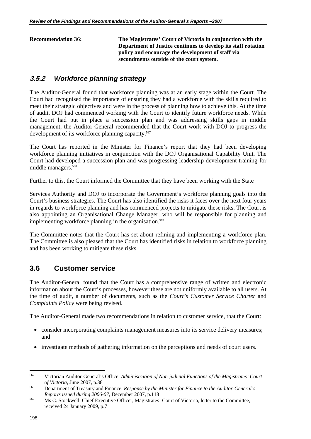**Recommendation 36: The Magistrates' Court of Victoria in conjunction with the Department of Justice continues to develop its staff rotation policy and encourage the development of staff via secondments outside of the court system.** 

## **3.5.2** *Workforce planning strategy*

The Auditor-General found that workforce planning was at an early stage within the Court. The Court had recognised the importance of ensuring they had a workforce with the skills required to meet their strategic objectives and were in the process of planning how to achieve this. At the time of audit, DOJ had commenced working with the Court to identify future workforce needs. While the Court had put in place a succession plan and was addressing skills gaps in middle management, the Auditor-General recommended that the Court work with DOJ to progress the development of its workforce planning capacity.<sup>567</sup>

The Court has reported in the Minister for Finance's report that they had been developing workforce planning initiatives in conjunction with the DOJ Organisational Capability Unit. The Court had developed a succession plan and was progressing leadership development training for middle managers.568

Further to this, the Court informed the Committee that they have been working with the State

Services Authority and DOJ to incorporate the Government's workforce planning goals into the Court's business strategies. The Court has also identified the risks it faces over the next four years in regards to workforce planning and has commenced projects to mitigate these risks. The Court is also appointing an Organisational Change Manager, who will be responsible for planning and implementing workforce planning in the organisation.<sup>569</sup>

The Committee notes that the Court has set about refining and implementing a workforce plan. The Committee is also pleased that the Court has identified risks in relation to workforce planning and has been working to mitigate these risks.

## **3.6 Customer service**

The Auditor-General found that the Court has a comprehensive range of written and electronic information about the Court's processes, however these are not uniformly available to all users. At the time of audit, a number of documents, such as the *Court's Customer Service Charter* and *Complaints Policy* were being revised.

The Auditor-General made two recommendations in relation to customer service, that the Court:

- consider incorporating complaints management measures into its service delivery measures; and
- investigate methods of gathering information on the perceptions and needs of court users.

<sup>567</sup> 567 Victorian Auditor-General's Office, *Administration of Non-judicial Functions of the Magistrates' Court of Victoria*, June 2007, p.38 568 Department of Treasury and Finance, *Response by the Minister for Finance to the Auditor-General's* 

*Reports issued during 2006-07*, December 2007, p.118<br>
Ms C. Stockwell, Chief Executive Officer, Magistrates' Court of Victoria, letter to the Committee,

received 24 January 2009, p.7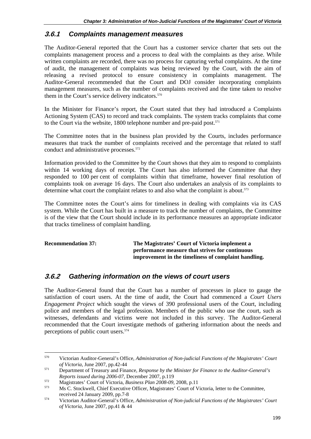#### **3.6.1** *Complaints management measures*

The Auditor-General reported that the Court has a customer service charter that sets out the complaints management process and a process to deal with the complaints as they arise. While written complaints are recorded, there was no process for capturing verbal complaints. At the time of audit, the management of complaints was being reviewed by the Court, with the aim of releasing a revised protocol to ensure consistency in complaints management. The Auditor-General recommended that the Court and DOJ consider incorporating complaints management measures, such as the number of complaints received and the time taken to resolve them in the Court's service delivery indicators.<sup>570</sup>

In the Minister for Finance's report, the Court stated that they had introduced a Complaints Actioning System (CAS) to record and track complaints. The system tracks complaints that come to the Court via the website, 1800 telephone number and pre-paid post.<sup>571</sup>

The Committee notes that in the business plan provided by the Courts, includes performance measures that track the number of complaints received and the percentage that related to staff conduct and administrative processes.<sup>572</sup>

Information provided to the Committee by the Court shows that they aim to respond to complaints within 14 working days of receipt. The Court has also informed the Committee that they responded to 100 per cent of complaints within that timeframe, however final resolution of complaints took on average 16 days. The Court also undertakes an analysis of its complaints to determine what court the complaint relates to and also what the complaint is about. $573$ 

The Committee notes the Court's aims for timeliness in dealing with complaints via its CAS system. While the Court has built in a measure to track the number of complaints, the Committee is of the view that the Court should include in its performance measures an appropriate indicator that tracks timeliness of complaint handling.

| <b>Recommendation 37:</b> | The Magistrates' Court of Victoria implement a       |
|---------------------------|------------------------------------------------------|
|                           | performance measure that strives for continuous      |
|                           | improvement in the timeliness of complaint handling. |

#### **3.6.2** *Gathering information on the views of court users*

The Auditor-General found that the Court has a number of processes in place to gauge the satisfaction of court users. At the time of audit, the Court had commenced a *Court Users Engagement Project* which sought the views of 390 professional users of the Court, including police and members of the legal profession. Members of the public who use the court, such as witnesses, defendants and victims were not included in this survey. The Auditor-General recommended that the Court investigate methods of gathering information about the needs and perceptions of public court users.574

<sup>570</sup> 570 Victorian Auditor-General's Office, *Administration of Non-judicial Functions of the Magistrates' Court of Victoria*, June 2007, pp.42-44 571 Department of Treasury and Finance, *Response by the Minister for Finance to the Auditor-General's* 

Reports issued during 2006-07, December 2007, p.119<br>Magistrates' Court of Victoria, *Business Plan 2008-09*, 2008, p.11<br>Ms C. Stockwell, Chief Executive Officer, Magistrates' Court of Victoria, letter to the Committee,

received 24 January 2009, pp.7-8 574 Victorian Auditor-General's Office, *Administration of Non-judicial Functions of the Magistrates' Court* 

*of Victoria*, June 2007, pp.41 & 44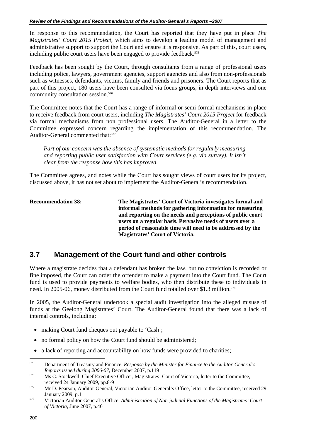In response to this recommendation, the Court has reported that they have put in place *The Magistrates' Court 2015 Project*, which aims to develop a leading model of management and administrative support to support the Court and ensure it is responsive. As part of this, court users, including public court users have been engaged to provide feedback.<sup>575</sup>

Feedback has been sought by the Court, through consultants from a range of professional users including police, lawyers, government agencies, support agencies and also from non-professionals such as witnesses, defendants, victims, family and friends and prisoners. The Court reports that as part of this project, 180 users have been consulted via focus groups, in depth interviews and one community consultation session.<sup>576</sup>

The Committee notes that the Court has a range of informal or semi-formal mechanisms in place to receive feedback from court users, including *The Magistrates' Court 2015 Project* for feedback via formal mechanisms from non professional users. The Auditor-General in a letter to the Committee expressed concern regarding the implementation of this recommendation. The Auditor-General commented that:<sup>577</sup>

*Part of our concern was the absence of systematic methods for regularly measuring and reporting public user satisfaction with Court services (e.g. via survey). It isn't clear from the response how this has improved.* 

The Committee agrees, and notes while the Court has sought views of court users for its project, discussed above, it has not set about to implement the Auditor-General's recommendation.

**Recommendation 38: The Magistrates' Court of Victoria investigates formal and informal methods for gathering information for measuring and reporting on the needs and perceptions of public court users on a regular basis. Pervasive needs of users over a period of reasonable time will need to be addressed by the Magistrates' Court of Victoria.** 

## **3.7 Management of the Court fund and other controls**

Where a magistrate decides that a defendant has broken the law, but no conviction is recorded or fine imposed, the Court can order the offender to make a payment into the Court fund. The Court fund is used to provide payments to welfare bodies, who then distribute these to individuals in need. In 2005-06, money distributed from the Court fund totalled over \$1.3 million.<sup>578</sup>

In 2005, the Auditor-General undertook a special audit investigation into the alleged misuse of funds at the Geelong Magistrates' Court. The Auditor-General found that there was a lack of internal controls, including:

- making Court fund cheques out payable to 'Cash';
- no formal policy on how the Court fund should be administered;
- a lack of reporting and accountability on how funds were provided to charities;

<sup>575</sup> 575 Department of Treasury and Finance, *Response by the Minister for Finance to the Auditor-General's Reports issued during 2006-07*, December 2007, p.119<br>
Ms C. Stockwell, Chief Executive Officer, Magistrates' Court of Victoria, letter to the Committee,

received 24 January 2009, pp.8-9<br>
577 Mr D. Pearson, Auditor-General, Victorian Auditor-General's Office, letter to the Committee, received 29

January 2009, p.11 578 Victorian Auditor-General's Office, *Administration of Non-judicial Functions of the Magistrates' Court of Victoria*, June 2007, p.46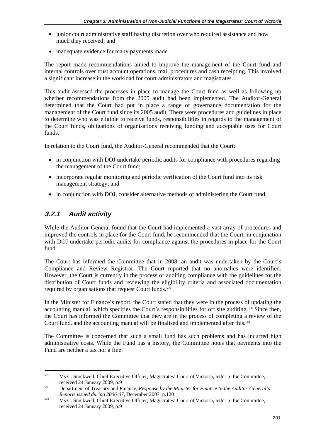- junior court administrative staff having discretion over who required assistance and how much they received; and
- inadequate evidence for many payments made.

The report made recommendations aimed to improve the management of the Court fund and internal controls over trust account operations, mail procedures and cash receipting. This involved a significant increase in the workload for court administrators and magistrates.

This audit assessed the processes in place to manage the Court fund as well as following up whether recommendations from the 2005 audit had been implemented. The Auditor-General determined that the Court had put in place a range of governance documentation for the management of the Court fund since its 2005 audit. There were procedures and guidelines in place to determine who was eligible to receive funds, responsibilities in regards to the management of the Court funds, obligations of organisations receiving funding and acceptable uses for Court funds.

In relation to the Court fund, the Auditor-General recommended that the Court:

- in conjunction with DOJ undertake periodic audits for compliance with procedures regarding the management of the Court fund;
- incorporate regular monitoring and periodic verification of the Court fund into its risk management strategy; and
- in conjunction with DOJ, consider alternative methods of administering the Court fund.

## **3.7.1** *Audit activity*

While the Auditor-General found that the Court had implemented a vast array of procedures and improved the controls in place for the Court fund, he recommended that the Court, in conjunction with DOJ undertake periodic audits for compliance against the procedures in place for the Court fund.

The Court has informed the Committee that in 2008, an audit was undertaken by the Court's Compliance and Review Registrar. The Court reported that no anomalies were identified. However, the Court is currently in the process of auditing compliance with the guidelines for the distribution of Court funds and reviewing the eligibility criteria and associated documentation required by organisations that request Court funds.<sup>579</sup>

In the Minister for Finance's report, the Court stated that they were in the process of updating the accounting manual, which specifies the Court's responsibilities for off site auditing.<sup>580</sup> Since then, the Court has informed the Committee that they are in the process of completing a review of the Court fund, and the accounting manual will be finalised and implemented after this.<sup>581</sup>

The Committee is concerned that such a small fund has such problems and has incurred high administrative costs. While the Fund has a history, the Committee notes that payments into the Fund are neither a tax nor a fine.

<sup>579</sup> 579 Ms C. Stockwell, Chief Executive Officer, Magistrates' Court of Victoria, letter to the Committee, received 24 January 2009, p.9 580 Department of Treasury and Finance, *Response by the Minister for Finance to the Auditor-General's* 

*Reports issued during 2006-07*, December 2007, p.120<br>Ms C. Stockwell, Chief Executive Officer, Magistrates' Court of Victoria, letter to the Committee,

received 24 January 2009, p.9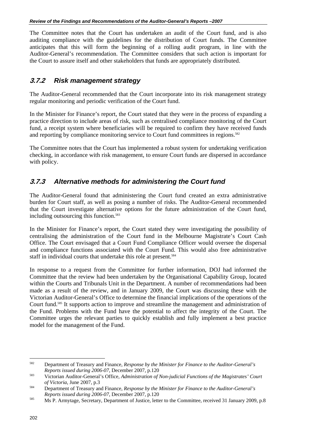The Committee notes that the Court has undertaken an audit of the Court fund, and is also auditing compliance with the guidelines for the distribution of Court funds. The Committee anticipates that this will form the beginning of a rolling audit program, in line with the Auditor-General's recommendation. The Committee considers that such action is important for the Court to assure itself and other stakeholders that funds are appropriately distributed.

#### **3.7.2** *Risk management strategy*

The Auditor-General recommended that the Court incorporate into its risk management strategy regular monitoring and periodic verification of the Court fund.

In the Minister for Finance's report, the Court stated that they were in the process of expanding a practice direction to include areas of risk, such as centralised compliance monitoring of the Court fund, a receipt system where beneficiaries will be required to confirm they have received funds and reporting by compliance monitoring service to Court fund committees in regions.<sup>582</sup>

The Committee notes that the Court has implemented a robust system for undertaking verification checking, in accordance with risk management, to ensure Court funds are dispersed in accordance with policy.

#### **3.7.3** *Alternative methods for administering the Court fund*

The Auditor-General found that administering the Court fund created an extra administrative burden for Court staff, as well as posing a number of risks. The Auditor-General recommended that the Court investigate alternative options for the future administration of the Court fund, including outsourcing this function.<sup>583</sup>

In the Minister for Finance's report, the Court stated they were investigating the possibility of centralising the administration of the Court fund in the Melbourne Magistrate's Court Cash Office. The Court envisaged that a Court Fund Compliance Officer would oversee the dispersal and compliance functions associated with the Court Fund. This would also free administrative staff in individual courts that undertake this role at present.<sup>584</sup>

In response to a request from the Committee for further information, DOJ had informed the Committee that the review had been undertaken by the Organisational Capability Group, located within the Courts and Tribunals Unit in the Department. A number of recommendations had been made as a result of the review, and in January 2009, the Court was discussing these with the Victorian Auditor-General's Office to determine the financial implications of the operations of the Court fund.585 It supports action to improve and streamline the management and administration of the Fund. Problems with the Fund have the potential to affect the integrity of the Court. The Committee urges the relevant parties to quickly establish and fully implement a best practice model for the management of the Fund.

<sup>582</sup> 582 Department of Treasury and Finance, *Response by the Minister for Finance to the Auditor-General's Reports issued during 2006-07*, December 2007, p.120 583 Victorian Auditor-General's Office, *Administration of Non-judicial Functions of the Magistrates' Court* 

*of Victoria*, June 2007, p.3 584 Department of Treasury and Finance, *Response by the Minister for Finance to the Auditor-General's* 

*Reports issued during 2006-07*, December 2007, p.120<br>
Ms P. Armytage, Secretary, Department of Justice, letter to the Committee, received 31 January 2009, p.8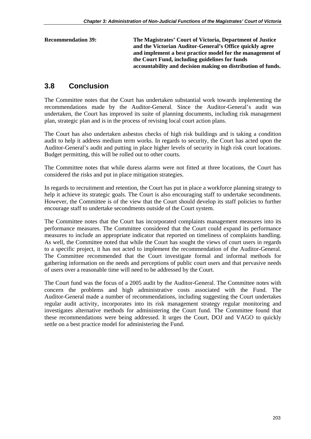| <b>Recommendation 39:</b> | The Magistrates' Court of Victoria, Department of Justice    |
|---------------------------|--------------------------------------------------------------|
|                           | and the Victorian Auditor-General's Office quickly agree     |
|                           | and implement a best practice model for the management of    |
|                           | the Court Fund, including guidelines for funds               |
|                           | accountability and decision making on distribution of funds. |
|                           |                                                              |

## **3.8 Conclusion**

The Committee notes that the Court has undertaken substantial work towards implementing the recommendations made by the Auditor-General. Since the Auditor-General's audit was undertaken, the Court has improved its suite of planning documents, including risk management plan, strategic plan and is in the process of revising local court action plans.

The Court has also undertaken asbestos checks of high risk buildings and is taking a condition audit to help it address medium term works. In regards to security, the Court has acted upon the Auditor-General's audit and putting in place higher levels of security in high risk court locations. Budget permitting, this will be rolled out to other courts.

The Committee notes that while duress alarms were not fitted at three locations, the Court has considered the risks and put in place mitigation strategies.

In regards to recruitment and retention, the Court has put in place a workforce planning strategy to help it achieve its strategic goals. The Court is also encouraging staff to undertake secondments. However, the Committee is of the view that the Court should develop its staff policies to further encourage staff to undertake secondments outside of the Court system.

The Committee notes that the Court has incorporated complaints management measures into its performance measures. The Committee considered that the Court could expand its performance measures to include an appropriate indicator that reported on timeliness of complaints handling. As well, the Committee noted that while the Court has sought the views of court users in regards to a specific project, it has not acted to implement the recommendation of the Auditor-General. The Committee recommended that the Court investigate formal and informal methods for gathering information on the needs and perceptions of public court users and that pervasive needs of users over a reasonable time will need to be addressed by the Court.

The Court fund was the focus of a 2005 audit by the Auditor-General. The Committee notes with concern the problems and high administrative costs associated with the Fund. The Auditor-General made a number of recommendations, including suggesting the Court undertakes regular audit activity, incorporates into its risk management strategy regular monitoring and investigates alternative methods for administering the Court fund. The Committee found that these recommendations were being addressed. It urges the Court, DOJ and VAGO to quickly settle on a best practice model for administering the Fund.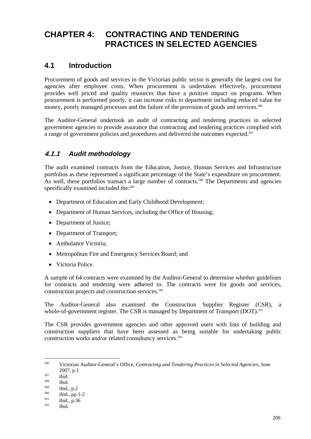# **CHAPTER 4: CONTRACTING AND TENDERING PRACTICES IN SELECTED AGENCIES**

## **4.1 Introduction**

Procurement of goods and services in the Victorian public sector is generally the largest cost for agencies after employee costs. When procurement is undertaken effectively, procurement provides well priced and quality resources that have a positive impact on programs. When procurement is performed poorly, it can increase risks to department including reduced value for money, poorly managed processes and the failure of the provision of goods and services.<sup>586</sup>

The Auditor-General undertook an audit of contracting and tendering practices in selected government agencies to provide assurance that contracting and tendering practices complied with a range of government policies and procedures and delivered the outcomes expected.<sup>587</sup>

## **4.1.1** *Audit methodology*

The audit examined contracts from the Education, Justice, Human Services and Infrastructure portfolios as these represented a significant percentage of the State's expenditure on procurement. As well, these portfolios transact a large number of contracts.<sup>588</sup> The Departments and agencies specifically examined included the:<sup>589</sup>

- Department of Education and Early Childhood Development;
- Department of Human Services, including the Office of Housing;
- Department of Justice;
- Department of Transport:
- Ambulance Victoria;
- Metropolitan Fire and Emergency Services Board; and
- Victoria Police.

A sample of 64 contracts were examined by the Auditor-General to determine whether guidelines for contracts and tendering were adhered to. The contracts were for goods and services, construction projects and construction services.<sup>590</sup>

The Auditor-General also examined the Construction Supplier Register (CSR), a whole-of-government register. The CSR is managed by Department of Transport (DOT). $591$ 

The CSR provides government agencies and other approved users with lists of building and construction suppliers that have been assessed as being suitable for undertaking public construction works and/or related consultancy services.<sup>592</sup>

<sup>586</sup> 586 Victorian Auditor-General's Office, *Contracting and Tendering Practices in Selected Agencies,* June

<sup>&</sup>lt;sup>587</sup> ibid.<br>
<sup>588</sup> ibid.<br>
<sup>589</sup> ibid., p.2<br>
<sup>590</sup> ibid., pp.1-2<br>
<sup>591</sup> ibid., p.36<br>
<sup>592</sup> ibid.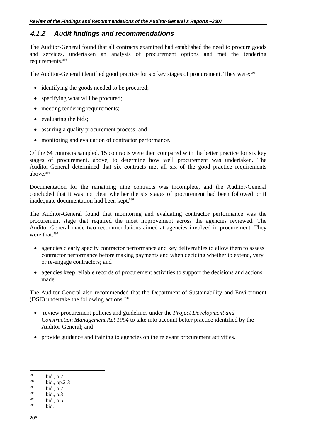#### **4.1.2** *Audit findings and recommendations*

The Auditor-General found that all contracts examined had established the need to procure goods and services, undertaken an analysis of procurement options and met the tendering requirements.593

The Auditor-General identified good practice for six key stages of procurement. They were:<sup>594</sup>

- identifying the goods needed to be procured;
- specifying what will be procured;
- meeting tendering requirements;
- evaluating the bids;
- assuring a quality procurement process; and
- monitoring and evaluation of contractor performance.

Of the 64 contracts sampled, 15 contracts were then compared with the better practice for six key stages of procurement, above, to determine how well procurement was undertaken. The Auditor-General determined that six contracts met all six of the good practice requirements above.595

Documentation for the remaining nine contracts was incomplete, and the Auditor-General concluded that it was not clear whether the six stages of procurement had been followed or if inadequate documentation had been kept.<sup>596</sup>

The Auditor-General found that monitoring and evaluating contractor performance was the procurement stage that required the most improvement across the agencies reviewed. The Auditor-General made two recommendations aimed at agencies involved in procurement. They were that<sup>-597</sup>

- agencies clearly specify contractor performance and key deliverables to allow them to assess contractor performance before making payments and when deciding whether to extend, vary or re-engage contractors; and
- agencies keep reliable records of procurement activities to support the decisions and actions made.

The Auditor-General also recommended that the Department of Sustainability and Environment (DSE) undertake the following actions: $598$ 

- review procurement policies and guidelines under the *Project Development and Construction Management Act 1994* to take into account better practice identified by the Auditor-General; and
- provide guidance and training to agencies on the relevant procurement activities.

<sup>593</sup> <sup>593</sup> ibid., p.2<br>
<sup>595</sup> ibid., p.2-3<br>
<sup>595</sup> ibid., p.3<br>
<sup>597</sup> ibid., p.5<br>
<sup>598</sup> ibid.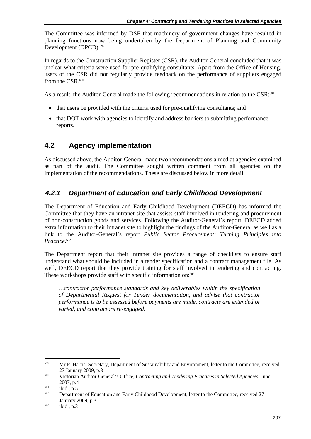The Committee was informed by DSE that machinery of government changes have resulted in planning functions now being undertaken by the Department of Planning and Community Development (DPCD).<sup>599</sup>

In regards to the Construction Supplier Register (CSR), the Auditor-General concluded that it was unclear what criteria were used for pre-qualifying consultants. Apart from the Office of Housing, users of the CSR did not regularly provide feedback on the performance of suppliers engaged from the CSR.<sup>600</sup>

As a result, the Auditor-General made the following recommendations in relation to the CSR:<sup>601</sup>

- that users be provided with the criteria used for pre-qualifying consultants; and
- that DOT work with agencies to identify and address barriers to submitting performance reports.

## **4.2 Agency implementation**

As discussed above, the Auditor-General made two recommendations aimed at agencies examined as part of the audit. The Committee sought written comment from all agencies on the implementation of the recommendations. These are discussed below in more detail.

## **4.2.1** *Department of Education and Early Childhood Development*

The Department of Education and Early Childhood Development (DEECD) has informed the Committee that they have an intranet site that assists staff involved in tendering and procurement of non-construction goods and services. Following the Auditor-General's report, DEECD added extra information to their intranet site to highlight the findings of the Auditor-General as well as a link to the Auditor-General's report *Public Sector Procurement: Turning Principles into Practice*. 602

The Department report that their intranet site provides a range of checklists to ensure staff understand what should be included in a tender specification and a contract management file. As well, DEECD report that they provide training for staff involved in tendering and contracting. These workshops provide staff with specific information on:<sup>603</sup>

*…contractor performance standards and key deliverables within the specification of Departmental Request for Tender documentation, and advise that contractor performance is to be assessed before payments are made, contracts are extended or varied, and contractors re-engaged.* 

<sup>599</sup> 599 Mr P. Harris, Secretary, Department of Sustainability and Environment, letter to the Committee, received

<sup>27</sup> January 2009, p.3 600 Victorian Auditor-General's Office, *Contracting and Tendering Practices in Selected Agencies,* June 2007, p.4<br>
ibid., p.5<br>
Department of Education and Early Childhood Development, letter to the Committee, received 27

January 2009, p.3<br>
ibid., p.3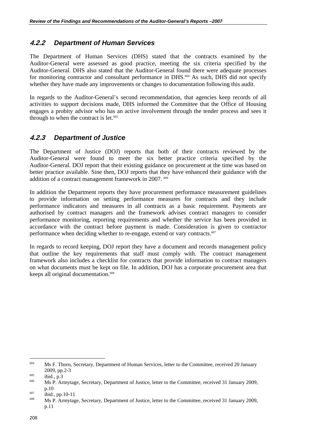#### **4.2.2** *Department of Human Services*

The Department of Human Services (DHS) stated that the contracts examined by the Auditor-General were assessed as good practice, meeting the six criteria specified by the Auditor-General. DHS also stated that the Auditor-General found there were adequate processes for monitoring contractor and consultant performance in DHS.<sup>604</sup> As such, DHS did not specify whether they have made any improvements or changes to documentation following this audit.

In regards to the Auditor-General's second recommendation, that agencies keep records of all activities to support decisions made, DHS informed the Committee that the Office of Housing engages a probity advisor who has an active involvement through the tender process and sees it through to when the contract is let. $605$ 

#### **4.2.3** *Department of Justice*

The Department of Justice (DOJ) reports that both of their contracts reviewed by the Auditor-General were found to meet the six better practice criteria specified by the Auditor-General. DOJ report that their existing guidance on procurement at the time was based on better practice available. Sine then, DOJ reports that they have enhanced their guidance with the addition of a contract management framework in 2007. <sup>606</sup>

In addition the Department reports they have procurement performance measurement guidelines to provide information on setting performance measures for contracts and they include performance indicators and measures in all contracts as a basic requirement. Payments are authorised by contract managers and the framework advises contract managers to consider performance monitoring, reporting requirements and whether the service has been provided in accordance with the contract before payment is made. Consideration is given to contractor performance when deciding whether to re-engage, extend or vary contracts.<sup>607</sup>

In regards to record keeping, DOJ report they have a document and records management policy that outline the key requirements that staff must comply with. The contract management framework also includes a checklist for contracts that provide information to contract managers on what documents must be kept on file. In addition, DOJ has a corporate procurement area that keeps all original documentation.<sup>608</sup>

<sup>604</sup> 604 Ms F. Thorn, Secretary, Department of Human Services, letter to the Committee, received 20 January 2009, pp.2-3<br>  $\frac{1005}{100}$  ibid., p.3<br>
Ms P. Armytage, Secretary, Department of Justice, letter to the Committee, received 31 January 2009,

p.10<br>  $\frac{607}{100}$  ibid., pp.10-11<br>
Ms P. Armytage, Secretary, Department of Justice, letter to the Committee, received 31 January 2009,

p.11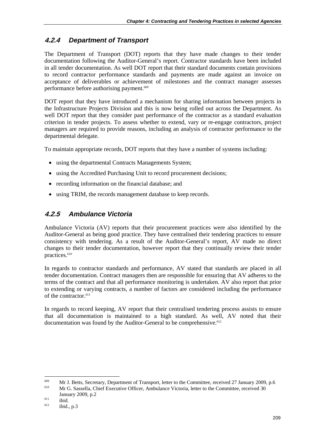## **4.2.4** *Department of Transport*

The Department of Transport (DOT) reports that they have made changes to their tender documentation following the Auditor-General's report. Contractor standards have been included in all tender documentation. As well DOT report that their standard documents contain provisions to record contractor performance standards and payments are made against an invoice on acceptance of deliverables or achievement of milestones and the contract manager assesses performance before authorising payment.<sup>609</sup>

DOT report that they have introduced a mechanism for sharing information between projects in the Infrastructure Projects Division and this is now being rolled out across the Department. As well DOT report that they consider past performance of the contractor as a standard evaluation criterion in tender projects. To assess whether to extend, vary or re-engage contractors, project managers are required to provide reasons, including an analysis of contractor performance to the departmental delegate.

To maintain appropriate records, DOT reports that they have a number of systems including:

- using the departmental Contracts Managements System:
- using the Accredited Purchasing Unit to record procurement decisions;
- recording information on the financial database; and
- using TRIM, the records management database to keep records.

## **4.2.5** *Ambulance Victoria*

Ambulance Victoria (AV) reports that their procurement practices were also identified by the Auditor-General as being good practice. They have centralised their tendering practices to ensure consistency with tendering. As a result of the Auditor-General's report, AV made no direct changes to their tender documentation, however report that they continually review their tender practices.<sup>610</sup>

In regards to contractor standards and performance, AV stated that standards are placed in all tender documentation. Contract managers then are responsible for ensuring that AV adheres to the terms of the contract and that all performance monitoring is undertaken. AV also report that prior to extending or varying contracts, a number of factors are considered including the performance of the contractor  $611$ 

In regards to record keeping, AV report that their centralised tendering process assists to ensure that all documentation is maintained to a high standard. As well, AV noted that their documentation was found by the Auditor-General to be comprehensive. $612$ 

1

<sup>&</sup>lt;sup>609</sup> Mr J. Betts, Secretary, Department of Transport, letter to the Committee, received 27 January 2009, p.6<br><sup>610</sup> Mr G. Sassella, Chief Executive Officer, Ambulance Victoria, letter to the Committee, received 30

January 2009, p.2<br>
ibid.<br>
ibid., p.3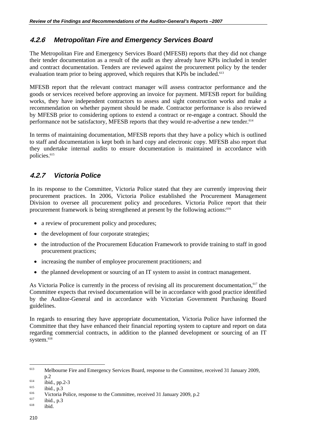## **4.2.6** *Metropolitan Fire and Emergency Services Board*

The Metropolitan Fire and Emergency Services Board (MFESB) reports that they did not change their tender documentation as a result of the audit as they already have KPIs included in tender and contract documentation. Tenders are reviewed against the procurement policy by the tender evaluation team prior to being approved, which requires that KPIs be included.<sup>613</sup>

MFESB report that the relevant contract manager will assess contractor performance and the goods or services received before approving an invoice for payment. MFESB report for building works, they have independent contractors to assess and sight construction works and make a recommendation on whether payment should be made. Contractor performance is also reviewed by MFESB prior to considering options to extend a contract or re-engage a contract. Should the performance not be satisfactory, MFESB reports that they would re-advertise a new tender.<sup>614</sup>

In terms of maintaining documentation, MFESB reports that they have a policy which is outlined to staff and documentation is kept both in hard copy and electronic copy. MFESB also report that they undertake internal audits to ensure documentation is maintained in accordance with policies.<sup>615</sup>

## **4.2.7** *Victoria Police*

In its response to the Committee, Victoria Police stated that they are currently improving their procurement practices. In 2006, Victoria Police established the Procurement Management Division to oversee all procurement policy and procedures. Victoria Police report that their procurement framework is being strengthened at present by the following actions:<sup>616</sup>

- a review of procurement policy and procedures;
- the development of four corporate strategies;
- the introduction of the Procurement Education Framework to provide training to staff in good procurement practices;
- increasing the number of employee procurement practitioners; and
- the planned development or sourcing of an IT system to assist in contract management.

As Victoria Police is currently in the process of revising all its procurement documentation,<sup>617</sup> the Committee expects that revised documentation will be in accordance with good practice identified by the Auditor-General and in accordance with Victorian Government Purchasing Board guidelines.

In regards to ensuring they have appropriate documentation, Victoria Police have informed the Committee that they have enhanced their financial reporting system to capture and report on data regarding commercial contracts, in addition to the planned development or sourcing of an IT system.<sup>618</sup>

 $\overline{a}$ 613 Melbourne Fire and Emergency Services Board, response to the Committee, received 31 January 2009,

p.2<br>
ibid., pp.2-3<br>
ibid., p.3<br>
Victoria Police, response to the Committee, received 31 January 2009, p.2<br>
ibid., p.3<br>
ibid.<br>
ibid.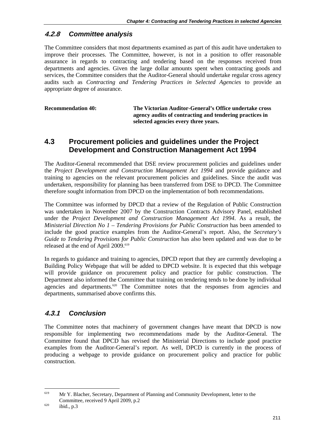#### **4.2.8** *Committee analysis*

The Committee considers that most departments examined as part of this audit have undertaken to improve their processes. The Committee, however, is not in a position to offer reasonable assurance in regards to contracting and tendering based on the responses received from departments and agencies. Given the large dollar amounts spent when contracting goods and services, the Committee considers that the Auditor-General should undertake regular cross agency audits such as *Contracting and Tendering Practices in Selected Agencies* to provide an appropriate degree of assurance.

| <b>Recommendation 40:</b> | The Victorian Auditor-General's Office undertake cross<br>agency audits of contracting and tendering practices in<br>selected agencies every three years. |
|---------------------------|-----------------------------------------------------------------------------------------------------------------------------------------------------------|
|                           |                                                                                                                                                           |

## **4.3 Procurement policies and guidelines under the Project Development and Construction Management Act 1994**

The Auditor-General recommended that DSE review procurement policies and guidelines under the *Project Development and Construction Management Act 1994* and provide guidance and training to agencies on the relevant procurement policies and guidelines. Since the audit was undertaken, responsibility for planning has been transferred from DSE to DPCD. The Committee therefore sought information from DPCD on the implementation of both recommendations.

The Committee was informed by DPCD that a review of the Regulation of Public Construction was undertaken in November 2007 by the Construction Contracts Advisory Panel, established under the *Project Development and Construction Management Act 1994*. As a result, the *Ministerial Direction No 1 – Tendering Provisions for Public Construction* has been amended to include the good practice examples from the Auditor-General's report. Also, the *Secretary's Guide to Tendering Provisions for Public Construction* has also been updated and was due to be released at the end of April 2009.<sup>619</sup>

In regards to guidance and training to agencies, DPCD report that they are currently developing a Building Policy Webpage that will be added to DPCD website. It is expected that this webpage will provide guidance on procurement policy and practice for public construction. The Department also informed the Committee that training on tendering tends to be done by individual agencies and departments.<sup>620</sup> The Committee notes that the responses from agencies and departments, summarised above confirms this.

#### **4.3.1** *Conclusion*

The Committee notes that machinery of government changes have meant that DPCD is now responsible for implementing two recommendations made by the Auditor-General. The Committee found that DPCD has revised the Ministerial Directions to include good practice examples from the Auditor-General's report. As well, DPCD is currently in the process of producing a webpage to provide guidance on procurement policy and practice for public construction.

1

<sup>&</sup>lt;sup>619</sup> Mr Y. Blacher, Secretary, Department of Planning and Community Development, letter to the Committee, received 9 April 2009, p.2<br>ibid., p.3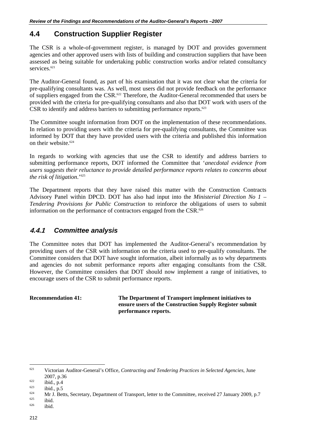## **4.4 Construction Supplier Register**

The CSR is a whole-of-government register, is managed by DOT and provides government agencies and other approved users with lists of building and construction suppliers that have been assessed as being suitable for undertaking public construction works and/or related consultancy services<sup>621</sup>

The Auditor-General found, as part of his examination that it was not clear what the criteria for pre-qualifying consultants was. As well, most users did not provide feedback on the performance of suppliers engaged from the CSR.<sup>622</sup> Therefore, the Auditor-General recommended that users be provided with the criteria for pre-qualifying consultants and also that DOT work with users of the CSR to identify and address barriers to submitting performance reports. $623$ 

The Committee sought information from DOT on the implementation of these recommendations. In relation to providing users with the criteria for pre-qualifying consultants, the Committee was informed by DOT that they have provided users with the criteria and published this information on their website.<sup>624</sup>

In regards to working with agencies that use the CSR to identify and address barriers to submitting performance reports, DOT informed the Committee that '*anecdotal evidence from users suggests their reluctance to provide detailed performance reports relates to concerns about the risk of litigation*.'625

The Department reports that they have raised this matter with the Construction Contracts Advisory Panel within DPCD. DOT has also had input into the *Ministerial Direction No 1 – Tendering Provisions for Public Construction* to reinforce the obligations of users to submit information on the performance of contractors engaged from the CSR.<sup>626</sup>

#### **4.4.1** *Committee analysis*

The Committee notes that DOT has implemented the Auditor-General's recommendation by providing users of the CSR with information on the criteria used to pre-qualify consultants. The Committee considers that DOT have sought information, albeit informally as to why departments and agencies do not submit performance reports after engaging consultants from the CSR. However, the Committee considers that DOT should now implement a range of initiatives, to encourage users of the CSR to submit performance reports.

**Recommendation 41: The Department of Transport implement initiatives to ensure users of the Construction Supply Register submit performance reports.** 

 $\overline{a}$ 

<sup>621</sup> Victorian Auditor-General's Office, *Contracting and Tendering Practices in Selected Agencies,* June

<sup>2007,</sup> p.36<br>
622 ibid., p.4<br>
623 ibid., p.5<br>
624 Mr J. Betts, Secretary, Department of Transport, letter to the Committee, received 27 January 2009, p.7<br>
625 ibid.<br>
626 ibid.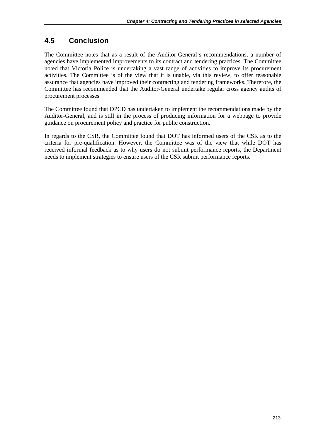## **4.5 Conclusion**

The Committee notes that as a result of the Auditor-General's recommendations, a number of agencies have implemented improvements to its contract and tendering practices. The Committee noted that Victoria Police is undertaking a vast range of activities to improve its procurement activities. The Committee is of the view that it is unable, via this review, to offer reasonable assurance that agencies have improved their contracting and tendering frameworks. Therefore, the Committee has recommended that the Auditor-General undertake regular cross agency audits of procurement processes.

The Committee found that DPCD has undertaken to implement the recommendations made by the Auditor-General, and is still in the process of producing information for a webpage to provide guidance on procurement policy and practice for public construction.

In regards to the CSR, the Committee found that DOT has informed users of the CSR as to the criteria for pre-qualification. However, the Committee was of the view that while DOT has received informal feedback as to why users do not submit performance reports, the Department needs to implement strategies to ensure users of the CSR submit performance reports.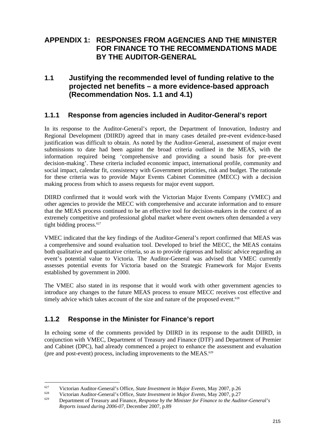## **APPENDIX 1: RESPONSES FROM AGENCIES AND THE MINISTER FOR FINANCE TO THE RECOMMENDATIONS MADE BY THE AUDITOR-GENERAL**

## **1.1 Justifying the recommended level of funding relative to the projected net benefits – a more evidence-based approach (Recommendation Nos. 1.1 and 4.1)**

#### **1.1.1 Response from agencies included in Auditor-General's report**

In its response to the Auditor-General's report, the Department of Innovation, Industry and Regional Development (DIIRD) agreed that in many cases detailed pre-event evidence-based justification was difficult to obtain. As noted by the Auditor-General, assessment of major event submissions to date had been against the broad criteria outlined in the MEAS, with the information required being 'comprehensive and providing a sound basis for pre-event decision-making'. These criteria included economic impact, international profile, community and social impact, calendar fit, consistency with Government priorities, risk and budget. The rationale for these criteria was to provide Major Events Cabinet Committee (MECC) with a decision making process from which to assess requests for major event support.

DIIRD confirmed that it would work with the Victorian Major Events Company (VMEC) and other agencies to provide the MECC with comprehensive and accurate information and to ensure that the MEAS process continued to be an effective tool for decision-makers in the context of an extremely competitive and professional global market where event owners often demanded a very tight bidding process. $627$ 

VMEC indicated that the key findings of the Auditor-General's report confirmed that MEAS was a comprehensive and sound evaluation tool. Developed to brief the MECC, the MEAS contains both qualitative and quantitative criteria, so as to provide rigorous and holistic advice regarding an event's potential value to Victoria. The Auditor-General was advised that VMEC currently assesses potential events for Victoria based on the Strategic Framework for Major Events established by government in 2000.

The VMEC also stated in its response that it would work with other government agencies to introduce any changes to the future MEAS process to ensure MECC receives cost effective and timely advice which takes account of the size and nature of the proposed event.<sup>628</sup>

#### **1.1.2 Response in the Minister for Finance's report**

1

In echoing some of the comments provided by DIIRD in its response to the audit DIIRD, in conjunction with VMEC, Department of Treasury and Finance (DTF) and Department of Premier and Cabinet (DPC), had already commenced a project to enhance the assessment and evaluation (pre and post-event) process, including improvements to the MEAS. $629$ 

<sup>&</sup>lt;sup>627</sup> Victorian Auditor-General's Office, *State Investment in Major Events*, May 2007, p.26<br>Victorian Auditor-General's Office, *State Investment in Major Events*, May 2007, p.27<br>Department of Treasury and Finance, *Resp Reports issued during 2006-07*, December 2007, p.89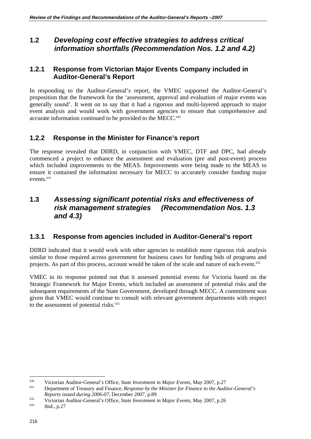## **1.2** *Developing cost effective strategies to address critical information shortfalls (Recommendation Nos. 1.2 and 4.2)*

#### **1.2.1 Response from Victorian Major Events Company included in Auditor-General's Report**

In responding to the Auditor-General's report, the VMEC supported the Auditor-General's proposition that the framework for the 'assessment, approval and evaluation of major events was generally sound'. It went on to say that it had a rigorous and multi-layered approach to major event analysis and would work with government agencies to ensure that comprehensive and accurate information continued to be provided to the MECC.<sup>630</sup>

## **1.2.2 Response in the Minister for Finance's report**

The response revealed that DIIRD, in conjunction with VMEC, DTF and DPC, had already commenced a project to enhance the assessment and evaluation (pre and post-event) process which included improvements to the MEAS. Improvements were being made to the MEAS to ensure it contained the information necessary for MECC to accurately consider funding major events.<sup>631</sup>

## **1.3** *Assessing significant potential risks and effectiveness of risk management strategies (Recommendation Nos. 1.3 and 4.3)*

#### **1.3.1 Response from agencies included in Auditor-General's report**

DIIRD indicated that it would work with other agencies to establish more rigorous risk analysis similar to those required across government for business cases for funding bids of programs and projects. As part of this process, account would be taken of the scale and nature of each event.<sup>632</sup>

VMEC in its response pointed out that it assessed potential events for Victoria based on the Strategic Framework for Major Events, which included an assessment of potential risks and the subsequent requirements of the State Government, developed through MECC. A commitment was given that VMEC would continue to consult with relevant government departments with respect to the assessment of potential risks.<sup>633</sup>

<sup>630</sup> 

<sup>630</sup> Victorian Auditor-General's Office, *State Investment in Major Events*, May 2007, p.27 631 Department of Treasury and Finance, *Response by the Minister for Finance to the Auditor-General's* 

*Reports issued during 2006-07*, December 2007, p.89<br>Victorian Auditor-General's Office, *State Investment in Major Events*, May 2007, p.26<br>ibid., p.27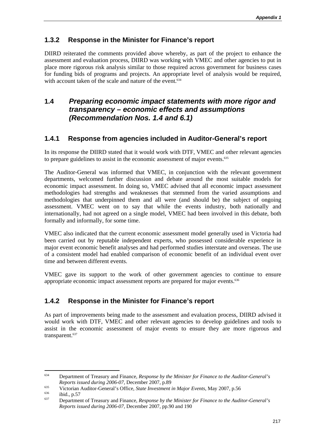## **1.3.2 Response in the Minister for Finance's report**

DIIRD reiterated the comments provided above whereby, as part of the project to enhance the assessment and evaluation process, DIIRD was working with VMEC and other agencies to put in place more rigorous risk analysis similar to those required across government for business cases for funding bids of programs and projects. An appropriate level of analysis would be required, with account taken of the scale and nature of the event.<sup>634</sup>

## **1.4** *Preparing economic impact statements with more rigor and transparency – economic effects and assumptions (Recommendation Nos. 1.4 and 6.1)*

## **1.4.1 Response from agencies included in Auditor-General's report**

In its response the DIIRD stated that it would work with DTF, VMEC and other relevant agencies to prepare guidelines to assist in the economic assessment of major events.<sup>635</sup>

The Auditor-General was informed that VMEC, in conjunction with the relevant government departments, welcomed further discussion and debate around the most suitable models for economic impact assessment. In doing so, VMEC advised that all economic impact assessment methodologies had strengths and weaknesses that stemmed from the varied assumptions and methodologies that underpinned them and all were (and should be) the subject of ongoing assessment. VMEC went on to say that while the events industry, both nationally and internationally, had not agreed on a single model, VMEC had been involved in this debate, both formally and informally, for some time.

VMEC also indicated that the current economic assessment model generally used in Victoria had been carried out by reputable independent experts, who possessed considerable experience in major event economic benefit analyses and had performed studies interstate and overseas. The use of a consistent model had enabled comparison of economic benefit of an individual event over time and between different events.

VMEC gave its support to the work of other government agencies to continue to ensure appropriate economic impact assessment reports are prepared for major events.<sup>636</sup>

## **1.4.2 Response in the Minister for Finance's report**

As part of improvements being made to the assessment and evaluation process, DIIRD advised it would work with DTF, VMEC and other relevant agencies to develop guidelines and tools to assist in the economic assessment of major events to ensure they are more rigorous and transparent.<sup>637</sup>

<sup>634</sup> 634 Department of Treasury and Finance, *Response by the Minister for Finance to the Auditor-General's*  Reports issued during 2006-07, December 2007, p.89<br>Victorian Auditor-General's Office, *State Investment in Major Events*, May 2007, p.56<br>ibid., p.57<br>Department of Treasury and Finance, *Response by the Minister for Financ* 

*Reports issued during 2006-07*, December 2007, pp.90 and 190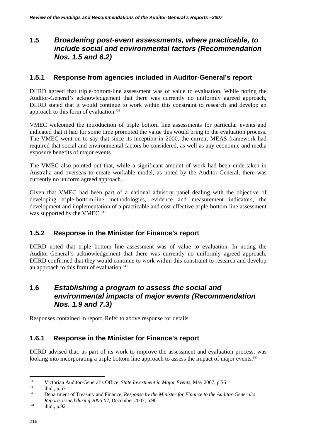## **1.5** *Broadening post-event assessments, where practicable, to include social and environmental factors (Recommendation Nos. 1.5 and 6.2)*

#### **1.5.1 Response from agencies included in Auditor-General's report**

DIIRD agreed that triple-bottom-line assessment was of value to evaluation. While noting the Auditor-General's acknowledgement that there was currently no uniformly agreed approach, DIIRD stated that it would continue to work within this constraint to research and develop an approach to this form of evaluation.<sup>638</sup>

VMEC welcomed the introduction of triple bottom line assessments for particular events and indicated that it had for some time promoted the value this would bring to the evaluation process. The VMEC went on to say that since its inception in 2000, the current MEAS framework had required that social and environmental factors be considered, as well as any economic and media exposure benefits of major events.

The VMEC also pointed out that, while a significant amount of work had been undertaken in Australia and overseas to create workable model, as noted by the Auditor-General, there was currently no uniform agreed approach.

Given that VMEC had been part of a national advisory panel dealing with the objective of developing triple-bottom-line methodologies, evidence and measurement indicators, the development and implementation of a practicable and cost-effective triple-bottom-line assessment was supported by the VMEC.<sup>639</sup>

#### **1.5.2 Response in the Minister for Finance's report**

DIIRD noted that triple bottom line assessment was of value to evaluation. In noting the Auditor-General's acknowledgement that there was currently no uniformly agreed approach, DIIRD confirmed that they would continue to work within this constraint to research and develop an approach to this form of evaluation.<sup>640</sup>

## **1.6** *Establishing a program to assess the social and environmental impacts of major events (Recommendation Nos. 1.9 and 7.3)*

Responses contained in report. Refer to above response for details.

#### **1.6.1 Response in the Minister for Finance's report**

DIIRD advised that, as part of its work to improve the assessment and evaluation process, was looking into incorporating a triple bottom line approach to assess the impact of major events.<sup>641</sup>

<sup>638</sup> 

<sup>&</sup>lt;sup>638</sup> Victorian Auditor-General's Office, *State Investment in Major Events*, May 2007, p.56 ibid., p.57 Department of Treasury and Finance, *Response by the Minister for Finance to the Auditor-General's Reports issued during 2006-07*, December 2007, p.90<br>
ibid., p.92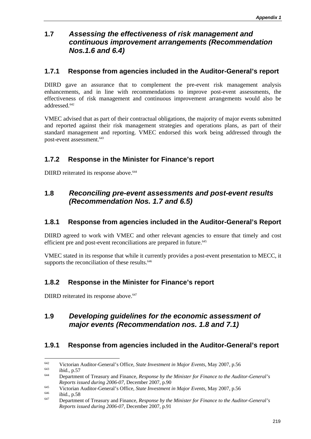## **1.7** *Assessing the effectiveness of risk management and continuous improvement arrangements (Recommendation Nos.1.6 and 6.4)*

#### **1.7.1 Response from agencies included in the Auditor-General's report**

DIIRD gave an assurance that to complement the pre-event risk management analysis enhancements, and in line with recommendations to improve post-event assessments, the effectiveness of risk management and continuous improvement arrangements would also be addressed.642

VMEC advised that as part of their contractual obligations, the majority of major events submitted and reported against their risk management strategies and operations plans, as part of their standard management and reporting. VMEC endorsed this work being addressed through the post-event assessment.<sup>643</sup>

#### **1.7.2 Response in the Minister for Finance's report**

DIIRD reiterated its response above.<sup>644</sup>

## **1.8** *Reconciling pre-event assessments and post-event results (Recommendation Nos. 1.7 and 6.5)*

#### **1.8.1 Response from agencies included in the Auditor-General's Report**

DIIRD agreed to work with VMEC and other relevant agencies to ensure that timely and cost efficient pre and post-event reconciliations are prepared in future.<sup>645</sup>

VMEC stated in its response that while it currently provides a post-event presentation to MECC, it supports the reconciliation of these results.<sup>646</sup>

#### **1.8.2 Response in the Minister for Finance's report**

DIIRD reiterated its response above.<sup>647</sup>

## **1.9** *Developing guidelines for the economic assessment of major events (Recommendation nos. 1.8 and 7.1)*

#### **1.9.1 Response from agencies included in the Auditor-General's report**

<sup>642</sup> 

<sup>&</sup>lt;sup>642</sup> Victorian Auditor-General's Office, *State Investment in Major Events*, May 2007, p.56 ibid., p.57 Department of Treasury and Finance, *Response by the Minister for Finance to the Auditor-General's* Reports issued during 2006-07, December 2007, p.90<br>Victorian Auditor-General's Office, *State Investment in Major Events*, May 2007, p.56<br>ibid., p.58<br>Department of Treasury and Finance, *Response by the Minister for Financ* 

*Reports issued during 2006-07*, December 2007, p.91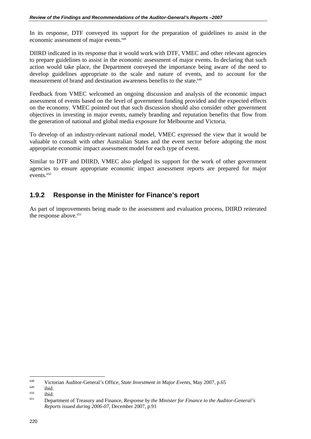In its response, DTF conveyed its support for the preparation of guidelines to assist in the economic assessment of major events.<sup>648</sup>

DIIRD indicated in its response that it would work with DTF, VMEC and other relevant agencies to prepare guidelines to assist in the economic assessment of major events. In declaring that such action would take place, the Department conveyed the importance being aware of the need to develop guidelines appropriate to the scale and nature of events, and to account for the measurement of brand and destination awareness benefits to the state.<sup>649</sup>

Feedback from VMEC welcomed an ongoing discussion and analysis of the economic impact assessment of events based on the level of government funding provided and the expected effects on the economy. VMEC pointed out that such discussion should also consider other government objectives in investing in major events, namely branding and reputation benefits that flow from the generation of national and global media exposure for Melbourne and Victoria.

To develop of an industry-relevant national model, VMEC expressed the view that it would be valuable to consult with other Australian States and the event sector before adopting the most appropriate economic impact assessment model for each type of event.

Similar to DTF and DIIRD, VMEC also pledged its support for the work of other government agencies to ensure appropriate economic impact assessment reports are prepared for major events.<sup>650</sup>

#### **1.9.2 Response in the Minister for Finance's report**

As part of improvements being made to the assessment and evaluation process, DIIRD reiterated the response above.<sup>651</sup>

<sup>648</sup> 

<sup>&</sup>lt;sup>648</sup> Victorian Auditor-General's Office, *State Investment in Major Events*, May 2007, p.65<br><sup>649</sup> ibid.<br><sup>650</sup> ibid. Department of Treasury and Finance, *Response by the Minister for Finance to the Auditor-General's Reports issued during 2006-07*, December 2007, p.91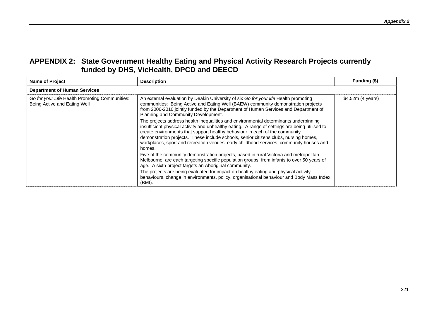| <b>Name of Project</b>                                                         | <b>Description</b>                                                                                                                                                                                                                                                                                                                                                                                                                                                                                                                                                                                                                                                                                                                                                                                                                                                                                                                                                                                                                                                                                                                                                                                                          | Funding (\$)      |
|--------------------------------------------------------------------------------|-----------------------------------------------------------------------------------------------------------------------------------------------------------------------------------------------------------------------------------------------------------------------------------------------------------------------------------------------------------------------------------------------------------------------------------------------------------------------------------------------------------------------------------------------------------------------------------------------------------------------------------------------------------------------------------------------------------------------------------------------------------------------------------------------------------------------------------------------------------------------------------------------------------------------------------------------------------------------------------------------------------------------------------------------------------------------------------------------------------------------------------------------------------------------------------------------------------------------------|-------------------|
| <b>Department of Human Services</b>                                            |                                                                                                                                                                                                                                                                                                                                                                                                                                                                                                                                                                                                                                                                                                                                                                                                                                                                                                                                                                                                                                                                                                                                                                                                                             |                   |
| Go for your Life Health Promoting Communities:<br>Being Active and Eating Well | An external evaluation by Deakin University of six Go for your life Health promoting<br>communities: Being Active and Eating Well (BAEW) community demonstration projects<br>from 2006-2010 jointly funded by the Department of Human Services and Department of<br>Planning and Community Development.<br>The projects address health inequalities and environmental determinants underpinning<br>insufficient physical activity and unhealthy eating. A range of settings are being utilised to<br>create environments that support healthy behaviour in each of the community<br>demonstration projects. These include schools, senior citizens clubs, nursing homes,<br>workplaces, sport and recreation venues, early childhood services, community houses and<br>homes.<br>Five of the community demonstration projects, based in rural Victoria and metropolitan<br>Melbourne, are each targeting specific population groups, from infants to over 50 years of<br>age. A sixth project targets an Aboriginal community.<br>The projects are being evaluated for impact on healthy eating and physical activity<br>behaviours, change in environments, policy, organisational behaviour and Body Mass Index<br>(BMI). | \$4.52m (4 years) |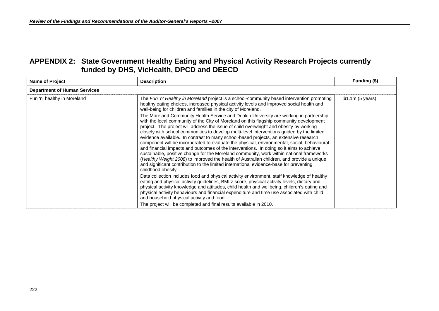| <b>Name of Project</b>              | <b>Description</b>                                                                                                                                                                                                                                                                                                                                                                                                                                                                                                                                                                                                                                                                                                                                                                                                                                                                                                                                                   | Funding (\$)    |
|-------------------------------------|----------------------------------------------------------------------------------------------------------------------------------------------------------------------------------------------------------------------------------------------------------------------------------------------------------------------------------------------------------------------------------------------------------------------------------------------------------------------------------------------------------------------------------------------------------------------------------------------------------------------------------------------------------------------------------------------------------------------------------------------------------------------------------------------------------------------------------------------------------------------------------------------------------------------------------------------------------------------|-----------------|
| <b>Department of Human Services</b> |                                                                                                                                                                                                                                                                                                                                                                                                                                                                                                                                                                                                                                                                                                                                                                                                                                                                                                                                                                      |                 |
| Fun 'n' healthy in Moreland         | The Fun 'n' Healthy in Moreland project is a school-community based intervention promoting<br>healthy eating choices, increased physical activity levels and improved social health and<br>well-being for children and families in the city of Moreland.                                                                                                                                                                                                                                                                                                                                                                                                                                                                                                                                                                                                                                                                                                             | \$1.1m(5 years) |
|                                     | The Moreland Community Health Service and Deakin University are working in partnership<br>with the local community of the City of Moreland on this flagship community development<br>project. The project will address the issue of child overweight and obesity by working<br>closely with school communities to develop multi-level interventions guided by the limited<br>evidence available. In contrast to many school-based projects, an extensive research<br>component will be incorporated to evaluate the physical, environmental, social, behavioural<br>and financial impacts and outcomes of the interventions. In doing so it aims to achieve<br>sustainable, positive change for the Moreland community, work within national frameworks<br>(Healthy Weight 2008) to improved the health of Australian children, and provide a unique<br>and significant contribution to the limited international evidence-base for preventing<br>childhood obesity. |                 |
|                                     | Data collection includes food and physical activity environment, staff knowledge of healthy<br>eating and physical activity guidelines, BMI z-score, physical activity levels, dietary and<br>physical activity knowledge and attitudes, child health and wellbeing, children's eating and<br>physical activity behaviours and financial expenditure and time use associated with child<br>and household physical activity and food.<br>The project will be completed and final results available in 2010.                                                                                                                                                                                                                                                                                                                                                                                                                                                           |                 |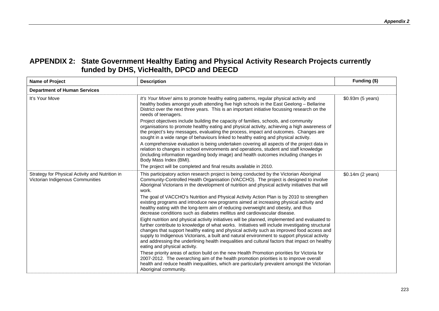| <b>Name of Project</b>                                                              | <b>Description</b>                                                                                                                                                                                                                                                                                                                                                                                                                                                                                                                    | Funding (\$)      |
|-------------------------------------------------------------------------------------|---------------------------------------------------------------------------------------------------------------------------------------------------------------------------------------------------------------------------------------------------------------------------------------------------------------------------------------------------------------------------------------------------------------------------------------------------------------------------------------------------------------------------------------|-------------------|
| <b>Department of Human Services</b>                                                 |                                                                                                                                                                                                                                                                                                                                                                                                                                                                                                                                       |                   |
| It's Your Move                                                                      | It's Your Move! aims to promote healthy eating patterns, regular physical activity and<br>healthy bodies amongst youth attending five high schools in the East Geelong - Bellarine<br>District over the next three years. This is an important initiative focussing research on the<br>needs of teenagers.                                                                                                                                                                                                                            | \$0.93m (5 years) |
|                                                                                     | Project objectives include building the capacity of families, schools, and community<br>organisations to promote healthy eating and physical activity, achieving a high awareness of<br>the project's key messages, evaluating the process, impact and outcomes. Changes are<br>sought in a wide range of behaviours linked to healthy eating and physical activity.                                                                                                                                                                  |                   |
|                                                                                     | A comprehensive evaluation is being undertaken covering all aspects of the project data in<br>relation to changes in school environments and operations, student and staff knowledge<br>(including information regarding body image) and health outcomes including changes in<br>Body Mass Index (BMI).                                                                                                                                                                                                                               |                   |
|                                                                                     | The project will be completed and final results available in 2010.                                                                                                                                                                                                                                                                                                                                                                                                                                                                    |                   |
| Strategy for Physical Activity and Nutrition in<br>Victorian Indigenous Communities | This participatory action research project is being conducted by the Victorian Aboriginal<br>Community-Controlled Health Organisation (VACCHO). The project is designed to involve<br>Aboriginal Victorians in the development of nutrition and physical activity initiatives that will<br>work.                                                                                                                                                                                                                                      | \$0.14m (2 years) |
|                                                                                     | The goal of VACCHO's Nutrition and Physical Activity Action Plan is by 2010 to strengthen<br>existing programs and introduce new programs aimed at increasing physical activity and<br>healthy eating with the long-term aim of reducing overweight and obesity, and thus<br>decrease conditions such as diabetes mellitus and cardiovascular disease.                                                                                                                                                                                |                   |
|                                                                                     | Eight nutrition and physical activity initiatives will be planned, implemented and evaluated to<br>further contribute to knowledge of what works. Initiatives will include investigating structural<br>changes that support healthy eating and physical activity such as improved food access and<br>supply to Indigenous Victorians, a built and natural environment to support physical activity<br>and addressing the underlining health inequalities and cultural factors that impact on healthy<br>eating and physical activity. |                   |
|                                                                                     | These priority areas of action build on the new Health Promotion priorities for Victoria for<br>2007-2012. The overarching aim of the health promotion priorities is to improve overall<br>health and reduce health inequalities, which are particularly prevalent amongst the Victorian<br>Aboriginal community.                                                                                                                                                                                                                     |                   |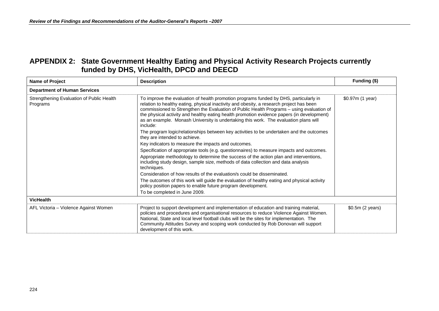| <b>Name of Project</b>                                | <b>Description</b>                                                                                                                                                                                                                                                                                                                                                                                                                                                               | Funding (\$)     |
|-------------------------------------------------------|----------------------------------------------------------------------------------------------------------------------------------------------------------------------------------------------------------------------------------------------------------------------------------------------------------------------------------------------------------------------------------------------------------------------------------------------------------------------------------|------------------|
| <b>Department of Human Services</b>                   |                                                                                                                                                                                                                                                                                                                                                                                                                                                                                  |                  |
| Strengthening Evaluation of Public Health<br>Programs | To improve the evaluation of health promotion programs funded by DHS, particularly in<br>relation to healthy eating, physical inactivity and obesity, a research project has been<br>commissioned to Strengthen the Evaluation of Public Health Programs - using evaluation of<br>the physical activity and healthy eating health promotion evidence papers (in development)<br>as an example. Monash University is undertaking this work. The evaluation plans will<br>include: | \$0.97m (1 year) |
|                                                       | The program logic/relationships between key activities to be undertaken and the outcomes<br>they are intended to achieve.                                                                                                                                                                                                                                                                                                                                                        |                  |
|                                                       | Key indicators to measure the impacts and outcomes.                                                                                                                                                                                                                                                                                                                                                                                                                              |                  |
|                                                       | Specification of appropriate tools (e.g. questionnaires) to measure impacts and outcomes.                                                                                                                                                                                                                                                                                                                                                                                        |                  |
|                                                       | Appropriate methodology to determine the success of the action plan and interventions,<br>including study design, sample size, methods of data collection and data analysis<br>techniques.                                                                                                                                                                                                                                                                                       |                  |
|                                                       | Consideration of how results of the evaluation/s could be disseminated.                                                                                                                                                                                                                                                                                                                                                                                                          |                  |
|                                                       | The outcomes of this work will guide the evaluation of healthy eating and physical activity<br>policy position papers to enable future program development.                                                                                                                                                                                                                                                                                                                      |                  |
|                                                       | To be completed in June 2009.                                                                                                                                                                                                                                                                                                                                                                                                                                                    |                  |
| <b>VicHealth</b>                                      |                                                                                                                                                                                                                                                                                                                                                                                                                                                                                  |                  |
| AFL Victoria - Violence Against Women                 | Project to support development and implementation of education and training material,<br>policies and procedures and organisational resources to reduce Violence Against Women.<br>National, State and local level football clubs will be the sites for implementation. The<br>Community Attitudes Survey and scoping work conducted by Rob Donovan will support<br>development of this work.                                                                                    | \$0.5m (2 years) |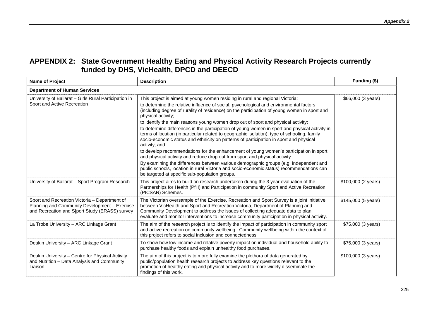| <b>Name of Project</b>                                                                                                                           | <b>Description</b>                                                                                                                                                                                                                                                                                                                                                                                                                                                                                                                                                                                                                                                                                                                                                                                                                                                                                                                                                                                                                                                                                               | Funding (\$)        |
|--------------------------------------------------------------------------------------------------------------------------------------------------|------------------------------------------------------------------------------------------------------------------------------------------------------------------------------------------------------------------------------------------------------------------------------------------------------------------------------------------------------------------------------------------------------------------------------------------------------------------------------------------------------------------------------------------------------------------------------------------------------------------------------------------------------------------------------------------------------------------------------------------------------------------------------------------------------------------------------------------------------------------------------------------------------------------------------------------------------------------------------------------------------------------------------------------------------------------------------------------------------------------|---------------------|
| <b>Department of Human Services</b>                                                                                                              |                                                                                                                                                                                                                                                                                                                                                                                                                                                                                                                                                                                                                                                                                                                                                                                                                                                                                                                                                                                                                                                                                                                  |                     |
| University of Ballarat - Girls Rural Participation in<br>Sport and Active Recreation                                                             | This project is aimed at young women residing in rural and regional Victoria:<br>to determine the relative influence of social, psychological and environmental factors<br>(including degree of rurality of residence) on the participation of young women in sport and<br>physical activity;<br>to identify the main reasons young women drop out of sport and physical activity;<br>to determine differences in the participation of young women in sport and physical activity in<br>terms of location (in particular related to geographic isolation), type of schooling, family<br>socio-economic status and ethnicity on patterns of participation in sport and physical<br>activity; and<br>to develop recommendations for the enhancement of young women's participation in sport<br>and physical activity and reduce drop out from sport and physical activity.<br>By examining the differences between various demographic groups (e.g. independent and<br>public schools, location in rural Victoria and socio-economic status) recommendations can<br>be targeted at specific sub-population groups. | \$66,000 (3 years)  |
| University of Ballarat - Sport Program Research                                                                                                  | This project aims to build on research undertaken during the 3 year evaluation of the<br>Partnerships for Health (PfH) and Participation in community Sport and Active Recreation<br>(PICSAR) Schemes.                                                                                                                                                                                                                                                                                                                                                                                                                                                                                                                                                                                                                                                                                                                                                                                                                                                                                                           | \$100,000 (2 years) |
| Sport and Recreation Victoria - Department of<br>Planning and Community Development - Exercise<br>and Recreation and S[port Study (ERASS) survey | The Victorian oversample of the Exercise, Recreation and Sport Survey is a joint initiative<br>between VicHealth and Sport and Recreation Victoria, Department of Planning and<br>Community Development to address the issues of collecting adequate data to plan,<br>evaluate and monitor interventions to increase community participation in physical activity.                                                                                                                                                                                                                                                                                                                                                                                                                                                                                                                                                                                                                                                                                                                                               | \$145,000 (5 years) |
| La Trobe University - ARC Linkage Grant                                                                                                          | The aim of the research project is to identify the impact of participation in community sport<br>and active recreation on community wellbeing. Community wellbeing within the context of<br>this project refers to social inclusion and connectedness.                                                                                                                                                                                                                                                                                                                                                                                                                                                                                                                                                                                                                                                                                                                                                                                                                                                           | \$75,000 (3 years)  |
| Deakin University - ARC Linkage Grant                                                                                                            | To show how low income and relative poverty impact on individual and household ability to<br>purchase healthy foods and explain unhealthy food purchases.                                                                                                                                                                                                                                                                                                                                                                                                                                                                                                                                                                                                                                                                                                                                                                                                                                                                                                                                                        | \$75,000 (3 years)  |
| Deakin University - Centre for Physical Activity<br>and Nutrition - Data Analysis and Community<br>Liaison                                       | The aim of this project is to more fully examine the plethora of data generated by<br>public/population health research projects to address key questions relevant to the<br>promotion of healthy eating and physical activity and to more widely disseminate the<br>findings of this work.                                                                                                                                                                                                                                                                                                                                                                                                                                                                                                                                                                                                                                                                                                                                                                                                                      | \$100,000 (3 years) |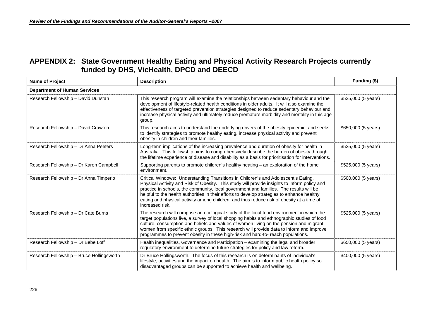| <b>Name of Project</b>                    | <b>Description</b>                                                                                                                                                                                                                                                                                                                                                                                                                                                                          | Funding (\$)        |
|-------------------------------------------|---------------------------------------------------------------------------------------------------------------------------------------------------------------------------------------------------------------------------------------------------------------------------------------------------------------------------------------------------------------------------------------------------------------------------------------------------------------------------------------------|---------------------|
| <b>Department of Human Services</b>       |                                                                                                                                                                                                                                                                                                                                                                                                                                                                                             |                     |
| Research Fellowship - David Dunstan       | This research program will examine the relationships between sedentary behaviour and the<br>development of lifestyle-related health conditions in older adults. It will also examine the<br>effectiveness of targeted prevention strategies designed to reduce sedentary behaviour and<br>increase physical activity and ultimately reduce premature morbidity and mortality in this age<br>group.                                                                                          | \$525,000 (5 years) |
| Research Fellowship - David Crawford      | This research aims to understand the underlying drivers of the obesity epidemic, and seeks<br>to identify strategies to promote healthy eating, increase physical activity and prevent<br>obesity in children and their families.                                                                                                                                                                                                                                                           | \$650,000 (5 years) |
| Research Fellowship - Dr Anna Peeters     | Long-term implications of the increasing prevalence and duration of obesity for health in<br>Australia: This fellowship aims to comprehensively describe the burden of obesity through<br>the lifetime experience of disease and disability as a basis for prioritisation for interventions.                                                                                                                                                                                                | \$525,000 (5 years) |
| Research Fellowship - Dr Karen Campbell   | Supporting parents to promote children's healthy heating - an exploration of the home<br>environment.                                                                                                                                                                                                                                                                                                                                                                                       | \$525,000 (5 years) |
| Research Fellowship - Dr Anna Timperio    | Critical Windows: Understanding Transitions in Children's and Adolescent's Eating,<br>Physical Activity and Risk of Obesity. This study will provide insights to inform policy and<br>practice in schools, the community, local government and families. The results will be<br>helpful to the health authorities in their efforts to develop strategies to enhance healthy<br>eating and physical activity among children, and thus reduce risk of obesity at a time of<br>increased risk. | \$500,000 (5 years) |
| Research Fellowship - Dr Cate Burns       | The research will comprise an ecological study of the local food environment in which the<br>target populations live, a survey of local shopping habits and ethnographic studies of food<br>culture, consumption and beliefs and values of women living on the pension and migrant<br>women from specific ethnic groups. This research will provide data to inform and improve<br>programmes to prevent obesity in these high-risk and hard-to- reach populations.                          | \$525,000 (5 years) |
| Research Fellowship - Dr Bebe Loff        | Health inequalities, Governance and Participation – examining the legal and broader<br>regulatory environment to determine future strategies for policy and law reform.                                                                                                                                                                                                                                                                                                                     | \$650,000 (5 years) |
| Research Fellowship - Bruce Hollingsworth | Dr Bruce Hollingsworth. The focus of this research is on determinants of individual's<br>lifestyle, activities and the impact on health. The aim is to inform public health policy so<br>disadvantaged groups can be supported to achieve health and wellbeing.                                                                                                                                                                                                                             | \$400,000 (5 years) |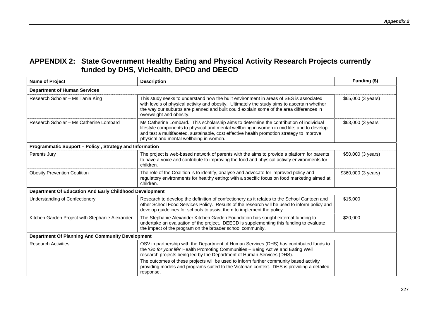| <b>Name of Project</b>                                  | <b>Description</b>                                                                                                                                                                                                                                                                                                            | Funding (\$)        |
|---------------------------------------------------------|-------------------------------------------------------------------------------------------------------------------------------------------------------------------------------------------------------------------------------------------------------------------------------------------------------------------------------|---------------------|
| <b>Department of Human Services</b>                     |                                                                                                                                                                                                                                                                                                                               |                     |
| Research Scholar - Ms Tania King                        | This study seeks to understand how the built environment in areas of SES is associated<br>with levels of physical activity and obesity. Ultimately the study aims to ascertain whether<br>the way our suburbs are planned and built could explain some of the area differences in<br>overweight and obesity.                  | \$65,000 (3 years)  |
| Research Scholar - Ms Catherine Lombard                 | Ms Catherine Lombard. This scholarship aims to determine the contribution of individual<br>lifestyle components to physical and mental wellbeing in women in mid life; and to develop<br>and test a multifaceted, sustainable, cost effective health promotion strategy to improve<br>physical and mental wellbeing in women. | \$63,000 (3 years   |
| Programmatic Support - Policy, Strategy and Information |                                                                                                                                                                                                                                                                                                                               |                     |
| Parents Jury                                            | The project is web-based network of parents with the aims to provide a platform for parents<br>to have a voice and contribute to improving the food and physical activity environments for<br>children.                                                                                                                       | \$50,000 (3 years)  |
| <b>Obesity Prevention Coalition</b>                     | The role of the Coalition is to identify, analyse and advocate for improved policy and<br>regulatory environments for healthy eating; with a specific focus on food marketing aimed at<br>children.                                                                                                                           | \$360,000 (3 years) |
| Department Of Education And Early Childhood Development |                                                                                                                                                                                                                                                                                                                               |                     |
| Understanding of Confectionery                          | Research to develop the definition of confectionery as it relates to the School Canteen and<br>other School Food Services Policy. Results of the research will be used to inform policy and<br>develop guidelines for schools to assist them to implement the policy.                                                         | \$15,000            |
| Kitchen Garden Project with Stephanie Alexander         | The Stephanie Alexander Kitchen Garden Foundation has sought external funding to<br>undertake an evaluation of the project. DEECD is supplementing this funding to evaluate<br>the impact of the program on the broader school community.                                                                                     | \$20,000            |
| <b>Department Of Planning And Community Development</b> |                                                                                                                                                                                                                                                                                                                               |                     |
| <b>Research Activities</b>                              | OSV in partnership with the Department of Human Services (DHS) has contributed funds to<br>the 'Go for your life' Health Promoting Communities - Being Active and Eating Well<br>research projects being led by the Department of Human Services (DHS).                                                                       |                     |
|                                                         | The outcomes of these projects will be used to inform further community based activity<br>providing models and programs suited to the Victorian context. DHS is providing a detailed<br>response.                                                                                                                             |                     |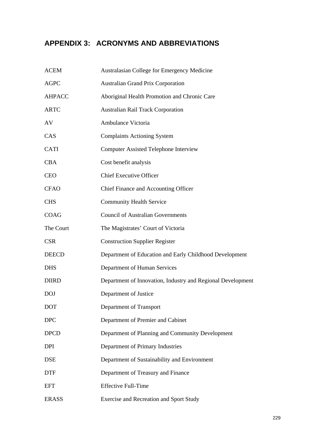## **APPENDIX 3: ACRONYMS AND ABBREVIATIONS**

| <b>ACEM</b>   | Australasian College for Emergency Medicine                 |
|---------------|-------------------------------------------------------------|
| <b>AGPC</b>   | <b>Australian Grand Prix Corporation</b>                    |
| <b>AHPACC</b> | Aboriginal Health Promotion and Chronic Care                |
| <b>ARTC</b>   | <b>Australian Rail Track Corporation</b>                    |
| AV            | Ambulance Victoria                                          |
| CAS           | <b>Complaints Actioning System</b>                          |
| <b>CATI</b>   | <b>Computer Assisted Telephone Interview</b>                |
| <b>CBA</b>    | Cost benefit analysis                                       |
| <b>CEO</b>    | <b>Chief Executive Officer</b>                              |
| <b>CFAO</b>   | Chief Finance and Accounting Officer                        |
| <b>CHS</b>    | <b>Community Health Service</b>                             |
| <b>COAG</b>   | <b>Council of Australian Governments</b>                    |
| The Court     | The Magistrates' Court of Victoria                          |
| <b>CSR</b>    | <b>Construction Supplier Register</b>                       |
| <b>DEECD</b>  | Department of Education and Early Childhood Development     |
| <b>DHS</b>    | Department of Human Services                                |
| <b>DIIRD</b>  | Department of Innovation, Industry and Regional Development |
| <b>DOJ</b>    | Department of Justice                                       |
| <b>DOT</b>    | Department of Transport                                     |
| <b>DPC</b>    | Department of Premier and Cabinet                           |
| <b>DPCD</b>   | Department of Planning and Community Development            |
| <b>DPI</b>    | Department of Primary Industries                            |
| <b>DSE</b>    | Department of Sustainability and Environment                |
| <b>DTF</b>    | Department of Treasury and Finance                          |
| <b>EFT</b>    | <b>Effective Full-Time</b>                                  |
| <b>ERASS</b>  | <b>Exercise and Recreation and Sport Study</b>              |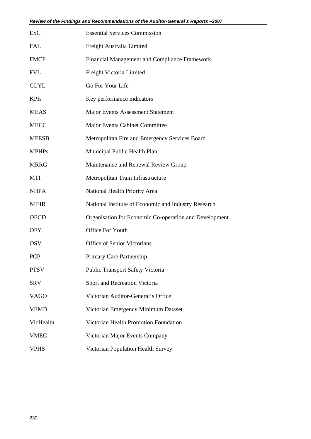| <b>ESC</b>   | <b>Essential Services Commission</b>                   |
|--------------|--------------------------------------------------------|
| <b>FAL</b>   | Freight Australia Limited                              |
| <b>FMCF</b>  | Financial Management and Compliance Framework          |
| <b>FVL</b>   | Freight Victoria Limited                               |
| <b>GLYL</b>  | Go For Your Life                                       |
| <b>KPIs</b>  | Key performance indicators                             |
| <b>MEAS</b>  | <b>Major Events Assessment Statement</b>               |
| <b>MECC</b>  | Major Events Cabinet Committee                         |
| <b>MFESB</b> | Metropolitan Fire and Emergency Services Board         |
| <b>MPHPs</b> | Municipal Public Health Plan                           |
| <b>MRRG</b>  | Maintenance and Renewal Review Group                   |
| <b>MTI</b>   | Metropolitan Train Infrastructure                      |
| <b>NHPA</b>  | National Health Priority Area                          |
| <b>NIEIR</b> | National Institute of Economic and Industry Research   |
| <b>OECD</b>  | Organisation for Economic Co-operation and Development |
| <b>OFY</b>   | <b>Office For Youth</b>                                |
| <b>OSV</b>   | <b>Office of Senior Victorians</b>                     |
| <b>PCP</b>   | Primary Care Partnership                               |
| <b>PTSV</b>  | <b>Public Transport Safety Victoria</b>                |
| <b>SRV</b>   | Sport and Recreation Victoria                          |
| <b>VAGO</b>  | Victorian Auditor-General's Office                     |
| <b>VEMD</b>  | Victorian Emergency Minimum Dataset                    |
| VicHealth    | Victorian Health Promotion Foundation                  |
| <b>VMEC</b>  | Victorian Major Events Company                         |
| <b>VPHS</b>  | Victorian Population Health Survey                     |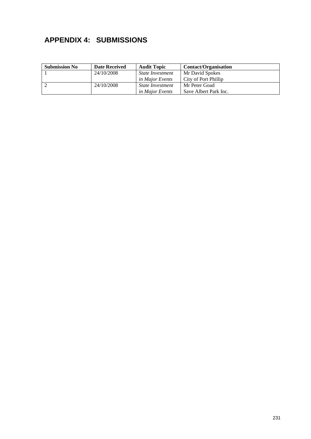## **APPENDIX 4: SUBMISSIONS**

| <b>Submission No</b> | <b>Date Received</b> | <b>Audit Topic</b>      | <b>Contact/Organisation</b> |
|----------------------|----------------------|-------------------------|-----------------------------|
|                      | 24/10/2008           | <i>State Investment</i> | Mr David Spokes             |
|                      |                      | <i>in Major Events</i>  | City of Port Phillip        |
|                      | 24/10/2008           | <i>State Investment</i> | Mr Peter Goad               |
|                      |                      | <i>in Major Events</i>  | Save Albert Park Inc.       |